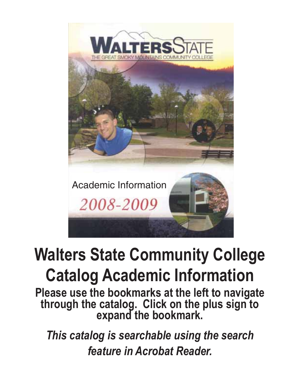

# **Walters State Community College Catalog Academic Information**

**Please use the bookmarks at the left to navigate through the catalog. Click on the plus sign to expand the bookmark.**

*This catalog is searchable using the search feature in Acrobat Reader.*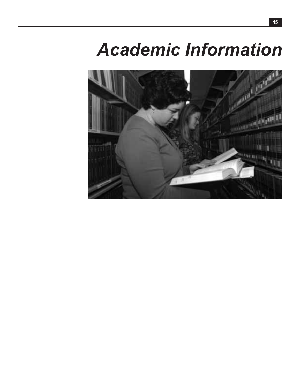# *Academic Information*

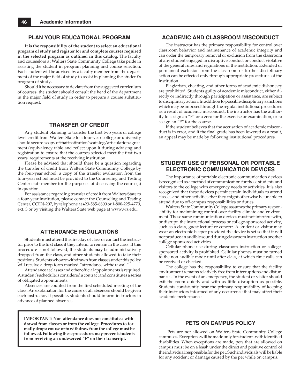#### **PLAN YOUR EDUCATIONAL PROGRAM**

**It is the responsibility of the student to select an educational program of study and register for and complete courses required in the selected program as outlined in this catalog.** The faculty and counselors at Walters State Community College take pride in assisting the student in program planning and course selection. Each student will be advised by a faculty member from the department of the major field of study to assist in planning the student's program of study.

Should it be necessary to deviate from the suggested curriculum of courses, the student should consult the head of the department in the major field of study in order to prepare a course substitution request.

### **TRANSFER OF CREDIT**

Any student planning to transfer the first two years of college level credit from Walters State to a four-year college or university should secure a copy of that institution's catalog/articulation agreement/equivalency table and reflect upon it during advising and registration to ensure that the courses selected meet the first two years' requirements at the receiving institution.

Please be advised that should there be a question regarding the transfer of credit from Walters State Community College by the four-year school, a copy of the transfer evaluation from the four-year school must be provided to the Counseling and Testing Center staff member for the purposes of discussing the course(s) in question.

For assistance regarding transfer of credit from Walters State to a four-year institution, please contact the Counseling and Testing Center, CCEN-207, by telephone at 423-585-6800 or 1-800-225-4770, ext. 3 or by visiting the Walters State web page at www.ws.edu.

## **ATTENDANCE REGULATIONS**

Students must attend the first day of class or contact the instructor prior to the first class if they intend to remain in the class. If this procedure is not followed, the students **may** be administratively dropped from the class, and other students allowed to take their positions. Students who are withdrawn from classes under this policy will receive a drop form marked "attendance withdrawal."

Attendance at classes and other official appointments is required. A student's schedule is considered a contract and constitutes a series of obligated appointments.

Absences are counted from the first scheduled meeting of the class. An explanation for the cause of all absences should be given each instructor. If possible, students should inform instructors in advance of planned absences.

**IMPORTANT: Non-attendance does not constitute a withdrawal from classes or from the college. Procedures to formally drop a course or to withdraw from the college must be followed. Following these procedures may prevent students from receiving an undeserved "F" on their transcript.**

### **ACADEMIC AND CLASSROOM MISCONDUCT**

The instructor has the primary responsibility for control over classroom behavior and maintenance of academic integrity and can order the temporary removal or exclusion from the classroom of any student engaged in disruptive conduct or conduct violative of the general rules and regulations of the institution. Extended or permanent exclusion from the classroom or further disciplinary action can be effected only through appropriate procedures of the institution.

Plagiarism, cheating, and other forms of academic dishonesty are prohibited. Students guilty of academic misconduct, either directly or indirectly through participation or assistance, are subject to disciplinary action. In addition to possible disciplinary sanctions which may be imposed through the regular institutional procedures as a result of academic misconduct, the instructor has the authority to assign an "F" or a zero for the exercise or examination, or to assign an "F" for the course.

If the student believes that the accusation of academic misconduct is in error, and if the final grade has been lowered as a result, an appeal may be made by following institutional procedures.

### **STUDENT USE OF PERSONAL OR PORTABLE ELECTRONIC COMMUNICATION DEVICES**

The importance of portable electronic communication devices is recognized as a method of communication for those students and visitors to the college with emergency needs or activities. It is also recognized that these devices permit certain individuals to attend classes and other activities that they might otherwise be unable to attend due to off-campus responsibilities or duties.

Walters State Community College assumes the primary responsibility for maintaining control over facility climate and environment. These same communication devices must not interfere with, or disrupt, the instructional process or college-sponsored activity, such as a class, guest lecture or concert. A student or visitor may wear an electronic beeper provided the device is set so that it will not produce an audible sound during classroom instruction or other college-sponsored activities.

Cellular phone use during classroom instruction or collegesponsored activity is prohibited. Cellular phones must be turned to the non-audible mode until after class, at which time calls can be received or checked.

The college has the responsibility to ensure that the facility environment remains relatively free from interruptions and disturbances. In the event of an emergency, the student or visitor should exit the room quietly and with as little disruption as possible. Students consistently bear the primary responsibility of keeping their instructors informed of any occurrence that may affect their academic performance.

### **PETS ON CAMPUS POLICY**

Pets are not allowed on Walters State Community College campuses. Exceptions will be made only for students with identified disabilities. When exceptions are made, pets that are allowed on campus must be on a leash under the direct and positive control of the individual responsible for the pet. Such individuals will be liable for any accident or damage caused by the pet while on campus.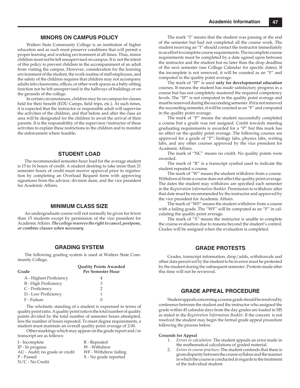### **MINORS ON CAMPUS POLICY**

Walters State Community College is an institution of higher education and as such must preserve conditions that will permit a proper learning and working environment at all times. Thus, minor children must not be left unsupervised on campus. It is not the intent of this policy to prevent children in the accompaniment of an adult from visiting the campus. However, consideration for the learning environment of the student, the work routine of staff employees, and the safety of the children requires that children may not accompany adults into classrooms, offices, or other work spaces as a baby-sitting function nor be left unsupervised in the hallways of buildings or on the grounds of the college.

In certain circumstances, children may be on campus for classes held for their benefit (EDU Camps, field trips, etc.). At such times, it is expected that the instructor or responsible adult will supervise the activities of the children, and that before and after the class an area will be designated for the children to await the arrival of their parents. It is the responsibility of the supervisor/instructor of these activities to explain these restrictions to the children and to monitor the enforcement where feasible.

### **STUDENT LOAD**

The recommended semester-hour load for the average student is 15 to 16 hours of credit. A student desiring to take more than 21 semester hours of credit must receive approval prior to registration by completing an Overload Request form with approving signatures from the advisor, division dean, and the vice president for Academic Affairs.

#### **MINIMUM CLASS SIZE**

An undergraduate course will not normally be given for fewer than 15 students except by permission of the vice president for Academic Affairs. *The college reserves the right to cancel, postpone, or combine classes when necessary.*

#### **GRADING SYSTEM**

The following grading system is used at Walters State Community College.

| Grade                       | <b>Quality Points Awarded</b><br><b>Per Semester Hour</b> |
|-----------------------------|-----------------------------------------------------------|
| A - Highest Proficiency     |                                                           |
| <b>B</b> - High Proficiency | 3                                                         |
| C - Proficiency             | 2                                                         |
| D - Low Proficiency         | 1                                                         |
| F - Failure                 |                                                           |

The scholastic standing of a student is expressed in terms of quality point ratio. A quality point ratio is the total number of quality points divided by the total number of semester hours attempted, less the number of hours repeated. To meet degree requirements, a student must maintain an overall quality point average of 2.00.

Other markings which may appear on the grade report and/or transcript are as follows:

| I - Incomplete                 | R - Repeated          |
|--------------------------------|-----------------------|
| IP - In progress               | W - Withdrew          |
| AU - Audit; no grade or credit | WF - Withdrew failing |
| P - Passed                     | X - No grade reported |
| N/C - No Credit                |                       |

The mark "I" means that the student was passing at the end of the semester but had not completed all the course work. The student receiving an "I" should contact the instructor immediately in an effort to complete course requirements. The incomplete course requirements must be completed by a date agreed upon between the instructor and the student but no later than the drop deadline of the next semester (see College Calendar for specific dates). If the incomplete is not removed, it will be counted as an "F" and computed in the quality point average.

The mark of "IP" is used **only for developmental education**  courses. It means the student has made satisfactory progress in a course but has not completely mastered the required competency levels. The "IP" is not computed in the quality point average and must be removed during the succeeding semester. If it is not removed the succeeding semester, it will be counted as an "F" and computed in the quality point average.

The mark of "P" means the student successfully completed a course but a grade was not assigned. Credit towards meeting graduating requirements is awarded for a "P" but this mark has no affect on the quality point average. The following courses are approved for a grade of "P": biology labs, physics labs, writing labs, and any other courses approved by the vice president for Academic Affairs.

The mark of "NC" means no credit. No quality points were awarded.

The mark of "R" is a transcript symbol used to indicate the student repeated a course.

The mark of "W" means the student withdrew from a course. Withdrawal from a course does not affect the quality point average. The dates the student may withdraw are specified each semester in the *Registration Information Booklet*. Permission to withdraw after that date must be recommended by the instructor and approved by the vice president for Academic Affairs.

The mark of "WF" means the student withdrew from a course with a failing grade. The "WF" will be computed as an "F" in calculating the quality point average.

The mark of "X" means the instructor is unable to complete the course evaluation due to reasons beyond the student's control. Grades will be assigned when the evaluation is completed.

#### **GRADE PROTESTS**

Grades, transcript information, drop/adds, withdrawals and other data perceived by the student to be in error must be protested by the student during the subsequent semester. Protests made after this time will not be reviewed.

### **GRADE APPEAL PROCEDURE**

Student appeals concerning a course grade should be resolved by conference between the student and the instructor who assigned the grade within 45 calendar days from the day grades are loaded in SIS as stated in the *Registration Information Booklet.* If the concern is not resolved the student may begin the formal grade appeal procedure following the process below.

#### **Grounds for Appeal**

- 1. *Errors in calculation:* The student appeals an error made in the mathematical calculations of graded material.
- 2. *Errors in course practices:* The student contends that there is gross disparity between the course syllabus and the manner in which the course is conducted in regards to the treatment of the individual student.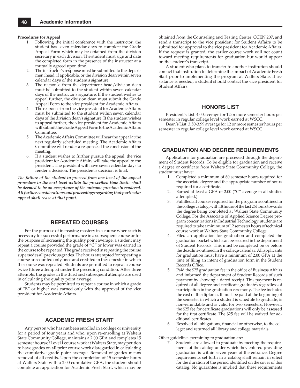#### **Procedures for Appeal**

- 1. Following the initial conference with the instructor, the student has seven calendar days to complete the Grade Appeal Form which may be obtained from the division secretary in each division. The student must sign and date the completed form in the presence of the instructor at a mutually agreed upon time.
- 2. The instructor's response must be submitted to the department head, if applicable, or the division dean within seven calendar days of the student's signature.
- The response from the department head/division dean must be submitted to the student within seven calendar days of the instructor's signature. If the student wishes to appeal further, the division dean must submit the Grade Appeal Form to the vice president for Academic Affairs.
- 4. The response from the vice president for Academic Affairs must be submitted to the student within seven calendar days of the division dean's signature. If the student wishes to appeal further, the vice president for Academic Affairs will submit the Grade Appeal Form to the Academic Affairs Committee.
- 5. The Academic Affairs Committee will hear the appeal at the next regularly scheduled meeting. The Academic Affairs Committee will render a response at the conclusion of the meeting.
- 6. If a student wishes to further pursue the appeal, the vice president for Academic Affairs will take the appeal to the president. The president will have seven calendar days to render a decision. The president's decision is final.

*The failure of the student to proceed from one level of the appeal procedure to the next level within the prescribed time limits shall be deemed to be an acceptance of the outcome previously rendered. All further considerations and proceedings regarding that particular appeal shall cease at that point.*

#### **REPEATED COURSES**

For the purpose of increasing mastery in a course when such is necessary for successful performance in a subsequent course or for the purpose of increasing the quality point average, a student may repeat a course provided the grade of "C" or lower was earned in the course to be repeated. The grade received in repeating the course supersedes all previous grades. The hours attempted for repeating a course are counted only once and credited in the semester in which the course was repeated. Students are permitted to repeat a course twice (three attempts) under the preceding condition. After three attempts, the grades in the third and subsequent attempts are used in calculating the quality point average.

Students may be permitted to repeat a course in which a grade of "B" or higher was earned only with the approval of the vice president for Academic Affairs.

#### **ACADEMIC FRESH START**

Any person who has **not** been enrolled in a college or university for a period of four years and who, upon re-enrolling at Walters State Community College, maintains a 2.00 GPA and completes 15 semester hours of Level 1 course work at Walters State, may petition to have grades on **all** prior course work disregarded in calculating the cumulative grade point average. Removal of grades means removal of all credits. Upon the completion of 15 semester hours at Walters State with a 2.00 cumulative GPA, the student should complete an application for Academic Fresh Start, which may be

obtained from the Counseling and Testing Center, CCEN 207, and send a transcript to the vice president for Student Affairs to be submitted for approval to the vice president for Academic Affairs. If the request is granted, the earlier course work will not count toward meeting requirements for graduation but would appear on the student's transcript.

A student who plans to transfer to another institution should contact that institution to determine the impact of Academic Fresh Start prior to implementing the program at Walters State. If assistance is needed, a student should contact the vice president for Student Affairs.

#### **HONORS LIST**

President's List: 4.00 average for 12 or more semester hours per semester in regular college level work earned at WSCC.

Dean's List: 3.50-3.99 average for 12 or more semester hours per semester in regular college level work earned at WSCC.

#### **GRADUATION AND DEGREE REQUIREMENTS**

Applications for graduation are processed through the department of Student Records. To be eligible for graduation and receive a degree or certificate from Walters State Community College, the student must have:

- 1. Completed a minimum of 60 semester hours required for the associate degree and the appropriate number of hours required for a certificate.
- 2. Earned at least a GPA of 2.00 ("C" average in all studies attempted.)
- 3. Fulfilled all courses required for the program as outlined in the college catalog, with 18 hours of the last 26 hours towards the degree being completed at Walters State Community College. For the Associate of Applied Science Degree program concentrations in Industrial Technology, students are required to take a minimum of 12 semester hours of technical course work at Walters State Community College.
- Filed an application for graduation and completed the graduation packet which can be secured in the department of Student Records. This must be completed on or before the deadline outlined in the college calendar. All applicants for graduation must have a minimum of 2.00 GPA at the time of filing an intent of graduation form in the Student Records Office.
- Paid the \$25 graduation fee in the office of Business Affairs and informed the department of Student Records of such payment by showing a dated receipt. This payment is required of all degree and certificate graduates regardless of participation in the graduation ceremony. The fee includes the cost of the diploma. It must be paid at the beginning of the semester in which a student is schedule to graduate, is non-refundable and is valid for two semesters. However, the \$25 fee for certificate graduations will only be assessed for the first certificate. The \$25 fee will be waived for additional certificates.
- 6. Resolved all obligations, financial or otherwise, to the college; and returned all library and college materials.

Other guidelines pertaining to graduation are:

 7. Students are allowed to graduate by meeting the requirements of the catalog under which they entered providing graduation is within seven years of the entrance. Degree requirements set forth in a catalog shall remain in effect for the duration of the period identified on the cover of this catalog. No guarantee is implied that these requirements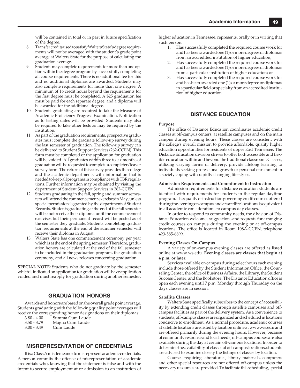will be contained in total or in part in future specification of the degree.

- 8. Transfer credits used to satisfy Walters State's degree requirements will not be averaged with the student's grade point average at Walters State for the purpose of calculating the graduation average.
- Students may complete requirements for more than one option within the degree program by successfully completing all course requirements. There is no additional fee for this and no additional diplomas are awarded. Students may also complete requirements for more than one degree. A minimum of 16 credit hours beyond the requirements for the first degree must be completed. A \$25 graduation fee must be paid for each separate degree, and a diploma will be awarded for the additional degree.
- 10. Students graduating are required to take the Measure of Academic Proficiency Progress Examination. Notification as to testing dates will be provided. Students may also be required to take other tests as may be required by the institution.
- 11. As part of the graduation requirements, prospective graduates must complete the graduate follow-up survey during the last semester of graduation. The follow-up survey can be delivered to Student Support Services (262-CCEN). This form must be completed or the application for graduation will be voided. All graduates within three to six months of graduation will be requested to complete a completer/leaver survey form. The return of this survey provides the college and the academic departments with information that is needed to keep all programs in compliance with TBR regulations. Further information may be obtained by visiting the department of Student Support Services in 262-CCEN.
- 12. Students graduating in the fall, spring and summer semesters will attend the commencement exercises in May, unless special permission is granted by the department of Student Records. Students graduating at the end of the fall semester will be not receive their diploma until the commencement exercises but their permanent record will be posted as of the semester they graduate. Students completing graduation requirements at the end of the summer semester will receive their diploma in August.
- 13. Walters State has one commencement ceremony per year which is at the end of the spring semester. Therefore, graduation honors are calculated at the end of the fall semester to be included in the graduation program, the graduation ceremony, and all news releases concerning graduation.

**SPECIAL NOTE:** Students who do not graduate by the semester which is indicated on application for graduation will have application voided and must reapply for graduation during another semester.

#### **GRADUATION HONORS**

Awards and honors are based on the overall grade point average. Students graduating with the following quality point averages will receive the corresponding honor designations on their diplomas:

- 3.80 4.00 Summa Cum Laude Magna Cum Laude
- 3.00 3.49 Cum Laude

### **MISREPRESENTATION OF CREDENTIALS**

It is a Class A misdemeanor to misrepresent academic credentials. A person commits the offense of misrepresentation of academic credentials who, knowing that the statement is false and with the intent to secure employment at or admission to an institution of higher education in Tennessee, represents, orally or in writing that such person:

- 1. Has successfully completed the required course work for and has been awarded one (1) or more degrees or diplomas from an accredited institution of higher education;
- 2. Has successfully completed the required course work for and has been awarded one (1) or more degrees or diplomas from a particular institution of higher education; or
- 3. Has successfully completed the required course work for and has been awarded one (1) or more degree or diplomas in a particular field or specialty from an accredited institution of higher education.

#### **DISTANCE EDUCATION**

#### **Purpose**

The office of Distance Education coordinates academic credit classes at off-campus centers, at satellite campuses and on the main campus during evening hours. These classes are consistent with the college's overall mission to provide affordable, quality higher education opportunities for residents of upper East Tennessee. The Distance Education division strives to offer both accessible and flexible education within and beyond the traditional classroom. Classes, utilizing varying forms of delivery, provide lifelong learning to individuals seeking professional growth or personal enrichment in a society coping with rapidly changing life-styles.

#### **Admission Requirements and Commitment to Instruction**

Admission requirements for distance education students are identical with requirements for students in the regular daytime program. The quality of instruction governing credit courses offered during the evening on campus and at satellite locations is equivalent in all academic considerations to campus day classes.

In order to respond to community needs, the division of Distance Education welcomes suggestions and requests for arranging credit courses on campus during the evening or at off-campus locations. The office is located in Room 108A-CCEN, telephone 423-585-6899.

#### **Evening Classes On-Campus**

A variety of on-campus evening classes are offered as listed online at www.ws.edu. **Evening classes are classes that begin at 4 p.m. or later.**

Services available on campus during select hours each evening include those offered by the Student Information Office, the Counseling Center, the office of Business Affairs, the Library, the Student Success Center, and the Bookstore. The Distance Education office is open each evening until 7 p.m. Monday through Thursday on the days classes are in session.

#### **Satellite Classes**

Walters State specifically subscribes to the concept of accessibility by extending credit classes through satellite campuses and offcampus facilities as part of the delivery system. As a convenience to students, off-campus classes are organized and scheduled in locations conducive to enrollment. As a normal procedure, academic courses at satellite locations are listed by location online at www.ws.edu and are offered primarily during the evening hours. However, because of community response and local needs, off-campus courses are also available during the day at certain off-campus locations. In order to determine the availability of classes at off-campus locations, students are advised to examine closely the listings of classes by location.

Courses requiring laboratories, library materials, computers and other special resources are not offered off-campus unless the necessary resources are provided. To facilitate this scheduling, special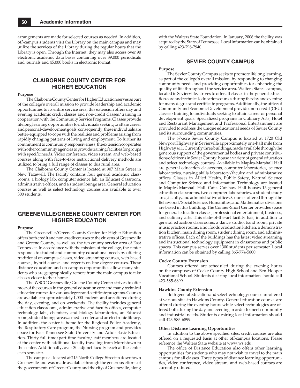arrangements are made for selected courses as needed. In addition, off-campus students visit the Library on the main campus and may utilize the services of the Library during the regular hours that the Library is open. Through the Internet, they may also access over 90 electronic academic data bases containing over 39,000 periodicals and journals and 45,000 books in electronic format.

## **CLAIBORNE COUNTY CENTER FOR HIGHER EDUCATION**

#### **Purpose**

The Claiborne County Center for Higher Education serves as part of the college's overall mission to provide leadership and academic opportunities to its entire service area, this extension offers day and evening academic credit classes and non-credit classes/training in cooperation with the Community Service Programs. Classes provide lifelong learning opportunities to individuals seeking to attain career and personal-development goals; consequently, these individuals are better-equipped to cope with the realities and problems arising from rapidly changing patterns of living and employment. To further its commitment to community responsiveness, the extension cooperates with other community agencies to provide training facilities for groups with specific needs. Video conference, video stream, and web-based courses along with face-to-face instructional delivery methods are utilized to bring a full range of classes to this rural area.

The Claiborne County Center is located at 907 Main Street in New Tazewell. The facility contains four general academic classrooms, a biology lab, computer science lab, an Educast classroom, administrative offices, and a student lounge area. General education courses as well as select technology courses are available to over 300 students.

## **GREENEVILLE/GREENE COUNTY CENTER FOR HIGHER EDUCATION**

#### **Purpose**

The Greeneville/Greene County Center for Higher Education offers both credit and non-credit courses to the citizens of Greeneville and Greene County, as well as, the ten county service area of East Tennessee. In accordance with the mission of the college, the center responds to student and community educational needs by offering traditional on-campus classes, video-streaming courses, web-based courses, hybrid courses and regents on-line degree courses. These distance education and on-campus opportunities allow many students who are geographically remote from the main campus to take classes closer to their homes.

The WSCC Greeneville/Greene County Center strives to offer most of the courses in the general education core and many technical education courses for various degree and certificate programs. Courses are available to approximately 1,000 students and are offered during the day, evening, and on weekends. The facility includes general education classrooms, administrative and faculty offices, computer technology labs, chemistry and biology laboratories, an Educast room, student lounge areas, a media center, and an electronic library. In addition, the center is home for the Regional Police Academy, the Respiratory Care program, the Nursing program and provides space for East Tennessee State University and Adult Basic Education. Thirty full-time/part-time faculty/staff members are located at the center with additional faculty traveling from Morristown to the center. Additionally, over 30 adjunct faculty teach at the center each semester.

The campus is located at 215 North College Street in downtown Greeneville and was made available through the generous efforts of the governments of Greene County and the city of Greeneville, along

with the Walters State Foundation. In January, 2006 the facility was acquired by the State of Tennessee. Local information can be obtained by calling 423-798-7940.

#### **SEVIER COUNTY CAMPUS**

#### **Purpose**

The Sevier County Campus seeks to promote lifelong learning, as part of the college's overall mission, by responding to changing community needs and providing opportunities for enhancing the quality of life throughout the service area. Walters State's campus, located in Sevierville, strives to offer all classes in the general education core and technical education courses during the day and evening for many degree and certificate programs. Additionally, the office of Community and Economic Development provides non-credit (CEU) classes/training to individuals seeking to attain career or personal development goals. Specialized programs in Culinary Arts, Hotel and Restaurant Management and Professional Entertainment are provided to address the unique educational needs of Sevier County and its surrounding communities.

The 67-acre Sevier County Campus is located at 1720 Old Newport Highway in Sevierville approximately one-half mile from Highway 411. Currently three buildings, made available through the generous support of the governmental bodies and private contributions of citizens in Sevier County, house a variety of general education and select technology courses. Available in Maples-Marshall Hall are general education classrooms, computer laboratories, science laboratories, nursing skills laboratory/faculty and administrative offices. Classes in Allied Health, Public Safety, Natural Science and Computer Science and Information Technology are located in Maples-Marshall Hall. Cates-Cutshaw Hall houses 13 general education classrooms, two computer laboratories, a student study area, faculty, and administrative offices. Courses offered through the Behavioral/Social Science, Humanities, and Mathematics divisions are based in this building. The Conner-Short Center provides space for general education classes, professional entertainment, business, and culinary arts. This state-of-the-art facility has, in addition to general education classrooms, a dance studio, band room, private music practice rooms, a hot foods production kitchen, a demonstration kitchen, main dining room, student dining room, and administrative offices. Each of the buildings has the latest video streaming and instructional technology equipment in classrooms and public spaces. This campus serves over 1300 students per semester. Local information can be obtained by calling 865-774-5800.

#### **Cocke County Extension**

Courses offered are scheduled during the evening hours on the campuses of Cocke County High School and Ben Hooper Vocational School. Students desiring local information should call 423-585-6899.

#### **Hawkins County Extension**

Both general education and select technology courses are offered at various sites in Hawkins County. General education courses are offered during the evening hours while select technologies are offered both during the day and evening in order to meet community and industrial needs. Students desiring local information should call 423-585-6899.

#### **Other Distance Learning Opportunities**

In addition to the above specified sites, credit courses are also offered on a requested basis at other off-campus locations. Please reference the Walters State website at www.ws.edu.

The office of Distance Education also offers other learning opportunities for students who may not wish to travel to the main campus for all classes. Three types of distance learning opportunities, video conference, video stream, and web-based courses are currently offered.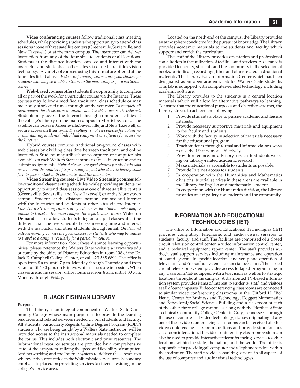**Video conferencing courses** follow traditional class meeting schedules, while providing students the opportunity to attend class sessions at one of three satellite centers (Greeneville, Sevierville, and New Tazewell) or at the main campus. The instructor can deliver instruction from any of the four sites to students at all locations. Students at the distance locations can see and interact with the instructor and students at other sites via closed circuit television technology. A variety of courses using this format are offered at the four sites listed above. *Video conferencing courses are good choices for students who may be unable to travel to the main campus for a particular course.*

**Web-based courses** offer students the opportunity to complete all or part of the work for a particular course via the Internet. These courses may follow a modified traditional class schedule or may meet only at selected times throughout the semester. *To complete all requirements for these courses students must be able to access the Internet.* Students may access the Internet through computer facilities at the college's library on the main campus in Morristown or at the satellite campuses in Greeneville, Sevierville, and New Tazewell, or secure access on their own. *The college is not responsible for obtaining or maintaining students' individual equipment or software for accessing the Internet.*

**Hybrid courses** combine traditional on-ground classes with web classes by dividing class time between traditional and online instruction. Students may utilize home computers or computer labs available on each Walters State campus to access instruction and to submit assignments. *Hybrid classes are good choices for students who need to limit the number of trips to campus, but who also like having some face-to-face contact with classmates and the instructor.*

**Video Streaming courses - Live Video Streaming courses** follow traditional class meeting schedules, while providing students the opportunity to attend class sessions at one of three satellite centers (Greeneville, Sevierville, and New Tazewell) or at the Morristown campus. Students at the distance locations can see and interact with the instructor and students at other sites via the Internet. *Live Video Streaming courses are good choices for students who may be unable to travel to the main campus for a particular course.* **Video on Demand** classes allow students to log onto taped classes at a time different than the live scheduled class meeting time and interact with the instructor and other students through email. *On demand video streaming courses are good choices for students who may be unable to travel to a campus regularly for a particular course.*

For more information about these distance learning opportunities, please reference the Walters State website at www.ws.edu or come by the office of Distance Education in room 108 of the Dr. Jack E. Campbell College Center, or call 423-585-6899. The office is open from 8 a.m. until 7 p.m. Monday through Thursday and from 8 a.m. until 4:30 p.m. on Fridays while classes are in session. When classes are not in session, office hours are from 8 a.m. until 4:30 p.m. Monday through Friday.

#### **R. JACK FISHMAN LIBRARY**

#### **Purpose**

The Library is an integral component of Walters State Community College whose main purpose is to provide the learning resources and related services needed by our students and faculty. All students, particularly Regents Online Degree Program (RODP) students who are being taught by a Walters State instructor, will be provided access to the instructional materials needed to complete the course. This includes both electronic and print resources. The informational resource services are provided by a comprehensive state-of-the-art system utilizing the speed and flexibility of computerized networking and the Internet system to deliver these resources wherever they are needed in the Walters State service area. Secondary emphasis is placed on providing services to citizens residing in the college's service area.

Located on the north end of the campus, the Library provides an atmosphere conducive for the pursuit of knowledge. The Library provides academic materials to the students and faculty which support and enrich the curriculum.

The staff of the Library provides orientation and professional consultation in the utilization of facilities and services. Assistance is provided to faculty, students and the community in the selection of books, periodicals, recordings, films and other related instructional materials. The Library has an Information Center which has been designated as an open academic lab for Walters State students. This lab is equipped with computer-related technology including academic software.

The Library provides to the students in a central location materials which will allow for alternative pathways to learning. To insure that the educational purposes and objectives are met, the Library strives to achieve the following:

- 1. Provide students a place to pursue academic and leisure interests.
- Provide necessary supportive materials and equipment to the faculty and students.
- 3. Work with the faculty in selection of materials necessary for the educational program.
- 4. Teach students, through formal and informal classes, ways to use the Library more effectively.
- 5. Provide reference and advisory services to students working on Library-related academic research.
- 6. Make materials as accessible to students as possible.
- 7. Provide Internet access for students.
- 8. In cooperation with the Humanities and Mathematics divisions, tutorial services in these areas are available in the Library for English and mathematics students.
- In cooperation with the Humanities division, the Library provides an art gallery for students and the community.

## **INFORMATION AND EDUCATIONAL TECHNOLOGIES (IET)**

The office of Information and Educational Technologies (IET) provides computing, telephone, and audio/visual services to students, faculty, and staff. The facilities are comprised of a closed circuit television control center, a video information control center, and a technical equipment repair center. The staff provides audio/visual support services including maintenance and operation of sound systems in specific locations and setup and operation of televisions and/or sound systems for special occasions. The closed circuit television system provides access to taped programming in any classroom/lab equipped with a television as well as to strategic locations throughout the campus. A distributed TV-based information system provides items of interest to students, staff, and visitors at all of our campuses. Video conferencing classrooms are connected to similar video conferencing classrooms in the Clifford H. "Bo" Henry Center for Business and Technology, Doggett Mathematics and Behavioral/Social Sciences Building and a classroom at each of the other three college campuses along with the Northeast State Technical Community College Center in Gray, Tennessee. Through the use of compressed video technology, classes originating at any one of these video conferencing classrooms can be received at other video conferencing classroom locations and provide simultaneous classroom interaction. The video conferencing classroom system can also be used to provide interactive teleconferencing services to other locations within the state, the nation, and the world. The office is responsible for providing all computer and telephone services within the institution. The staff provide consulting services in all aspects of the use of computer and audio/visual technologies.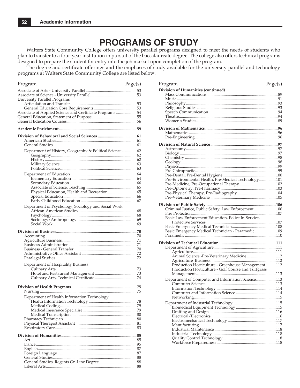## **PROGRAMS OF STUDY**

Walters State Community College offers university parallel programs designed to meet the needs of students who plan to transfer to a four-year institution in pursuit of the baccalaureate degree. The college also offers technical programs designed to prepare the student for entry into the job market upon completion of the program.

The degree and certificate offerings and the emphases of study available for the university parallel and technology programs at Walters State Community College are listed below.

| Program                                                  | Page(s) |
|----------------------------------------------------------|---------|
|                                                          |         |
|                                                          |         |
| University Parallel Programs                             |         |
|                                                          |         |
|                                                          |         |
| Associate of Applied Science and Certificate Programs 54 |         |
|                                                          |         |
|                                                          |         |
|                                                          |         |
|                                                          |         |
|                                                          |         |
|                                                          |         |
| Department of History, Geography & Political Science  62 |         |
|                                                          |         |
|                                                          |         |
|                                                          |         |
|                                                          |         |
|                                                          |         |
|                                                          |         |
|                                                          |         |
| Physical Education, Health and Recreation  65            |         |
|                                                          |         |
|                                                          |         |
| Department of Psychology, Sociology and Social Work      |         |
|                                                          |         |
|                                                          |         |
|                                                          |         |
|                                                          |         |
|                                                          |         |
|                                                          |         |
|                                                          |         |
|                                                          |         |
|                                                          |         |
|                                                          |         |
|                                                          |         |
| Department of Hospitality Business                       |         |
|                                                          |         |
|                                                          |         |
|                                                          |         |
|                                                          |         |
|                                                          |         |
| Department of Health Information Technology              |         |
| Health Information Technology                            | 78      |
|                                                          |         |
|                                                          |         |
|                                                          |         |
|                                                          |         |
|                                                          |         |
|                                                          |         |
|                                                          |         |
|                                                          |         |
|                                                          |         |
|                                                          |         |
|                                                          |         |
|                                                          |         |
|                                                          |         |

| Program                                              | Page(s) |
|------------------------------------------------------|---------|
| Division of Humanities (continued)                   |         |
|                                                      |         |
|                                                      |         |
|                                                      |         |
|                                                      |         |
|                                                      |         |
|                                                      |         |
|                                                      |         |
|                                                      |         |
|                                                      |         |
|                                                      |         |
|                                                      |         |
|                                                      |         |
|                                                      |         |
|                                                      |         |
|                                                      |         |
|                                                      |         |
|                                                      |         |
|                                                      |         |
| Pre-Environmental Health, Pre-Medical Technology 101 |         |
|                                                      |         |
|                                                      |         |
|                                                      |         |
|                                                      |         |
|                                                      |         |
|                                                      |         |
|                                                      |         |
| Basic Law Enforcement Education, Police In-Service,  |         |
|                                                      |         |
|                                                      |         |
|                                                      |         |
| Basic Emergency Medical Technician - Paramedic  109  |         |
|                                                      |         |
|                                                      |         |
|                                                      |         |
| Animal Science -Pre-Veterinary Medicine  112         |         |
|                                                      |         |
| Production Horticulture - Greenhouse Management 112  |         |
| Production Horticulture - Golf Course and Turfgrass  |         |
|                                                      |         |
|                                                      |         |
| Department of Computer and Information Science 113   |         |
|                                                      |         |
|                                                      |         |
|                                                      |         |
|                                                      |         |
|                                                      |         |
|                                                      |         |
|                                                      |         |
|                                                      |         |
|                                                      |         |
|                                                      |         |
|                                                      |         |
|                                                      |         |
|                                                      |         |
|                                                      |         |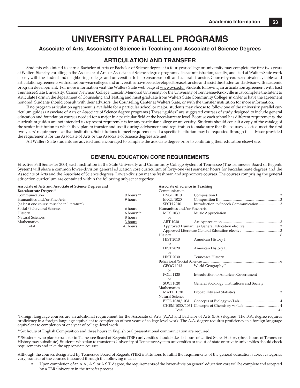## **UNIVERSITY PARALLEL PROGRAMS**

### **Associate of Arts, Associate of Science in Teaching and Associate of Science Degrees**

## **ARTICULATION AND TRANSFER**

Students who intend to earn a Bachelor of Arts or Bachelor of Science degree at a four-year college or university may complete the first two years at Walters State by enrolling in the Associate of Arts or Associate of Science degree programs. The administration, faculty, and staff at Walters State work closely with the student and neighboring colleges and universities to help ensure smooth and accurate transfer. Course-by-course equivalency tables and articulation agreements with some four-year colleges and universities have been developed to ease transfer and assist the student and advisor with academic program development. For more information visit the Walters State web page at www.ws.edu. Students following an articulation agreement with East Tennessee State University, Carson Newman College, Lincoln Memorial University, or the University of Tennessee-Knoxville must complete the Intent to Articulate Form in the department of Counseling and Testing and must graduate from Walters State Community College in order to have the agreement honored. Students should consult with their advisors, the Counseling Center at Walters State, or with the transfer institution for more information.

If no program articulation agreement is available for a particular school or major, students may choose to follow one of the university parallel curriculum guides (Associate of Arts or Associate of Science degree programs.) These "guides" are suggested courses of study designed to include general education and foundation courses needed for a major in a particular field at the baccalaureate level. Because each school has different requirements, the curriculum guides are not intended to represent requirements for any particular college or university. Students should consult a copy of the catalog of the senior institution to which they plan to transfer and use it during advisement and registration to make sure that the courses selected meet the first two years' requirements at that institution. Substitutions to meet requirements at a specifi c institution may be requested through the advisor provided the requirements for the Associate of Arts or the Associate of Science degrees are met.

All Walters State students are advised and encouraged to complete the associate degree prior to continuing their education elsewhere.

## **GENERAL EDUCATION CORE REQUIREMENTS**

Effective Fall Semester 2004, each institution in the State University and Community College System of Tennessee (The Tennessee Board of Regents System) will share a common lower-division general education core curriculum of forty-one (41) semester hours for baccalaureate degrees and the Associate of Arts and the Associate of Science degrees. Lower-division means freshman and sophomore courses. The courses comprising the general education curriculum are contained within the following subject categories:

| Associate of Arts and Associate of Science Degrees and |              | <b>Associate of Science in Teaching</b> |                                             |  |
|--------------------------------------------------------|--------------|-----------------------------------------|---------------------------------------------|--|
| Baccalaureate Degrees*                                 |              | Communication                           |                                             |  |
| Communication                                          | 9 hours $**$ | <b>ENGL 1010</b>                        |                                             |  |
| Humanities and/or Fine Arts                            | 9 hours      | <b>ENGL 1020</b>                        |                                             |  |
| (at least one course must be in literature)            |              | <b>SPCH 2010</b>                        | Introduction to Speech Communication3       |  |
| Social/Behavioral Sciences                             | 6 hours      | Humanities and/or Fine Arts             |                                             |  |
| History                                                | $6$ hours*** | <b>MUS 1030</b>                         | Music Appreciation                          |  |
| Natural Sciences                                       | 8 hours      | or                                      |                                             |  |
| Mathematics                                            | 3 hours      | <b>ART 1030</b>                         |                                             |  |
| Total                                                  | 41 hours     |                                         |                                             |  |
|                                                        |              |                                         |                                             |  |
|                                                        |              | History                                 |                                             |  |
|                                                        |              | <b>HIST 2010</b>                        | American History I                          |  |
|                                                        |              | or                                      |                                             |  |
|                                                        |              | <b>HIST 2020</b>                        | American History II                         |  |
|                                                        |              | or                                      |                                             |  |
|                                                        |              | <b>HIST 2030</b>                        | Tennessee History                           |  |
|                                                        |              |                                         |                                             |  |
|                                                        |              | <b>GEOG 1013</b>                        | World Geography I                           |  |
|                                                        |              | $\alpha$                                |                                             |  |
|                                                        |              | <b>POLI 1120</b>                        | Introduction to American Government         |  |
|                                                        |              | or                                      |                                             |  |
|                                                        |              | <b>SOCI 1020</b>                        | General Sociology, Institutions and Society |  |
|                                                        |              | Mathematics                             |                                             |  |
|                                                        |              | <b>MATH 1530</b>                        |                                             |  |
|                                                        |              | Natural Science                         |                                             |  |
|                                                        |              | BIOL 1030/1031                          |                                             |  |
|                                                        |              |                                         |                                             |  |
|                                                        |              | Total                                   |                                             |  |

\*Foreign language courses are an additional requirement for the Associate of Arts (A.A.) and Bachelor of Arts (B.A.) degrees. The B.A. degree requires proficiency in a foreign language equivalent to completion of two years of college-level work. The A.A. degree requires proficiency in a foreign language equivalent to completion of one year of college-level work.

\*\*Six hours of English Composition and three hours in English oral presentational communication are required.

\*\*\*Students who plan to transfer to Tennessee Board of Regents (TBR) universities should take six hours of United States History (three hours of Tennessee History may substitute). Students who plan to transfer to University of Tennessee System universities or to out-of-state or private universities should check requirements and take the appropriate courses.

Although the courses designated by Tennessee Board of Regents (TBR) institutions to fulfill the requirements of the general education subject categories vary, transfer of the courses is assured through the following means:

 • Upon completion of an A.A., A.S. or A.S.T. degree, the requirements of the lower-division general education core will be complete and accepted by a TBR university in the transfer process.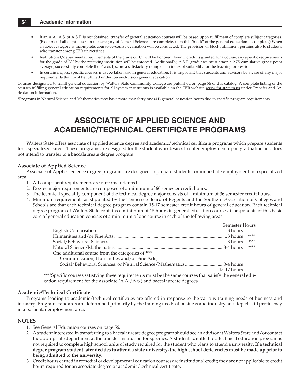- If an A.A., A.S. or A.S.T. is not obtained, transfer of general education courses will be based upon fulfillment of complete subject categories. (Example: If all eight hours in the category of Natural Sciences are complete, then this "block" of the general education is complete.) When a subject category is incomplete, course-by-course evaluation will be conducted. The provision of block fulfillment pertains also to students who transfer among TBR universities.
- Institutional/departmental requirements of the grade of "C" will be honored. Even if credit is granted for a course, any specific requirements for the grade of "C" by the receiving institution will be enforced. Additionally, A.S.T. graduates must attain a 2.75 cumulative grade point average, successfully complete the Praxis I, score a satisfactory rating on an index of suitability for the teaching profession.
- In certain majors, specific courses must be taken also in general education. It is important that students and advisors be aware of any major requirements that must be fulfilled under lower-division general education.

Courses designated to fulfill general education by Walters State Community College are published on page 56 of this catalog. A complete listing of the courses fulfilling general education requirements for all system institutions is available on the TBR website www.tbr.state.tn.us under Transfer and Articulation Information.

\*Programs in Natural Science and Mathematics may have more than forty-one (41) general education hours due to specific program requirements.

## **ASSOCIATE OF APPLIED SCIENCE AND ACADEMIC/TECHNICAL CERTIFICATE PROGRAMS**

Walters State offers associate of applied science degree and academic/technical certificate programs which prepare students for a specialized career. These programs are designed for the student who desires to enter employment upon graduation and does not intend to transfer to a baccalaureate degree program.

#### **Associate of Applied Science**

Associate of Applied Science degree programs are designed to prepare students for immediate employment in a specialized area.

- 1. All component requirements are outcome oriented.
- 2. Degree major requirements are composed of a minimum of 60 semester credit hours.
- 3. The technical speciality component of the technical degree major consists of a minimum of 36 semester credit hours.
- 4. Minimum requirements as stipulated by the Tennessee Board of Regents and the Southern Association of Colleges and Schools are that each technical degree program contain 15-17 semester credit hours of general education. Each technical degree program at Walters State contains a minimum of 15 hours in general education courses. Components of this basic core of general education consists of a minimum of one course in each of the following areas:

|                                                                                                                                                                                                                                                                                                                                                                                                                                                             | Semester Hours |      |
|-------------------------------------------------------------------------------------------------------------------------------------------------------------------------------------------------------------------------------------------------------------------------------------------------------------------------------------------------------------------------------------------------------------------------------------------------------------|----------------|------|
|                                                                                                                                                                                                                                                                                                                                                                                                                                                             |                |      |
|                                                                                                                                                                                                                                                                                                                                                                                                                                                             |                | **** |
|                                                                                                                                                                                                                                                                                                                                                                                                                                                             |                | **** |
|                                                                                                                                                                                                                                                                                                                                                                                                                                                             |                | **** |
| One additional course from the categories of:****                                                                                                                                                                                                                                                                                                                                                                                                           |                |      |
| Communication. Humanities and/or Fine Arts.                                                                                                                                                                                                                                                                                                                                                                                                                 |                |      |
| Social/Behavioral Sciences, or Natural Science/Mathematics3-4 hours                                                                                                                                                                                                                                                                                                                                                                                         |                |      |
|                                                                                                                                                                                                                                                                                                                                                                                                                                                             | $15-17$ hours  |      |
| $\mathcal{L}(\mathcal{L}(\mathcal{L}(\mathcal{L}(\mathcal{L}(\mathcal{L}(\mathcal{L}(\mathcal{L}(\mathcal{L}(\mathcal{L}(\mathcal{L}(\mathcal{L}(\mathcal{L}(\mathcal{L}(\mathcal{L}(\mathcal{L}(\mathcal{L}(\mathcal{L}(\mathcal{L}(\mathcal{L}(\mathcal{L}(\mathcal{L}(\mathcal{L}(\mathcal{L}(\mathcal{L}(\mathcal{L}(\mathcal{L}(\mathcal{L}(\mathcal{L}(\mathcal{L}(\mathcal{L}(\mathcal{L}(\mathcal{L}(\mathcal{L}(\mathcal{L}(\mathcal{L}(\mathcal{$ |                |      |

\*\*\*\*Specific courses satisfying these requirements must be the same courses that satisfy the general education requirement for the associate (A.A./A.S.) and baccalaureate degrees.

#### **Academic/Technical Certificate**

Programs leading to academic/technical certificates are offered in response to the various training needs of business and industry. Program standards are determined primarily by the training needs of business and industry and depict skill proficiency in a particular employment area.

#### **NOTES**

- 1. See General Education courses on page 56.
- 2. A student interested in transferring to a baccalaureate degree program should see an advisor at Walters State and/or contact the appropriate department at the transfer institution for specifics. A student admitted to a technical education program is not required to complete high school units of study required for the student who plans to attend a university. **If a technical**  degree program student later decides to attend a state university, the high school deficiencies must be made up prior to **being admitted to the university.**
- 3. Credit hours earned in remedial or developmental education courses are institutional credit; they are not applicable to credit hours required for an associate degree or academic/technical certificate.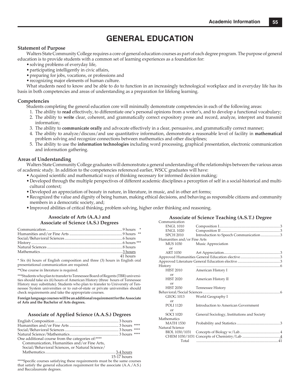## **GENERAL EDUCATION**

#### **Statement of Purpose**

Walters State Community College requires a core of general education courses as part of each degree program. The purpose of general education is to provide students with a common set of learning experiences as a foundation for:

- solving problems of everyday life,
- participating intelligently in civic affairs,
- preparing for jobs, vocations, or professions and
- recognizing major elements of human culture.

What students need to know and be able to do to function in an increasingly technological workplace and in everyday life has its basis in both competencies and areas of understanding as a preparation for lifelong learning.

#### **Competencies**

Students completing the general education core will minimally demonstrate competencies in each of the following areas:

- 1. The ability to **read** effectively, to differentiate one's personal opinions from a writer's, and to develop a functional vocabulary;
- 2. The ability to **write** clear, coherent, and grammatically correct expository prose and record, analyze, interpret and transmit information;
- 3. The ability to **communicate orally** and advocate effectively in a clear, persuasive, and grammatically correct manner;
- 4. The ability to analyze/discuss/and use quantitative information, demonstrate a reasonable level of facility in **mathematical**  problem solving and recognize connections between mathematics and other disciplines;
- 5. The ability to use the **information technologies** including word processing, graphical presentation, electronic communication and information gathering.

#### **Areas of Understanding**

Walters State Community College graduates will demonstrate a general understanding of the relationships between the various areas of academic study. In addition to the competencies referenced earlier, WSCC graduates will have:

- Acquired scientific and mathematical ways of thinking necessary for informed decision making;
- Developed through the multiple perspectives of different academic disciplines a perception of self in a social-historical and multicultural context;
- Developed an appreciation of beauty in nature, in literature, in music, and in other art forms;
- Recognized the value and dignity of being human, making ethical decisions, and behaving as responsible citizens and community members in a democratic society, and;
- Improved abilities of critical thinking, problem solving, higher order thinking and reasoning.

## **Associate of Arts (A.A.) and Associate of Science (A.S.) Degrees**

| 41 hours |
|----------|
|          |

\* Six (6) hours of English composition and three (3) hours in English oral presentational communication are required.

\*\*One course in literature is required.

\*\*\*Students who plan to transfer to Tennessee Board of Regents (TBR) universities should take six (6) hours of American History (three hours of Tennessee History may substitute). Students who plan to transfer to University of Tennessee System universities or to out-of-state or private universities should check requirements and take the appropriate courses.

#### **Foreign language courses will be an additional requirement for the Associate of Arts and the Bachelor of Arts degrees.**

#### **Associate of Applied Science (A.A.S.) Degrees**

| One additional course from the categories of:**** |               |  |
|---------------------------------------------------|---------------|--|
| Communication, Humanities and/or Fine Arts,       |               |  |
| Social/Behavioral Sciences, or Natural Science/   |               |  |
|                                                   |               |  |
|                                                   | $15-17$ hours |  |

\*\*\*\*Specific courses satisfying these requirements must be the same courses that satisfy the general education requirement for the associate (A.A./A.S.) and Baccalaureate degrees.

| <b>Associate of Science Teaching (A.S.T.) Degree</b> |                                             |  |
|------------------------------------------------------|---------------------------------------------|--|
| Communication                                        |                                             |  |
| <b>ENGL 1010</b>                                     |                                             |  |
| <b>ENGL 1020</b>                                     |                                             |  |
| <b>SPCH 2010</b>                                     | Introduction to Speech Communication3       |  |
| Humanities and/or Fine Arts                          |                                             |  |
| <b>MUS 1030</b>                                      | Music Appreciation                          |  |
| $\alpha$ r                                           |                                             |  |
| ART 1030                                             |                                             |  |
|                                                      |                                             |  |
|                                                      |                                             |  |
| History                                              |                                             |  |
| <b>HIST 2010</b>                                     | American History I                          |  |
| $\alpha$ <sup>r</sup>                                |                                             |  |
| <b>HIST 2020</b>                                     | American History II                         |  |
| $\alpha$ <sup>r</sup>                                |                                             |  |
| <b>HIST 2030</b>                                     | <b>Tennessee History</b>                    |  |
|                                                      |                                             |  |
| <b>GEOG 1013</b>                                     | World Geography I                           |  |
| $\alpha$ r                                           |                                             |  |
| <b>POLI 1120</b>                                     | Introduction to American Government         |  |
| or                                                   |                                             |  |
| SOCI 1020                                            | General Sociology, Institutions and Society |  |
| Mathematics                                          |                                             |  |
| <b>MATH 1530</b>                                     |                                             |  |
| Natural Science                                      |                                             |  |
| BIOL 1030/1031                                       |                                             |  |
| CHEM 1030/1031                                       |                                             |  |
| Total                                                |                                             |  |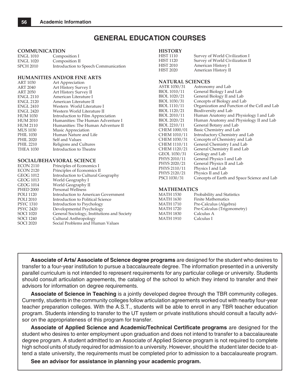## **GENERAL EDUCATION COURSES**

#### **COMMUNICATION**

| <b>ENGL 1010</b> | Composition I                        |
|------------------|--------------------------------------|
| <b>ENGL 1020</b> | Composition II                       |
| <b>SPCH 2010</b> | Introduction to Speech Communication |

#### **HUMANITIES AND/OR FINE ARTS**

| <b>ART 1030</b>  | Art Appreciation                   |
|------------------|------------------------------------|
| <b>ART 2040</b>  | Art History Survey I               |
| <b>ART 2050</b>  | Art History Survey II              |
| <b>ENGL 2110</b> | American Literature I              |
| <b>ENGL 2120</b> | American Literature II             |
| <b>ENGL 2410</b> | Western World Literature I         |
| <b>ENGL 2420</b> | Western World Literature II        |
| <b>HUM 1030</b>  | Introduction to Film Appreciation  |
| <b>HUM 2010</b>  | Humanities: The Human Adventure I  |
| <b>HUM 2110</b>  | Humanities: The Human Adventure II |
| <b>MUS</b> 1030  | Music Appreciation                 |
| <b>PHIL 1030</b> | Human Nature and Life              |
| <b>PHIL 2020</b> | Self and Values                    |
| <b>PHIL 2210</b> | Religions and Cultures             |
| <b>THEA 1030</b> | Introduction to Theatre            |
|                  |                                    |

#### **SOCIAL/BEHAVIORAL SCIENCE**

| <b>ECON 2110</b> | Principles of Economics I                   |
|------------------|---------------------------------------------|
| <b>ECON 2120</b> | Principles of Economics II                  |
| <b>GEOG 1012</b> | Introduction to Cultural Geography          |
| <b>GEOG 1013</b> | World Geography I                           |
| <b>GEOG 1014</b> | World Geography II                          |
| <b>PHED 2000</b> | <b>Personal Wellness</b>                    |
| <b>POLI</b> 1120 | Introduction to American Government         |
| <b>POLI 2010</b> | Introduction to Political Science           |
| <b>PSYC 1310</b> | Introduction to Psychology                  |
| <b>PSYC 2420</b> | Developmental Psychology                    |
| <b>SOCI 1020</b> | General Sociology, Institutions and Society |
| <b>SOCI 1240</b> | Cultural Anthropology                       |
| <b>SOCI 2020</b> | Social Problems and Human Values            |
|                  |                                             |

#### **HISTORY**

| HIST 1110 | Survey of World Civilization I  |
|-----------|---------------------------------|
| HIST 1120 | Survey of World Civilization II |
| HIST 2010 | American History I              |
| HIST 2020 | American History II             |

#### **NATURAL SCIENCES**

| ASTR 1030/31 | Astronomy and Lab                             |
|--------------|-----------------------------------------------|
| BIOL 1010/11 | General Biology I and Lab                     |
| BIOL 1020/21 | General Biology II and Lab                    |
| BIOL 1030/31 | Concepts of Biology and Lab                   |
| BIOL 1110/11 | Organization and Function of the Cell and Lab |
| BIOL 1120/21 | Biodiversity and Lab                          |
| BIOL 2010/11 | Human Anatomy and Physiology I and Lab        |
| BIOL 2020/21 | Human Anatomy and Physiology II and Lab       |
| BIOL 2210/11 | General Botany and Lab                        |
| CHEM 1000/01 | Basic Chemistry and Lab                       |
| CHEM 1010/11 | Introductory Chemistry and Lab                |
| CHEM 1030/31 | Concepts of Chemistry and Lab                 |
| CHEM 1110/11 | General Chemistry I and Lab                   |
| CHEM 1120/21 | General Chemistry II and Lab                  |
| GEOL 1030/31 | Geology and Lab                               |
| PHYS 2010/11 | General Physics I and Lab                     |
| PHYS 2020/21 | General Physics II and Lab                    |
| PHYS 2110/11 | Physics I and Lab                             |
| PHYS 2120/21 | Physics II and Lab                            |
| PSCI 1030/31 | Concepts of Earth and Space Science and Lab   |

#### **MATHEMATICS**

| <b>MATH 1530</b> | Probability and Statistics  |
|------------------|-----------------------------|
| <b>MATH 1630</b> | <b>Finite Mathematics</b>   |
| <b>MATH 1710</b> | Pre-Calculus (Algebra)      |
| <b>MATH 1720</b> | Pre-Calculus (Trigonometry) |
| <b>MATH 1830</b> | Calculus A                  |
| <b>MATH 1910</b> | Calculus I                  |

**Associate of Arts/ Associate of Science degree programs** are designed for the student who desires to transfer to a four-year institution to pursue a baccalaureate degree. The information presented in a university parallel curriculum is not intended to represent requirements for any particular college or university. Students should consult articulation agreements, the catalog of the school to which they intend to transfer and their advisors for information on degree requirements.

**Associate of Science in Teaching** is a jointly developed degree through the TBR community colleges. Currently, students in the community colleges follow articulation agreements worked out with nearby four-year teacher preparation colleges. With the A.S.T., students will be able to enroll in any TBR teacher education program. Students intending to transfer to the UT system or private institutions should consult a faculty advisor on the appropriateness of this program for transfer.

**Associate of Applied Science and Academic/Technical Certificate programs** are designed for the student who desires to enter employment upon graduation and does not intend to transfer to a baccalaureate degree program. A student admitted to an Associate of Applied Science program is not required to complete high school units of study required for admission to a university. However, should the student later decide to attend a state university, the requirements must be completed prior to admission to a baccalaureate program.

**See an advisor for assistance in planning your academic program.**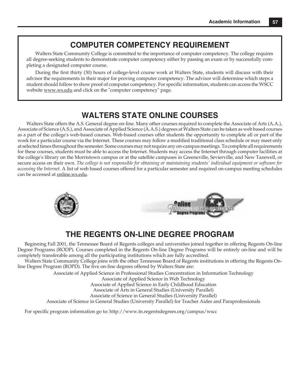## **COMPUTER COMPETENCY REQUIREMENT**

Walters State Community College is committed to the importance of computer competency. The college requires all degree-seeking students to demonstrate computer competency either by passing an exam or by successfully completing a designated computer course.

During the first thirty (30) hours of college-level course work at Walters State, students will discuss with their advisor the requirements in their major for proving computer competency. The advisor will determine which steps a student should follow to show proof of computer competency. For specific information, students can access the WSCC website www.ws.edu and click on the "computer competency" page.

## **WALTERS STATE ONLINE COURSES**

Walters State offers the A.S. General degree on-line. Many other courses required to complete the Associate of Arts (A.A.), Associate of Science (A.S.), and Associate of Applied Science (A.A.S.) degrees at Walters State can be taken as web based courses as a part of the college's web-based courses. Web-based courses offer students the opportunity to complete all or part of the work for a particular course via the Internet. These courses may follow a modified traditional class schedule or may meet only at selected times throughout the semester. Some courses may not require any on-campus meetings. To complete all requirements for these courses, students must be able to access the Internet. Students may access the Internet through computer facilities at the college's library on the Morristown campus or at the satellite campuses in Greeneville, Sevierville, and New Tazewell, or secure access on their own. *The college is not responsible for obtaining or maintaining students' individual equipment or software for accessing the Internet.* A list of web based courses offered for a particular semester and required on-campus meeting schedules can be accessed at online.ws.edu*.*



## **THE REGENTS ON-LINE DEGREE PROGRAM**

Beginning Fall 2001, the Tennessee Board of Regents colleges and universities joined together in offering Regents On-line Degree Programs (RODP). Courses completed in the Regents On-line Degree Programs will be entirely on-line and will be completely transferable among all the participating institutions which are fully accredited.

Walters State Community College joins with the other Tennessee Board of Regents institutions in offering the Regents Online Degree Program (ROPD). The five on-line degrees offered by Walters State are:

Associate of Applied Science in Professional Studies Concentration in Information Technology

Associate of Applied Science in Web Technology

Associate of Applied Science in Early Childhood Education

Associate of Arts in General Studies (University Parallel)

Associate of Science in General Studies (University Parallel)

Associate of Science in General Studies (University Parallel) for Teacher Aides and Paraprofessionals

For specific program information go to: http://www.tn.regentsdegrees.org/campus/wscc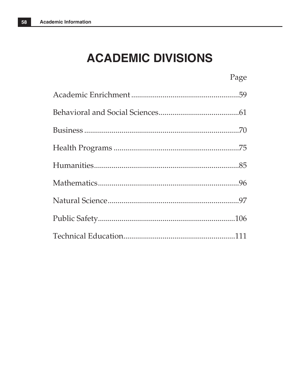## **ACADEMIC DIVISIONS**

| Page |
|------|
|      |
|      |
|      |
|      |
|      |
|      |
|      |
|      |
|      |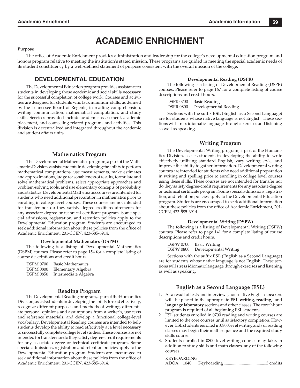## **ACADEMIC ENRICHMENT**

#### **Purpose**

The office of Academic Enrichment provides administration and leadership for the college's developmental education program and honors program relative to meeting the institution's stated mission. These programs are guided in meeting the special academic needs of its student constituency by a well-defined statement of purpose consistent with the overall mission of the college.

## **DEVELOPMENTAL EDUCATION**

The Developmental Education program provides assistance to students in developing those academic and social skills necessary for the successful completion of college work. Courses and activities are designed for students who lack minimum skills, as defined by the Tennessee Board of Regents, in reading comprehension, writing communication, mathematical computation, and study skills. Services provided include academic assessment, academic placement, and counseling-related programs and activities. This division is decentralized and integrated throughout the academic and student affairs units.

#### **Mathematics Program**

The Developmental Mathematics program, a part of the Mathematics Division, assists students in developing the ability to perform mathematical computations, use measurements, make estimates and approximations, judge reasonableness of results, formulate and solve mathematical problems, select appropriate approaches and problem-solving tools, and use elementary concepts of probability and statistics. Developmental Mathematics courses are intended for students who need additional preparation in mathematics prior to enrolling in college level courses. These courses are not intended for transfer nor do they satisfy degree-credit requirements for any associate degree or technical certificate program. Some special admissions, registration, and retention policies apply to the Developmental Education program. Students are encouraged to seek additional information about these policies from the office of Academic Enrichment, 201-CCEN, 423-585-6914.

#### **Developmental Mathematics (DSPM)**

The following is a listing of Developmental Mathematics (DSPM) courses. Please refer to page 154 for a complete listing of course descriptions and credit hours.

| <b>DSPM 0700</b> | <b>Basic Mathematics</b> |
|------------------|--------------------------|
| <b>DSPM 0800</b> | Elementary Algebra       |
| <b>DSPM 0850</b> | Intermediate Algebra     |

#### **Reading Program**

The Developmental Reading program, a part of the Humanities Division, assists students in developing the ability to read effectively, recognize different purposes and methods of writing, differentiate personal opinions and assumptions from a writer's, use texts and reference materials, and develop a functional college-level vocabulary. Developmental Reading courses are intended to help students develop the ability to read effectively at a level necessary to successfully complete college level studies. These courses are not intended for transfer nor do they satisfy degree-credit requirements for any associate degree or technical certificate program. Some special admissions, registration and retention policies apply to the Developmental Education program. Students are encouraged to seek additional information about these policies from the office of Academic Enrichment, 201-CCEN, 423-585-6914.

#### **Developmental Reading (DSPR)**

The following is a listing of Developmental Reading (DSPR) courses. Please refer to page 167 for a complete listing of course descriptions and credit hours.

DSPR 0700 Basic Reading DSPR 0800 Developmental Reading

Sections with the suffix **ESL** (English as a Second Language) are for students whose native language is not English. These sections will stress idiomatic language through exercises and listening as well as speaking.

#### **Writing Program**

The Developmental Writing program, a part of the Humanities Division, assists students in developing the ability to write effectively utilizing standard English, vary writing style, and improve the ability to gather information. Developmental writing courses are intended for students who need additional preparation in writing and spelling prior to enrolling in college level courses using these skills. These courses are not intended for transfer nor do they satisfy degree-credit requirements for any associate degree or technical certificate program. Some special admissions, registration, and retention policies apply to the Developmental Education program. Students are encouraged to seek additional information about these policies from the office of Academic Enrichment, 201-CCEN, 423-585-6914.

#### **Developmental Writing (DSPW)**

The following is a listing of Developmental Writing (DSPW) courses. Please refer to page 141 for a complete listing of course descriptions and credit hours.

DSPW 0700 Basic Writing

DSPW 0800 Developmental Writing

Sections with the suffix **ESL** (English as a Second Language) are for students whose native language is not English. These sections will stress idiomatic language through exercises and listening as well as speaking.

#### **English as a Second Language (ESL)**

- 1. As a result of tests and interviews, non-native English speakers will be placed in the appropriate **ESL writing, reading,** and **language laboratory** sections and other classes. The core 9-hour program is required of all beginning ESL students.
- 2. ESL students enrolled in 0700 reading and writing courses are limited to the core courses until satisfactory completion. However, ESL students enrolled in 0800 level writing and/or reading classes may begin their math sequence and the required study skills course.
- 3. Students enrolled in 0800 level writing courses may take, in addition to study skills and math classes, any of the following courses.

#### KEYBOARDING

| $ADOA$ 1040 |  |  |  |
|-------------|--|--|--|
|-------------|--|--|--|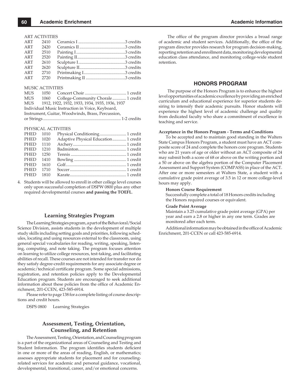ART ACTIVITIES

| ART | 2410 |  |
|-----|------|--|
| ART | 2420 |  |
| ART | 2510 |  |
| ART | 2520 |  |
| ART | 2610 |  |
| ART | 2620 |  |
| ART | 2710 |  |
| ART | 2720 |  |
|     |      |  |

#### MUSIC ACTIVITIES

| <b>MUS</b> |                                                   |
|------------|---------------------------------------------------|
| <b>MUS</b> | 1060 College-Community Chorale 1 credit           |
| <b>MUS</b> | 1912, 1922, 1932, 1933, 1934, 1935, 1936, 1937    |
|            | Individual Music Instruction in Voice, Keyboard,  |
|            | Instrument, Guitar, Woodwinds, Brass, Percussion, |
|            |                                                   |
|            |                                                   |

#### PHYSICAL ACTIVITIES

| PHED 1010 |      | Physical Conditioning 1 credit       |  |
|-----------|------|--------------------------------------|--|
| PHED      | 1020 | Adaptive Physical Education 1 credit |  |
| PHED 1110 |      |                                      |  |
| PHED 1210 |      |                                      |  |
| PHED 1250 |      |                                      |  |
| PHED 1410 |      |                                      |  |
| PHED 1610 |      |                                      |  |
| PHED 1710 |      |                                      |  |
| PHED 1810 |      |                                      |  |
|           |      |                                      |  |

4. Students will be allowed to enroll in other college level courses only upon successful completion of DSPW 0800 plus any other required developmental courses **and passing the TOEFL**.

#### **Learning Strategies Program**

The Learning Strategies program, a part of the Behavioral/Social Science Division, assists students in the development of multiple study skills including setting goals and priorities, following schedules, locating and using resources external to the classroom, using general special vocabularies for reading, writing, speaking, listening, computing, and note taking. The program focuses attention on learning to utilize college resources, test-taking, and facilitating abilities of recall. These courses are not intended for transfer nor do they satisfy degree-credit requirements for any associate degree or academic/technical certificate program. Some special admissions, registration, and retention policies apply to the Developmental Education program. Students are encouraged to seek additional information about these policies from the office of Academic Enrichment, 201-CCEN, 423-585-6914.

Please refer to page 138 for a complete listing of course descriptions and credit hours.

DSPS 0800 Learning Strategies

#### **Assessment, Testing, Orientation, Counseling, and Retention**

The Assessment, Testing, Orientation, and Counseling program is a part of the organizational areas of Counseling and Testing and Student Information. The program identifies students deficient in one or more of the areas of reading, English, or mathematics; assesses appropriate students for placement and for counselingrelated services for academic and personal guidance, vocational, developmental, transitional, career, and/or emotional concerns.

The office of the program director provides a broad range of academic and student services. Additionally, the office of the program director provides research for program decision-making, reporting retention and enrollment data, monitoring developmental education class attendance, and monitoring college-wide student retention.

#### **HONORS PROGRAM**

The purpose of the Honors Program is to enhance the highest level opportunities of academic excellence by providing an enriched curriculum and educational experience for superior students desiring to intensify their academic pursuits. Honor students will experience the highest level of academic challenge and quality from dedicated faculty who share a commitment of excellence in teaching and service.

#### **Acceptance in the Honors Program - Terms and Conditions**

To be accepted and to maintain good standing in the Walters State Campus Honors Program, a student must have an ACT composite score of 24 and complete the honors core program. Students who are 21 years of age or older without an ACT composite of 24 may submit both a score of 68 or above on the writing portion and a 50 or above on the algebra portion of the Computer Placement Assessment and Support System (COMPASS) in place of the ACT. After one or more semesters at Walters State, a student with a cumulative grade point average of 3.5 in 12 or more college-level hours may apply.

#### **Honors Course Requirement**

Successfully complete a total of 18 Honors credits including the Honors required courses or equivalent.

#### **Grade Point Average**

Maintain a 3.25 cumulative grade point average (GPA) per year and earn a 2.8 or higher in any one term. Grades are monitored after each term.

Additional information may be obtained in the office of Academic Enrichment, 201-CCEN or call 423-585-6914.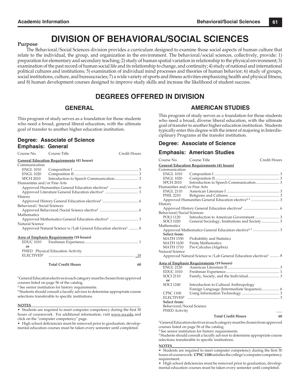## **DIVISION OF BEHAVIORAL/SOCIAL SCIENCES**

#### **Purpose**

The Behavioral/Social Sciences division provides a curriculum designed to examine those social aspects of human culture that relate to the individual, the group, and organization in the environment. The behavioral/social sciences, collectively, provide: 1) preparation for elementary and secondary teaching; 2) study of human spatial variation in relationship to the physical environment; 3) examination of the past record of human social life and its relationship to change, and continuity; 4) study of national and international political cultures and institutions; 5) examination of individual mind processes and theories of human behavior; 6) study of groups, social institutions, culture, and bureaucracies; 7) a wide variety of sports and fitness activities emphasizing health and physical fitness; and 8) human development courses designed to improve study skills and increase the likelihood of student success.

## **DEGREES OFFERED IN DIVISION**

## **GENERAL**

This program of study serves as a foundation for those students who need a broad, general liberal education, with the ultimate goal of transfer to another higher education institution.

| Degree: Associate of Science |  |
|------------------------------|--|
| <b>Emphasis: General</b>     |  |

| Course No.                                      | Course Title                                                              | Credit Hours |  |  |
|-------------------------------------------------|---------------------------------------------------------------------------|--------------|--|--|
|                                                 | <b>General Education Requirements (41 hours)</b>                          |              |  |  |
| Communication                                   |                                                                           |              |  |  |
| ENGL 1010                                       |                                                                           |              |  |  |
| ENGL 1020                                       |                                                                           |              |  |  |
|                                                 |                                                                           |              |  |  |
| Humanities and/or Fine Arts                     |                                                                           |              |  |  |
|                                                 |                                                                           |              |  |  |
|                                                 |                                                                           |              |  |  |
| History                                         |                                                                           |              |  |  |
|                                                 |                                                                           |              |  |  |
| Behavioral/Social Sciences                      |                                                                           |              |  |  |
|                                                 |                                                                           |              |  |  |
| Mathematics                                     |                                                                           |              |  |  |
|                                                 |                                                                           |              |  |  |
| Natural Science                                 |                                                                           |              |  |  |
|                                                 | Approved Natural Science w/Lab General Education electives <sup>1</sup> 8 |              |  |  |
|                                                 |                                                                           |              |  |  |
| <b>Area of Emphasis Requirements (19 hours)</b> |                                                                           |              |  |  |
| EDUC 1010                                       |                                                                           |              |  |  |
| or                                              |                                                                           |              |  |  |
|                                                 | PHED Physical Education Activity                                          |              |  |  |
| ELECTIVES <sup>3</sup>                          |                                                                           |              |  |  |
|                                                 |                                                                           |              |  |  |
|                                                 |                                                                           |              |  |  |

**Total Credit Hours 60**

**1** General Education electives in each category must be chosen from approved courses listed on page 56 of the catalog.

**<sup>2</sup>** See senior institution for history requirements.

**3** Students should consult a faculty advisor to determine appropriate course selections transferable to specific institutions.

#### **NOTES**\_\_\_\_\_\_\_\_\_\_\_\_\_\_\_\_\_\_\_\_\_\_\_\_\_\_\_\_\_\_\_\_\_\_\_\_\_\_\_\_\_\_\_\_\_\_\_\_\_\_\_\_\_\_\_\_\_\_

• Students are required to meet computer competency during the first 30 hours of coursework. For additional information, visit www.ws.edu and click on the "computer competency" page.

• High school deficiencies must be removed prior to graduation; developmental education courses must be taken every semester until completed.

## **AMERICAN STUDIES**

This program of study serves as a foundation for those students who need a broad, diverse liberal education, with the ultimate goal of transfer to another higher education institution. Students typically enter this degree with the intent of majoring in Interdisciplinary Programs at the transfer institution.

#### **Degree: Associate of Science**

#### **Emphasis: American Studies**

Course No. Course Title Credit Hours **General Education Requirements (41 hours)** Communication ENGL 1010 Composition I ..................................................................... 3 ENGL 1020 Composition II .................................................................... 3 SPCH 2010 Introduction to Speech Communication ......................... 3 Humanities and/or Fine Arts ENGL 2110 American Literature I ........................................................ 3 PHIL 2210 Religions and Cultures ...................................................... 3 Approved Humanities General Education elective**1, 3** .............................. 3 **History**  Approved History General Education electives**<sup>2</sup>** ...................................... 6 Behavioral/Social Sciences POLI 1120 Introduction to American Government .......................... 3 General Sociology, Institutions and Society .................... 3 Mathematics Approved Mathematics General Education elective**1, 3** ............................ 3 **Select from:** MATH 1530 Probability and Statistics<br>MATH 1630 Finite Mathematics MATH 1630 Finite Mathematics<br>MATH 1710 Pre-Calculus (Algel Pre-Calculus (Algebra) Natural Science Approved Natural Science w/Lab General Education electives<sup>1</sup> .......... 8 **Area of Emphasis Requirements (19 hours)** ENGL 2120 American Literature II ....................................................... 3 EDUC 1010 Freshman Experience ......................................................... 1 SOCI 2110 Family, Society, and the Individual ................................. 3 **or** SOCI 1240 Introduction to Cultural Anthropology Foreign Language (Intermediate Sequence) ................... 6 CPSC 1100 Using Information Technology ........................................ 3 ELECTIVES**<sup>3</sup>**................................................................................................. 3 **Select from:** Behavioral/Social Science PHED Activity **Total Credit Hours 60**

**1** General Education electives in each category must be chosen from approved courses listed on page 56 of the catalog.

**<sup>2</sup>** See senior institution for history requirements.

**3** Students should consult a faculty advisor to determine appropriate course selections transferable to specific institutions.

#### **NOTES**\_\_\_\_\_\_\_\_\_\_\_\_\_\_\_\_\_\_\_\_\_\_\_\_\_\_\_\_\_\_\_\_\_\_\_\_\_\_\_\_\_\_\_\_\_\_\_\_\_\_\_\_\_\_\_\_\_\_

• Students are required to meet computer competency during the first 30 hours of coursework. **CPSC 1100** satisfies the college's computer competency requirement.

• High school deficiencies must be removed prior to graduation; developmental education courses must be taken every semester until completed.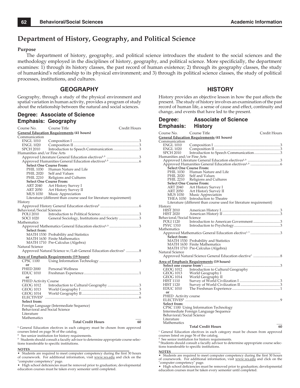## **Department of History, Geography, and Political Science**

#### **Purpose**

The department of history, geography, and political science introduces the student to the social sciences and the methodology employed in the disciplines of history, geography, and political science. More specificially, the department examines: 1) through its history classes, the past record of human existence; 2) through its geography classes, the study of humankind's relationship to its physical environment; and 3) through its political science classes, the study of political processes, institutions, and cultures.

## **GEOGRAPHY**

Geography, through a study of the physical environment and spatial variation in human activity, provides a program of study about the relationship between the natural and social sciences.

#### **Degree: Associate of Science Emphasis: Geography**

| Course No.                     | Course Title                                                              | Credit Hours |
|--------------------------------|---------------------------------------------------------------------------|--------------|
|                                | <b>General Education Requirements (41 hours)</b>                          |              |
| Communication                  |                                                                           |              |
| <b>ENGL 1010</b>               |                                                                           |              |
| ENGL 1020                      |                                                                           |              |
| <b>SPCH 2010</b>               | Introduction to Speech Communication3                                     |              |
| Humanities and/or Fine Arts    |                                                                           |              |
|                                | Approved Literature General Education electives <sup>1,3</sup> 3          |              |
|                                |                                                                           |              |
| <b>Select One Course From:</b> |                                                                           |              |
| PHIL 1030                      | Human Nature and Life                                                     |              |
| <b>PHIL 2020</b>               | Self and Values                                                           |              |
| PHIL 2210                      | Religions and Cultures                                                    |              |
| <b>Select One Course From:</b> |                                                                           |              |
| <b>ART 2040</b>                | Art History Survey I                                                      |              |
| ART 2050                       | Art History Survey II                                                     |              |
| <b>MUS 1030</b>                | Music Appreciation                                                        |              |
|                                | Literature (different than course used for literature requirement)        |              |
| History                        |                                                                           |              |
|                                |                                                                           |              |
| Behavioral/Social Sciences     |                                                                           |              |
| POLI 2010                      |                                                                           |              |
| SOCI 1020                      | General Sociology, Institutions and Society3                              |              |
| Mathematics                    |                                                                           |              |
| Select from:                   | Approved Mathematics General Education elective <sup>1,3</sup> 3          |              |
|                                | MATH 1530 Probability and Statistics                                      |              |
|                                | MATH 1630 Finite Mathematics                                              |              |
|                                | MATH 1710 Pre-Calculus (Algebra)                                          |              |
| Natural Science                |                                                                           |              |
|                                | Approved Natural Science w/Lab General Education electives <sup>1</sup> 8 |              |
|                                | <b>Area of Emphasis Requirements (19 hours)</b>                           |              |
| <b>CPSC 1100</b>               |                                                                           |              |
| or                             |                                                                           |              |
| <b>PHED 2000</b>               | <b>Personal Wellness</b>                                                  |              |
| <b>EDUC 1010</b>               |                                                                           |              |
| or                             |                                                                           |              |
| <b>PHED Activity Course</b>    |                                                                           |              |
| GEOG 1012                      |                                                                           |              |
| GEOG 1013                      |                                                                           |              |
| <b>GEOG 1014</b>               |                                                                           |              |
| <b>ELECTIVES</b> <sup>3</sup>  |                                                                           |              |
| <b>Select from:</b>            |                                                                           |              |
|                                | Foreign Language (Intermediate Sequence)                                  |              |
| Behavioral and Social Science  |                                                                           |              |
| Literature                     |                                                                           |              |
| Mathematics                    |                                                                           |              |
|                                | <b>Total Credit Hours</b>                                                 | 60           |

**1** General Education electives in each category must be chosen from approved courses listed on page 56 of the catalog.

**2** See senior institution for history requirements.

**3** Students should consult a faculty advisor to determine appropriate course selections transferable to specific institutions.

#### **NOTES**\_\_\_\_\_\_\_\_\_\_\_\_\_\_\_\_\_\_\_\_\_\_\_\_\_\_\_\_\_\_\_\_\_\_\_\_\_\_\_\_\_\_\_\_\_\_\_\_\_\_\_\_\_\_\_\_\_\_

• Students are required to meet computer competency during the first 30 hours of coursework. For additional information, visit www.ws.edu and click on the "computer competency" page.

• High school deficiencies must be removed prior to graduation; developmental education courses must be taken every semester until completed.

### **HISTORY**

History provides an objective lesson in how the past affects the present. The study of history involves an examination of the past record of human life, a sense of cause and effect, continuity and change, and events that have led to the present.

#### **Degree: Associate of Science Emphasis: History** Course No. Course Title Credit Hours **General Education Requirements (41 hours)** Communication

| <b>ENGL 1010</b>               |                                                                    |  |
|--------------------------------|--------------------------------------------------------------------|--|
| <b>ENGL 1020</b>               |                                                                    |  |
| <b>SPCH 2010</b>               | Introduction to Speech Communication3                              |  |
| Humanities and/or Fine Arts    |                                                                    |  |
|                                |                                                                    |  |
|                                |                                                                    |  |
|                                | <b>Select One Course From:</b>                                     |  |
|                                | PHIL 1030 Human Nature and Life                                    |  |
| PHIL 2020                      | Self and Values                                                    |  |
|                                | PHIL 2210 Religions and Cultures                                   |  |
| <b>Select One Course From:</b> |                                                                    |  |
| ART 2040                       | Art History Survey I                                               |  |
| ART 2050                       | Art History Survey II                                              |  |
| MUS 1030                       | Music Appreciation                                                 |  |
|                                | THEA 1030 Introduction to Theatre                                  |  |
|                                | Literature (different than course used for literature requirement) |  |
| History<br><b>HIST 2010</b>    |                                                                    |  |
| <b>HIST 2020</b>               |                                                                    |  |
| Behavioral/Social Science      |                                                                    |  |
| <b>POLI 1120</b>               | Introduction to American Government3                               |  |
| PSYC 1310                      |                                                                    |  |
| Mathematics                    |                                                                    |  |
|                                | Approved Mathematics General Education elective <sup>1,3</sup> 3   |  |
| Select from:                   |                                                                    |  |
|                                | MATH 1530 Probability and Statistics                               |  |
|                                | MATH 1630 Finite Mathematics                                       |  |
|                                | MATH 1710 Pre-Calculus (Algebra)                                   |  |
| Natural Science                |                                                                    |  |
|                                |                                                                    |  |
|                                | <b>Area of Emphasis Requirements (19 hours)</b>                    |  |
|                                |                                                                    |  |
| <b>GEOG 1012</b>               | Introduction to Cultural Geography                                 |  |
| GEOG 1013                      | World Geography I                                                  |  |
| GEOG 1014                      | World Geography II                                                 |  |
| HIST 1110                      |                                                                    |  |
| HIST 1120                      |                                                                    |  |
| <b>EDUC 1010</b>               |                                                                    |  |
| or                             |                                                                    |  |
| PHED Activity course           |                                                                    |  |
|                                |                                                                    |  |
| Select from:                   |                                                                    |  |
|                                | CPSC 1100 Using Information Technology                             |  |
|                                | Intermediate Foreign Language Sequence                             |  |
| Behavioral/Social Science      |                                                                    |  |
| Literature<br>Mathematics      |                                                                    |  |
|                                | <b>Total Credit Hours</b><br>60                                    |  |
| $\sim$<br>1.771                |                                                                    |  |
|                                |                                                                    |  |

1 General Education electives in each category must be chosen from approved courses listed on page 56 of the catalog.

<sup>2</sup> See senior institution for history requirements.<br><sup>3</sup> Students should consult a faculty advisor to determine appropriate course selections transferable to specific institutions.

**NOTES**<br>• Students are required to meet computer competency during the first 30 hours of coursework. For additional information, visit www.ws.edu and click on the

"computer competency" page.<br>• High school deficiencies must be removed prior to graduation; developmental education courses must be taken every semester until completed.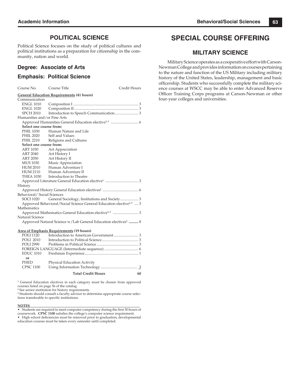## **POLITICAL SCIENCE**

Political Science focuses on the study of political cultures and political institutions as a preparation for citizenship in the community, nation and world.

### **Degree: Associate of Arts**

### **Emphasis: Political Science**

| Course No.                                       | Course Title                                                                   | Credit Hours |  |  |  |
|--------------------------------------------------|--------------------------------------------------------------------------------|--------------|--|--|--|
| <b>General Education Requirements (41 hours)</b> |                                                                                |              |  |  |  |
| Communication                                    |                                                                                |              |  |  |  |
| <b>ENGL 1010</b>                                 |                                                                                |              |  |  |  |
| <b>ENGL 1020</b>                                 |                                                                                |              |  |  |  |
| <b>SPCH 2010</b>                                 |                                                                                |              |  |  |  |
| Humanities and/or Fine Arts                      |                                                                                |              |  |  |  |
|                                                  |                                                                                |              |  |  |  |
| Select one course from:                          |                                                                                |              |  |  |  |
| <b>PHIL 1030</b>                                 | Human Nature and Life                                                          |              |  |  |  |
| <b>PHIL 2020</b>                                 | Self and Values                                                                |              |  |  |  |
| <b>PHIL 2210</b>                                 | Religions and Cultures                                                         |              |  |  |  |
| Select one course from:                          |                                                                                |              |  |  |  |
| ART 1030                                         | Art Appreciation                                                               |              |  |  |  |
| ART 2040                                         | Art History I                                                                  |              |  |  |  |
| ART 2050                                         | Art History II                                                                 |              |  |  |  |
| MUS 1030                                         | Music Appreciation                                                             |              |  |  |  |
| HUM 2010                                         | Human Adventure I                                                              |              |  |  |  |
| <b>HUM 2110</b>                                  | Human Adventure II                                                             |              |  |  |  |
| <b>THEA 1030</b>                                 | Introduction to Theatre                                                        |              |  |  |  |
|                                                  |                                                                                |              |  |  |  |
| History                                          |                                                                                |              |  |  |  |
|                                                  |                                                                                |              |  |  |  |
| Behavioral/Social Sciences                       |                                                                                |              |  |  |  |
| <b>SOCI 1020</b>                                 | General Sociology, Institutions and Society 3                                  |              |  |  |  |
|                                                  | Approved Behavioral/Social Science General Education elective <sup>1,3</sup> 3 |              |  |  |  |
| Mathematics                                      |                                                                                |              |  |  |  |
|                                                  |                                                                                |              |  |  |  |
| Natural Science                                  |                                                                                |              |  |  |  |
|                                                  | Approved Natural Science w/Lab General Education electives <sup>1</sup> 8      |              |  |  |  |
|                                                  | <b>Area of Emphasis Requirements (19 hours)</b>                                |              |  |  |  |
| <b>POLI 1120</b>                                 |                                                                                |              |  |  |  |
| <b>POLI 2010</b>                                 |                                                                                |              |  |  |  |
| <b>POLI 2990</b>                                 |                                                                                |              |  |  |  |
|                                                  |                                                                                |              |  |  |  |
| <b>EDUC 1010</b>                                 |                                                                                |              |  |  |  |
| or                                               |                                                                                |              |  |  |  |
| PHED                                             | Physical Education Activity                                                    |              |  |  |  |
| <b>CPSC 1100</b>                                 |                                                                                |              |  |  |  |
|                                                  | <b>Total Credit Hours</b>                                                      | 60           |  |  |  |
|                                                  |                                                                                |              |  |  |  |

<sup>1</sup> General Education electives in each category must be chosen from approved courses listed on page 56 of the catalog. **<sup>2</sup>** See senior institution for history requirements.

<sup>3</sup> Students should consult a faculty advisor to determine appropriate course selections transferable to specific institutions.

#### **NOTES**\_\_\_\_\_\_\_\_\_\_\_\_\_\_\_\_\_\_\_\_\_\_\_\_\_\_\_\_\_\_\_\_\_\_\_\_\_\_\_\_\_\_\_\_\_\_\_\_\_\_\_\_\_\_\_\_\_\_\_\_\_\_\_\_

• Students are required to meet computer competency during the first 30 hours of coursework. **CPSC 1100** satisfies the college's computer science requirement.

• High school deficiencies must be removed prior to graduation; developmental education courses must be taken every semester until completed.

## **SPECIAL COURSE OFFERING**

## **MILITARY SCIENCE**

Military Science operates as a cooperative effort with Carson-Newman College and provides information on courses pertaining to the nature and function of the US Military including military history of the United States, leadership, management and basic officership. Students who successfully complete the military science courses at WSCC may be able to enter Advanced Reserve Officer Training Corps programs at Carson-Newman or other four-year colleges and universities.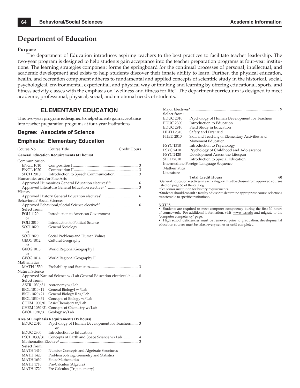## **Department of Education**

#### **Purpose**

The department of Education introduces aspiring teachers to the best practices to facilitate teacher leadership. The two-year program is designed to help students gain acceptance into the teacher preparation programs at four-year institutions. The learning strategies component forms the springboard for the continual processes of personal, intellectual, and academic development and exists to help students discover their innate ability to learn. Further, the physical education, health, and recreation component adheres to fundamental and applied concepts of scientific study in the historical, social, psychological, environmental, experiential, and physical way of thinking and learning by offering educational, sports, and fitness activity classes with the emphasis on "wellness and fitness for life". The department curriculum is designed to meet academic, professional, physical, social, and emotional needs of students.

## **ELEMENTARY EDUCATION**

This two-year program is designed to help students gain acceptance into teacher preparation programs at four-year institutions.

#### **Degree: Associate of Science**

### **Emphasis: Elementary Education**

| Course No.                                                                  | Course Title<br>Credit Hours                                          |  |  |  |  |  |
|-----------------------------------------------------------------------------|-----------------------------------------------------------------------|--|--|--|--|--|
|                                                                             | <b>General Education Requirements (41 hours)</b>                      |  |  |  |  |  |
| Communication                                                               |                                                                       |  |  |  |  |  |
| <b>ENGL 1010</b>                                                            |                                                                       |  |  |  |  |  |
| <b>ENGL 1020</b>                                                            |                                                                       |  |  |  |  |  |
| <b>SPCH 2010</b>                                                            |                                                                       |  |  |  |  |  |
| Humanities and/or Fine Arts                                                 |                                                                       |  |  |  |  |  |
|                                                                             |                                                                       |  |  |  |  |  |
|                                                                             |                                                                       |  |  |  |  |  |
| History                                                                     |                                                                       |  |  |  |  |  |
|                                                                             |                                                                       |  |  |  |  |  |
| Behavioral/Social Sciences                                                  |                                                                       |  |  |  |  |  |
|                                                                             |                                                                       |  |  |  |  |  |
| Select from:                                                                |                                                                       |  |  |  |  |  |
| <b>POLI 1120</b>                                                            | Introduction to American Government                                   |  |  |  |  |  |
| or                                                                          |                                                                       |  |  |  |  |  |
| <b>POLI 2010</b>                                                            | Introduction to Political Science                                     |  |  |  |  |  |
| SOCI 1020                                                                   | General Sociology                                                     |  |  |  |  |  |
| or                                                                          |                                                                       |  |  |  |  |  |
| SOCI 2020                                                                   | Social Problems and Human Values                                      |  |  |  |  |  |
| GEOG 1012                                                                   | Cultural Geography                                                    |  |  |  |  |  |
| or                                                                          |                                                                       |  |  |  |  |  |
| GEOG 1013                                                                   | World Regional Geography I                                            |  |  |  |  |  |
| or                                                                          |                                                                       |  |  |  |  |  |
| GEOG 1014                                                                   | World Regional Geography II                                           |  |  |  |  |  |
| Mathematics                                                                 |                                                                       |  |  |  |  |  |
| MATH 1530                                                                   |                                                                       |  |  |  |  |  |
| Natural Science                                                             |                                                                       |  |  |  |  |  |
| Approved Natural Science w/Lab General Education electives <sup>1,3</sup> 8 |                                                                       |  |  |  |  |  |
| <b>Select from:</b>                                                         |                                                                       |  |  |  |  |  |
| ASTR 1030/31                                                                | Astronomy w/Lab                                                       |  |  |  |  |  |
| BIOL 1010/11                                                                | General BiologyI w/Lab                                                |  |  |  |  |  |
| BIOL 1020/21                                                                | General Biology II w/Lab                                              |  |  |  |  |  |
| BIOL 1030/31                                                                | Concepts of Biology w/Lab                                             |  |  |  |  |  |
|                                                                             | CHEM 1000/01 Basic Chemistry w/Lab                                    |  |  |  |  |  |
|                                                                             | CHEM 1030/31 Concepts of Chemistry w/Lab                              |  |  |  |  |  |
|                                                                             | GEOL 1030/31 Geology w/Lab                                            |  |  |  |  |  |
| <u>Area of Emphasis Requirements</u> (19 hours)                             |                                                                       |  |  |  |  |  |
| <b>EDUC 2010</b>                                                            | Psychology of Human Development for Teachers 3                        |  |  |  |  |  |
|                                                                             | $\alpha$ r                                                            |  |  |  |  |  |
| <b>EDUC 2300</b>                                                            | Introduction to Education                                             |  |  |  |  |  |
| PSCI 1030/31                                                                | Concepts of Earth and Space Science w/Lab 4                           |  |  |  |  |  |
|                                                                             |                                                                       |  |  |  |  |  |
| Select from:                                                                |                                                                       |  |  |  |  |  |
| MATH 1410                                                                   |                                                                       |  |  |  |  |  |
|                                                                             | Number Concepts and Algebraic Structures                              |  |  |  |  |  |
| <b>MATH 1420</b>                                                            | Problem Solving, Geometry and Statistics<br><b>Finite Mathematics</b> |  |  |  |  |  |
| <b>MATH 1630</b>                                                            |                                                                       |  |  |  |  |  |
| <b>MATH 1710</b>                                                            | Pre-Calculus (Algebra)                                                |  |  |  |  |  |
| MATH 1720                                                                   | Pre-Calculus (Trigonometry)                                           |  |  |  |  |  |

| Select from:     |                                                                                        |    |
|------------------|----------------------------------------------------------------------------------------|----|
| <b>EDUC 2010</b> | Psychology of Human Development for Teachers                                           |    |
| <b>EDUC 2300</b> | Introduction to Education                                                              |    |
| <b>EDUC 2910</b> | Field Study in Education                                                               |    |
| <b>HLTH 2310</b> | Safety and First Aid                                                                   |    |
| <b>PHED 2810</b> | Skill and Teaching of Elementary Activities and                                        |    |
|                  | Movement Education                                                                     |    |
| <b>PSYC 1310</b> | Introduction to Psychology                                                             |    |
| <b>PSYC 2410</b> | Psychology of Childhood and Adolescence                                                |    |
| <b>PSYC 2420</b> | Development Across the Lifespan                                                        |    |
| <b>SPED 2010</b> | Introduction to Special Education                                                      |    |
|                  | Intermediate Foreign Language Sequence                                                 |    |
| Mathematics      |                                                                                        |    |
| Literature       |                                                                                        |    |
|                  | <b>Total Credit Hours</b>                                                              | 60 |
|                  | $^1$ General Education electives in each category must be chosen from approved courses |    |

**1** General Education electives in each category must be chosen from approved courses listed on page 56 of the catalog. **<sup>2</sup>** See senior institution for history requirements.

**3** Students should consult a faculty advisor to determine appropriate course selections  $\,$  transferable to specific institutions.

#### **NOTES**\_\_\_\_\_\_\_\_\_\_\_\_\_\_\_\_\_\_\_\_\_\_\_\_\_\_\_\_\_\_\_\_\_\_\_\_\_\_\_\_\_\_\_\_\_\_\_\_\_\_\_\_\_\_\_\_\_\_\_\_\_\_\_\_\_\_\_

• Students are required to meet computer competency during the first 30 hours of coursework. For additional information, visit www.ws.edu and migrate to the "computer competency" page.

• High school deficiencies must be removed prior to graduation; developmental education courses must be taken every semester until completed.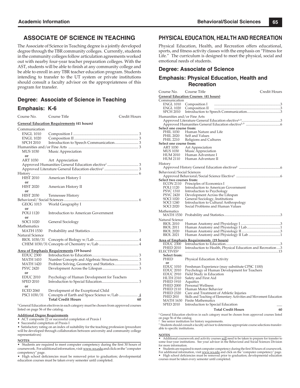## **ASSOCIATE OF SCIENCE IN TEACHING**

The Associate of Science in Teaching degree is a jointly developed degree through the TBR community colleges. Currently, students in the community colleges follow articulation agreements worked out with nearby four-year teacher preparation colleges. With the AST, students will be able to finish at any community college and be able to enroll in any TBR teacher education program. Students intending to transfer to the UT system or private institutions should consult a faculty advisor on the appropriateness of this program for transfer.

#### **Degree: Associate of Science in Teaching**

#### **Emphasis: K-6**

Course No. Course Title Credit Hours **General Education Requirements (41 hours)**

| Communication          |                                              |
|------------------------|----------------------------------------------|
| <b>ENGL 1010</b>       |                                              |
| <b>ENGL 1020</b>       |                                              |
| <b>SPCH 2010</b>       |                                              |
|                        |                                              |
| <b>MUS 1030</b>        | Music Appreciation                           |
| or                     |                                              |
| ART 1030               | Art Appreciation                             |
|                        |                                              |
|                        |                                              |
|                        |                                              |
| <b>HIST 2010</b>       | American History I                           |
| or                     |                                              |
| <b>HIST 2020</b>       | American History II                          |
| or                     |                                              |
| <b>HIST 2030</b>       | Tennessee History                            |
|                        |                                              |
|                        | GEOG 1013 World Geography I                  |
| or                     |                                              |
| <b>POLI</b> 1120       | Introduction to American Government          |
| or                     |                                              |
| <b>SOCI 1020</b>       | General Sociology                            |
| Mathematics            |                                              |
| <b>MATH 1530</b>       |                                              |
| Natural Science        |                                              |
| BIOL 1030/31           |                                              |
|                        |                                              |
|                        |                                              |
| <b>EDUC 2300</b>       | Area of Emphasis Requirements (19 hours)     |
| <b>MATH 1410</b>       |                                              |
| <b>MATH 1420</b>       |                                              |
| <b>PSYC 2420</b>       |                                              |
|                        |                                              |
| or<br><b>EDUC 2010</b> |                                              |
| <b>SPED 2010</b>       | Psychology of Human Development for Teachers |
|                        |                                              |
| or                     |                                              |

ECED 2060 Development of the Exceptional Child PSCI 1030/31 Concepts of Earth and Space Science w/Lab .......................... 4 Total Credit Hours 60

**1** General Education electives in each category must be chosen from approved courses listed on page 56 of the catalog.

#### **Additional Degree Requirements**

• ACT composite 22 or successful completion of Praxis I

• Successful completion of Praxis I

• Satisfactory rating on an index of suitability for the teaching profession (procedure will be developed through collaboration between university and community college representatives)

#### **NOTES**\_\_\_\_\_\_\_\_\_\_\_\_\_\_\_\_\_\_\_\_\_\_\_\_\_\_\_\_\_\_\_\_\_\_\_\_\_\_\_\_\_\_\_\_\_\_\_\_\_\_\_\_\_\_\_\_\_\_\_\_\_\_\_\_\_\_\_

• Students are required to meet computer competency during the first 30 hours of coursework. For additional information, visit www.ws.edu and click on the "computer competency" page.

• High school deficiencies must be removed prior to graduation; developmental education courses must be taken every semester until completed.

### **PHYSICAL EDUCATION, HEALTH AND RECREATION**

Physical Education, Health, and Recreation offers educational, sports, and fitness activity classes with the emphasis on "Fitness for Life." The curriculum is designed to meet the physical, social and emotional needs of students.

### **Degree: Associate of Science**

## **Emphasis: Physical Education, Health and Recreation**

| Course No.                                                                                                          | Course Title                                                                                                                         |                                                                                                                | Credit Hours |  |
|---------------------------------------------------------------------------------------------------------------------|--------------------------------------------------------------------------------------------------------------------------------------|----------------------------------------------------------------------------------------------------------------|--------------|--|
| <b>General Education Courses (41 hours)</b>                                                                         |                                                                                                                                      |                                                                                                                |              |  |
| Communication<br><b>ENGL 1010</b><br><b>ENGL 1020</b><br><b>SPCH 2010</b>                                           | Composition I<br>Composition II                                                                                                      |                                                                                                                |              |  |
| Humanities and/or Fine Arts                                                                                         |                                                                                                                                      |                                                                                                                |              |  |
| Select one course from:<br>PHIL 1030<br>PHIL 2020<br>PHIL 2210<br>Select one course from:                           | Human Nature and Life<br>Self and Values<br>Religions and Cultures                                                                   |                                                                                                                |              |  |
| ART 1030<br>MUS 1030<br>HUM 2010<br><b>HUM 2110</b>                                                                 | Art Appreciation<br>Music Appreciation<br>Human Adventure I<br>Human Adventure II                                                    |                                                                                                                |              |  |
| History                                                                                                             |                                                                                                                                      |                                                                                                                |              |  |
|                                                                                                                     |                                                                                                                                      |                                                                                                                |              |  |
| Behavioral/Social Sciences<br>Select two courses from:<br>ECON 2110<br>POLI 1120                                    | Principles of Economics I                                                                                                            | Introduction to American Government                                                                            |              |  |
| PSYC 1310<br><b>PSYC 2420</b><br><b>SOCI 1020</b><br><b>SOCI 1240</b><br><b>SOCI 2020</b>                           | Introduction to Psychology<br>Development Across the Lifespan<br>General Sociology, Institutions<br>Social Problems and Human Values | Introduction to Cultural Anthropology                                                                          |              |  |
| Mathematics<br>MATH 1530                                                                                            |                                                                                                                                      |                                                                                                                |              |  |
| Natural Science<br><b>BIOL 2010</b><br><b>BIOL 2011</b><br><b>BIOL 2020</b><br><b>BIOL 2021</b>                     |                                                                                                                                      |                                                                                                                |              |  |
| <b>EDUC 2300</b><br>PHED 2010<br><b>ELECTIVES</b> <sup>3</sup><br>Select from:<br>PHED                              | <b>Area of Emphasis Requirements (19 hours)</b><br>Physical Education Activity                                                       | Introduction to Health, Physical Education and Recreation3                                                     |              |  |
| or<br><b>EDUC 1010</b><br><b>EDUC 2010</b><br><b>EDUC 2910</b><br><b>HLTH 2310</b><br>PHED 1910<br><b>PHED 2000</b> | Field Study in Education<br>Safety and First Aid<br>Aquatics<br>Personal Wellness                                                    | Freshman Experience (may substitute CPSC 1100)<br>Psychology of Human Development for Teachers                 |              |  |
| <b>PHED 2110</b><br>PHED 2320<br>PHED 2810<br>MATH 1630<br><b>SPED 2010</b>                                         | Human Motor Behavior<br><b>Finite Mathematics</b><br>Introduction to Special Education                                               | Care and Treatment of Athletic Injuries<br>Skills and Teaching of Elementary Activities and Movement Education |              |  |
|                                                                                                                     |                                                                                                                                      | <b>Total Credit Hours</b>                                                                                      | 60           |  |
|                                                                                                                     |                                                                                                                                      | $1$ General Education electives in each category must be chosen from approved courses listed                   |              |  |

 General Education electives in each category must be chosen from approved courses listed on page 56 of the catalog.

2 See senior institution for history requirements. 3 Students should consult a faculty advisor to determine appropriate course selections transferable to specific institutions.

NOTES<br>• Additional coursework and activity courses <u>will</u> need to be taken to prepare for transfer to<br>some four-year institutions. See your advisor in the Behavioral and Social Sciences Division for more information.

• Students are required to meet computer competency during the first 30 hours of coursework.<br>For additional information, visit <u>www.ws.edu</u> and click on the "computer competency" page.<br>• High school deficiencies must be re courses must be taken every semester until completed.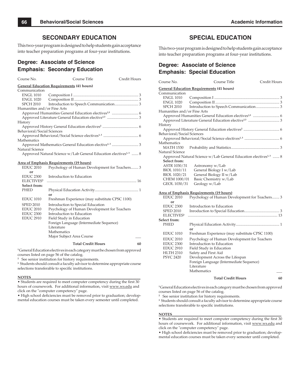### **SECONDARY EDUCATION**

This two-year program is designed to help students gain acceptance into teacher preparation programs at four-year institutions.

## **Degree: Associate of Science Emphasis: Secondary Education**

| Course No.                  | Course Title                                                                | Credit Hours |  |  |  |  |
|-----------------------------|-----------------------------------------------------------------------------|--------------|--|--|--|--|
|                             | <b>General Education Requirements (41 hours)</b>                            |              |  |  |  |  |
| Communication               |                                                                             |              |  |  |  |  |
| <b>ENGL 1010</b>            |                                                                             |              |  |  |  |  |
| <b>ENGL 1020</b>            |                                                                             |              |  |  |  |  |
| SPCH 2010                   |                                                                             |              |  |  |  |  |
| Humanities and/or Fine Arts |                                                                             |              |  |  |  |  |
|                             |                                                                             |              |  |  |  |  |
|                             |                                                                             |              |  |  |  |  |
| History                     |                                                                             |              |  |  |  |  |
|                             |                                                                             |              |  |  |  |  |
| Behavioral/Social Sciences  |                                                                             |              |  |  |  |  |
|                             |                                                                             |              |  |  |  |  |
| Mathematics                 |                                                                             |              |  |  |  |  |
|                             |                                                                             |              |  |  |  |  |
| Natural Science             |                                                                             |              |  |  |  |  |
|                             | Approved Natural Science w/Lab General Education electives <sup>1,3</sup> 8 |              |  |  |  |  |

#### **Area of Emphasis Requirements (19 hours)**

|                        | <b>Total Credit Hours</b>                      | 60 |
|------------------------|------------------------------------------------|----|
|                        | Major Subject Area Course                      |    |
|                        | Mathematics                                    |    |
|                        | Literature                                     |    |
|                        | Foreign Language (Intermediate Sequence)       |    |
| <b>EDUC 2910</b>       | Field Study in Education                       |    |
| <b>EDUC 2300</b>       | Introduction to Education                      |    |
| <b>EDUC 2010</b>       | Psychology of Human Development for Teachers   |    |
| <b>SPED 2010</b>       | Introduction to Special Education              |    |
| <b>EDUC 1010</b>       | Freshman Experience (may substitute CPSC 1100) |    |
|                        | or                                             |    |
| PHED                   |                                                |    |
| Select from:           |                                                |    |
| ELECTIVES <sup>3</sup> |                                                |    |
| <b>EDUC 2300</b>       | Introduction to Education                      |    |
| or                     |                                                |    |
| <b>EDUC 2010</b>       | Psychology of Human Development for Teachers 3 |    |

**1** General Education electives in each category must be chosen from approved courses listed on page 56 of the catalog.

**2** See senior institution for history requirements.

**3** Students should consult a faculty advisor to determine appropriate course selections transferable to specific institutions.

#### **NOTES**\_\_\_\_\_\_\_\_\_\_\_\_\_\_\_\_\_\_\_\_\_\_\_\_\_\_\_\_\_\_\_\_\_\_\_\_\_\_\_\_\_\_\_\_\_\_\_\_\_\_\_\_\_\_\_\_\_\_

• Students are required to meet computer competency during the first 30 hours of coursework. For additional information, visit www.ws.edu and click on the "computer competency" page.

• High school deficiencies must be removed prior to graduation; developmental education courses must be taken every semester until completed.

## **SPECIAL EDUCATION**

This two-year program is designed to help students gain acceptance into teacher preparation programs at four-year institutions.

## **Degree: Associate of Science Emphasis: Special Education**

| Course No.                  | Course Title                                                                | Credit Hours |
|-----------------------------|-----------------------------------------------------------------------------|--------------|
|                             | <b>General Education Requirements (41 hours)</b>                            |              |
| Communication               |                                                                             |              |
| <b>ENGL 1010</b>            |                                                                             |              |
| <b>ENGL 1020</b>            |                                                                             |              |
| SPCH 2010                   |                                                                             |              |
| Humanities and/or Fine Arts |                                                                             |              |
|                             |                                                                             |              |
|                             |                                                                             |              |
| History                     |                                                                             |              |
|                             |                                                                             |              |
| Behavioral/Social Sciences  |                                                                             |              |
|                             |                                                                             |              |
| Mathematics                 |                                                                             |              |
| MATH 1530                   |                                                                             |              |
| Natural Science             |                                                                             |              |
|                             | Approved Natural Science w/Lab General Education electives <sup>1,3</sup> 8 |              |
| Select from:                |                                                                             |              |
| ASTR 1030/31                | Astronomy w/Lab                                                             |              |
| BIOL 1010/11                | General Biology I w/Lab                                                     |              |
| BIOL 1020/21                | General Biology II w/Lab                                                    |              |
| CHEM 1000/01                | Basic Chemistry w/Lab                                                       |              |
| GEOL 1030/31                | Geology w/Lab                                                               |              |
|                             |                                                                             |              |
|                             | <b>Area of Emphasis Requirements (19 hours)</b>                             |              |
| <b>EDUC 2010</b>            | Psychology of Human Development for Teachers 3                              |              |
| or                          |                                                                             |              |
| <b>EDUC 2300</b>            | Introduction to Education                                                   |              |
| <b>SPED 2010</b>            |                                                                             |              |
| ELECTIVES <sup>3</sup>      |                                                                             |              |
| Select from:                |                                                                             |              |
| PHED                        |                                                                             |              |

**or or** EDUC 1010 Freshman Experience (may substitute CPSC 1100) EDUC 2010 Psychology of Human Development for Teachers EDUC 2300 Introduction to Education<br>EDUC 2910 Field Study in Education EDUC 2910 Field Study in Education<br>HLTH 2310 Safety and First Aid Safety and First Aid PSYC 2420 Development Across the Lifespan Foreign Language (Intermediate Sequence) Literature **Mathematics** 

#### **Total Credit Hours 60**

**1** General Education electives in each category must be chosen from approved courses listed on page 56 of the catalog.

**2** See senior institution for history requirements.

**3** Students should consult a faculty advisor to determine appropriate course selections transferable to specific institutions.

#### **NOTES**\_\_\_\_\_\_\_\_\_\_\_\_\_\_\_\_\_\_\_\_\_\_\_\_\_\_\_\_\_\_\_\_\_\_\_\_\_\_\_\_\_\_\_\_\_\_\_\_\_\_\_\_\_\_\_\_\_\_

• Students are required to meet computer competency during the first 30 hours of coursework. For additional information, visit www.ws.edu and click on the "computer competency" page.

• High school deficiencies must be removed prior to graduation; developmental education courses must be taken every semester until completed.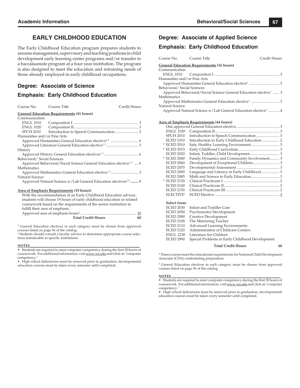## **EARLY CHILDHOOD EDUCATION**

The Early Childhood Education program prepares students to assume management, supervisory and teaching positions in child development early learning center programs and/or transfer to a baccalaureate program at a four-year institution. The program is also designed to meet the education and retraining needs of those already employed in early childhood occupations.

### **Degree: Associate of Science**

#### **Emphasis: Early Childhood Education**

| Course No. Course Title     |                                                                                | Credit Hours |
|-----------------------------|--------------------------------------------------------------------------------|--------------|
|                             | <b>General Education Requirements (41 hours)</b>                               |              |
| Communication               |                                                                                |              |
| ENGL 1010                   |                                                                                |              |
|                             |                                                                                |              |
|                             |                                                                                |              |
| Humanities and/or Fine Arts |                                                                                |              |
|                             |                                                                                |              |
|                             |                                                                                |              |
| History                     |                                                                                |              |
|                             |                                                                                |              |
| Behavioral/Social Sciences  |                                                                                |              |
|                             | Approved Behavioral/Social Science General Education elective <sup>1,2</sup> 6 |              |
| Mathematics                 |                                                                                |              |
|                             |                                                                                |              |
| Natural Science             |                                                                                |              |
|                             | Approved Natural Science w/Lab General Education electives <sup>1,2</sup> 8    |              |
|                             | <b>Area of Emphasis Requirements (19 hours)</b>                                |              |
|                             | With the recommendation of an Early Childhood Education advisor,               |              |
|                             | chidante will choose 19 hours of early childhood oducation or related          |              |

| With the recommendation of an Early Childhood Education advisor,      |    |
|-----------------------------------------------------------------------|----|
| students will choose 19 hours of early childhood education or related |    |
| coursework based on the requirements of the senior institution to     |    |
| fulfill their area of emphasis.                                       |    |
|                                                                       |    |
| <b>Total Credit Hours</b>                                             | 60 |

<sup>1</sup> General Education electives in each category must be chosen from approved

courses listed on page 56 of the catalog. 2 Students should consult a faculty advisor to determine appropriate course selections transferable to specific institutions.

#### **NOTES**\_\_\_\_\_\_\_\_\_\_\_\_\_\_\_\_\_\_\_\_\_\_\_\_\_\_\_\_\_\_\_\_\_\_\_\_\_\_\_\_\_\_\_\_\_\_\_\_\_\_\_\_\_\_\_\_\_\_\_\_\_\_\_\_

• Students are required to meet computer competency during the first 30 hours of coursework. For additional information, visit www.ws.edu and click on "computer competency.

• High school deficiencies must be removed prior to graduation; developmental education courses must be taken every semester until completed.

### **Degree: Associate of Applied Science**

#### **Emphasis: Early Childhood Education**

| Course No. Course Title                          |                                                                              | Credit Hours |
|--------------------------------------------------|------------------------------------------------------------------------------|--------------|
| <b>General Education Requirements (16 hours)</b> |                                                                              |              |
| Communication                                    |                                                                              |              |
|                                                  |                                                                              |              |
| Humanities and/or Fine Arts                      |                                                                              |              |
|                                                  |                                                                              |              |
| Behavioral/Social Sciences                       |                                                                              |              |
|                                                  | Approved Behavioral/Social Science General Education elective <sup>1</sup> 3 |              |
| Mathematics                                      |                                                                              |              |
|                                                  |                                                                              |              |
| Natural Science                                  |                                                                              |              |
|                                                  | Approved Natural Science w/Lab General Education elective <sup>1</sup> 4     |              |

#### **Area of Emphasis Requirements (44 hours)**

| <b>ENGL 1020</b>      |                                              |  |
|-----------------------|----------------------------------------------|--|
| <b>SPCH 2010</b>      |                                              |  |
| <b>ECED 1010</b>      | Introduction to Early Childhood Education  2 |  |
| * ECED 2010           |                                              |  |
| * ECED 2015           |                                              |  |
| <b>ECED 2020</b>      |                                              |  |
| * ECED 2040           | Family Dynamics and Community Involvement 3  |  |
| <b>ECED 2060</b>      |                                              |  |
| <b>ECED 2070</b>      |                                              |  |
| <b>ECED 2080</b>      | Language and Literacy in Early Childhood  3  |  |
| <b>ECED 2085</b>      |                                              |  |
| * ECED 2130           |                                              |  |
| <b>ECED 2140</b>      |                                              |  |
| <b>ECED 2150</b>      |                                              |  |
| ELECTIVE <sup>1</sup> |                                              |  |
|                       |                                              |  |
| Select from:          | _ _ _ _ _ _ _ _ _                            |  |
|                       |                                              |  |

| <b>ECED 2030</b> | Infant and Toddler Care                         |
|------------------|-------------------------------------------------|
| <b>ECED 2050</b> | Psychomotor Development                         |
| <b>ECED 2090</b> | Creative Development                            |
| <b>ECED 2100</b> | The Mentoring Teacher                           |
| <b>ECED 2110</b> | Advanced Learning Environments                  |
| <b>ECED 2120</b> | Administration of Childcare Centers             |
| <b>ENGL 2230</b> | Literature for Children                         |
| <b>ECED 2990</b> | Special Problems in Early Childhood Development |
|                  |                                                 |

 **Total Credit Hours 60**

\* These courses meet the educational requirements for National Child Development Associate (CDA) credentialing preparation.

<sup>1</sup> General Education electives in each category must be chosen from approved courses listed on page 56 of the catalog.

#### **NOTES**\_\_\_\_\_\_\_\_\_\_\_\_\_\_\_\_\_\_\_\_\_\_\_\_\_\_\_\_\_\_\_\_\_\_\_\_\_\_\_\_\_\_\_\_\_\_\_\_\_\_\_\_\_\_\_\_\_\_\_\_\_\_\_\_

• Students are required to meet computer competency during the first 30 hours of coursework. For additional information, visit www.ws.edu and click on "computer competency.

• High school deficiencies must be removed prior to graduation; developmental education courses must be taken every semester until completed.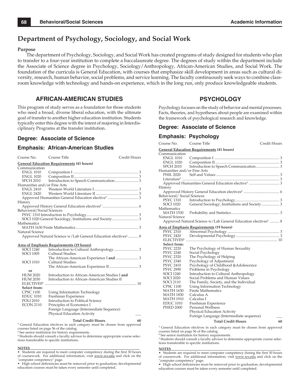## **Department of Psychology, Sociology, and Social Work**

#### **Purpose**

The department of Psychology, Sociology, and Social Work has created programs of study designed for students who plan to transfer to a four-year institution to complete a baccalaureate degree. The degrees of study within the department include the Associate of Science degree in Psychology, Sociology/Anthropology, African-American Studies, and Social Work. The foundation of the curricula is General Education, with courses that emphasize skill development in areas such as cultural diversity, research, human behavior, social problems, and service learning. The faculty continuously seek ways to combine classroom knowledge with technology and hands-on experience, which in the long run, only produce knowledgeable students.

## **AFRICAN-AMERICAN STUDIES**

This program of study serves as a foundation for those students who need a broad, diverse liberal education, with the ultimate goal of transfer to another higher education institution. Students typically enter this degree with the intent of majoring in Interdisciplinary Programs at the transfer institution.

## **Degree: Associate of Science**

### **Emphasis: African-American Studies**

| Course No.                  | Course Title                                                              | Credit Hours |
|-----------------------------|---------------------------------------------------------------------------|--------------|
|                             | <b>General Education Requirements (41 hours)</b>                          |              |
| Communication               |                                                                           |              |
| <b>ENGL 1010</b>            |                                                                           |              |
| <b>ENGL 1020</b>            |                                                                           |              |
| <b>SPCH 2010</b>            |                                                                           |              |
| Humanities and/or Fine Arts |                                                                           |              |
| <b>ENGL 2410</b>            |                                                                           |              |
| <b>ENGL 2420</b>            |                                                                           |              |
|                             |                                                                           |              |
| History                     |                                                                           |              |
|                             |                                                                           |              |
| Behavioral/Social Sciences  |                                                                           |              |
|                             |                                                                           |              |
|                             |                                                                           |              |
| Mathematics                 |                                                                           |              |
|                             |                                                                           |              |
| Natural Science             |                                                                           |              |
|                             | Approved Natural Science w/Lab General Education electives <sup>1</sup> 8 |              |
|                             | <b>Area of Emphasis Requirements (19 hours)</b>                           |              |
| <b>SOCI 1240</b>            |                                                                           |              |
| <b>SOCI 1005</b>            | Cultural Studies:                                                         |              |
|                             |                                                                           |              |
| <b>SOCI 1010</b>            | Cultural Studies:                                                         |              |
|                             |                                                                           |              |
| or                          |                                                                           |              |
| <b>HUM 2020</b>             | Introduction to African-American Studies I and                            |              |
| <b>HUM 2030</b>             | Introduction to African-American Studies II                               |              |
| <b>ELECTIVES3</b>           |                                                                           |              |
| Select from:                |                                                                           |              |
| <b>CPSC 1100</b>            | Using Information Technology                                              |              |
| <b>EDUC 1010</b>            | Freshman Experience                                                       |              |
| <b>POLI 2010</b>            | Introduction to Political Science                                         |              |
| <b>ECON 2110</b>            | Principles of Economics I                                                 |              |
|                             | Foreign Language (Intermediate Sequence)                                  |              |
|                             | Physical Education Activity                                               |              |
|                             | <b>Total Credit Hours</b>                                                 | 60           |

<sup>1</sup> General Education electives in each category must be chosen from approved courses listed on page 56 of the catalog.

**<sup>2</sup>** See senior institution for history requirements.

<sup>3</sup> Students should consult a faculty advisor to determine appropriate course selections transferable to specific institutions.

#### **NOTES**\_\_\_\_\_\_\_\_\_\_\_\_\_\_\_\_\_\_\_\_\_\_\_\_\_\_\_\_\_\_\_\_\_\_\_\_\_\_\_\_\_\_\_\_\_\_\_\_\_\_\_\_\_\_\_\_\_\_\_\_\_\_\_\_

• Students are required to meet computer competency during the first 30 hours of coursework. For additional information, visit www.ws.edu and click on the "computer competency" page.

• High school deficiencies must be removed prior to graduation; developmental education courses must be taken every semester until completed.

## **PSYCHOLOGY**

Psychology focuses on the study of behavior and mental processes. Facts, theories, and hypotheses about people are examined within the framework of psychological research and knowledge.

#### **Degree: Associate of Science**

## **Emphasis: Psychology**

| Course No.                                                                                               | Course Title                                                              | Credit Hours |
|----------------------------------------------------------------------------------------------------------|---------------------------------------------------------------------------|--------------|
|                                                                                                          | <b>General Education Requirements (41 hours)</b>                          |              |
| Communication<br><b>ENGL 1010</b><br><b>ENGL 1020</b><br><b>SPCH 2010</b><br>Humanities and/or Fine Arts |                                                                           |              |
| <b>PHIL 2020</b>                                                                                         |                                                                           |              |
|                                                                                                          |                                                                           |              |
| History                                                                                                  |                                                                           |              |
| Behavioral/Social Sciences                                                                               |                                                                           |              |
| <b>PSYC 1310</b><br><b>SOCI 1020</b>                                                                     |                                                                           |              |
| Mathematics<br><b>MATH 1530</b>                                                                          |                                                                           |              |
| Natural Science                                                                                          | Approved Natural Science w/Lab General Education electives <sup>1</sup> 8 |              |
|                                                                                                          |                                                                           |              |
| <b>PSYC 2310</b>                                                                                         | <b>Area of Emphasis Requirements (19 hours)</b>                           |              |
| <b>PSYC 2420</b>                                                                                         |                                                                           |              |
| <b>ELECTIVES</b> <sup>3</sup>                                                                            |                                                                           |              |
| Select from:                                                                                             |                                                                           |              |
| <b>PSYC 2220</b>                                                                                         | The Psychology of Human Sexuality                                         |              |
| <b>PSYC 2240</b>                                                                                         | Social Psychology                                                         |              |
| <b>PSYC 2320</b>                                                                                         | The Psychology of Helping                                                 |              |
| <b>PSYC 2340</b>                                                                                         | Psychology of Adjustment                                                  |              |
| <b>PSYC 2410</b>                                                                                         | Psychology of Childhood & Adolescence                                     |              |
| <b>PSYC 2990</b>                                                                                         | Problems in Psychology                                                    |              |
| <b>SOCI 1240</b>                                                                                         | Introduction to Cultural Anthropology                                     |              |
| <b>SOCI 2020</b>                                                                                         | Social Problems and Human Values                                          |              |
| <b>SOCI 2110</b>                                                                                         | The Family, Society, and the Individual                                   |              |
| <b>CPSC 1100</b>                                                                                         | Using Information Technology                                              |              |
| MATH 1630                                                                                                | <b>Finite Mathematics</b>                                                 |              |
| MATH 1830                                                                                                | Calculus A                                                                |              |
| MATH 1910                                                                                                | Calculus I                                                                |              |
| <b>EDUC 1010</b>                                                                                         | Freshman Experience                                                       |              |
| <b>PHED 2000</b>                                                                                         | <b>Personal Wellness</b>                                                  |              |
|                                                                                                          | Physical Education Activity                                               |              |
|                                                                                                          | Foreign Language (Intermediate sequence)                                  |              |
|                                                                                                          | <b>Total Credit Hours</b>                                                 | 60           |

<sup>1</sup> General Education electives in each category must be chosen from approved courses listed on page 56 of the catalog.

**<sup>2</sup>** See senior institution for history requirements.

<sup>3</sup> Students should consult a faculty advisor to determine appropriate course selections transferable to specific institutions.

#### **NOTES**\_\_\_\_\_\_\_\_\_\_\_\_\_\_\_\_\_\_\_\_\_\_\_\_\_\_\_\_\_\_\_\_\_\_\_\_\_\_\_\_\_\_\_\_\_\_\_\_\_\_\_\_\_\_\_\_\_\_\_\_\_\_\_\_

• Students are required to meet computer competency during the first 30 hours of coursework. For additional information, visit www.ws.edu and click on the "computer competency" page.

High school deficiencies must be removed prior to graduation; developmental education courses must be taken every semester until completed.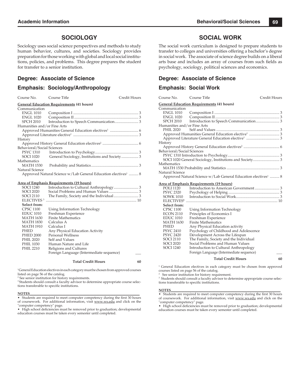## **SOCIOLOGY**

Sociology uses social science perspectives and methods to study human behavior, cultures, and societies. Sociology provides preparation for those working with global and local social institutions, policies, and problems. This degree prepares the student for transfer to a senior institution.

#### **Degree: Associate of Science**

#### **Emphasis: Sociology/Anthropology**

Course No. Course Title Credit Hours

|                                          | <b>General Education Requirements (41 hours)</b>                          |  |  |  |
|------------------------------------------|---------------------------------------------------------------------------|--|--|--|
| Communication                            |                                                                           |  |  |  |
| <b>ENGL 1010</b>                         |                                                                           |  |  |  |
| ENGL 1020                                |                                                                           |  |  |  |
| <b>SPCH 2010</b>                         |                                                                           |  |  |  |
| Humanities and/or Fine Arts              |                                                                           |  |  |  |
|                                          |                                                                           |  |  |  |
|                                          |                                                                           |  |  |  |
| History                                  |                                                                           |  |  |  |
|                                          |                                                                           |  |  |  |
| Behavioral/Social Sciences               |                                                                           |  |  |  |
| PSYC 1310                                |                                                                           |  |  |  |
| SOCI 1020                                |                                                                           |  |  |  |
| Mathematics                              |                                                                           |  |  |  |
| MATH 1530                                |                                                                           |  |  |  |
| Natural Science                          |                                                                           |  |  |  |
|                                          | Approved Natural Science w/Lab General Education electives <sup>1</sup> 8 |  |  |  |
|                                          |                                                                           |  |  |  |
| Area of Emphasis Requirements (19 hours) |                                                                           |  |  |  |

#### SOCI 1240 Introduction to Cultural Anthropology .......................... 3 SOCI 2020 Social Problems and Human Values ............................... 3 SOCI 2110 The Family, Society and the Individual .......................... 3 ELECTIVES 3 ................................................................................................ 10 **Select from:** CPSC 1100 Using Information Technology<br>EDUC 1010 Freshman Experience Freshman Experience MATH 1630 Finite Mathematics MATH 1830 Calculus A **MATH 1910** PHED Any Physical Education Activity<br>PHED 2000 Personal Wellness PHED 2000 Personal Wellness<br>PHIL 2020 Self and Values Self and Values PHIL 1030 Human Nature and Life<br>PHIL 2210 Religions and Cultures Religions and Cultures Foreign Language (Intermediate sequence) \_\_\_

**Total Credit Hours 60**

<sup>1</sup>General Education electives in each category must be chosen from approved courses listed on page 56 of the catalog.

2 See senior institution for history requirements.

<sup>3</sup> Students should consult a faculty advisor to determine appropriate course selections transferable to specific institutions.

#### **NOTES**\_\_\_\_\_\_\_\_\_\_\_\_\_\_\_\_\_\_\_\_\_\_\_\_\_\_\_\_\_\_\_\_\_\_\_\_\_\_\_\_\_\_\_\_\_\_\_\_\_\_\_\_\_\_\_\_\_\_\_\_\_\_\_\_

Students are required to meet computer competency during the first 30 hours of coursework. For additional information, visit www.ws.edu and click on the "computer competency" page.

• High school deficiencies must be removed prior to graduation; developmental education courses must be taken every semester until completed.

## **SOCIAL WORK**

The social work curriculum is designed to prepare students to transfer to colleges and universities offering a bachelor's degree in social work. The associate of science degree builds on a liberal arts base and includes an array of courses from such fields as psychology, sociology, political sciences and economics.

#### **Degree: Associate of Science**

#### **Emphasis: Social Work**

| Course No.                  | Course Title                                                                                                                                                                                                                                                                                     | Credit Hours |
|-----------------------------|--------------------------------------------------------------------------------------------------------------------------------------------------------------------------------------------------------------------------------------------------------------------------------------------------|--------------|
|                             | <b>General Education Requirements (41 hours)</b>                                                                                                                                                                                                                                                 |              |
| Communication               |                                                                                                                                                                                                                                                                                                  |              |
| <b>ENGL 1010</b>            |                                                                                                                                                                                                                                                                                                  |              |
| <b>ENGL 1020</b>            |                                                                                                                                                                                                                                                                                                  |              |
| <b>SPCH 2010</b>            |                                                                                                                                                                                                                                                                                                  |              |
| Humanities and/or Fine Arts |                                                                                                                                                                                                                                                                                                  |              |
| <b>PHIL 2020</b>            |                                                                                                                                                                                                                                                                                                  |              |
|                             |                                                                                                                                                                                                                                                                                                  |              |
|                             |                                                                                                                                                                                                                                                                                                  |              |
| History                     |                                                                                                                                                                                                                                                                                                  |              |
|                             |                                                                                                                                                                                                                                                                                                  |              |
| Behavioral/Social Sciences  |                                                                                                                                                                                                                                                                                                  |              |
|                             |                                                                                                                                                                                                                                                                                                  |              |
|                             | SOCI 1020 General Sociology, Institutions and Society 3                                                                                                                                                                                                                                          |              |
| Mathematics                 |                                                                                                                                                                                                                                                                                                  |              |
|                             |                                                                                                                                                                                                                                                                                                  |              |
| Natural Science             |                                                                                                                                                                                                                                                                                                  |              |
|                             | Approved Natural Science w/Lab General Education electives <sup>1</sup> 8                                                                                                                                                                                                                        |              |
|                             | <u>Area of Emphasis Requirements (19 hours)</u>                                                                                                                                                                                                                                                  |              |
| <b>POLI 1120</b>            |                                                                                                                                                                                                                                                                                                  |              |
| <b>PSYC 2320</b>            |                                                                                                                                                                                                                                                                                                  |              |
| <b>SOWK 1010</b>            |                                                                                                                                                                                                                                                                                                  |              |
| ELECTIVES <sup>3</sup>      |                                                                                                                                                                                                                                                                                                  |              |
| Select from:                |                                                                                                                                                                                                                                                                                                  |              |
| <b>CPSC 1100</b>            | Using Information Technology                                                                                                                                                                                                                                                                     |              |
| <b>ECON 2110</b>            | Principles of Economics I                                                                                                                                                                                                                                                                        |              |
| <b>EDUC 1010</b>            | Freshman Experience                                                                                                                                                                                                                                                                              |              |
| <b>MATH 1630</b>            | <b>Finite Mathematics</b>                                                                                                                                                                                                                                                                        |              |
| PHED                        | Any Physical Education activity                                                                                                                                                                                                                                                                  |              |
| <b>PSYC 2410</b>            | Psychology of Childhood and Adolescence                                                                                                                                                                                                                                                          |              |
| <b>PSYC 2420</b>            | Development Across the Lifespan                                                                                                                                                                                                                                                                  |              |
| <b>SOCI 2110</b>            | The Family, Society and the Individual                                                                                                                                                                                                                                                           |              |
| <b>SOCI 2020</b>            | Social Problems and Human Values                                                                                                                                                                                                                                                                 |              |
| <b>SOCI 1240</b>            | Introduction to Cultural Anthropology                                                                                                                                                                                                                                                            |              |
|                             | Foreign Language (Intermediate sequence)                                                                                                                                                                                                                                                         |              |
|                             | $\mathbb{R}$ and $\mathbb{R}$ and $\mathbb{R}$ and $\mathbb{R}$ and $\mathbb{R}$ and $\mathbb{R}$ and $\mathbb{R}$ and $\mathbb{R}$ and $\mathbb{R}$ and $\mathbb{R}$ and $\mathbb{R}$ and $\mathbb{R}$ and $\mathbb{R}$ and $\mathbb{R}$ and $\mathbb{R}$ and $\mathbb{R}$ and $\mathbb{R}$ and | $\sim$       |

 **Total Credit Hours 60**

<sup>1</sup> General Education electives in each category must be chosen from approved courses listed on page 56 of the catalog.

2 See senior institution for history requirement.

Students should consult a faculty advisor to determine appropriate course selections transferable to specific institutions.

#### **NOTES**\_\_\_\_\_\_\_\_\_\_\_\_\_\_\_\_\_\_\_\_\_\_\_\_\_\_\_\_\_\_\_\_\_\_\_\_\_\_\_\_\_\_\_\_\_\_\_\_\_\_\_\_\_\_\_\_\_\_\_\_\_\_\_\_

• Students are required to meet computer competency during the first 30 hours of coursework. For additional information, visit www.ws.edu and click on the "computer competency" page.

• High school deficiencies must be removed prior to graduation; developmental education courses must be taken every semester until completed.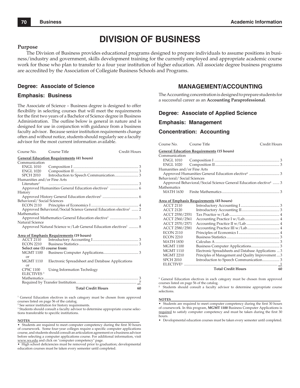## **DIVISION OF BUSINESS**

#### **Purpose**

The Division of Business provides educational programs designed to prepare individuals to assume positions in business/industry and government, skills development training for the currently employed and appropriate academic course work for those who plan to transfer to a four year institution of higher education. All associate degree business programs are accredited by the Association of Collegiate Business Schools and Programs.

#### **Degree: Associate of Science**

#### **Emphasis: Business**

The Associate of Science – Business degree is designed to offer flexibility in selecting courses that will meet the requirements for the first two years of a Bachelor of Science degree in Business Administration. The outline below is general in nature and is designed for use in conjunction with guidance from a business faculty advisor. Because senior institution requirements change often and without notice, students should regularly see a faculty advisor for the most current information available.

| Course No.                                                                | Course Title                                                                 | Credit Hours |  |
|---------------------------------------------------------------------------|------------------------------------------------------------------------------|--------------|--|
| <b>General Education Requirements (41 hours)</b>                          |                                                                              |              |  |
| Communication                                                             |                                                                              |              |  |
| <b>ENGL 1010</b>                                                          |                                                                              |              |  |
| <b>ENGL 1020</b>                                                          |                                                                              |              |  |
| <b>SPCH 2010</b>                                                          |                                                                              |              |  |
| Humanities and/or Fine Arts                                               |                                                                              |              |  |
| Literature <sup>1</sup>                                                   |                                                                              |              |  |
|                                                                           |                                                                              |              |  |
| History                                                                   |                                                                              |              |  |
|                                                                           |                                                                              |              |  |
| Behavioral/Social Sciences                                                |                                                                              |              |  |
|                                                                           |                                                                              |              |  |
|                                                                           | Approved Behavioral/Social Science General Education elective <sup>1</sup> 2 |              |  |
| Mathematics                                                               |                                                                              |              |  |
|                                                                           | Approved Mathematics General Education elective <sup>1</sup> 3               |              |  |
| Natural Science                                                           |                                                                              |              |  |
| Approved Natural Science w/Lab General Education electives <sup>1</sup> 8 |                                                                              |              |  |
|                                                                           | Area of Emphasis Requirements (19 hours)                                     |              |  |
| ACCT 2110                                                                 |                                                                              |              |  |
| <b>ECON 2210</b>                                                          |                                                                              |              |  |
| Select one (1) course from:                                               |                                                                              |              |  |
| <b>MGMT 1100</b>                                                          |                                                                              |              |  |
| or                                                                        |                                                                              |              |  |
| <b>MGMT 1110</b>                                                          | Electronic Spreadsheet and Database Applications                             |              |  |
| or                                                                        |                                                                              |              |  |
| <b>CPSC 1100</b>                                                          | Using Information Technlogy                                                  |              |  |
| ELECTIVES <sup>3</sup>                                                    |                                                                              |              |  |
|                                                                           |                                                                              |              |  |
|                                                                           |                                                                              |              |  |
|                                                                           | <b>Total Credit Hours</b>                                                    | 60           |  |

<sup>1</sup> General Education electives in each category must be chosen from approved courses listed on page 56 of the catalog.

2 See senior institution for history requirements.

<sup>3</sup> Students should consult a faculty advisor to determine appropriate course selections transferable to specific institutions.

#### **NOTES**\_\_\_\_\_\_\_\_\_\_\_\_\_\_\_\_\_\_\_\_\_\_\_\_\_\_\_\_\_\_\_\_\_\_\_\_\_\_\_\_\_\_\_\_\_\_\_\_\_\_\_\_\_\_\_\_\_\_\_\_\_\_\_\_

• Students are required to meet computer competency during the first 30 hours of coursework. Some four-year colleges require a specific computer applications course, and students should consult an articulation agreement or a business advisor before selecting a computer applications course. For additional information, visit www.ws.edu and click on "computer competency" page.

• High school deficiencies must be removed prior to graduation; developmental education courses must be taken every semester until completed.

## **MANAGEMENT/ACCOUNTING**

The Accounting concentration is designed to prepare students for a successful career as an **Accounting Paraprofessional**.

#### **Degree: Associate of Applied Science**

#### **Emphasis: Management**

#### **Concentration: Accounting**

| Course No.                                       | Course Title                                                                 | Credit Hours |  |  |  |
|--------------------------------------------------|------------------------------------------------------------------------------|--------------|--|--|--|
| <b>General Education Requirements (15 hours)</b> |                                                                              |              |  |  |  |
| Communication                                    |                                                                              |              |  |  |  |
|                                                  |                                                                              |              |  |  |  |
|                                                  |                                                                              |              |  |  |  |
| Humanities and/or Fine Arts                      |                                                                              |              |  |  |  |
|                                                  |                                                                              |              |  |  |  |
| Behavioral/Social Sciences                       |                                                                              |              |  |  |  |
|                                                  | Approved Behavioral/Social Science General Education elective <sup>1</sup> 3 |              |  |  |  |
| Mathematics                                      |                                                                              |              |  |  |  |
|                                                  |                                                                              |              |  |  |  |
|                                                  |                                                                              |              |  |  |  |
|                                                  | Area of Emphasis Requirements (45 hours)                                     |              |  |  |  |
| ACCT 2110                                        |                                                                              |              |  |  |  |
| ACCT 2120                                        |                                                                              |              |  |  |  |
| ACCT 2550/2551                                   |                                                                              |              |  |  |  |
| ACCT 2560/2561                                   |                                                                              |              |  |  |  |
| ACCT 2570/2571                                   |                                                                              |              |  |  |  |
| ACCT 2580/2581                                   |                                                                              |              |  |  |  |
| <b>ECON 2110</b>                                 |                                                                              |              |  |  |  |
| <b>ECON 2210</b>                                 |                                                                              |              |  |  |  |
| <b>MATH 1830</b>                                 |                                                                              |              |  |  |  |

#### MGMT 1100 Business Computer Applications .............................. 3 MGMT 1110 Electronic Spreadsheets and Database Applications ... 3<br>MGMT 2210 Principles of Management and Quality Improvement 3 Principles of Management and Quality Improvement .... 3 SPCH 2010 Introduction to Speech Communication ....................... 3 ELECTIVE**<sup>2</sup>** ................................................................................................... \_1

 **Total Credit Hours 60**

<sup>1</sup> General Education electives in each category must be chosen from approved courses listed on page 56 of the catalog.

 Students should consult a faculty advisor to determine appropriate course selections.

#### **NOTES**\_\_\_\_\_\_\_\_\_\_\_\_\_\_\_\_\_\_\_\_\_\_\_\_\_\_\_\_\_\_\_\_\_\_\_\_\_\_\_\_\_\_\_\_\_\_\_\_\_\_\_\_\_\_\_\_\_\_\_\_\_\_\_\_

• Students are required to meet computer competency during the first 30 hours of coursework. In this program, **MGMT 1100** Business Computer Applications is required to satisfy computer competency and must be taken during the first 30 hours.

• Developmental education courses must be taken every semester until completed.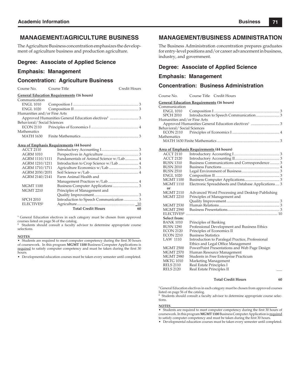## **MANAGEMENT/AGRICULTURE BUSINESS**

The Agriculture Business concentration emphasizes the development of agriculture business and production agriculture.

#### **Degree: Associate of Applied Science**

#### **Emphasis: Management**

#### **Concentration: Agriculture Business**

Course No. Course Title Credit Hours

|                             | <b>General Education Requirements (16 hours)</b> |  |
|-----------------------------|--------------------------------------------------|--|
| Communication               |                                                  |  |
|                             |                                                  |  |
|                             |                                                  |  |
| Humanities and/or Fine Arts |                                                  |  |
|                             |                                                  |  |
| Behavioral/Social Sciences  |                                                  |  |
|                             |                                                  |  |
| Mathematics                 |                                                  |  |
|                             |                                                  |  |
|                             |                                                  |  |

#### **Area of Emphasis Requirements (44 hours)**

| <b>ACCT 2110</b>       |                                         |    |
|------------------------|-----------------------------------------|----|
| <b>AGRM 1010</b>       |                                         |    |
| AGRM 1110/1111         | Fundamentals of Animal Science w/Lab 4  |    |
| AGRM 1210/1211         |                                         |    |
| AGRM 1710/1711         |                                         |    |
| AGRM 2030/2031         |                                         |    |
| AGRM 2140/2141         | Farm Animal Health and                  |    |
|                        |                                         |    |
| <b>MGMT 1100</b>       |                                         |    |
| <b>MGMT 2210</b>       | Principles of Management and            |    |
|                        |                                         |    |
| <b>SPCH 2010</b>       | Introduction to Speech Communication  3 |    |
| ELECTIVES <sup>2</sup> |                                         |    |
|                        | <b>Total Credit Hours</b>               | 60 |
|                        |                                         |    |

<sup>1</sup> General Education electives in each category must be chosen from approved courses listed on page 56 of the catalog.

**2** Students should consult a faculty advisor to determine appropriate course selections.

#### **NOTES**\_\_\_\_\_\_\_\_\_\_\_\_\_\_\_\_\_\_\_\_\_\_\_\_\_\_\_\_\_\_\_\_\_\_\_\_\_\_\_\_\_\_\_\_\_\_\_\_\_\_\_\_\_\_\_\_\_\_\_\_\_\_\_\_

Students are required to meet computer competency during the first 30 hours of coursework. In this program **MGMT 1100** Business Computer Applications is required to satisfy computer competency and must be taken during the first 30 hours.

• Developmental education courses must be taken every semester until completed.

## **MANAGEMENT/BUSINESS ADMINISTRATION**

The Business Administration concentration prepares graduates for entry-level positions and/or career advancement in business, industry, and government.

#### **Degree: Associate of Applied Science**

#### **Emphasis: Management**

#### **Concentration: Business Administration**

| Course No. | Course Title | Credit Hours |
|------------|--------------|--------------|
|            |              |              |

**General Education Requirements (16 hours)**

| Communication               |  |
|-----------------------------|--|
|                             |  |
|                             |  |
| Humanities and/or Fine Arts |  |
|                             |  |
| Behavioral/Social Sciences  |  |
|                             |  |
| Mathematics                 |  |
|                             |  |

#### **Area of Emphasis Requirements (44 hours)**

| <b>ACCT 2110</b>       |                                                      |
|------------------------|------------------------------------------------------|
| <b>ACCT 2120</b>       |                                                      |
| <b>BUSN 1310</b>       | Business Communications and Correspondence 3         |
| <b>BUSN 2010</b>       |                                                      |
| <b>BUSN 2510</b>       |                                                      |
| <b>ENGL 1020</b>       |                                                      |
| <b>MGMT 1100</b>       |                                                      |
| <b>MGMT 1110</b>       | Electronic Spreadsheets and Database Applications  3 |
| or                     |                                                      |
| <b>MGMT 2110</b>       | Advanced Word Processing and Desktop Publishing      |
| <b>MGMT 2210</b>       | Principles of Management and                         |
|                        |                                                      |
| <b>MGMT 2530</b>       |                                                      |
| <b>MGMT 2590</b>       |                                                      |
| ELECTIVES <sup>2</sup> |                                                      |
| Select from:           |                                                      |
| <b>BANK 1010</b>       | Principles of Banking                                |
| <b>BUSN 1290</b>       | Professional Development and Business Ethics         |
| <b>ECON 2120</b>       | Principles of Economics II                           |
| <b>ECON 2210</b>       | <b>Business Statistics</b>                           |
| LAW 1110               | Introduction to Paralegal Practice, Professional     |
|                        | Ethics and Legal Office Management                   |
| <b>MGMT 2500</b>       | PowerPoint Presentations and Web Page Design         |
| <b>MGMT 2570</b>       | Human Resource Management                            |
| <b>MGMT 2980</b>       | Students in Free Enterprise Practicum                |
| <b>MKTG 1010</b>       | Marketing Management                                 |
| <b>RELS 2110</b>       | Real Estate Principles I                             |
| <b>RELS 2120</b>       | Real Estate Principles II                            |
|                        |                                                      |

#### **Total Credit Hours 60**

**1** General Education electives in each category must be chosen from approved courses listed on page 56 of the catalog.

<sup>2</sup> Students should consult a faculty advisor to determine appropriate course selections.

#### **NOTES**\_\_\_\_\_\_\_\_\_\_\_\_\_\_\_\_\_\_\_\_\_\_\_\_\_\_\_\_\_\_\_\_\_\_\_\_\_\_\_\_\_\_\_\_\_\_\_\_\_\_\_\_\_\_\_\_\_\_\_\_\_\_\_\_

• Students are required to meet computer competency during the first 30 hours of coursework. In this program **MGMT 1100** Business Computer Application is required to satisfy computer competency and must be taken during the first 30 hours.

• Developmental education courses must be taken every semester until completed.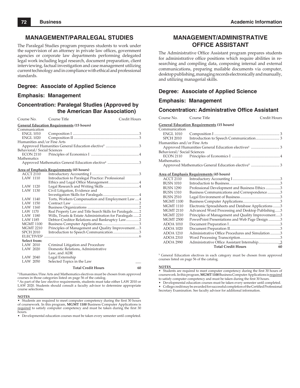## **MANAGEMENT/PARALEGAL STUDIES**

The Paralegal Studies program prepares students to work under the supervision of an attorney in private law offices, government agencies or corporate law departments performing delegated legal work including legal research, document preparation, client interviewing, factual investigation and case management utilizing current technology and in compliance with ethical and professional standards.

#### **Degree: Associate of Applied Science**

#### **Emphasis: Management**

### **Concentration: Paralegal Studies (Approved by the American Bar Association)**

| Course No.                                       | Course Title                                                   | Credit Hours |  |  |
|--------------------------------------------------|----------------------------------------------------------------|--------------|--|--|
| <b>General Education Requirements (15 hours)</b> |                                                                |              |  |  |
| Communication                                    |                                                                |              |  |  |
| <b>ENGL 1010</b>                                 |                                                                |              |  |  |
| <b>ENGL 1020</b>                                 |                                                                |              |  |  |
| Humanities and/or Fine Arts                      |                                                                |              |  |  |
|                                                  |                                                                |              |  |  |
| Behavioral/Social Sciences                       |                                                                |              |  |  |
| <b>ECON 2110</b>                                 |                                                                |              |  |  |
| Mathematics                                      |                                                                |              |  |  |
|                                                  | Approved Mathematics General Education elective <sup>1</sup> 3 |              |  |  |
|                                                  | Area of Emphasis Requirements (45 hours)                       |              |  |  |
| <b>ACCT 2110</b>                                 |                                                                |              |  |  |
| <b>LAW 1110</b>                                  | Introduction to Paralegal Practice: Professional               |              |  |  |
|                                                  |                                                                |              |  |  |
| <b>LAW 1120</b>                                  |                                                                |              |  |  |
| LAW 1130                                         | Civil Litigation, Evidence and                                 |              |  |  |
|                                                  |                                                                |              |  |  |
| LAW 1140                                         | Torts, Workers Compensation and Employment Law4                |              |  |  |
| <b>LAW 1150</b>                                  |                                                                |              |  |  |
| LAW 1160                                         |                                                                |              |  |  |
| LAW 1170                                         | Real Property Law and Title Search Skills for Paralegals 2     |              |  |  |
| LAW 1180                                         | Wills, Trusts & Estate Administration for Paralegals2          |              |  |  |
| <b>LAW 1185</b>                                  | Debtor-Creditor Relations and Bankruptcy Law2                  |              |  |  |
| <b>MGMT 1100</b>                                 |                                                                |              |  |  |
| <b>MGMT 2210</b>                                 | Principles of Management and Quality Improvement3              |              |  |  |
| <b>SPCH 2010</b>                                 | Introduction to Speech Communication3                          |              |  |  |
| ELECTIVES <sup>2</sup>                           |                                                                |              |  |  |
| Select from:                                     |                                                                |              |  |  |
| LAW 2010                                         | Criminal Litigation and Procedure                              |              |  |  |
| LAW 2020                                         | Domestic Relations, Administrative                             |              |  |  |
|                                                  | Law, and ADR                                                   |              |  |  |
| LAW 2040                                         | Legal Externship                                               |              |  |  |
| LAW 2050                                         | Selected Topics in the Law                                     |              |  |  |
|                                                  | <b>Total Credit Hours</b>                                      | 60           |  |  |

**1** Humanities/Fine Arts and Mathematics electives must be chosen from approved courses in those categories listed on page 56 of the catalog.

**2** As part of the law elective requirements, students must take either LAW 2010 or LAW 2020. Students should consult a faculty advisor to determine appropriate course selections.

**NOTES**<br>• Students are required to meet computer competency during the first 30 hours<br>of coursework. In this program, **MGMT 1100** Business Computer Applications is required to satisfy computer competency and must be taken during the first 30 hours.

• Developmental education courses must be taken every semester until completed.

## **MANAGEMENT/ADMINISTRATIVE OFFICE ASSISTANT**

The Administrative Office Assistant program prepares students for administrative office positions which require abilities in researching and compiling data, composing internal and external communications, preparing mailable documents via computer, desktop publishing, managing records electronically and manually, and utilizing managerial skills.

#### **Degree: Associate of Applied Science**

#### **Emphasis: Management**

#### **Concentration: Administrative Office Assistant**

| Course No.                  | Course Title                                        | Credit Hours |
|-----------------------------|-----------------------------------------------------|--------------|
|                             | <b>General Education Requirements (15 hours)</b>    |              |
| Communication               |                                                     |              |
| ENGL 1010                   |                                                     |              |
| <b>SPCH 2010</b>            |                                                     |              |
| Humanities and/or Fine Arts |                                                     |              |
|                             |                                                     |              |
| Behavioral/Social Sciences  |                                                     |              |
|                             |                                                     |              |
| Mathematics                 |                                                     |              |
|                             |                                                     |              |
|                             |                                                     |              |
|                             | <b>Area of Emphasis Requirements (45 hours)</b>     |              |
| <b>ACCT 2110</b>            |                                                     |              |
| <b>BUSN 1010</b>            |                                                     |              |
| <b>BUSN 1290</b>            | Professional Development and Business Ethics 3      |              |
| <b>BUSN 1310</b>            | Business Communications and Correspondence 3        |              |
| <b>BUSN 2510</b>            |                                                     |              |
| <b>MGMT 1100</b>            |                                                     |              |
| <b>MGMT 1110</b>            | Electronic Spreadsheets and Database Applications 3 |              |
| <b>MGMT 2110</b>            | Advanced Word Processing and Desktop Publishing3    |              |
| <b>MGMT 2210</b>            | Principles of Management and Quality Improvement3   |              |
| <b>MGMT 2500</b>            | PowerPoint Presentations and Web Page Design3       |              |
| <b>ADOA 1010</b>            |                                                     |              |
| <b>ADOA 1020</b>            |                                                     |              |
| $ADOA$ 1210                 | Administrative Office Procedures and Simulation 3   |              |
| <b>ADOA 2310</b>            |                                                     |              |
| <b>ADOA 2990</b>            |                                                     |              |
|                             | <b>Total Credit Hours</b>                           | 60           |
|                             |                                                     |              |

<sup>1</sup> General Education electives in each category must be chosen from approved courses listed on page 56 of the catalog.

**NOTES**<br>• Students are required to meet computer competency during the first 30 hours of coursework. In this program, **MGMT 1100** Business Computer Applications is required to satisfy computer competency and must be taken during the first 30 hours.

• Developmental education courses must be taken every semester until completed. • College credit may be awarded for successful completion of the Certified Professional Secretary Examination. See faculty advisor for additional information.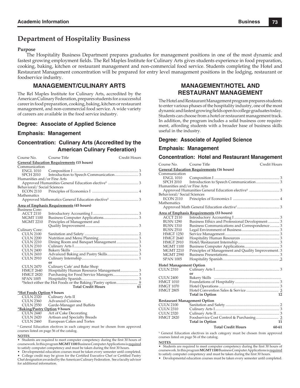## **Department of Hospitality Business**

#### **Purpose**

The Hospitality Business Department prepares graduates for management positions in one of the most dynamic and fastest growing employment fields. The Rel Maples Institute for Culinary Arts gives students experience in food preparation, cooking, baking, kitchen or restaurant management and non-commercial food service. Students completing the Hotel and Restaurant Management concentration will be prepared for entry level management positions in the lodging, restaurant or foodservice industry.

## **MANAGEMENT/CULINARY ARTS**

The Rel Maples Institute for Culinary Arts, accredited by the American Culinary Federation, prepares students for a successful career in food preparation, cooking, baking, kitchen or restaurant management, and non-commercial food service. A wide variety of careers are available in the food service industry.

## **Degree: Associate of Applied Science**

### **Emphasis: Management**

## **Concentration: Culinary Arts (Accredited by the American Culinary Federation)**

| Course No. Course Title                          |                                                 | Credit Hours |  |  |
|--------------------------------------------------|-------------------------------------------------|--------------|--|--|
| <b>General Education Requirements (15 hours)</b> |                                                 |              |  |  |
| Communication                                    |                                                 |              |  |  |
| ENGL 1010                                        |                                                 |              |  |  |
| SPCH 2010                                        |                                                 |              |  |  |
| Humanities and/or Fine Arts                      |                                                 |              |  |  |
|                                                  |                                                 |              |  |  |
| Behavioral/Social Sciences                       |                                                 |              |  |  |
|                                                  |                                                 |              |  |  |
| Mathematics                                      |                                                 |              |  |  |
|                                                  |                                                 |              |  |  |
|                                                  | <b>Area of Emphasis Requirements (45 hours)</b> |              |  |  |
| <b>Business Core:</b>                            |                                                 |              |  |  |
| <b>ACCT 2110</b>                                 |                                                 |              |  |  |
| <b>MGMT 1100</b>                                 |                                                 |              |  |  |
| <b>MGMT 2210</b>                                 | Principles of Management and                    |              |  |  |
|                                                  |                                                 |              |  |  |
| Culinary Core:                                   |                                                 |              |  |  |
| <b>CULN 2100</b>                                 |                                                 |              |  |  |
| <b>CULN 2200</b>                                 |                                                 |              |  |  |
| <b>CULN 2210</b>                                 | Dining Room and Banquet Management  3           |              |  |  |
| <b>CULN 2310</b>                                 |                                                 |              |  |  |
| <b>CULN 2400</b>                                 |                                                 |              |  |  |
| <b>CULN 2410</b>                                 |                                                 |              |  |  |
| <b>CULN 2910</b>                                 |                                                 |              |  |  |
|                                                  | or                                              |              |  |  |
| <b>CULN 2470</b>                                 | Culinary Cafe' and Bake Shop                    |              |  |  |
| <b>HMGT 2640</b>                                 | Hospitality Human Resource Management 3         |              |  |  |
| <b>HMGT 2820</b>                                 |                                                 |              |  |  |
| <b>SPAN 1005</b>                                 |                                                 |              |  |  |
|                                                  |                                                 |              |  |  |
|                                                  | Total Credit Hours 61                           |              |  |  |

#### **\*Hot Foods Option 9 hours**

| <b>CULN 2320</b>              | Culinary Arts II             |
|-------------------------------|------------------------------|
| <b>CULN 2360</b>              | <b>Advanced Cuisines</b>     |
| <b>CULN 2550</b>              | Garde-Manager and Buffets    |
| *Baking/Pastry Option 9 hours |                              |
| <b>CULN 2440</b>              | Art of Cake Decorating       |
| <b>CULN 2420</b>              | Artisan and Specialty Breads |
| <b>CULN 2460</b>              | European Cakes and Tortes    |

<sup>1</sup> General Education electives in each category must be chosen from approved courses listed on page 56 of the catalog.

#### **NOTES**\_\_\_\_\_\_\_\_\_\_\_\_\_\_\_\_\_\_\_\_\_\_\_\_\_\_\_\_\_\_\_\_\_\_\_\_\_\_\_\_\_\_\_\_\_\_\_\_\_\_\_\_\_\_\_\_\_\_\_\_\_\_\_\_\_\_\_

• Students are required to meet computer competency during the first 30 hours of coursework. In this program **MGMT 1100** Business Computer Applications is required to satisfy computer competency and must be taken during the first 30 hours.

• Developmental education courses must be taken every semester until completed. College credit may be given for the Certified Executive Chef or Certified Pastry Chef designation awarded by the American Culinary Federation. See a faculty advisor for additional information.

## **MANAGEMENT/HOTEL AND RESTAURANT MANAGEMENT**

The Hotel and Restaurant Management program prepares students to enter various phases of the hospitality industry, one of the most dynamic and fastest growing fields open to college graduates today. Students can choose from a hotel or restaurant management track. In addition, the program includes a solid business core requirement, affording students with a broader base of business skills useful in the industry.

### **Degree: Associate of Applied Science**

#### **Emphasis: Management**

#### **Concentration: Hotel and Restaurant Management**

| Course No.                                       | Course Title                                                                           | Credit Hours |  |  |
|--------------------------------------------------|----------------------------------------------------------------------------------------|--------------|--|--|
| <b>General Education Requirements (16 hours)</b> |                                                                                        |              |  |  |
| Communication                                    |                                                                                        |              |  |  |
| <b>ENGL 1010</b>                                 |                                                                                        |              |  |  |
| SPCH 2010                                        |                                                                                        |              |  |  |
| Humanities and/or Fine Arts                      |                                                                                        |              |  |  |
|                                                  |                                                                                        |              |  |  |
| Behavioral/ Social Sciences                      |                                                                                        |              |  |  |
| ECON 2110<br>Mathematics                         |                                                                                        |              |  |  |
|                                                  |                                                                                        |              |  |  |
|                                                  | Area of Emphasis Requirements (33 hours)                                               |              |  |  |
| <b>ACCT 2110</b>                                 |                                                                                        |              |  |  |
| <b>BUSN 1290</b>                                 | Business Ethics and Professional Development  3                                        |              |  |  |
| <b>BUSN 1310</b>                                 | Business Communications and Correspondence  3                                          |              |  |  |
| <b>BUSN 2510</b>                                 |                                                                                        |              |  |  |
| <b>HMGT 1250</b>                                 |                                                                                        |              |  |  |
| <b>HMGT 2640</b>                                 |                                                                                        |              |  |  |
| <b>HMGT 2910</b>                                 |                                                                                        |              |  |  |
| <b>MGMT 1100</b>                                 |                                                                                        |              |  |  |
| <b>MGMT 2210</b>                                 | Principles of Management and Quality Improvement. 3                                    |              |  |  |
| <b>MGMT 2590</b>                                 |                                                                                        |              |  |  |
| <b>SPAN 1005</b>                                 |                                                                                        |              |  |  |
| <b>Hotel Management Option</b>                   |                                                                                        |              |  |  |
| <b>CULN 2310</b>                                 |                                                                                        |              |  |  |
|                                                  | or                                                                                     |              |  |  |
| <b>CULN 2400</b>                                 |                                                                                        |              |  |  |
| <b>HMGT 1010</b>                                 |                                                                                        |              |  |  |
| <b>HMGT 1070</b>                                 |                                                                                        |              |  |  |
| <b>HMGT 2805</b>                                 |                                                                                        |              |  |  |
|                                                  | <b>Total in Option</b>                                                                 | 12           |  |  |
| <b>Restaurant Management Option</b>              |                                                                                        |              |  |  |
| <b>CULN 2100</b>                                 |                                                                                        |              |  |  |
| <b>CULN 2310</b>                                 |                                                                                        |              |  |  |
| <b>CULN 2320</b>                                 |                                                                                        |              |  |  |
| <b>HMGT 2820</b>                                 |                                                                                        |              |  |  |
|                                                  | <b>Total in Option</b>                                                                 | 11           |  |  |
|                                                  | <b>Total Credit Hours</b>                                                              | $60 - 61$    |  |  |
|                                                  | <sup>1</sup> General Education electives in each category must be chosen from approved |              |  |  |

 General Education electives in each category must be chosen from approved courses listed on page 56 of the catalog.

**NOTES**\_\_\_\_\_\_\_\_\_\_\_\_\_\_\_\_\_\_\_\_\_\_\_\_\_\_\_\_\_\_\_\_\_\_\_\_\_\_\_\_\_\_\_\_\_\_\_\_\_\_\_\_\_\_\_\_\_\_\_\_\_\_\_\_ • Students are required to meet computer competency during the first 30 hours of coursework. In this program **MGMT 1100** Business Computer Applications is required to satisfy computer competency and must be taken during the first 30 hours.

• Developmental education courses must be taken every semester until completed.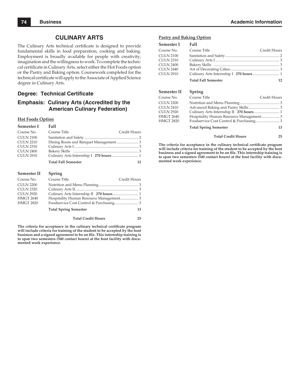## **CULINARY ARTS**

The Culinary Arts technical certificate is designed to provide fundamental skills in food preparation, cooking and baking. Employment is broadly available for people with creativity, imagination and the willingness to work. To complete the technical certificate in Culinary Arts, select either the Hot Foods option or the Pastry and Baking option. Coursework completed for the technical certificate will apply to the Associate of Applied Science degree in Culinary Arts.

### **Degree: Technical Certificate**

## **Emphasis: Culinary Arts (Accredited by the American Culinary Federation)**

#### **Hot Foods Option**

| Semester I       | Fall                       |              |
|------------------|----------------------------|--------------|
| Course No.       | Course Title               | Credit Hours |
| <b>CULN 2100</b> |                            |              |
| <b>CULN 2210</b> |                            |              |
| <b>CULN 2310</b> |                            |              |
| <b>CULN 2400</b> |                            |              |
| <b>CULN 2910</b> |                            |              |
|                  | <b>Total Fall Semester</b> | 12           |

## **Semester II Spring**<br>Course No. 601100 T

| Course No.                           | Course Title                 | Credit Hours |
|--------------------------------------|------------------------------|--------------|
| <b>CULN 2200</b><br><b>CULN 2320</b> |                              |              |
| <b>CULN 2920</b>                     |                              |              |
| <b>HMGT 2640</b>                     |                              |              |
| <b>HMGT 2820</b>                     |                              |              |
|                                      | <b>Total Spring Semester</b> | 13           |

 **Total Credit Hours 25**

The criteria for acceptance in the culinary technical certificate program **will include criteria for training of the student to be accepted by the host**  business and a signed agreement to be on file. This internship training is **to span two semesters (540 contact hours) at the host facility with documented work experience.**

#### **Pastry and Baking Option**

| Semester I       | Fall                       |              |
|------------------|----------------------------|--------------|
| Course No.       | Course Title               | Credit Hours |
| <b>CULN 2100</b> |                            |              |
| <b>CULN 2310</b> |                            |              |
| CULN 2400        |                            |              |
| CULN 2440        |                            |              |
| <b>CULN 2910</b> |                            |              |
|                  | <b>Total Fall Semester</b> | 12           |

#### **Semester II Spring**

| Course No.       | Course Title                 | Credit Hours |
|------------------|------------------------------|--------------|
| <b>CULN 2200</b> |                              |              |
| CULN 2410        |                              |              |
| CULN 2920        |                              |              |
| <b>HMGT 2640</b> |                              |              |
| HMGT 2820        |                              |              |
|                  | <b>Total Spring Semester</b> | 13           |
|                  | <b>Total Credit Hours</b>    | 25           |

The criteria for acceptance in the culinary technical certificate program **will include criteria for training of the student to be accepted by the host**  business and a signed agreement to be on file. This internship training is **to span two semesters (540 contact hours) at the host facility with documented work experience.**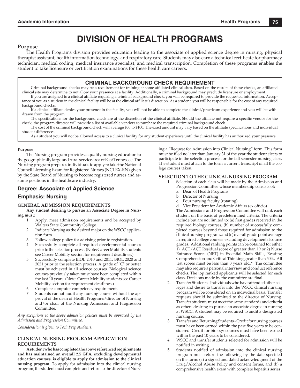## **DIVISION OF HEALTH PROGRAMS**

#### **Purpose**

The Health Programs division provides education leading to the associate of applied science degree in nursing, physical therapist assistant, health information technology, and respiratory care. Students may also earn a technical certificate for pharmacy technician, medical coding, medical insurance specialist, and medical transcription. Completion of these programs enables the student to take licensure or certification examinations for these health care careers.

## **CRIMINAL BACKGROUND CHECK REQUIREMENT**

Criminal background checks may be a requirement for training at some affiliated clinical sites. Based on the results of these checks, an affiliated clinical site may determine to not allow your presence at a facility. Additionally, a criminal background may preclude licensure or employment.

If you are assigned to a clinical affi liate requiring a criminal background check, you will be required to provide the requested information. Acceptance of you as a student in the clinical facility will be at the clinical affi liate's discretion. As a student, you will be responsible for the cost of any required background checks.

- If a clinical affi liate denies your presence in the facility, you will not be able to complete the clinical/practicum experience and you will be withdrawn from the program.
- The specifications for the background check are at the discretion of the clinical affiliate. Should the affiliate not require a specific vendor for the check, the program director will provide a list of available vendors to purchase the required criminal background check.

The cost of the criminal background check will average \$50 to \$100. The exact amount may vary based on the affiliate specifications and individual student differences.

As a student you will not be allowed access to a clinical facility for any student experience until the clinical facility has authorized your presence.

#### **Purpose**

The Nursing program provides a quality nursing education to the geographically large and rural service area of East Tennessee. The Nursing program prepares individuals to apply to take the National Council Licensing Exam for Registered Nurses (NCLEX-RN) given by the State Board of Nursing to become registered nurses and assume positions in the healthcare industry.

## **Degree: Associate of Applied Science**

#### **Emphasis: Nursing**

#### **GENERAL ADMISSION REQUIREMENTS**

**Any student desiring to pursue an Associate Degree in Nursing must:**

- 1. Apply, meet admission requirements and be accepted by Walters State Community College.
- 2. Indicate Nursing as the desired major on the WSCC application form.
- 3. Follow college policy for advising prior to registration.
- 4. Successfully complete all required developmental courses prior to the selection process. (Note: Career Mobility students see Career Mobility section for requirement deadlines.)
- 5. Successfully complete BIOL 2010 and 2011, BIOL 2020 and 2021 prior to the selection process. A grade of "C" or better must be achieved in all science courses. Biological science courses previously taken must have been completed within the last 10 years. (Note: Career Mobility students see Career Mobility section for requirement deadlines.)
- 6. Complete computer competency requirement.
- 7. Students cannot audit any nursing course without the approval of the dean of Health Programs/director of Nursing and/or chair of the Nursing Admission and Progression Committee.

*Any exceptions to the above admission policies must be approved by the Admission and Progression Committee.*

*Consideration is given to Tech Prep students.*

#### **CLINICAL NURSING PROGRAM APPLICATION REQUIREMENTS**

**A student who has completed the above referenced requirements and has maintained an overall 2.5 GPA, excluding developmental education courses, is eligible to apply for admission to the clinical nursing program.** To apply for admission into the clinical nursing program, the student must complete and return to the director of Nursing a "Request for Admission into Clinical Nursing" form. This form must be filed no later than January 31 of the year the student elects to participate in the selection process for the fall semester nursing class. The student must attach to the form a current transcript of all the college courses taken.

#### **SELECTION TO THE CLINICAL NURSING PROGRAM**

- 1. Selection of each class will be made by the Admission and Progression Committee whose membership consists of:
	- a. Dean of Health Programs
	- b. Director of Nursing
	- c. Four nursing faculty (rotating)
	- d. Vice President for Academic Affairs (ex officio)
	- The Admissions and Progression Committee will rank each student on the basis of predetermined criteria. The criteria include but are not limited to: (a) first grades received in the required biology courses; (b) number of successfully completed courses beyond those required for admission to the clinical nursing program, and (c) overall grade point average in required college courses excluding developmental course grades. Additional ranking points can be obtained for either 1) ACT/ACT Residual score of greater than 19 or 2) Nurse Entrance Scores (NET) in Essential Math Skills, Reading Comprehension and Critical Thinking greater than 50%. All test scores must be less than 3 years old.\* The committee may also require a personal interview and conduct reference checks. The top ranked applicants will be selected for each class. Decisions made by the committee are final.
- 2. Transfer Students Individuals who have attended other colleges and desire to transfer into the WSCC clinical nursing program will be considered on an individual basis. Transfer requests should be submitted to the director of Nursing. Transfer students must meet the same standards and criteria as others desiring to pursue an associate degree in nursing at WSCC. A student may be required to audit a designated nursing course.
- 3. Transfer and Returning Students Credit for nursing courses must have been earned within the past five years to be considered. Credit for biology courses must have been earned within the past 10 years to be considered.
- 4. WSCC and transfer students selected for admission will be notified in writing.
- 5. Students notified of admission into the clinical nursing program must return the following by the date specified on the form: (a) a signed and dated acknowledgment of the Drug/Alcohol Abuse Policy and consent forms, and (b) a comprehensive health exam with complete hepatitis series.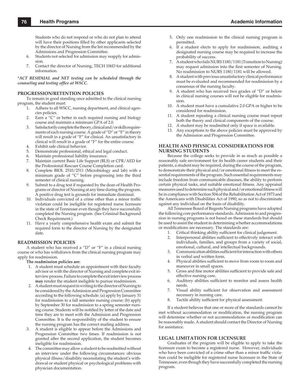Students who do not respond or who do not plan to attend will have their positions filled by other applicants selected by the director of Nursing from the list recommended by the Admissions and Progression Committee.

- 6. Students not selected for admission may reapply for admission.
- 7. Contact the director of Nursing, TECH 106D for additional information.

\**ACT RESIDUAL and NET testing can be scheduled through the counseling and testing office at WSCC.* 

#### **PROGRESSION/RETENTION POLICIES**

To remain in good standing once admitted to the clinical nursing program, the student must:

- 1. Adhere to all WSCC, nursing department, and clinical agencies policies.
- 2. Earn a "C" or better in each required nursing and biology course and maintain a minimum GPA of 2.0.
- 3. Satisfactorily complete the theory, clinical and/or skills requirements of each nursing course. A grade of "D" or "F" in theory will result in a grade of "F" for clinical. An unsatisfactory in clinical will result in a grade of "F" for the entire course.
- 4. Exhibit safe clinical behavior.
- 5. Demonstrate professional, ethical and legal conduct.
- 6. Maintain professional liability insurance.
- 7. Maintain current Basic Life Support (BLS) or CPR/AED for the Professional Rescuer Course Completion card.
- 8. Complete BIOL 2510/2511 (Microbiology and lab) with a minimum grade of "C" before progressing into the third semester of clinical nursing.
- Submit to a drug test if requested by the dean of Health Programs or director of Nursing at any time during the program. A positive drug test is grounds for immediate dismissal.
- 10. Individuals convicted of a crime other than a minor traffic violation could be ineligible for registered nurse licensure in the state of Tennessee even though they have successfully completed the Nursing program. (See Criminal Background Check Requirement.)
- 11. Have a yearly comprehensive health exam and submit the required form to the director of Nursing by the designated date.

#### **READMISSION POLICIES**

A student who has received a "D" or "F" in a clinical nursing course or who has withdrawn from the clinical nursing program may apply for readmission.

**The readmission policies are:**

- 1. A student must schedule an appointment with their faculty advisor or with the director of Nursing and complete exit interview process. Failure to complete the exit interview process **may** render the student ineligible to pursue readmission.
- 2. A student must request in writing to the director of Nursing to be considered by the Admission and Progression Committee according to the following schedule: (a) apply by January 31 for readmission to a fall semester nursing course; (b) apply by September 30 for readmission to a spring semester nursing course. Students will be notified by letter of the date and time they are to meet with the Admission and Progression Committee. It is the responsibility of the student to ensure the nursing program has the correct mailing address.
- 3. A student is eligible to appear before the Admissions and Progression Committee two times. If readmission is not granted after the second application, the student becomes ineligible for readmission.
- 4. The committee may allow a student to be readmitted without an interview under the following circumstances: obvious physical illness/disability necessitating the student's withdrawal or student physical or psychological problems with physician documentation.
- 5. Only one readmission to the clinical nursing program is permitted.
- 6. If a student elects to apply for readmission, auditing a designated nursing course may be required to increase the probability of success.
- 7. A student who fails NURS 1180/1181 (Transition to Nursing) may request admission into the first semester of Nursing. No readmission to NURS 1180/1181 will be allowed.
- 8. A student with previous unsatisfactory clinical performance must be evaluated and recommended for readmission by a consensus of the nursing faculty.
- 9. A student who has received two grades of "D" or below in clinical nursing courses will not be eligible for readmission.
- 10. A student must have a cumulative 2.0 GPA or higher to be considered for readmission.
- 11. A student repeating a clinical nursing course must repeat both the theory and clinical components of the course.
- 12. A student may be readmitted only if space is available.
- 13. Any exceptions to the above policies must be approved by the Admission and Progression Committee.

#### **HEALTH AND PHYSICAL CONSIDERATIONS FOR NURSING STUDENTS**

Because the college seeks to provide in as much as possible a reasonably safe environment for its health career students and their patients, a student may be required, during the course of the program, to demonstrate their physical and/or emotional fitness to meet the essential requirements of the program. Such essential requirements may include freedom from communicable diseases, the ability to perform certain physical tasks, and suitable emotional fitness. Any appraisal measures used to determine such physical and / or emotional fitness will be in compliance with Section 504 of the Rehabilitation Act of 1973 and the Americans with Disabilities Act of 1990, so as not to discriminate against any individual on the basis of disability.

All Tennessee Board of Regents Nursing programs have adopted the following core performance standards. Admission to and progression in nursing programs is not based on these standards but should be used to assist the student in determining whether accommodations or modifications are necessary. The standards are:

- 1. Critical thinking ability sufficient for clinical judgement.
- 2. Interpersonal abilities sufficient to effectively interact with individuals, families, and groups from a variety of social, emotional, cultural, and intellectual backgrounds.
- 3. Communication abilities sufficient for interaction with others in verbal and written form.
- 4. Physical abilities sufficient to move from room to room and maneuver in small spaces.
- 5. Gross and fine motor abilities sufficient to provide safe and effective nursing care.
- 6. Auditory abilities sufficient to monitor and assess health needs.
- 7. Visual ability sufficient for observation and assessment necessary in nursing care.
- 8. Tactile ability sufficient for physical assessment.

If a student believes that one or more of the standards cannot be met without accommodation or modification, the nursing program will determine whether or not accommodations or modification can be reasonably made. A student should contact the Director of Nursing for assistance.

#### **LEGAL LIMITATION FOR LICENSURE**

Graduates of the program will be eligible to apply to take the licensure exam to become a registered nurse. However, individuals who have been convicted of a crime other than a minor traffic violation could be ineligible for registered nurse licensure in the State of Tennessee, even though they have successfully completed the nursing program.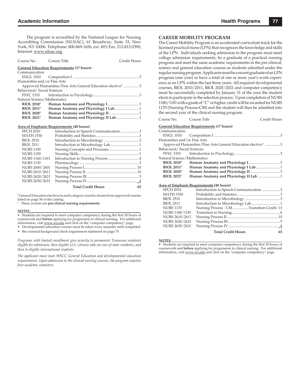The program is accredited by the National League for Nursing Accrediting Commission (NLNAC), 61 Broadway, Suite 33, New York, NY 10006. Telephone: 800-669-1656, ext. 493; Fax: 212-812-0390; Internet: www.nlnac.org.

| Course No. Course Title      |                                                                         | Credit Hours |
|------------------------------|-------------------------------------------------------------------------|--------------|
|                              | <b>General Education Requirements (17 hours)</b>                        |              |
| Communication                |                                                                         |              |
|                              |                                                                         |              |
| Humanities and/or Fine Arts  |                                                                         |              |
|                              | Approved Humanities/Fine Arts General Education elective <sup>1</sup> 3 |              |
| Behavioral/Social Sciences   |                                                                         |              |
|                              |                                                                         |              |
| Natural Science/Mathematics  |                                                                         |              |
| <b>BIOL 2010<sup>2</sup></b> |                                                                         |              |
| <b>BIOL 2011<sup>2</sup></b> |                                                                         |              |
| <b>BIOL 2020<sup>2</sup></b> |                                                                         |              |
| <b>BIOL 2021<sup>2</sup></b> | Human Anatomy and Physiology II Lab  1                                  |              |
|                              |                                                                         |              |

#### **Area of Emphasis Requirements (48 hours)**

| <b>SPCH 2010</b> | Introduction to Speech Communication3 |    |
|------------------|---------------------------------------|----|
| <b>MATH 1530</b> |                                       |    |
| <b>BIOL 2510</b> |                                       |    |
| <b>BIOL 2511</b> |                                       |    |
| <b>NURS 1100</b> |                                       |    |
| <b>NURS 1150</b> |                                       |    |
| NURS 1160/1161   |                                       |    |
| <b>NURS 1130</b> |                                       |    |
| NURS 2600/2601   |                                       |    |
| NURS 2610/2611   |                                       |    |
| NURS 2620/2621   |                                       |    |
| NURS 2630/2631   |                                       |    |
|                  | <b>Total Credit Hours</b>             | 65 |

**1** General Education electives in each category must be chosen from approved courses listed on page 56 of the catalog.

2 These courses are **pre-clinical nursing requirements**.

#### **NOTES**\_\_\_\_\_\_\_\_\_\_\_\_\_\_\_\_\_\_\_\_\_\_\_\_\_\_\_\_\_\_\_\_\_\_\_\_\_\_\_\_\_\_\_\_\_\_\_\_\_\_\_\_\_\_\_\_\_\_\_\_\_\_\_\_\_\_

• Students are required to meet computer competency during the first 30 hours of coursework and **before** applying for progression to clinical nursing. For additional information, visit www.ws.edu and click on the "computer competency" page.

• Developmental education courses must be taken every semester until completed.

• See criminal background check requirement statement on page 75.

*Programs with limited enrollment give priority to permanent Tennessee residents eligible for admission, then eligible U.S. citizens who are out-of-state residents, and then to eligible international students.*

*The applicant must meet WSCC General Education and developmental education requirements. Upon admission to the clinical nursing courses, the program requires four academic semesters.*

#### **CAREER MOBILITY PROGRAM**

The Career Mobility Program is an accelerated curriculum track for the licensed practical nurse (LPN) that recognizes the knowledge and skills of the LPN. Individuals seeking admission to the program must meet college admission requirements, be a graduate of a practical nursing program and meet the same academic requirements in the pre-clinical, science and general education courses as students admitted under the regular nursing program. Applicants must be a recent graduate of an LPN program (one year) or have a total of one or more year's work experience as an LPN within the last three years. All required developmental courses, BIOL 2010/2011, BIOL 2020/2021 and computer competency must be successfully completed by January 31 of the year the student elects to participate in the selection process. Upon completion of NURS 1180/1181 with a grade of "C" or higher, credit will be awarded for NURS 1170 (Nursing Process-CM) and the student will then be admitted into the second year of the clinical nursing program.

| Course No.                   | Course Title<br>Credit Hours                                            |
|------------------------------|-------------------------------------------------------------------------|
|                              | <u>General Education Requirements</u> (17 hours)                        |
| Communication                |                                                                         |
|                              |                                                                         |
| Humanities and/or Fine Arts  |                                                                         |
|                              | Approved Humanities/Fine Arts General Education elective <sup>1</sup> 3 |
| Behavioral/Social Sciences   |                                                                         |
| PSYC 1310                    |                                                                         |
| Natural Science/Mathematics  |                                                                         |
| <b>BIOL 2010<sup>2</sup></b> |                                                                         |
| <b>BIOL 2011<sup>2</sup></b> |                                                                         |
| <b>BIOL 2020<sup>2</sup></b> |                                                                         |
| <b>BIOL 2021<sup>2</sup></b> |                                                                         |
|                              |                                                                         |
|                              | Area of Emphasis Requirements (48 hours)                                |
| <b>SPCH 2010</b>             | Introduction to Speech Communication3                                   |
| MATH 1530                    |                                                                         |
| <b>BIOL 2510</b>             |                                                                         |
| <b>BIOL 2511</b>             |                                                                         |
| <b>NURS 1170</b>             | Nursing Process - CM Transition Credit 13                               |
| NURS 1180/1181               |                                                                         |

#### NURS 2630/2631 Nursing Process IV ...................................................... \_4 **Total Credit Hours 65**

NURS 2620/2621 Nursing Process III ........................................................ 5

**NOTES**\_\_\_\_\_\_\_\_\_\_\_\_\_\_\_\_\_\_\_\_\_\_\_\_\_\_\_\_\_\_\_\_\_\_\_\_\_\_\_\_\_\_\_\_\_\_\_\_\_\_\_\_\_\_\_\_\_\_\_\_\_\_\_\_\_\_

• Students are required to meet computer competency during the first 30 hours of coursework and **before** applying for progression to clinical nursing. For additional information, visit www.ws.edu and click on the "computer competency" page.

NURS 2610/2611 Nursing Process II ....................................................... 10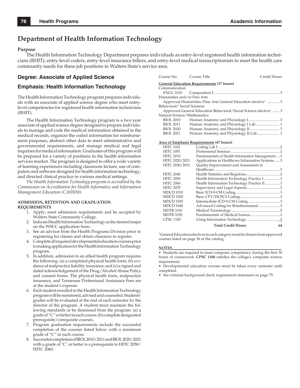## **Department of Health Information Technology**

#### **Purpose**

The Health Information Technology Department prepares individuals as entry-level registered health information technicians (RHIT), entry-level coders, entry-level insurance billers, and entry-level medical transcriptionists to meet the health care community needs for these job positions in Walters State's service area.

## **Degree: Associate of Applied Science**

### **Emphasis: Health Information Technology**

The Health Information Technology program prepares individuals with an associate of applied science degree who meet entrylevel competencies for registered health information technicians (RHIT).

The Health Information Technology program is a two year associate of applied science degree designed to prepare individuals to manage and code the medical information obtained in the medical records, organize the coded information for reimbursement purposes, abstract other data to meet administrative and governmental requirements, and manage medical and legal inquiries for medical information. Graduates of this program will be prepared for a variety of positions in the health information services market. The program is designed to offer a wide variety of learning experiences including classroom lecture, use of computers and software designed for health information technology, and directed clinical practice in various medical settings.

*The Health Information Technology program is accredited by the Commission on Accreditation for Health Informatics and Information Management Education (CAHIIM).*

#### **ADMISSION, RETENTION AND GRADUATION REQUIREMENTS**

- 1. Apply, meet admission requirements and be accepted by Walters State Community College.
- 2. Indicate Health Information Technology as the desired major on the WSCC application form.
- 3. See an advisor from the Health Programs Division prior to registering for classes and obtain clearance to register.
- 4. Complete all required developmental education courses prior to making application for the Health Information Technology program.
- 5. In addition, admission to an allied health program requires the following: (a) a completed physical health form;  $(b)$  evidence of malpractice liability insurance; and (c) a signed and dated acknowledgement of the Drug/Alcohol Abuse Policy and consent forms. The physical health form, malpractice insurance, and Tennessee Professional Assistance Fees are at the student's expense.
- 6. Each student enrolled in the Health Information Technology program will be monitored, advised and counseled. Students' grades will be evaluated at the end of each semester by the director of the program. A student must maintain the following standards or be dismissed from the program: (a) a grade of "C" or better in each course; (b) complete designated prerequisite/corequisite courses.
- 7. Program graduation requirements include the successful completion of the courses listed below with a minimum grade of "C" in each course.
- 8. Successful completion of BIOL 2010/2011 and BIOL 2020/2021 with a grade of "C" or better is a prerequisite to HITC 2050/ HITC 2060.

| Course No. Course Title     |                                                                              | Credit Hours |
|-----------------------------|------------------------------------------------------------------------------|--------------|
|                             | <b>General Education Requirements (17 hours)</b>                             |              |
| Communication               |                                                                              |              |
|                             |                                                                              |              |
| Humanities and/or Fine Arts |                                                                              |              |
|                             | Approved Humanities/Fine Arts General Education elective <sup>1</sup> 3      |              |
| Behavioral/Social Sciences  |                                                                              |              |
|                             | Approved General Education Behavioral/Social Science elective <sup>1</sup> 3 |              |
| Natural Science/Mathematics |                                                                              |              |
| BIOL 2010                   |                                                                              |              |
| <b>BIOL 2011</b>            |                                                                              |              |
| <b>BIOL 2020</b>            |                                                                              |              |
| <b>BIOL 2021</b>            |                                                                              |              |
|                             | Area of Emphasis Requirements (47 hours)                                     |              |

| <b>HITC 1021</b> |                                                  |
|------------------|--------------------------------------------------|
| <b>HITC 1051</b> |                                                  |
| <b>HITC 2010</b> | Fundamentals of Health Information Management3   |
| HITC 2020/2021   | Applications in Healthcare Information Systems 3 |
| HITC 2030/2031   | Quality Improvement and Assessment in            |
|                  |                                                  |
| <b>HITC 2040</b> |                                                  |
| <b>HITC 2050</b> | Health Information Technology Practice I3        |
| <b>HITC 2060</b> | Health Information Technology Practice II3       |
| <b>HITC 2070</b> |                                                  |
| <b>MDCD 1010</b> |                                                  |
| <b>MDCD 1020</b> |                                                  |
| <b>MDCD 1030</b> |                                                  |
| <b>MDCD 1040</b> | Advanced Coding for Reimbursement3               |
| <b>MDTR 1010</b> |                                                  |
| <b>MDTR 1030</b> |                                                  |
| <b>CPSC 1100</b> |                                                  |
|                  | <b>Total Credit Hours</b><br>64                  |

**1** General Education electives in each category must be chosen from approved courses listed on page 56 of the catalog.

#### **NOTES**\_\_\_\_\_\_\_\_\_\_\_\_\_\_\_\_\_\_\_\_\_\_\_\_\_\_\_\_\_\_\_\_\_\_\_\_\_\_\_\_\_\_\_\_\_\_\_\_\_\_\_\_\_\_\_\_\_\_

• Students are required to meet computer competency during the first 30 hours of coursework. **CPSC 1100** satisfies the college's computer science requirement.

• Developmental education courses must be taken every semester until completed.

• See criminal background check requirement statement on page 75.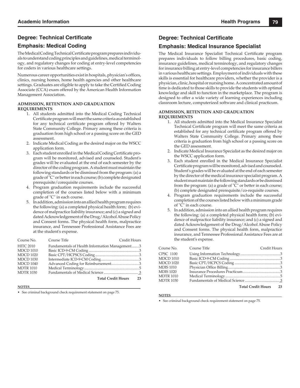## **Degree: Technical Certificate**

## **Emphasis: Medical Coding**

The Medical Coding Technical Certificate program prepares individuals to understand coding principles and guidelines, medical terminology, and regulatory changes for coding at entry-level competencies for coders in various healthcare settings.

Numerous career opportunities exist in hospitals, physician's offices, clinics, nursing homes, home health agencies and other healthcare settings. Graduates are eligible to apply to take the Certified Coding Associate (CCA) exam offered by the American Health Information Management Association.

#### **ADMISSION, RETENTION AND GRADUATION REQUIREMENTS**

- 1. All students admitted into the Medical Coding Technical Certificate program will meet the same criteria as established for any technical certificate program offered by Walters State Community College. Primary among these criteria is graduation from high school or a passing score on the GED assessment.
- 2. Indicate Medical Coding as the desired major on the WSCC application form.
- 3. Each student enrolled in the Medical Coding Certificate program will be monitored, advised and counseled. Student's grades will be evaluated at the end of each semester by the director of the coding program. A student must maintain the following standards or be dismissed from the program: (a) a grade of "C" or better in each course; (b) complete designated prerequisite/corequisite courses.
- 4. Program graduation requirements include the successful completion of the courses listed below with a minimum grade of "C" in each course.
- 5. In addition, admission into an allied health program requires the following: (a) a completed physical health form; (b) evidence of malpractice liability insurance; and (c) a signed and dated Acknowledgement of the Drug/Alcohol Abuse Policy and Consent forms. The physical health form, malpractice insurance, and Tennessee Professional Assistance Fees are at the student's expense.

| Course No.       | Course Title                                   | <b>Credit Hours</b> |  |
|------------------|------------------------------------------------|---------------------|--|
| <b>HITC 2010</b> | Fundamentals of Health Information Management3 |                     |  |
| <b>MDCD 1010</b> |                                                |                     |  |
| <b>MDCD 1020</b> |                                                |                     |  |
| <b>MDCD 1030</b> |                                                |                     |  |
| <b>MDCD 1040</b> |                                                |                     |  |
| <b>MDTR 1010</b> |                                                |                     |  |
| <b>MDTR 1030</b> |                                                |                     |  |
|                  | <b>Total Credit Hours</b>                      | 23                  |  |

#### **NOTES**\_\_\_\_\_\_\_\_\_\_\_\_\_\_\_\_\_\_\_\_\_\_\_\_\_\_\_\_\_\_\_\_\_\_\_\_\_\_\_\_\_\_\_\_\_\_\_\_\_\_\_\_\_\_\_\_\_\_\_\_\_\_\_\_\_\_

• See criminal background check requirement statement on page 75.

## **Degree: Technical Certificate**

## **Emphasis: Medical Insurance Specialist**

The Medical Insurance Specialist Technical Certificate program prepares individuals to follow billing procedures, basic coding, insurance guidelines, medical terminology, and regulatory changes for insurance billing at entry-level competencies for insurance billers in various healthcare settings. Employment of individuals with these skills is essential for healthcare providers, whether the provider is a physician, clinic, hospital or nursing home. A concentrated amount of time is dedicated to those skills to provide the students with optimal knowledge and skill to function in the marketplace. The program is designed to offer a wide variety of learning experiences including classroom lecture, computerized software and clinical practicum.

#### **ADMISSION, RETENTION AND GRADUATION REQUIREMENTS**

- 1. All students admitted into the Medical Insurance Specialist Technical Certificate program will meet the same criteria as established for any technical certificate program offered by Walters State Community College. Primary among these criteria is graduation from high school or a passing score on the GED assessment.
- 2. Indicate Medical Insurance Specialist as the desired major on the WSCC application form.
- 3. Each student enrolled in the Medical Insurance Specialist Certificate program will be monitored, advised and counseled. Student's grades will be evaluated at the end of each semester by the director of the medical insurance specialist program. A student must maintain the following standards or be dismissed from the program: (a) a grade of "C" or better in each course; (b) complete designated prerequisite/co-requisite courses.
- 4. Program graduation requirements include the successful completion of the courses listed below with a minimum grade of "C" in each course.
- 5. In addition, admission into an allied health program requires the following: (a) a completed physical health form; (b) evidence of malpractice liability insurance; and (c) a signed and dated Acknowledgement of the Drug/Alcohol Abuse Policy and Consent forms. The physical health form, malpractice insurance, and Tennessee Professional Assistance Fees are at the student's expense.

| Course No.       | Course Title          | Credit Hours |  |
|------------------|-----------------------|--------------|--|
| <b>CPSC 1100</b> |                       |              |  |
| <b>MDCD 1010</b> |                       |              |  |
| <b>MDCD 1020</b> |                       |              |  |
| <b>MDIS 1010</b> |                       |              |  |
| <b>MDIS 1020</b> |                       |              |  |
| MDTR 1010        |                       |              |  |
| <b>MDTR 1030</b> |                       |              |  |
|                  | Total Credit Hours 23 |              |  |

#### **NOTES**\_\_\_\_\_\_\_\_\_\_\_\_\_\_\_\_\_\_\_\_\_\_\_\_\_\_\_\_\_\_\_\_\_\_\_\_\_\_\_\_\_\_\_\_\_\_\_\_\_\_\_\_\_\_\_\_\_\_\_\_\_\_\_\_\_\_

• See criminal background check requirement statement on page 75.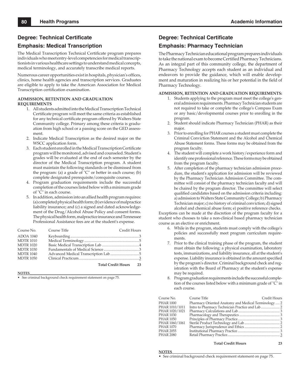### **Degree: Technical Certificate**

### **Emphasis: Medical Transcription**

The Medical Transcription Technical Certificate program prepares individuals who meet entry-level competencies for medical transcriptionists in various healthcare settings to understand medical concepts, medical terminology, and accurately transcribe medical reports.

Numerous career opportunities exist in hospitals, physician's offices, clinics, home health agencies and transcription services. Graduates are eligible to apply to take the American Association for Medical Transcription certification examination.

#### **ADMISSION, RETENTION AND GRADUATION REQUIREMENTS**

- 1. All students admitted into the Medical Transcription Technical Certificate program will meet the same criteria as established for any technical certificate program offered by Walters State Community college. Primary among these criteria is graduation from high school or a passing score on the GED assessment.
- 2. Indicate Medical Transcription as the desired major on the WSCC application form.
- 3. Each student enrolled in the Medical Transcription Certificate program will be monitored, advised and counseled. Student's grades will be evaluated at the end of each semester by the director of the Medical Transcription program. A student must maintain the following standards or be dismissed from the program: (a) a grade of "C" or better in each course; (b) complete designated prerequisite/corequisite courses.
- 4. Program graduation requirements include the successful completion of the courses listed below with a minimum grade of "C" in each course.
- 5. In addition, admission into an allied health program requires: (a) completed physical health form; (b) evidence of malpractice liability insurance; and (c) a signed and dated acknowledgement of the Drug/Alcohol Abuse Policy and consent forms. The physical health form, malpractice insurance and Tennessee Professional Assistance fees are at the student's expense.

| Course No.       | Course Title              | Credit Hours |
|------------------|---------------------------|--------------|
| <b>ADOA 1040</b> |                           |              |
| <b>MDTR 1010</b> |                           |              |
| <b>MDTR 1020</b> |                           |              |
| <b>MDTR 1030</b> |                           |              |
| <b>MDTR 1040</b> |                           |              |
| <b>MDTR 1050</b> |                           |              |
|                  | <b>Total Credit Hours</b> | 23           |

#### **NOTES**\_\_\_\_\_\_\_\_\_\_\_\_\_\_\_\_\_\_\_\_\_\_\_\_\_\_\_\_\_\_\_\_\_\_\_\_\_\_\_\_\_\_\_\_\_\_\_\_\_\_\_\_\_\_\_\_\_\_\_\_\_\_\_\_\_\_

• See criminal background check requirement statement on page 75.

### **Degree: Technical Certificate**

### **Emphasis: Pharmacy Technician**

The Pharmacy Technician educational program prepares individuals to take the national exam to become Certified Pharmacy Technicians. As an integral part of this community college, the department of Pharmacy Technology accepts each student as an individual and endeavors to provide the guidance, which will enable development and maturation in realizing his or her potential in the field of Pharmacy Technology.

### **ADMISSION, RETENTION AND GRADUATION REQUIREMENTS:**

- 1. Students applying to the program must meet the college's general admission requirements. Pharmacy Technician students are not required to take or complete the college's Compass Exam or any basic/developmental courses prior to enrolling in the program.
- 2. Student should indicate Pharmacy Technician (PHAR) as their major.
- 3. Prior to enrolling for PHAR courses a student must complete the Criminal Conviction Statement and the Alcohol and Chemical Abuse Statement forms. These forms may be obtained from the program faculty.
- The student will complete a work history/experience form and identify one professional reference. These forms may be obtained from the program faculty.
- 5. After completion of the pharmacy technician admission procedure, the student's application for admission will be reviewed by the Pharmacy Technician Admission Committee. The committee will consist of the pharmacy technician faculty and will be chaired by the program director. The committee will select qualified candidates based on the admission criteria including: a) admission to Walters State Community College; b) Pharmacy Technician major; c) no history of criminal conviction; d) signed alcohol and chemical abuse form; e) positive reference checks.

Exceptions can be made at the discretion of the program faculty for a student who chooses to take a non-clinical based pharmacy technician course as an elective or enrichment.

- 6. While in the program, students must comply with the college's policies and successfully meet program curriculum requirements.
- 7. Prior to the clinical training phase of the program, the student must obtain the following: a physical examination, laboratory tests, immunizations, and liability insurance, all at the student's expense. Liability insurance is obtained in the amount specified by the program's director. Criminal background check and registration with the Board of Pharmacy at the student's expense may be required.
- 8. Program graduation requirements include the successful completion of the courses listed below with a minimum grade of "C" in each course.

| Course No.     | Course Title                                         | Credit Hours |
|----------------|------------------------------------------------------|--------------|
| PHAR 1000      | Pharmacy Oriented Anatomy and Medical Terminology  2 |              |
| PHAR 1010/1011 |                                                      |              |
| PHAR 1020/1021 |                                                      |              |
| PHAR 1030      |                                                      |              |
| PHAR 1050      |                                                      |              |
| PHAR 1060/1061 |                                                      |              |
| PHAR 1070      |                                                      |              |
| PHAR 2055      |                                                      |              |
| PHAR 2080      |                                                      |              |
|                |                                                      |              |
|                |                                                      |              |

 **Total Credit Hours 23**

```
NOTES__________________________________________________________
```
• See criminal background check requirement statement on page 75.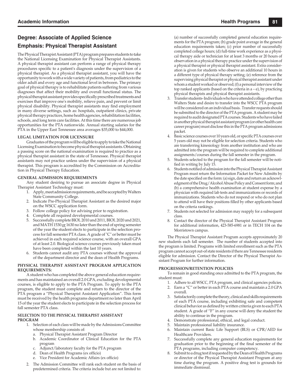## **Degree: Associate of Applied Science Emphasis: Physical Therapist Assistant**

The Physical Therapist Assistant (PTA) program prepares students to take the National Licensing Examination for Physical Therapist Assistants. A physical therapist assistant can perform a range of physical therapy procedures specific to a patient's diagnosis under the supervision of a physical therapist. As a physical therapist assistant, you will have the opportunity to work with a wide variety of patients, from pediatrics to the older adult and every age and functional level in between. The primary goal of physical therapy is to rehabilitate patients suffering from various diagnoses that affect their mobility and overall functional status. The physical therapist assistant provides specifically prescribed treatments and exercises that improve one's mobility, relieve pain, and prevent or limit physical disability. Physical therapist assistants may find employment in many diverse settings, such as: hospitals, outpatient clinics, private physical therapy practices, home health agencies, rehabilitation facilities, schools, and long term care facilities. At this time there are numerous job opportunities for the PTA nationwide. Annual starting salaries for the PTA in the Upper East Tennessee area averages \$35,000 to \$44,000.

### **LEGAL LIMITATION FOR LICENSURE**

Graduates of the program will be eligible to apply to take the National Licensing Examination to become physical therapist assistants. Obtaining a passing score on the national examination is required to practice as a physical therapist assistant in the state of Tennessee. Physical therapist assistants may not practice unless under the supervision of a physical therapist. This program is accredited by the Commission on Accreditation in Physical Therapy Education.

### **GENERAL ADMISSION REQUIREMENTS**

Any student desiring to pursue an associate degree in Physical Therapist Assistant Technology must:

- 1. Apply, meet admission requirements, and be accepted by Walters State Community College.
- 2. Indicate Pre-Physical Therapist Assistant as the desired major on the WSCC application form.
- 3. Follow college policy for advising prior to registration.
- 4. Complete all required developmental courses.
- 5. Successfully complete BIOL 2010 and 2011, BIOL 2020 and 2021, and MATH 1530 or 1630 no later than the end of spring semester of the year the student elects to participate in the selection process for fall semester PTA class. A grade of "C" or better must be achieved in each required science course, with an overall GPA of at least 2.0. Biological science courses previously taken must have been completed within the last 10 years.
- 6. Students cannot audit any PTA courses without the approval of the department director and the dean of Health Programs.

#### **PHYSICAL THERAPIST ASSISTANT PROGRAM APPLICATION REQUIREMENTS:**

A student who has completed the above general education requirements and has maintained an overall 2.0 GPA, excluding developmental courses, is eligible to apply to the PTA Program. To apply to the PTA program, the student must complete and return to the director of the PTA program a "Physical Therapist Assistant Application". This form must be received by the health programs department no later than April 15 of the year the student elects to participate in the selection process for fall semester PTA class.

#### **SELECTION TO THE PHYSICAL THERAPIST ASSISTANT PROGRAM**

- 1. Selection of each class will be made by the Admissions Committee whose membership consists of:
	- a. Physical Therapist Assistant Program Director
	- b. Academic Coordinator of Clinical Education for the PTA program
	- c. Adjunct/laboratory faculty for the PTA program
	- d. Dean of Health Programs (ex officio)
	- e. Vice President for Academic Affairs (ex officio)
- 2. The Admission Committee will rank each student on the basis of predetermined criteria. The criteria include but are not limited to:

(a) number of successfully completed general education requirements for the PTA program; (b) grade point average in the general education requirements taken; (c) prior number of successfully completed college hours; (d) full-time work experience as a physical therapy aide or technician for at least 3 months or 20 hours of observation in a physical therapy practice under the supervision of a physical therapist or physical therapist assistant. Extra consideration is given for students who observe an additional 10 hours in a different type of physical therapy setting; (e) reference from the supervising physical therapist or physical therapist assistant under whom a student worked or observed; (f) a personal interview of the top ranked applicants (based on the criteria in  $a - e$ ), by practicing physical therapists and physical therapist assistants.

- 3. Transfer students- Individuals who have attended college other than Walters State and desire to transfer into the WSCC PTA program will be considered on an individual basis. Transfer requests should be submitted to the director of the PTA program. A student may be required to audit designated PTA courses. Students who have failed in another physical therapist assistant program (or other health care career program) must disclose this in the PTA program admissions packet.
- 4. Basic science courses over 10 years old, or specific PTA courses over 5 years old may not be eligible for selection criteria. Students who are transferring kinesiology from another institution and who are admitted into the program will be required to complete additional assignments/courses during the fall semester in the program.
- 5. Students selected to the program for the fall semester will be notified in writing by July 15.
- Students notified of admission into the Physical Therapist Assistant Program must return the Information Packet for New Admitts by the date specified on the form: (a) sign, date and return an acknowledgment of the Drug/Alcohol Abuse Policy and Consent form; and (b) a comprehensive health examination at student expense by a physician with required lab tests and immunizations or records of immunizations. Students who do not respond or who do not plan to attend will have their positions filled by other applicants based on the criteria rankings.
- 7. Students not selected for admission may reapply for a subsequent class.
- 8. Contact the director of the Physical Therapist Assistant Program for additional information, 423-585-6981 or in TECH 104 on the Morristown campus.

The Physical Therapist Assistant Program accepts approximately 20 new students each fall semester. The number of students accepted into the program is limited. Programs with limited enrollment such as the PTA program cannot accept out-of state residents if there are Tennessee residents eligible for admission. Contact the Director of the Physical Therapist Assistant Program for further information.

#### **PROGRESSION/RETENTION POLICIES**

To remain in good standing once admitted to the PTA program, the student must:

- 1. Adhere to all WSCC, PTA program, and clinical agencies policies.
- 2. Earn a "C" or better in each PTA course and maintain a 2.0 GPA overall.
- 3. Satisfactorily complete the theory, clinical and skills requirements of each PTA course, including exhibiting safe and competent clinical behavior as defined by written criteria given to each PTA student. A grade of "F" in any course will deny the student the ability to continue in the program.
- Demonstrate professional, ethical, and legal conduct.
- 5. Maintain professional liability insurance.
- 6. Maintain current Basic Life Support (BLS) or CPR/AED for Healthcare Providers.
- 7. Successfully complete any general education requirements for graduation prior to the beginning of the final semester of the PTA programs, including computer competency.
- 8. Submit to a drug test if requested by the Dean of Health Programs or director of the Physical Therapist Assistant Program at any time during the program. A positive drug test is grounds for immediate dismissal.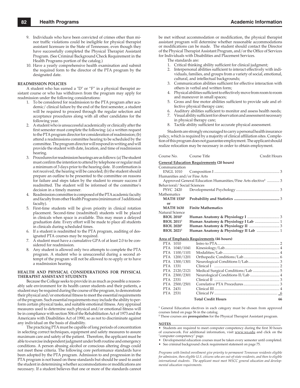- 9. Individuals who have been convicted of crimes other than minor traffic violations could be ineligible for physical therapist assistant licensure in the State of Tennessee, even though they have successfully completed the Physical Therapist Assistant Program. (See Criminal Background Check Requirement in the Health Programs portion of the catalog.)
- 10. Have a yearly comprehensive health examination and submit the required form to the director of the PTA program by the designated date.

#### **READMISSION POLICIES**

A student who has earned a "D" or "F" in a physical therapist assistant course or who has withdrawn from the program may apply for readmission under the following considerations:

- 1. To be considered for readmission to the PTA program after academic/clinical failure by the end of the first semester, a student will be required to proceed through the regular selection and acceptance procedures along with all other candidates for the following year.
- 2. A student who is unsuccessful academically or clinically after the first semester must complete the following: (a) a written request to the PTA program director for consideration of readmission; (b) attend a readmissions committee hearing to be scheduled by the committee. The program director will respond in writing and will provide the student with date, location, and time of readmission hearing.
- 3. Procedures for readmission hearings are as follows: (a) The student must confirm the intention to attend by telephone or regular mail a minimum of 3 days prior to the hearing date. If confirmation is not received, the hearing will be canceled; (b) the student should prepare an outline to be presented to the committee on reasons for failure and steps taken by the student to ensure success if readmitted. The student will be informed of the committee's decision in a timely manner.
- 4. Readmission committee is composed of the PTA academic faculty and faculty from other Health Programs (minimum of 3 additional faculty).
- 5. First-time students will be given priority in clinical rotation placement. Second-time (readmitted) students will be placed in clinicals when space is available. This may mean a delayed graduation date. Every effort will be made to place all students in clinicals during scheduled times.
- 6. If a student is readmitted to the PTA program, auditing of designated PTA courses may be required.
- A student must have a cumulative GPA of at least 2.0 to be considered for readmission.
- 8. Any student is allowed only two attempts to complete the PTA program. A student who is unsuccessful during a second attempt of the program will not be allowed to re-apply or to have a readmission hearing.

### **HEALTH AND PHYSICAL CONSIDERATIONS FOR PHYSICAL THERAPIST ASSISTANT STUDENTS**

Because the College seeks to provide in as much as possible a reasonably safe environment for its health career students and their patients, a student may be required during the course of the program, to demonstrate their physical and/or emotional fitness to meet the essential requirements of the program. Such essential requirements may include the ability to perform certain physical tasks, and suitable emotional fitness. Any appraisal measures used to determine such physical and/or emotional fitness will be in compliance with section 504 of the Rehabilitation Act of 1973 and the Americans with Disabilities Act of 1990, so as not to discriminate against any individual on the basis of disability.

The practicing PTA must be capable of long periods of concentration in selecting correct techniques, equipment and safety measures to assure maximum care and safety of the patient. Therefore, the applicant must be able to exercise independent judgment under both routine and emergency conditions. A person abusing alcohol or conscious altering drugs could not meet these criteria. The following core performance standards have been adopted by the PTA program. Admission to and progression in the PTA program is not based on these standards but should be used to assist the student in determining whether accommodations or modifications are necessary. If a student believes that one or more of the standards cannot

be met without accommodation or modification, the physical therapist assistant program will determine whether reasonable accommodations or modifications can be made. The student should contact the Director of the Physical Therapist Assistant Program, and / or the Office of Services for Individuals with Disabilities and Placement Services.

The standards are:

- 1. Critical thinking ability sufficient for clinical judgment;
- 2. Interpersonal abilities sufficient to interact effectively with individuals, families, and groups from a variety of social, emotional, cultural, and intellectual backgrounds;
- 3. Communication abilities sufficient for effective interaction with others in verbal and written form;
- 4. Physical abilities sufficient to effectively move from room to room and maneuver in small spaces;
- Gross and fine motor abilities sufficient to provide safe and effective physical therapy care;
- 6. Auditory abilities sufficient to monitor and assess health needs;<br>7. Visual ability sufficient for observation and assessment necessary
- Visual ability sufficient for observation and assessment necessary in physical therapy care;
- 8. Tactile ability sufficient for accurate physical assessment.

Students are strongly encouraged to carry a personal health insurance policy, which is required by a majority of clinical affiliation sites. Completion of this program does not guarantee employment. The applicant should realize relocation may be necessary in order to obtain employment.

| Course No. Course Title      |                                                                         | Credit Hours |
|------------------------------|-------------------------------------------------------------------------|--------------|
|                              | <b>General Education Requirements (20 hours)</b>                        |              |
| Communication                |                                                                         |              |
|                              |                                                                         |              |
| Humanities and/or Fine Arts  |                                                                         |              |
|                              | Approved General Education Humanities/Fine Arts elective <sup>1</sup> 3 |              |
| Behavioral/Social Sciences   |                                                                         |              |
|                              |                                                                         |              |
| Mathematics                  |                                                                         |              |
| <b>MATH 1530<sup>2</sup></b> |                                                                         |              |
| or                           |                                                                         |              |
| <b>MATH 1630</b>             | <b>Finite Mathematics</b>                                               |              |
| Natural Science              |                                                                         |              |
| <b>BIOL 2010<sup>2</sup></b> |                                                                         |              |
| <b>BIOL 2011<sup>2</sup></b> | Human Anatomy & Physiology I Lab  1                                     |              |
| <b>BIOL 2020<sup>2</sup></b> |                                                                         |              |
| <b>BIOL 2021<sup>2</sup></b> | Human Anatomy & Physiology II Lab  1                                    |              |

#### **Area of Emphasis Requirements (46 hours)**

|          | PTA 1010      |                           |    |
|----------|---------------|---------------------------|----|
|          | PTA 1040/1041 |                           |    |
|          | PTA 1100/1101 |                           |    |
|          | PTA 1200/1201 |                           |    |
|          | PTA 1300/1301 |                           |    |
|          | PTA 1331      |                           |    |
|          | PTA 2120/2121 |                           |    |
|          | PTA 2300/2301 |                           |    |
| PTA 2331 |               |                           |    |
|          | PTA 2500/2501 |                           |    |
| PTA 2431 |               |                           |    |
|          | PTA 2531      |                           |    |
|          |               | <b>Total Credit Hours</b> | 66 |
|          |               |                           |    |

<sup>1</sup> General Education electives in each category must be chosen from approved courses listed on page 56 in the catalog.

**2** These courses are **prerequisites** for the Physical Therapist Assistant program.

#### **NOTES**\_\_\_\_\_\_\_\_\_\_\_\_\_\_\_\_\_\_\_\_\_\_\_\_\_\_\_\_\_\_\_\_\_\_\_\_\_\_\_\_\_\_\_\_\_\_\_\_\_\_\_\_\_\_\_\_\_\_\_\_\_\_\_\_

• Students are required to meet computer competency during the first 30 hours of coursework. For additional information, visit www.ws.edu and click on the "computer competency" page.

• Developmental education courses must be taken every semester until completed.

• See criminal background check requirement statement on page 75.

*Programs with limited enrollment give priority to permanent Tennessee residents eligible for admission, then eligible U.S. citizens who are out-of-state residents, and then to eligible international students. The applicant must meet WSCC general education and developmental education requirements.*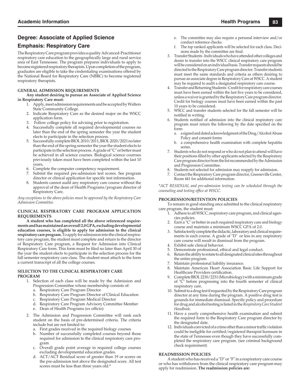## **Degree: Associate of Applied Science**

### **Emphasis: Respiratory Care**

The Respiratory Care program provides a quality Advanced-Practitioner respiratory care education to the geographically large and rural service area of East Tennessee. The program prepares individuals to apply to become registered respiratory therapists. Upon completion of the program, graduates are eligible to take the credentialing examinations offered by the National Board for Respiratory Care (NBRC) to become registered respiratory therapists.

### **GENERAL ADMISSION REQUIREMENTS**

**Any student desiring to pursue an Associate of Applied Science in Respiratory Care must:**

- 1. Apply, meet admission requirements and be accepted by Walters State Community College.
- 2. Indicate Respiratory Care as the desired major on the WSCC application form.
- 3. Follow college policy for advising prior to registration.
- 4. Successfully complete all required developmental courses no later than the end of the spring semester the year the student elects to participate in the selection process.
- 5. Successfully complete BIOL 2010/2011, BIOL 2020/2021 no later than the end of the spring semester the year the student elects to participate in the selection process. A grade of "C" or better must be achieved in all science courses. Biological science courrses previously taken must have been completed within the last 10 years,
- 6. Complete the computer competency requirement.
- 7. Submit the required pre-admission test scores. See program director or clinical application for specific test information.
- 8. Students cannot audit any respiratory care course without the approval of the dean of Health Programs/program director of Respiratory Care.

*Any exceptions to the above policies must be approved by the Respiratory Care Admission Committee.*

#### **CLINICAL RESPIRATORY CARE PROGRAM APPLICATION REQUIREMENTS**

**A student who has completed all the above referenced requirements and has maintained an overall 2.0 GPA, excluding developmental education courses, is eligible to apply for admission to the clinical respiratory care program.** To apply for admission into the clinical respiratory care program, the student must complete and return to the director of Respiratory Care program, a Request for Admission into Clinical Respiratory Care form. This form must be filed no later than April 30 of the year the student elects to participate in the selection process for the fall semester respiratory care class. The student must attach to the form a current transcript of all the college courses.

#### **SELECTION TO THE CLINICAL RESPIRATORY CARE PROGRAM**

- 1. Selection of each class will be made by the Admission and Progression Committee whose membership consists of:
	- a. Respiratory Care Program Director
	- b. Respiratory Care Program Director of Clinical Education
	- c. Respiratory Care Program Medical Director
	- d. Respiratory Care Program Advisory Committee Member
	- e. Dean of Health Programs (ex officio)
- 2. The Admission and Progression Committee will rank each student on the basis of pre-determined criteria. The criteria include but are not limited to:
	- a. First grades received in the required biology courses
	- b. Number of successfully completed courses beyond those required for admission to the clinical respiratory care program
	- c. Overall grade point average in required college courses excluding developmental education grades.
	- d. ACT/ACT Residual score of greater than 19 or scores on the pre-admission test above the designated score. All test scores must be less than three years old.\*
- e. The committee may also require a personal interview and/or conduct reference checks.
- f. The top ranked applicants will be selected for each class. Decisions made by the committee are final.
- 3. Transfer Students Individuals who have attended other colleges and desire to transfer into the WSCC clinical respiratory care program will be considered on an individual basis. Transfer requests should be directed to the Respiratory Care program director. Transfer students must meet the same standards and criteria as others desiring to pursue an associate degree in Respiratory Care at WSCC. A student may be required to audit a designated respiratory care course.
- 4. Transfer and Returning Students Credit for respiratory care courses must have been earned within the last five years to be considered, unless a waiver is granted by the Respiratory Care program director. Credit for biology courses must have been earned within the past 10 years to be considered.
- WSCC and transfer students selected for the fall semester will be notified in writing.
- Students notified of admission into the clinical respiratory care program must return the following by the date specified on the form:
	- a. a signed and dated acknowledgment of the Drug/Alcohol Abuse Policy and consent forms
	- b. a comprehensive health examination with complete hepatitis series.
- 7. Students who do not respond or who do not plan to attend will have their positions filled by other applicants selected by the Respiratory Care program director from the list recommended by the Admission and Progression Committee.
- 8. Students not selected for admission may reapply for admission.
- Contact the Respiratory Care program director, Greeneville Center, Room 441 for additional information.

*\*ACT RESIDUAL and pre-admission testing can be scheduled through the counseling and testing office at WSCC.* 

### **PROGRESSION/RETENTION POLICIES**

To remain in good standing once admitted to the clinical respiratory care program, the student must:

- 1. Adhere to all WSCC, respiratory care program, and clinical agencies policies.
- 2. Earn a "C" or better in each required respiratory care and biology course and maintain a minimum WSCC GPA of 2.0.
- 3. Satisfactorily complete the didactic, laboratory and clinical requirements in each course. A grade of "D" or less in any respiratory care course will result in dismissal from the program.
- Exhibit safe clinical behavior.
- 5. Demonstrate professional, ethical and legal conduct.
- 6. Retain the ability to rotate to all designated clinical sites throughout the entire program.
- Maintain professional liability insurance.
- 8. Maintain American Heart Association Basic Life Support for Healthcare Providers certification.
- 9. Complete BIOL 2230/2231 (Microbiology) with a minimum grade of "C" before progressing into the fourth semester of clinical respiratory care.
	- 10. Submit to a drug test if requested by the Respiratory Care program director at any time during the program. A positive drug test is grounds for immediate dismissal. Specific policy and procedure for drug and alcohol testing is listed in the *Respiratory Care Student Handbook.*
	- 11. Have a yearly comprehensive health examination and submit the required form to the Respiratory Care program director by the designated date.
	- 12. Individuals convicted of a crime other than a minor traffic violation could be ineligible for certified/registered therapist licensure in the state of Tennessee even though they have successfully completed the respiratory care program. (see criminal background check requirement)

#### **READMISSION POLICIES**

A student who has received a "D" or "F" in a respiratory care course or who has withdrawn from the clinical respiratory care program may apply for readmission. **The readmission policies are:**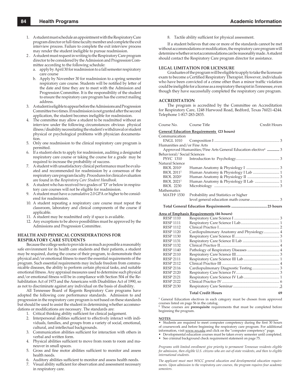- 1. A student must schedule an appointment with the Respiratory Care program director or full-time faculty member and complete the exit interview process. Failure to complete the exit interview process may render the student ineligible to pursue readmission.
- 2 . A student must request in writing to the Respiratory Care program director to be considered by the Admission and Progression Committee according to the following schedule:
	- a. apply by April 30 for readmission to a fall semester respiratory care course
	- b. Apply by November 30 for readmission to a spring semester respiratory care course. Students will be notified by letter of the date and time they are to meet with the Admission and Progression Committee. It is the responsibility of the student to ensure the respiratory care program has the correct mailing address.
- 3. A student is eligible to appear before the Admissions and Progression Committee two times. If readmission is not granted after the second application, the student becomes ineligible for readmission.
- 4. The committee may allow a student to be readmitted without an interview under the following circumstances: obvious physical illness/disability necessitating the student's withdrawal or student physical or psychological problems with physician documentation.
- 5. Only one readmission to the clinical respiratory care program is permitted.
- 6. If a student elects to apply for readmission, auditing a designated respiratory care course or taking the course for a grade may be required to increase the probability of success.
- 7. A student with unsatisfactory clinical performance must be evaluated and recommended for readmission by a consensus of the respiratory care program faculty. Procedures for clinical evaluation are found in the *Respiratory Care Student Handbook.*
- 8. A student who has received two grades of "D" or below in respiratory care courses will not be eligible for readmission.
- 9. A student must have a cumulative 2.0 GPA or higher to be considered for readmission.
- 10. A student repeating a respiratory care course must repeat the classroom, laboratory and clinical components of the course if applicable.
- 11. A student may be readmitted only if space is available.
- 12. Any exceptions to be above possibilities must be approved by the Admissions and Progression Committee.

### **HEALTH AND PHYSICAL CONSIDERATIONS FOR RESPIRATORY CARE STUDENTS**

Because the college seeks to provide in as much as possible a reasonably safe environment for its health care students and their patients, a student may be required, during the course of their program, to demonstrate their physical and/or emotional fitness to meet the essential requirements of the program. Such essential requirements may include freedom from communicable diseases, the ability to perform certain physical tasks, and suitable emotional fitness. Any appraisal measures used to determine such physical and/or emotional fitness will be in compliance with Section 504 of the Rehabilitation Act of 1973 and the Americans with Disabilities Act of 1990, so as not to discriminate against any individual on the basis of disability.

All Tennessee Board of Regents Respiratory Care programs have adopted the following core performance standards. Admission to and progression in the respiratory care program is not based on these standards but should be used to assist the student in determining whether accommodations or modifications are necessary. The standards are:

1. Critical thinking ability sufficient for clinical judgement.

- 2. Interpersonal abilities sufficient to effectively interact with individuals, families, and groups from a variety of social, emotional, cultural, and intellectual backgrounds.
- 3. Communication abilities sufficient for interaction with others in verbal and written form.
- 4. Physical abilities sufficient to move from room to room and maneuver in small spaces.
- 5. Gross and fine motor abilities sufficient to monitor and assess health needs.
- 6. Auditory abilities sufficient to monitor and assess health needs.
- 7. Visual ability sufficient for observation and assessment necessary in respiratory care.

8. Tactile ability sufficient for physical assessment.

If a student believes that one or more of the standards cannot be met without accommodations or modification, the respiratory care program will determine whether or not accommodations can be reasonably made. A student should contact the Respiratory Care program director for assistance.

#### **LEGAL LIMITATION FOR LICENSURE**

Graduates of the program will be eligible to apply to take the licensure exam to become a Certified Respiratory Therapist. However, individuals who have been convicted of a crime other than a minor traffic violation could be ineligible for a license as a respiratory therapist in Tennessee, even though they have successfully completed the respiratory care program.

#### **ACCREDITATION**

The program is accredited by the Committee on Accreditation for Respiratory Care, 1248 Harwood Road, Bedford, Texas 76021-4244. Telephone 1-817-283-2835.

| Course No.                    | Course Title                                                            | Credit Hours |
|-------------------------------|-------------------------------------------------------------------------|--------------|
|                               | <u>General Education Requirements</u> (23 hours)                        |              |
| Communication                 |                                                                         |              |
|                               |                                                                         |              |
| Humanities and/or Fine Arts   |                                                                         |              |
|                               | Approved Humanities/Fine Arts General Education elective <sup>1</sup> 3 |              |
| Behavioral/ Social Sciences   |                                                                         |              |
| <b>PSYC 1310</b>              |                                                                         |              |
| Natural Science               |                                                                         |              |
| <b>BIOL 2010<sup>2</sup></b>  |                                                                         |              |
| <b>BIOL 2011</b> <sup>2</sup> |                                                                         |              |
| <b>BIOL 2020<sup>2</sup></b>  |                                                                         |              |
| <b>BIOL 2021<sup>2</sup></b>  | Human Anatomy & Physiology II Lab  1                                    |              |
| <b>BIOL 2230</b>              |                                                                         |              |
| Mathematics                   |                                                                         |              |
| MATH <sup>1</sup> 1530        | Probability and Statistics or higher                                    |              |
|                               |                                                                         |              |
|                               |                                                                         |              |
|                               | Area of Emphasis Requirements (46 hours)                                |              |
| <b>RESP 1110</b>              |                                                                         |              |
| <b>RESP 1111</b>              |                                                                         |              |
| <b>RESP 1112</b>              |                                                                         |              |
| <b>RESP 1120</b>              | Cardiopulmonary Anatomy and Physiology 4                                |              |
| <b>RESP 1130</b>              |                                                                         |              |
| <b>RESP 1131</b>              |                                                                         |              |
| <b>RESP 1132</b>              |                                                                         |              |
| <b>RESP 1140</b>              |                                                                         |              |

| <b>RESP 2110</b> |  |  |
|------------------|--|--|
| <b>RESP 2111</b> |  |  |
| <b>RESP 2112</b> |  |  |
| <b>RESP 2116</b> |  |  |
| <b>RESP 2120</b> |  |  |
| <b>RESP 2121</b> |  |  |
| <b>RESP 2122</b> |  |  |
| <b>RESP 2130</b> |  |  |
|                  |  |  |

#### Total Credit Hours 69

<sup>1</sup> General Education electives in each category must be chosen from approved courses listed on page 56 in the catalog.

**2** These courses are **prerequisite** requirements that must be completed before beginning the program.

#### **NOTES**\_\_\_\_\_\_\_\_\_\_\_\_\_\_\_\_\_\_\_\_\_\_\_\_\_\_\_\_\_\_\_\_\_\_\_\_\_\_\_\_\_\_\_\_\_\_\_\_\_\_\_\_\_\_\_\_\_\_\_\_\_\_\_\_

• Students are required to meet computer competency during the first 30 hours of coursework and before beginning the respiratory care program. For additional information, visit www.ws.edu and click on the "computer competency" page

- Developmental education courses must be taken every semester until completed.
- See criminal background check requirement statement on page 75.

*Programs with limited enrollment give priority to permanent Tennessee residents eligible for admission, then eligible U.S. citizens who are out-of-state residents, and then to eligible international students.*

*The applicant must meet WSCC general education and developmental education requirements. Upon admission to the respiratory care courses, the program requires four academic semesters.*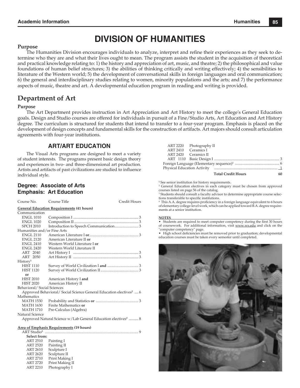# **DIVISION OF HUMANITIES**

### **Purpose**

The Humanities Division encourages individuals to analyze, interpret and refine their experiences as they seek to determine who they are and what their lives ought to mean. The program assists the student in the acquisition of theoretical and practical knowledge relating to: 1) the history and appreciation of art, music, and theatre; 2) the philosophical and value foundations of human belief structures; 3) the abilities of thinking critically and writing effectively; 4) the sensibilities to literature of the Western world; 5) the development of conversational skills in foreign languages and oral communication; 6) the general and interdisciplinary studies relating to women, minority populations and the arts; and 7) the performance aspects of music, theatre and art. A developmental education program in reading and writing is provided.

## **Department of Art**

#### **Purpose**

The Art Department provides instruction in Art Appreciation and Art History to meet the college's General Education goals. Design and Studio courses are offered for individuals in pursuit of a Fine/Studio Arts, Art Education and Art History degree. The curriculum is structured for students that intend to transfer to a four-year program. Emphasis is placed on the development of design concepts and fundamental skills for the construction of artifacts. Art majors should consult articulation agreements with four-year institutions.

### **ART/ART EDUCATION**

The Visual Arts programs are designed to meet a variety of student interests. The programs present basic design theory and experiences in two- and three-dimensional art production. Artists and artifacts of past civilizations are studied to influence individual style.

### **Degree: Associate of Arts Emphasis: Art Education**

 ART 2720 Print Making II ART 2210 Photography I

| Course No.                                       | Course Title                                                                  | Credit Hours |  |  |
|--------------------------------------------------|-------------------------------------------------------------------------------|--------------|--|--|
| <b>General Education Requirements (41 hours)</b> |                                                                               |              |  |  |
| Communication                                    |                                                                               |              |  |  |
| <b>ENGL 1010</b>                                 |                                                                               |              |  |  |
| <b>ENGL 1020</b>                                 |                                                                               |              |  |  |
| <b>SPCH 2010</b>                                 |                                                                               |              |  |  |
| Humanities and/or Fine Arts                      |                                                                               |              |  |  |
| <b>ENGL 2110</b>                                 |                                                                               |              |  |  |
| <b>ENGL 2120</b>                                 | American Literature II or                                                     |              |  |  |
| <b>ENGL 2410</b>                                 | Western World Literature I or                                                 |              |  |  |
| <b>ENGL 2420</b>                                 | Western World Literature II                                                   |              |  |  |
| ART 2040                                         |                                                                               |              |  |  |
| ART 2050                                         |                                                                               |              |  |  |
| History <sup>1</sup>                             |                                                                               |              |  |  |
| <b>HIST 1110</b>                                 |                                                                               |              |  |  |
| <b>HIST 1120</b>                                 |                                                                               |              |  |  |
| or                                               |                                                                               |              |  |  |
| <b>HIST 2010</b>                                 | American History I and                                                        |              |  |  |
| <b>HIST 2020</b>                                 | American History II                                                           |              |  |  |
| Behavioral/Social Sciences                       |                                                                               |              |  |  |
|                                                  | Approved Behavioral/Social Science General Education electives <sup>2</sup> 6 |              |  |  |
| Mathematics                                      |                                                                               |              |  |  |
| <b>MATH 1530</b>                                 |                                                                               |              |  |  |
| <b>MATH 1630</b>                                 | Finite Mathematics or                                                         |              |  |  |
| <b>MATH 1710</b>                                 | Pre-Calculus (Algebra)                                                        |              |  |  |
| Natural Science                                  |                                                                               |              |  |  |
|                                                  | Approved Natural Science w/Lab General Education electives <sup>2</sup> 8     |              |  |  |
|                                                  |                                                                               |              |  |  |
|                                                  | <b>Area of Emphasis Requirements (19 hours)</b>                               |              |  |  |
|                                                  |                                                                               |              |  |  |
| Select from:                                     |                                                                               |              |  |  |
| <b>ART 2510</b>                                  | Painting I                                                                    |              |  |  |
| ART 2520                                         | Painting II                                                                   |              |  |  |
| <b>ART 2610</b>                                  | Sculpture I                                                                   |              |  |  |
| <b>ART 2620</b>                                  | Sculpture II                                                                  |              |  |  |
| <b>ART 2710</b>                                  | Print Making I                                                                |              |  |  |

|                     | ART 2220 Photography II   |    |
|---------------------|---------------------------|----|
| ART 2410 Ceramics I |                           |    |
|                     | ART 2420 Ceramics II      |    |
|                     |                           |    |
|                     |                           |    |
|                     |                           |    |
|                     | <b>Total Credit Hours</b> | 60 |

**<sup>1</sup>** See senior institution for history requirements.

2 General Education electives in each category must be chosen from approved courses listed on page 56 of the catalog.

<sup>3</sup> Students should consult a faculty advisor to determine appropriate course selections transferable to specific institutions.

<sup>4</sup> This A.A. degree requires proficiency in a foreign language equivalent to 6 hours of elementary college-level work, which can be applied toward B.A. degree requirements at a senior institution.

#### **NOTES**\_\_\_\_\_\_\_\_\_\_\_\_\_\_\_\_\_\_\_\_\_\_\_\_\_\_\_\_\_\_\_\_\_\_\_\_\_\_\_\_\_\_\_\_\_\_\_\_\_\_\_\_\_\_\_\_\_\_\_\_\_\_\_\_

• Students are required to meet computer competency during the first 30 hours of coursework. For additional information, visit www.ws.edu and click on the "computer competency" page.

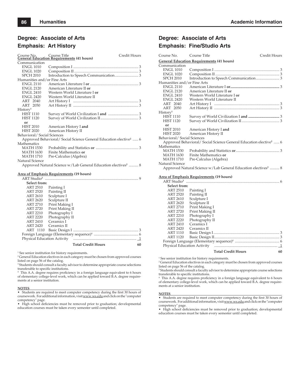### **Degree: Associate of Arts**

### **Emphasis: Art History**

|                                                                           | Course No. Course Title<br><b>General Education Requirements (41 hours)</b><br>Credit Hours |  |  |  |
|---------------------------------------------------------------------------|---------------------------------------------------------------------------------------------|--|--|--|
| Communication                                                             |                                                                                             |  |  |  |
| <b>ENGL 1010</b>                                                          |                                                                                             |  |  |  |
| <b>ENGL 1020</b>                                                          |                                                                                             |  |  |  |
| <b>SPCH 2010</b>                                                          |                                                                                             |  |  |  |
| Humanities and/or Fine Arts                                               |                                                                                             |  |  |  |
| <b>ENGL 2110</b>                                                          |                                                                                             |  |  |  |
| <b>ENGL 2120</b>                                                          | American Literature II or                                                                   |  |  |  |
| <b>ENGL 2410</b>                                                          | Western World Literature I or                                                               |  |  |  |
| <b>ENGL 2420</b>                                                          | Western World Literature II                                                                 |  |  |  |
| ART 2040                                                                  |                                                                                             |  |  |  |
| ART 2050                                                                  |                                                                                             |  |  |  |
| History <sup>1</sup>                                                      |                                                                                             |  |  |  |
| <b>HIST 1110</b>                                                          |                                                                                             |  |  |  |
| <b>HIST 1120</b>                                                          |                                                                                             |  |  |  |
| or                                                                        |                                                                                             |  |  |  |
| HIST 2010                                                                 | American History I and                                                                      |  |  |  |
| <b>HIST 2020</b>                                                          | American History II                                                                         |  |  |  |
| Behavioral/Social Sciences                                                |                                                                                             |  |  |  |
|                                                                           | Approved Behavioral/ Social Science General Education elective <sup>2</sup> 6               |  |  |  |
| Mathematics                                                               |                                                                                             |  |  |  |
| <b>MATH 1530</b>                                                          |                                                                                             |  |  |  |
| MATH 1630                                                                 | Finite Mathematics or                                                                       |  |  |  |
| <b>MATH 1710</b>                                                          | Pre-Calculus (Algebra)                                                                      |  |  |  |
| Natural Science                                                           |                                                                                             |  |  |  |
| Approved Natural Science w/Lab General Education electives <sup>2</sup> 8 |                                                                                             |  |  |  |
|                                                                           |                                                                                             |  |  |  |

#### **Area of Emphasis Requirements (19 hours)**

| $ART$ Studio <sup>3</sup>   |                                 |  |
|-----------------------------|---------------------------------|--|
| Select from:                |                                 |  |
| ART 2510                    | Painting I                      |  |
| ART 2520                    | Painting II                     |  |
| ART 2610                    | Sculpture I                     |  |
| ART 2620                    | Sculpture II                    |  |
| ART 2710                    | Print Making I                  |  |
| ART 2720                    | Print Making II                 |  |
| ART 2210                    | Photography I                   |  |
| <b>ART 2220</b>             | Photography II                  |  |
| ART 2410                    | Ceramics I                      |  |
| ART 2420                    | Ceramics II                     |  |
| ART 1110                    |                                 |  |
|                             |                                 |  |
| Physical Education Activity |                                 |  |
|                             | <b>Total Credit Hours</b><br>60 |  |

 $^{\rm 1}$  See senior institution for history requirements.

2 General Education electives in each category must be chosen from approved courses listed on page 56 of the catalog.

<sup>3</sup> Students should consult a faculty advisor to determine appropriate course selections transferable to specific institutions.

<sup>4</sup> This A.A. degree requires proficiency in a foreign language equivalent to 6 hours of elementary college-level work, which can be applied toward B.A. degree requirements at a senior institution.

#### **NOTES**\_\_\_\_\_\_\_\_\_\_\_\_\_\_\_\_\_\_\_\_\_\_\_\_\_\_\_\_\_\_\_\_\_\_\_\_\_\_\_\_\_\_\_\_\_\_\_\_\_\_\_\_\_\_\_\_\_\_\_\_\_\_\_\_\_\_\_

• Students are required to meet computer competency during the first 30 hours of coursework. For additional information, visit www.ws.edu and click on the "computer

competency" page.<br>• High school deficiencies must be removed prior to graduation; developmental education courses must be taken every semester until completed.

## **Degree: Associate of Arts Emphasis: Fine/Studio Arts**

| Course No.                  | Course Title                                                                  | Credit Hours |
|-----------------------------|-------------------------------------------------------------------------------|--------------|
|                             | <b>General Education Requirements (41 hours)</b>                              |              |
| Communication               |                                                                               |              |
| <b>ENGL 1010</b>            |                                                                               |              |
| <b>ENGL 1020</b>            |                                                                               |              |
| <b>SPCH 2010</b>            |                                                                               |              |
| Humanities and/or Fine Arts |                                                                               |              |
| <b>ENGL 2110</b>            |                                                                               |              |
| <b>ENGL 2120</b>            | American Literature II or                                                     |              |
| <b>ENGL 2410</b>            | Western World Literature I or                                                 |              |
| <b>ENGL 2420</b>            | Western World Literature II                                                   |              |
| ART 2040                    |                                                                               |              |
| ART 2050                    |                                                                               |              |
| History <sup>1</sup>        |                                                                               |              |
| <b>HIST 1110</b>            |                                                                               |              |
| <b>HIST 1120</b>            |                                                                               |              |
| or                          |                                                                               |              |
| <b>HIST 2010</b>            | American History I and                                                        |              |
| <b>HIST 2020</b>            | American History II                                                           |              |
| Behavioral/Social Sciences  |                                                                               |              |
|                             | Approved Behavioral/ Social Science General Education elective <sup>2</sup> 6 |              |
| Mathematics                 |                                                                               |              |
| MATH 1530                   |                                                                               |              |
| MATH 1630                   | Finite Mathematics or                                                         |              |
| MATH 1710                   | Pre-Calculus (Algebra)                                                        |              |
| Natural Science             |                                                                               |              |
|                             | Approved Natural Science w/Lab General Education electives <sup>2</sup> 8     |              |
|                             |                                                                               |              |
|                             | Area of Emphasis Requirements (19 hours)                                      |              |
|                             |                                                                               |              |
| Select from:                |                                                                               |              |
| <b>ART 2510</b>             | Painting I                                                                    |              |
| <b>ART 2520</b>             | Painting II                                                                   |              |
| ART 2610                    | Sculpture I                                                                   |              |
| ART 2620                    | Sculpture II                                                                  |              |
| ART 2710                    | Print Making I                                                                |              |
| ART 2720                    | Print Making II                                                               |              |
| ART 2210                    | Photography I                                                                 |              |
| ART 2220                    | Photography II                                                                |              |
| <b>ART 2410</b>             | Ceramics I                                                                    |              |
| ART 2420                    | Ceramics II                                                                   |              |
| ART 1110<br>ART 1120        |                                                                               |              |
|                             |                                                                               |              |
|                             |                                                                               |              |
|                             |                                                                               |              |

#### **Total Credit Hours 60**

<sup>1</sup> See senior institution for history requirements.

2 General Education electives in each category must be chosen from approved courses listed on page 56 of the catalog.

<sup>3</sup> Students should consult a faculty advisor to determine appropriate course selections transferable to specific institutions.

<sup>4</sup> This A.A. degree requires proficiency in a foreign language equivalent to 6 hours of elementary college-level work, which can be applied toward B.A. degree requirements at a senior institution.

#### **NOTES**\_\_\_\_\_\_\_\_\_\_\_\_\_\_\_\_\_\_\_\_\_\_\_\_\_\_\_\_\_\_\_\_\_\_\_\_\_\_\_\_\_\_\_\_\_\_\_\_\_\_\_\_\_\_\_\_\_\_\_\_\_\_\_\_\_\_\_

• Students are required to meet computer competency during the first 30 hours of coursework. For additional information, visit www.ws.edu and click on the "computer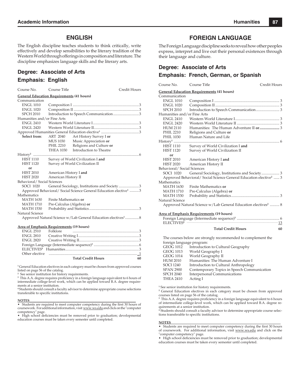### **ENGLISH**

The English discipline teaches students to think critically, write effectively and develop sensibilities to the literary tradition of the Western World through offerings in composition and literature. The discipline emphasizes language skills and the literary arts.

### **Degree: Associate of Arts**

### **Emphasis: English**

| Course No.                                                                    | Course Title                                 |                                       | Credit Hours |  |
|-------------------------------------------------------------------------------|----------------------------------------------|---------------------------------------|--------------|--|
| <b>General Education Requirements (41 hours)</b>                              |                                              |                                       |              |  |
| Communication                                                                 |                                              |                                       |              |  |
| <b>ENGL 1010</b>                                                              |                                              |                                       |              |  |
| <b>ENGL 1020</b>                                                              |                                              |                                       |              |  |
| <b>SPCH 2010</b>                                                              |                                              | Introduction to Speech Communication3 |              |  |
| Humanities and/or Fine Arts                                                   |                                              |                                       |              |  |
| ENGL 2410                                                                     |                                              |                                       |              |  |
| <b>ENGL 2420</b>                                                              |                                              |                                       |              |  |
|                                                                               |                                              |                                       |              |  |
| Select from:                                                                  | ART 2040                                     | Art History Survey I or               |              |  |
|                                                                               | MUS 1030                                     | Music Appreciation or                 |              |  |
|                                                                               | PHIL 2210                                    | Religions and Culture or              |              |  |
|                                                                               |                                              | THEA 1030 Introduction to Theatre     |              |  |
|                                                                               |                                              |                                       |              |  |
| <b>HIST 1110</b>                                                              | Survey of World Civilization I and           |                                       |              |  |
| <b>HIST 1120</b>                                                              | Survey of World Civilization II              |                                       |              |  |
| or                                                                            |                                              |                                       |              |  |
| <b>HIST 2010</b>                                                              | American History I and                       |                                       |              |  |
| <b>HIST 2020</b>                                                              | American History II                          |                                       |              |  |
| Behavioral/Social Sciences                                                    |                                              |                                       |              |  |
| SOCI 1020                                                                     | General Sociology, Institutions and Society3 |                                       |              |  |
| Approved Behavioral/ Social Science General Education elective <sup>1</sup> 3 |                                              |                                       |              |  |
| Mathematics                                                                   |                                              |                                       |              |  |
| <b>MATH 1630</b>                                                              | Finite Mathematics or                        |                                       |              |  |
| <b>MATH 1710</b>                                                              | Pre-Calculus (Algebra) or                    |                                       |              |  |
| <b>MATH 1530</b>                                                              |                                              |                                       |              |  |
| Natural Science                                                               |                                              |                                       |              |  |
| Approved Natural Science w/Lab General Education electives <sup>1</sup> 8     |                                              |                                       |              |  |
|                                                                               |                                              |                                       |              |  |

#### **Area of Emphasis Requirements (19 hours)**

| Other elective music music contained a state of the contract of the contract of the contract of the contract o |  |
|----------------------------------------------------------------------------------------------------------------|--|
| <b>Total Credit Hours</b>                                                                                      |  |

**1** General Education electives in each category must be chosen from approved courses listed on page 56 of the catalog.

**2** See senior institution for history requirements.

<sup>3</sup> This A.A. degree requires proficiency in a foreign language equivalent to 6 hours of intermediate college-level work, which can be applied toward B.A. degree requirements at a senior institution.

**4** Students should consult a faculty advisor to determine appropriate course selections transferable to specific institutions.

#### **NOTES**\_\_\_\_\_\_\_\_\_\_\_\_\_\_\_\_\_\_\_\_\_\_\_\_\_\_\_\_\_\_\_\_\_\_\_\_\_\_\_\_\_\_\_\_\_\_\_\_\_\_\_\_\_\_\_\_\_\_\_\_\_\_\_\_

• Students are required to meet computer competency during the first 30 hours of coursework. For additional information, visit www.ws.edu and click on the "computer competency" page.<br>• High school deficiencies must be removed prior to graduation; developmental

education courses must be taken every semester until completed.

### **FOREIGN LANGUAGE**

The Foreign Language discipline seeks to reveal how other peoples express, interpret and live out their personal existences through their language and culture.

### **Degree: Associate of Arts**

### **Emphasis: French, German, or Spanish**

| Course No.                  | Course Title                                                                  | Credit Hours |
|-----------------------------|-------------------------------------------------------------------------------|--------------|
|                             | <b>General Education Requirements (41 hours)</b>                              |              |
| Communication               |                                                                               |              |
| <b>ENGL 1010</b>            |                                                                               |              |
| <b>ENGL 1020</b>            |                                                                               |              |
| <b>SPCH 2010</b>            |                                                                               |              |
| Humanities and/or Fine Arts |                                                                               |              |
| <b>ENGL 2410</b>            |                                                                               |              |
| <b>ENGL 2420</b>            |                                                                               |              |
| <b>HUM 2110</b>             |                                                                               |              |
| <b>PHIL 2210</b>            | Religions and Culture or                                                      |              |
| <b>PHIL 1030</b>            | Human Nature and Life                                                         |              |
| $History1$                  |                                                                               |              |
| <b>HIST 1110</b>            | Survey of World Civilization I and                                            |              |
| <b>HIST 1120</b>            | Survey of World Civilization II                                               |              |
| or                          |                                                                               |              |
| HIST 2010                   | American History I and                                                        |              |
| <b>HIST 2020</b>            | American History II                                                           |              |
| Behavioral/Social Sciences  |                                                                               |              |
| <b>SOCI 1020</b>            |                                                                               |              |
|                             | Approved Behavioral/ Social Science General Education elective <sup>2</sup> 3 |              |
| Mathematics                 |                                                                               |              |
| <b>MATH 1630</b>            | Finite Mathematics or                                                         |              |
| MATH 1710                   | Pre-Calculus (Algebra) or                                                     |              |
| <b>MATH 1530</b>            |                                                                               |              |
| Natural Science             |                                                                               |              |
|                             | Approved Natural Science w/Lab General Education electives <sup>2</sup> 8     |              |
|                             |                                                                               |              |
|                             | <b>Area of Emphasis Requirements (19 hours)</b>                               |              |
|                             |                                                                               |              |
|                             |                                                                               |              |

The courses below are strongly recommended to complement the

 **Total Credit Hours 60**

 foreign language program: GEOG 1012 Introduction to Cultural Geography GEOG 1013 World Geography I<br>GEOG 1014 World Geography II World Geography II

| <b>HUM 2010</b>  | Humanities: The Human Adventure I           |
|------------------|---------------------------------------------|
| <b>SOCI 1240</b> | Introduction to Cultural Anthropology       |
| <b>SPAN 2900</b> | Contemporary Topics in Speech Communication |
| <b>SPCH 2040</b> | Interpersonal Communications                |
| <b>THEA 2410</b> | Acting I                                    |
|                  |                                             |

**<sup>1</sup>** See senior institution for history requirements.

**2** General Education electives in each category must be chosen from approved courses listed on page 56 of the catalog.

<sup>3</sup> This A.A. degree requires proficiency in a foreign language equivalent to 6 hours of intermediate college-level work, which can be applied toward B.A. degree re-

quirements at a senior institution. **<sup>4</sup>** Students should consult a faculty advisor to determine appropriate course selections transferable to specific institutions.

#### **NOTES**\_\_\_\_\_\_\_\_\_\_\_\_\_\_\_\_\_\_\_\_\_\_\_\_\_\_\_\_\_\_\_\_\_\_\_\_\_\_\_\_\_\_\_\_\_\_\_\_\_\_\_\_\_\_\_\_\_\_\_\_\_\_\_\_

• Students are required to meet computer competency during the first 30 hours of coursework. For additional information, visit www.ws.edu and click on the "computer competency" page.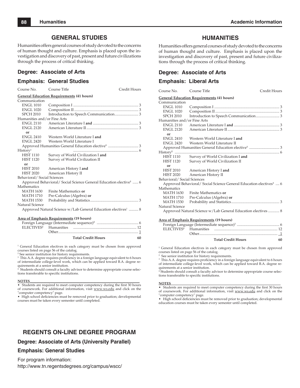### **GENERAL STUDIES**

Humanities offers general courses of study devoted to the concerns of human thought and culture. Emphasis is placed upon the investigation and discovery of past, present and future civilizations through the process of critical thinking.

### **Degree: Associate of Arts**

### **Emphasis: General Studies**

Course No. Course Title Credit Hours **General Education Requirements (41 hours)** Communication<br>ENGL 1010 ENGL 1010 Composition I ..................................................................... 3 ENGL 1020 Composition II .................................................................... 3 SPCH 2010 Introduction to Speech Communication ......................... 3 Humanities and/or Fine Arts<br>ENGL 2110 American I ENGL 2110 American Literature I **and** ................................................ 3 ENGL 2120 American Literature II ....................................................... 3 **or**<br>**ENGL 2410** ENGL 2410 Western World Literature I and<br>ENGL 2420 Western World Literature I Western World Literature I Approved Humanities General Education elective**<sup>1</sup>** ................................ 3 History2 ..................................................................... 6 HIST 1110 Survey of World Civilization I **and**  HIST 1120 Survey of World Civilization II **or**<br>**HIST 2010** American History I and HIST 2020 American History II Behavioral/ Social Sciences Approved Behavioral/ Social Science General Education elective**<sup>1</sup>** ...... 6 Mathematics MATH 1630 Finite Mathematics or<br>MATH 1710 Pre-Calculus (Algebra Pre-Calculus (Algebra) or MATH 1530 Probability and Statistics ................................................... 3 Natural Science Approved Natural Science w/Lab General Education electives<sup>1</sup> .......... 8

#### **Area of Emphasis Requirements (19 hours)**

|  | <b>Total Credit Hours</b> | 60 |
|--|---------------------------|----|
|  |                           |    |
|  |                           |    |
|  |                           |    |

1 General Education electives in each category must be chosen from approved courses listed on page 56 of the catalog.

2 See senior institution for history requirements.

<sup>3</sup> This A.A. degree requires proficiency in a foreign language equivalent to 6 hours of intermediate college-level work, which can be applied toward B.A. degree requirements at a senior institution.

4 Students should consult a faculty advisor to determine appropriate course selections transferable to specific institutions.

#### **NOTES**\_\_\_\_\_\_\_\_\_\_\_\_\_\_\_\_\_\_\_\_\_\_\_\_\_\_\_\_\_\_\_\_\_\_\_\_\_\_\_\_\_\_\_\_\_\_\_\_\_\_\_\_\_\_\_\_\_\_\_\_\_\_\_\_

• Students are required to meet computer competency during the first 30 hours of coursework. For additional information, visit www.ws.edu and click on the "computer competency" page.

• High school deficiencies must be removed prior to graduation; developmental courses must be taken every semester until completed.

### **HUMANITIES**

Humanities offers general courses of study devoted to the concerns of human thought and culture. Emphasis is placed upon the investigation and discovery of past, present and future civilizations through the process of critical thinking.

### **Degree: Associate of Arts**

# **Emphasis: Liberal Arts**

| Course No.                                                        | Course Title                                                                   | Credit Hours |  |  |
|-------------------------------------------------------------------|--------------------------------------------------------------------------------|--------------|--|--|
| <b>General Education Requirements (41 hours)</b><br>Communication |                                                                                |              |  |  |
| <b>ENGL 1010</b>                                                  |                                                                                |              |  |  |
| <b>ENGL 1020</b>                                                  |                                                                                |              |  |  |
| <b>SPCH 2010</b>                                                  |                                                                                |              |  |  |
| Humanities and/or Fine Arts                                       |                                                                                |              |  |  |
| <b>ENGL 2110</b>                                                  |                                                                                |              |  |  |
| <b>ENGL 2120</b>                                                  |                                                                                |              |  |  |
| or                                                                |                                                                                |              |  |  |
| <b>ENGL 2410</b>                                                  | Western World Literature I and                                                 |              |  |  |
| <b>ENGL 2420</b>                                                  | Western World Literature II                                                    |              |  |  |
|                                                                   |                                                                                |              |  |  |
| History <sup>2</sup>                                              |                                                                                |              |  |  |
| <b>HIST 1110</b>                                                  | Survey of World Civilization I and                                             |              |  |  |
| <b>HIST 1120</b>                                                  | Survey of World Civilization II                                                |              |  |  |
| or                                                                |                                                                                |              |  |  |
| HIST 2010                                                         | American History I and                                                         |              |  |  |
| <b>HIST 2020</b>                                                  | American History II                                                            |              |  |  |
| Behavioral / Social Sciences                                      |                                                                                |              |  |  |
|                                                                   | Approved Behavioral/ Social Science General Education electives <sup>1</sup> 6 |              |  |  |
| Mathematics                                                       |                                                                                |              |  |  |
| <b>MATH 1630</b>                                                  | Finite Mathematics or                                                          |              |  |  |
| <b>MATH 1710</b>                                                  | Pre-Calculus (Algebra) or                                                      |              |  |  |
| <b>MATH 1530</b>                                                  |                                                                                |              |  |  |
| Natural Science                                                   |                                                                                |              |  |  |
|                                                                   | Approved Natural Science w/Lab General Education electives  8                  |              |  |  |
| Area of Emphasis Requirements (19 hours)                          |                                                                                |              |  |  |
|                                                                   |                                                                                |              |  |  |
| ELECTIVES <sup>4</sup>                                            |                                                                                |              |  |  |
|                                                                   |                                                                                |              |  |  |
|                                                                   | <b>Total Credit Hours</b>                                                      | 60           |  |  |

<sup>1</sup> General Education electives in each category must be chosen from approved

courses listed on page 56 of the catalog.

See senior institution for history requirements.

<sup>3</sup> This A.A. degree requires proficiency in a foreign language equivalent to 6 hours of intermediate college-level work, which can be applied toward B.A. degree requirements at a senior institution.<br><sup>4</sup> Students should consult a faculty

 Students should consult a faculty advisor to determine appropriate course selections transferable to specific institutions.

#### **NOTES**\_\_\_\_\_\_\_\_\_\_\_\_\_\_\_\_\_\_\_\_\_\_\_\_\_\_\_\_\_\_\_\_\_\_\_\_\_\_\_\_\_\_\_\_\_\_\_\_\_\_\_\_\_\_\_\_\_\_\_\_\_\_\_\_

• Students are required to meet computer competency during the first 30 hours of coursework. For additional information, visit www.ws.edu and click on the "computer competency" page.

• High school deficiencies must be removed prior to graduation; developmental education courses must be taken every semester until completed.

## **REGENTS ON-LINE DEGREE PROGRAM**

**Degree: Associate of Arts (University Parallel)**

### **Emphasis: General Studies**

For program information: http://www.tn.regentsdegrees.org/campus/wscc/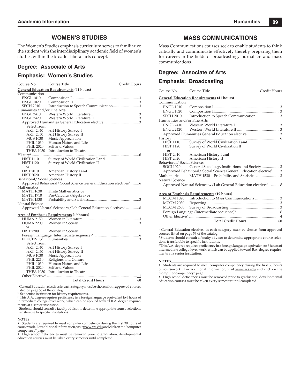### **WOMEN'S STUDIES**

The Women's Studies emphasis curriculum serves to familiarize the student with the interdisciplinary academic field of women's studies within the broader liberal arts concept.

### **Degree: Associate of Arts**

### **Emphasis: Women's Studies**

| Course No.                                       | Course Title                                                                   | Credit Hours |  |  |
|--------------------------------------------------|--------------------------------------------------------------------------------|--------------|--|--|
| <b>General Education Requirements (41 hours)</b> |                                                                                |              |  |  |
| Communication                                    |                                                                                |              |  |  |
| <b>ENGL 1010</b>                                 |                                                                                |              |  |  |
| <b>ENGL 1020</b>                                 |                                                                                |              |  |  |
| <b>SPCH 2010</b>                                 | Introduction to Speech Communication3                                          |              |  |  |
| Humanities and/or Fine Arts                      |                                                                                |              |  |  |
| <b>ENGL 2410</b>                                 |                                                                                |              |  |  |
| <b>ENGL 2420</b>                                 |                                                                                |              |  |  |
|                                                  |                                                                                |              |  |  |
| Select from:                                     |                                                                                |              |  |  |
| ART 2040                                         | Art History Survey I                                                           |              |  |  |
| ART 2050                                         | Art History Survey II                                                          |              |  |  |
| MUS 1030                                         | Music Appreciation                                                             |              |  |  |
| <b>PHIL 1030</b>                                 | Human Nature and Life                                                          |              |  |  |
| <b>PHIL 2020</b>                                 | Self and Values                                                                |              |  |  |
| <b>THEA 1030</b>                                 | Introduction to Theatre                                                        |              |  |  |
|                                                  |                                                                                |              |  |  |
| <b>HIST 1110</b>                                 | Survey of World Civilization I and                                             |              |  |  |
| <b>HIST 1120</b>                                 | Survey of World Civilization II                                                |              |  |  |
| or<br><b>HIST 2010</b>                           |                                                                                |              |  |  |
| <b>HIST 2020</b>                                 | American History I and                                                         |              |  |  |
| Behavioral/Social Sciences                       | American History II                                                            |              |  |  |
|                                                  | Approved Behavioral/ Social Science General Education electives <sup>1</sup> 6 |              |  |  |
| Mathematics                                      |                                                                                |              |  |  |
| <b>MATH 1630</b>                                 | Finite Mathematics or                                                          |              |  |  |
| MATH 1710                                        | Pre-Calculus (Algebra) or                                                      |              |  |  |
| MATH 1530                                        |                                                                                |              |  |  |
| Natural Science                                  |                                                                                |              |  |  |
|                                                  | Approved Natural Science w/Lab General Education electives <sup>1</sup> 8      |              |  |  |
|                                                  |                                                                                |              |  |  |
|                                                  | <b>Area of Emphasis Requirements (19 hours)</b>                                |              |  |  |
| HUMA 2150                                        |                                                                                |              |  |  |
| <b>HUMA 2200</b>                                 |                                                                                |              |  |  |
| or                                               |                                                                                |              |  |  |
| <b>HIST 2200</b>                                 | Women in Society                                                               |              |  |  |
|                                                  |                                                                                |              |  |  |
| ELECTIVES <sup>4</sup>                           |                                                                                |              |  |  |
| Select from:                                     |                                                                                |              |  |  |
| ART 2040                                         | Art History Survey I                                                           |              |  |  |
| <b>ART 2050</b>                                  | Art History Survey II                                                          |              |  |  |
| <b>MUS 1030</b>                                  | Music Appreciation                                                             |              |  |  |
| <b>PHIL 2210</b>                                 | Religions and Culture                                                          |              |  |  |
| <b>PHIL 1030</b>                                 | Human Nature and Life                                                          |              |  |  |
| <b>PHIL 2020</b>                                 | Self and Values                                                                |              |  |  |
| <b>THEA 1030</b>                                 | Introduction to Theatre                                                        |              |  |  |
|                                                  |                                                                                | -1           |  |  |
|                                                  | <b>Total Credit Hours</b>                                                      | 60           |  |  |

<sup>1</sup> General Education electives in each category must be chosen from approved courses

listed on page 56 of the catalog. 2 See senior institution for history requirements.

<sup>3</sup> This A.A. degree requires proficiency in a foreign language equivalent to 6 hours of<br>intermediate college-level work, which can be applied toward B.A. degree requirements at a senior institution.

4 Students should consult a faculty advisor to determine appropriate course selections transferable to specific institutions.<br>NOTES <br>• Students are result in the specific conditions of the state of the state of the state of the state of the state of the state of the state of the state of the state of the sta

**NOTES**<br>• Students are required to meet computer competency during the first 30 hours of coursework. For additional information, visit www.ws.edu and click on the "computer competency" page.

High school deficiencies must be removed prior to graduation; developmental education courses must be taken every semester until completed.

### **MASS COMMUNICATIONS**

Mass Communications courses seek to enable students to think critically and communicate effectively thereby preparing them for careers in the fields of broadcasting, journalism and mass communications.

### **Degree: Associate of Arts**

### **Emphasis: Broadcasting**

| Course No. Course Title     |                                                                               | Credit Hours |
|-----------------------------|-------------------------------------------------------------------------------|--------------|
|                             | <b>General Education Requirements (41 hours)</b>                              |              |
| Communication               |                                                                               |              |
| <b>ENGL 1010</b>            |                                                                               |              |
| ENGL 1020                   |                                                                               |              |
| SPCH 2010                   |                                                                               |              |
| Humanities and/or Fine Arts |                                                                               |              |
| ENGL 2410                   |                                                                               |              |
| <b>ENGL 2420</b>            |                                                                               |              |
|                             |                                                                               |              |
|                             |                                                                               |              |
| <b>HIST 1110</b>            | Survey of World Civilization I and                                            |              |
| HIST 1120                   | Survey of World Civilization II                                               |              |
| or                          |                                                                               |              |
|                             | HIST 2010 American History I and                                              |              |
| Behavioral/Social Sciences  | HIST 2020 American History II                                                 |              |
|                             |                                                                               |              |
|                             | Approved Behavioral/ Social Science General Education elective <sup>1</sup> 3 |              |
| Mathematics                 |                                                                               |              |
| Natural Science             |                                                                               |              |
|                             | Approved Natural Science w/Lab General Education electives <sup>1</sup> 8     |              |
|                             |                                                                               |              |
|                             | <u>Area of Emphasis Requirements</u> (19 hours)                               |              |
|                             |                                                                               |              |
|                             |                                                                               |              |

|  | <b>Total Credit Hours</b> | 60 |
|--|---------------------------|----|
|  |                           |    |
|  |                           |    |
|  |                           |    |
|  |                           |    |
|  |                           |    |
|  |                           |    |

<sup>1</sup> General Education electives in each category must be chosen from approved courses listed on page 56 of the catalog.

<sup>2</sup> Students should consult a faculty advisor to determine appropriate course selections transferable to specific institutions.

<sup>3</sup> This A.A. degree requires proficiency in a foreign language equivalent to 6 hours of intermediate college-level work, which can be applied toward B.A. degree requirements at a senior institution.

#### **NOTES**\_\_\_\_\_\_\_\_\_\_\_\_\_\_\_\_\_\_\_\_\_\_\_\_\_\_\_\_\_\_\_\_\_\_\_\_\_\_\_\_\_\_\_\_\_\_\_\_\_\_\_\_\_\_\_\_\_\_\_\_\_\_\_\_

• Students are required to meet computer competency during the first 30 hours of coursework. For additional information, visit www.ws.edu and click on the "computer competency" page.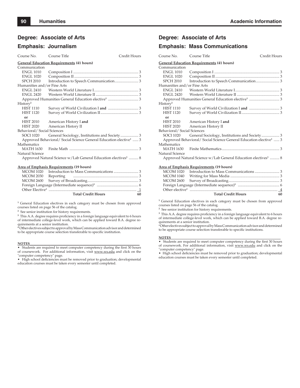### **Degree: Associate of Arts**

### **Emphasis: Journalism**

### Course No. Course Title Credit Hours

| <b>General Education Requirements (41 hours)</b> |  |  |  |
|--------------------------------------------------|--|--|--|
| Communication                                    |  |  |  |
| <b>ENGL 1010</b>                                 |  |  |  |
| <b>ENGL 1020</b>                                 |  |  |  |
| SPCH 2010                                        |  |  |  |
| Humanities and/or Fine Arts                      |  |  |  |
|                                                  |  |  |  |
|                                                  |  |  |  |
|                                                  |  |  |  |

| History <sup>2</sup>       |                                                                              |  |
|----------------------------|------------------------------------------------------------------------------|--|
| <b>HIST 1110</b>           |                                                                              |  |
| <b>HIST 1120</b>           |                                                                              |  |
| or                         |                                                                              |  |
| <b>HIST 2010</b>           | American History I and                                                       |  |
| HIST 2020                  | American History II                                                          |  |
| Behavioral/Social Sciences |                                                                              |  |
| SOCI 1020                  |                                                                              |  |
|                            | Approved Behavioral/Social Science General Education elective <sup>1</sup> 3 |  |
| Mathematics                |                                                                              |  |
|                            |                                                                              |  |
| Natural Science            |                                                                              |  |
|                            | Approved Natural Science w/Lab General Education electives <sup>1</sup> 8    |  |

#### **Area of Emphasis Requirements (19 hours)**

|  | <b>Total Credit Hours</b> | 60 |
|--|---------------------------|----|
|  |                           |    |
|  |                           |    |
|  |                           |    |
|  |                           |    |
|  |                           |    |

<sup>1</sup> General Education electives in each category must be chosen from approved courses listed on page 56 of the catalog.

**2** See senior institution for history requirements.

<sup>3</sup> This A.A. degree requires proficiency in a foreign language equivalent to 6 hours of intermediate college-level work, which can be applied toward B.A. degree re-

quirements at a senior institution. **4** Other electives subject to approval by Mass Communication advisor and determined to be appropriate course selection transferable to specific institution.

#### **NOTES**\_\_\_\_\_\_\_\_\_\_\_\_\_\_\_\_\_\_\_\_\_\_\_\_\_\_\_\_\_\_\_\_\_\_\_\_\_\_\_\_\_\_\_\_\_\_\_\_\_\_\_\_\_\_\_\_\_\_\_\_\_\_\_\_

• Students are required to meet computer competency during the first 30 hours of coursework. For additional information, visit www.ws.edu and click on the "computer competency" page.

• High school deficiencies must be removed prior to graduation; developmental education courses must be taken every semester until completed.

### **Degree: Associate of Arts**

### **Emphasis: Mass Communications**

| Course No.                  | Course Title                                                                  | Credit Hours |
|-----------------------------|-------------------------------------------------------------------------------|--------------|
|                             | <b>General Education Requirements (41 hours)</b>                              |              |
| Communication               |                                                                               |              |
| <b>ENGL 1010</b>            |                                                                               |              |
| ENGL 1020                   |                                                                               |              |
| SPCH 2010                   |                                                                               |              |
| Humanities and/or Fine Arts |                                                                               |              |
|                             |                                                                               |              |
| ENGL 2420                   |                                                                               |              |
|                             |                                                                               |              |
| History <sup>2</sup>        |                                                                               |              |
| <b>HIST 1110</b>            |                                                                               |              |
| <b>HIST 1120</b>            |                                                                               |              |
| or                          |                                                                               |              |
| <b>HIST 2010</b>            | American History I and                                                        |              |
|                             | HIST 2020 American History II                                                 |              |
| Behavioral/Social Sciences  |                                                                               |              |
| SOCI 1020                   |                                                                               |              |
|                             | Approved Behavioral/ Social Science General Education elective <sup>1</sup> 3 |              |
| Mathematics                 |                                                                               |              |
|                             |                                                                               |              |
| Natural Science             |                                                                               |              |
|                             | Approved Natural Science w/Lab General Education electives <sup>1</sup> 8     |              |
|                             | Area of Emphasis Requirements (19 hours)                                      |              |
|                             | $\alpha$                                                                      |              |

|  | <b>Total Credit Hours</b> | 60 |
|--|---------------------------|----|

<sup>1</sup> General Education electives in each category must be chosen from approved courses listed on page 56 of the catalog.

**2** See senior institution for history requirements.

<sup>3</sup> This A.A. degree requires proficiency in a foreign language equivalent to 6 hours of intermediate college-level work, which can be applied toward B.A. degree requirements at a senior institution.

4 Other electives subject to approval by Mass Communication advisor and determined to be appropriate course selection transferable to specific institutions.

#### **NOTES**\_\_\_\_\_\_\_\_\_\_\_\_\_\_\_\_\_\_\_\_\_\_\_\_\_\_\_\_\_\_\_\_\_\_\_\_\_\_\_\_\_\_\_\_\_\_\_\_\_\_\_\_\_\_\_\_\_\_\_\_\_\_\_\_

• Students are required to meet computer competency during the first 30 hours of coursework. For additional information, visit www.ws.edu and click on the "computer competency" page.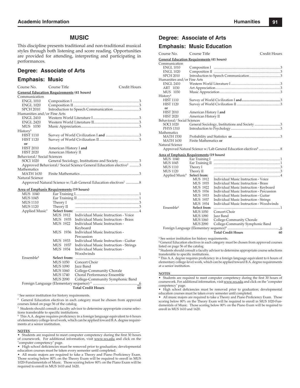### **MUSIC**

This discipline presents traditional and non-traditional musical styles through both listening and score reading. Opportunities are provided for attending, interpreting and participating in performances.

### **Degree: Associate of Arts**

### **Emphasis: Music**

| Course No.                                      | Course Title                                     |                                                                               | Credit Hours |  |  |
|-------------------------------------------------|--------------------------------------------------|-------------------------------------------------------------------------------|--------------|--|--|
|                                                 | <b>General Education Requirements (41 hours)</b> |                                                                               |              |  |  |
| Communication                                   |                                                  |                                                                               |              |  |  |
| <b>ENGL 1010</b>                                |                                                  |                                                                               |              |  |  |
| <b>ENGL 1020</b>                                |                                                  |                                                                               |              |  |  |
| <b>SPCH 2010</b>                                |                                                  | Introduction to Speech Communication3                                         |              |  |  |
| Humanities and/or Fine Arts                     |                                                  |                                                                               |              |  |  |
| <b>ENGL 2410</b>                                |                                                  |                                                                               |              |  |  |
| <b>ENGL 2420</b>                                |                                                  |                                                                               |              |  |  |
| MUS 1030                                        |                                                  |                                                                               |              |  |  |
| History <sup>1</sup>                            |                                                  |                                                                               |              |  |  |
| <b>HIST 1110</b>                                |                                                  |                                                                               |              |  |  |
| <b>HIST 1120</b>                                |                                                  |                                                                               |              |  |  |
| or                                              |                                                  |                                                                               |              |  |  |
| <b>HIST 2010</b>                                | American History I and                           |                                                                               |              |  |  |
| <b>HIST 2020</b>                                | American History II                              |                                                                               |              |  |  |
| Behavioral/ Social Sciences                     |                                                  |                                                                               |              |  |  |
| SOCI 1020                                       |                                                  | General Sociology, Institutions and Society 3                                 |              |  |  |
|                                                 |                                                  | Approved Behavioral/ Social Science General Education elective <sup>2</sup> 3 |              |  |  |
| Mathematics                                     |                                                  |                                                                               |              |  |  |
| <b>MATH 1630</b>                                |                                                  |                                                                               |              |  |  |
| Natural Science                                 |                                                  |                                                                               |              |  |  |
|                                                 |                                                  | Approved Natural Science w/Lab General Education electives <sup>2</sup> 8     |              |  |  |
| <b>Area of Emphasis Requirements (19 hours)</b> |                                                  |                                                                               |              |  |  |
| MUS 1040                                        |                                                  |                                                                               |              |  |  |
| <b>MUS 1045</b>                                 |                                                  |                                                                               |              |  |  |
| MUS 1110                                        | Theory I                                         |                                                                               |              |  |  |
| <b>MUS 1120</b>                                 | Theory II                                        |                                                                               |              |  |  |
| Applied Music <sup>3</sup>                      |                                                  |                                                                               |              |  |  |
|                                                 | MUS 1912                                         | Individual Music Instruction - Voice                                          |              |  |  |
|                                                 | MUS 1935                                         | Individual Music Instruction - Brass                                          |              |  |  |
|                                                 | MUS 1922                                         | Individual Music Instruction -                                                |              |  |  |
|                                                 |                                                  | Keyboard                                                                      |              |  |  |
|                                                 | MUS 1936                                         | Individual Music Instruction -                                                |              |  |  |
|                                                 |                                                  | Percussion                                                                    |              |  |  |
|                                                 | MUS 1933                                         | Individual Music Instruction - Guitar                                         |              |  |  |
|                                                 | MUS 1937                                         | Individual Music Instruction - Strings                                        |              |  |  |
|                                                 | MUS 1934                                         | Individual Music Instruction -                                                |              |  |  |
|                                                 |                                                  | Woodwinds                                                                     |              |  |  |
| Ensemble <sup>3</sup>                           | Select from:                                     |                                                                               |              |  |  |
|                                                 | <b>MUS</b> 1050                                  | Concert Choir                                                                 |              |  |  |
|                                                 | <b>MUS 1090</b>                                  | Jazz Band                                                                     |              |  |  |
|                                                 | <b>MUS</b> 1060                                  | College-Community Chorale                                                     |              |  |  |
|                                                 | <b>MUS 1740</b>                                  | Choral Performance Ensemble                                                   |              |  |  |
|                                                 | <b>MUS 2090</b>                                  | College-Community Symphonic Band                                              |              |  |  |
|                                                 |                                                  |                                                                               |              |  |  |
|                                                 |                                                  | <b>Total Credit Hours</b>                                                     | 60           |  |  |

<sup>1</sup> See senior institution for history requirements.

<sup>2</sup> General Education electives in each category must be chosen from approved courses listed on page 56 of the catalog.

<sup>3</sup> Students should consult a faculty advisor to determine appropriate course selections transferable to specific institutions.

<sup>4</sup> This A.A. degree requires proficiency in a foreign language equivalent to 6 hours of elementary college-level work, which can be applied toward B.A. degree requirements at a senior institution.

#### **NOTES**\_\_\_\_\_\_\_\_\_\_\_\_\_\_\_\_\_\_\_\_\_\_\_\_\_\_\_\_\_\_\_\_\_\_\_\_\_\_\_\_\_\_\_\_\_\_\_\_\_\_\_\_\_\_\_\_\_\_\_\_\_\_\_\_

• Students are required to meet computer competency during the first 30 hours of coursework. For additional information, visit www.ws.edu and click on the "computer competency" page.

• High school deficiencies must be removed prior to graduation; developmental education courses must be taken every semester until completed.

• All music majors are required to take a Theory and Piano Proficiency Exam. Those scoring below 80% on the Theory Exam will be required to enroll in MUS 1020-Fundamentals of Music. Those scoring below 80% on the Piano Exam will be required to enroll in MUS 1610 and 1620.

### **Degree: Associate of Arts**

### **Emphasis: Music Education**

| Course No.                                       | Course Title           |                                               | Credit Hours   |  |
|--------------------------------------------------|------------------------|-----------------------------------------------|----------------|--|
| <b>General Education Requirements (41 hours)</b> |                        |                                               |                |  |
| Communication                                    |                        |                                               |                |  |
| <b>ENGL 1010</b>                                 |                        |                                               |                |  |
| <b>ENGL 1020</b>                                 |                        |                                               |                |  |
| <b>SPCH 2010</b>                                 |                        |                                               |                |  |
| Humanities and/or Fine Arts                      |                        |                                               |                |  |
| <b>ENGL 2410</b>                                 |                        |                                               |                |  |
| ART 1030                                         |                        |                                               |                |  |
| MUS 1030                                         |                        |                                               |                |  |
| History <sup>1</sup>                             |                        |                                               |                |  |
| <b>HIST 1110</b>                                 |                        |                                               |                |  |
| <b>HIST 1120</b>                                 |                        |                                               |                |  |
| or                                               |                        |                                               |                |  |
| <b>HIST 2010</b>                                 | American History I and |                                               |                |  |
| <b>HIST 2020</b>                                 | American History II    |                                               |                |  |
| Behavioral/Social Sciences                       |                        |                                               |                |  |
| <b>SOCI 1020</b>                                 |                        | General Sociology, Institutions and Society 3 |                |  |
| <b>PHYS 1310</b>                                 |                        |                                               |                |  |
| Mathematics                                      |                        |                                               |                |  |
| MATH 1530                                        |                        |                                               |                |  |
| <b>MATH 1630</b>                                 | Finite Mathematics or  |                                               |                |  |
| Natural Science                                  |                        |                                               |                |  |
|                                                  |                        |                                               |                |  |
| Area of Emphasis Requirements (19 hours)         |                        |                                               |                |  |
| MUS 1040                                         | Ear Training I         |                                               |                |  |
| <b>MUS 1045</b>                                  |                        |                                               |                |  |
| MUS 1110                                         | Theory I               |                                               |                |  |
| <b>MUS 1120</b>                                  | Theory II              |                                               |                |  |
| Applied Music <sup>3</sup> Select from:          |                        |                                               |                |  |
|                                                  | MUS 1912               | Individual Music Instruction - Voice          |                |  |
|                                                  | <b>MUS 1935</b>        | Individual Music Instruction - Brass          |                |  |
|                                                  | MUS 1922               | Individual Music Instruction - Keyboard       |                |  |
|                                                  | <b>MUS 1936</b>        | Individual Music Instruction - Percussion     |                |  |
|                                                  | MUS 1933               | Individual Music Instruction - Guitar         |                |  |
|                                                  | MUS 1937               | Individual Music Instruction - Strings        |                |  |
|                                                  | MUS 1934               | Individual Music Instruction - Woodwinds      |                |  |
| Ensemble <sup>3</sup>                            | Select from:           |                                               |                |  |
|                                                  | <b>MUS 1050</b>        | Concert Choir                                 |                |  |
|                                                  | <b>MUS 1090</b>        | Jazz Band                                     |                |  |
|                                                  | MUS 1060               | College-Community Chorale                     |                |  |
|                                                  | <b>MUS 2090</b>        | College-Community Symphonic Band              |                |  |
|                                                  |                        |                                               | $\overline{6}$ |  |
|                                                  |                        | <b>Total Credit Hours</b>                     | 60             |  |

**<sup>1</sup>** See senior institution for history requirements.

**<sup>2</sup>** General Education electives in each category must be chosen from approved courses

listed on page 56 of the catalog **<sup>3</sup>** Students should consult a faculty advisor to determine appropriate course selections transferable to specific institutions.

<sup>4</sup> This A.A. degree requires proficiency in a foreign language equivalent to 6 hours of elementary college-level work, which can be applied toward B.A. degree requirements at a senior institution.

#### **NOTES**\_\_\_\_\_\_\_\_\_\_\_\_\_\_\_\_\_\_\_\_\_\_\_\_\_\_\_\_\_\_\_\_\_\_\_\_\_\_\_\_\_\_\_\_\_\_\_\_\_\_\_\_\_\_\_\_\_\_\_\_\_\_\_\_\_\_\_\_

• Students are required to meet computer competency during the first 30 hours of coursework. For additional information, visit www.ws.edu and click on the "computer competency" page.

• High school deficiencies must be removed prior to graduation; developmental education courses must be taken every semester until completed.

• All music majors are required to take a Theory and Piano Proficiency Exam. Those scoring below 80% on the Theory Exam will be required to enroll in MUS 1020-Fundamentals of Music. Those scoring below 80% on the Piano Exam will be required to enroll in MUS 1610 and 1620.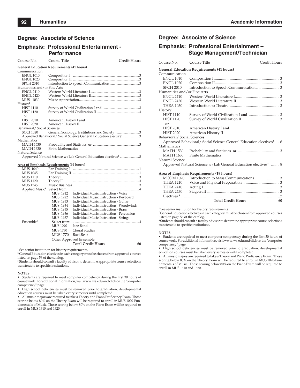### **Degree: Associate of Science**

### **Emphasis: Professional Entertainment - Performance**

| Course No.                  | Course Title                                                                  | Credit Hours |  |  |  |
|-----------------------------|-------------------------------------------------------------------------------|--------------|--|--|--|
|                             | <b>General Education Requirements (41 hours)</b>                              |              |  |  |  |
| Communication               |                                                                               |              |  |  |  |
| <b>ENGL 1010</b>            |                                                                               |              |  |  |  |
| <b>ENGL 1020</b>            |                                                                               |              |  |  |  |
| <b>SPCH 2010</b>            |                                                                               |              |  |  |  |
| Humanities and/or Fine Arts |                                                                               |              |  |  |  |
| <b>ENGL 2410</b>            |                                                                               |              |  |  |  |
| <b>ENGL 2420</b>            |                                                                               |              |  |  |  |
| MUS 1030                    |                                                                               |              |  |  |  |
| History <sup>1</sup>        |                                                                               |              |  |  |  |
| <b>HIST 1110</b>            |                                                                               |              |  |  |  |
| <b>HIST 1120</b>            |                                                                               |              |  |  |  |
| or                          |                                                                               |              |  |  |  |
| <b>HIST 2010</b>            | American History I and                                                        |              |  |  |  |
| <b>HIST 2020</b>            | American History II                                                           |              |  |  |  |
| Behavioral/Social Sciences  |                                                                               |              |  |  |  |
| SOCI 1020                   | General Sociology, Institutions and Society3                                  |              |  |  |  |
|                             | Approved Behavioral/ Social Science General Education elective <sup>2</sup> 3 |              |  |  |  |
| <b>Mathematics</b>          |                                                                               |              |  |  |  |
| <b>MATH 1530</b>            |                                                                               |              |  |  |  |
| <b>MATH 1630</b>            | <b>Finite Mathematics</b>                                                     |              |  |  |  |
| Natural Science             |                                                                               |              |  |  |  |

Approved Natural Science w/Lab General Education electives<sup>2</sup> ........................8

#### **Area of Emphasis Requirements (19 hours)**

| MUS 1040                   | Ear Training I  |                                           |    |
|----------------------------|-----------------|-------------------------------------------|----|
| <b>MUS 1045</b>            | Ear Training II |                                           |    |
| <b>MUS 1110</b>            | Theory I        |                                           |    |
| <b>MUS 1120</b>            | Theory II       |                                           |    |
| <b>MUS 1745</b>            | Music Business  |                                           |    |
| Applied Music <sup>3</sup> | Select from:    |                                           |    |
|                            | MUS 1912        | Individual Music Instruction - Voice      |    |
|                            | MUS 1922        | Individual Music Instruction - Keyboard   |    |
|                            | MUS 1933        | Individual Music Instruction - Guitar     |    |
|                            | MUS 1934        | Individual Music Instruction - Woodwinds  |    |
|                            | MUS 1935        | Individual Music Instruction - Brass      |    |
|                            | MUS 1936        | Individual Music Instruction - Percussion |    |
|                            | MUS 1937        | Individual Music Instruction - Strings    |    |
| Ensemble <sup>3</sup>      | Select from:    |                                           |    |
|                            | MUS 1090        | Jazz Band                                 |    |
|                            | <b>MUS 1730</b> | <b>Choral Studies</b>                     |    |
|                            | MUS 1770        | <b>BackBeat</b>                           |    |
|                            |                 | Other Approved Ensemble                   |    |
|                            |                 | <b>Total Credit Hours</b>                 | 60 |
|                            |                 |                                           |    |

**<sup>1</sup>** See senior institution for history requirements.

**<sup>2</sup>** General Education electives in each category must be chosen from approved courses

listed on page 56 of the catalog. **<sup>3</sup>** Students should consult a faculty advisor to determine appropriate course selections transferable to specific institutions.

#### **NOTES**\_\_\_\_\_\_\_\_\_\_\_\_\_\_\_\_\_\_\_\_\_\_\_\_\_\_\_\_\_\_\_\_\_\_\_\_\_\_\_\_\_\_\_\_\_\_\_\_\_\_\_\_\_\_\_\_\_\_\_\_\_\_\_\_

 $\bullet~$  Students are required to meet computer competency during the first 30 hours of coursework. For additional information, visit www.ws.edu and click on the "computer competency" page.

• High school deficiencies must be removed prior to graduation; developmental education courses must be taken every semester until completed.

• All music majors are required to take a Theory and Piano Proficiency Exam. Those scoring below 80% on the Theory Exam will be required to enroll in MUS 1020-Fundamentals of Music. Those scoring below 80% on the Piano Exam will be required to enroll in MUS 1610 and 1620.

### **Degree: Associate of Science**

### **Emphasis: Professional Entertainment – Stage Management/Technician**

| Course No.                  | Course Title                                                                   | Credit Hours |
|-----------------------------|--------------------------------------------------------------------------------|--------------|
|                             | <b>General Education Requirements (41 hours)</b>                               |              |
| Communication               |                                                                                |              |
| <b>ENGL 1010</b>            |                                                                                |              |
| <b>ENGL 1020</b>            |                                                                                |              |
| <b>SPCH 2010</b>            |                                                                                |              |
| Humanities and/or Fine Arts |                                                                                |              |
| <b>ENGL 2410</b>            |                                                                                |              |
| <b>ENGL 2420</b>            |                                                                                |              |
| <b>THEA 1030</b>            |                                                                                |              |
| History <sup>1</sup>        |                                                                                |              |
| <b>HIST 1110</b>            |                                                                                |              |
| <b>HIST 1120</b>            |                                                                                |              |
| or                          |                                                                                |              |
| <b>HIST 2010</b>            | American History I and                                                         |              |
| <b>HIST 2020</b>            | American History II                                                            |              |
| Behavioral/Social Sciences  |                                                                                |              |
|                             | Approved Behavioral/ Social Science General Education electives <sup>2</sup> 6 |              |
| Mathematics                 |                                                                                |              |
| MATH 1530                   |                                                                                |              |
| MATH 1630                   | <b>Finite Mathematics</b>                                                      |              |
| Natural Science             |                                                                                |              |
|                             | Approved Natural Science w/Lab General Education electives <sup>2</sup> 8      |              |
|                             | <b>Area of Emphasis Requirements (19 hours)</b>                                |              |
| <b>MCOM 1020</b>            |                                                                                |              |
| THEA 1210                   |                                                                                |              |

|                  | <b>Total Credit Hours</b> | 60 |
|------------------|---------------------------|----|
|                  |                           |    |
|                  |                           |    |
| <b>THEA 2410</b> |                           |    |
|                  |                           |    |
|                  |                           |    |

**<sup>1</sup>** See senior institution for history requirements.

**2** General Education electives in each category must be chosen from approved courses listed on page 56 of the catalog.

**3** Students should consult a faculty advisor to determine appropriate course selections transferable to specific institutions.

#### **NOTES**\_\_\_\_\_\_\_\_\_\_\_\_\_\_\_\_\_\_\_\_\_\_\_\_\_\_\_\_\_\_\_\_\_\_\_\_\_\_\_\_\_\_\_\_\_\_\_\_\_\_\_\_\_\_\_\_\_\_\_\_\_\_\_\_

• Students are required to meet computer competency during the first 30 hours of coursework. For additional information, visit www.ws.edu and click on the "computer competency" page.

• High school deficiencies must be removed prior to graduation; developmental education courses must be taken every semester until completed.

• All music majors are required to take a Theory and Piano Proficiency Exam. Those scoring below 80% on the Theory Exam will be required to enroll in MUS 1020-Fundamentals of Music. Those scoring below 80% on the Piano Exam will be required to enroll in MUS 1610 and 1620.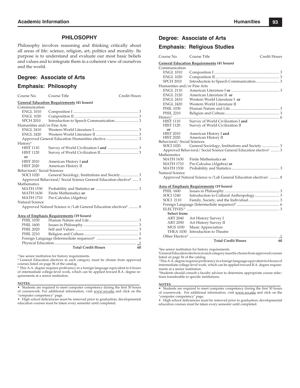### **PHILOSOPHY**

Philosophy involves reasoning and thinking critically about all areas of life: science, religion, art, politics and morality. Its purpose is to understand and evaluate our most basic beliefs and values and to integrate them in a coherent view of ourselves and the world.

### **Degree: Associate of Arts**

### **Emphasis: Philosophy**

|                                                  | Eniphasis. Thissephy                                                          |              |  |  |  |
|--------------------------------------------------|-------------------------------------------------------------------------------|--------------|--|--|--|
| Course No.                                       | Course Title                                                                  | Credit Hours |  |  |  |
| <b>General Education Requirements (41 hours)</b> |                                                                               |              |  |  |  |
| Communication                                    |                                                                               |              |  |  |  |
| <b>ENGL 1010</b>                                 |                                                                               |              |  |  |  |
| <b>ENGL 1020</b>                                 |                                                                               |              |  |  |  |
| <b>SPCH 2010</b>                                 |                                                                               |              |  |  |  |
| Humanities and/or Fine Arts                      |                                                                               |              |  |  |  |
| <b>ENGL 2410</b>                                 |                                                                               |              |  |  |  |
| <b>ENGL 2420</b>                                 |                                                                               |              |  |  |  |
|                                                  |                                                                               |              |  |  |  |
| History <sup>1</sup>                             |                                                                               |              |  |  |  |
| <b>HIST 1110</b>                                 |                                                                               |              |  |  |  |
| <b>HIST 1120</b>                                 |                                                                               |              |  |  |  |
| or                                               |                                                                               |              |  |  |  |
| <b>HIST 2010</b>                                 | American History I and                                                        |              |  |  |  |
| <b>HIST 2020</b>                                 | American History II                                                           |              |  |  |  |
| Behavioral/Social Sciences                       |                                                                               |              |  |  |  |
| <b>SOCI 1020</b>                                 |                                                                               |              |  |  |  |
|                                                  | Approved Behavioral/ Social Science General Education elective <sup>2</sup> 3 |              |  |  |  |
| Mathematics                                      |                                                                               |              |  |  |  |
| <b>MATH 1530</b>                                 |                                                                               |              |  |  |  |
| <b>MATH 1630</b>                                 | Finite Mathematics or                                                         |              |  |  |  |
| <b>MATH 1710</b>                                 | Pre-Calculus (Algebra)                                                        |              |  |  |  |
| Natural Science                                  |                                                                               |              |  |  |  |
|                                                  | Approved Natural Science w/Lab General Education electives <sup>2</sup> 8     |              |  |  |  |
|                                                  | Area of Emphasis Requirements (19 hours)                                      |              |  |  |  |
| <b>PHIL 1030</b>                                 |                                                                               |              |  |  |  |
| <b>PHIL 1600</b>                                 |                                                                               |              |  |  |  |
| <b>PHIL 2020</b>                                 |                                                                               |              |  |  |  |
| <b>PHIL 2210</b>                                 |                                                                               |              |  |  |  |
|                                                  |                                                                               |              |  |  |  |
|                                                  |                                                                               |              |  |  |  |
|                                                  | Total Credit Hours 60                                                         |              |  |  |  |

**<sup>1</sup>** See senior institution for history requirements.

**2** General Education electives in each category must be chosen from approved courses listed on page 56 of the catalog.<br><sup>3</sup> This A.A. degree requires proficiency in a foreign language equivalent to 6 hours

of intermediate college-level work, which can be applied toward B.A. degree requirements at a senior institution.

#### **NOTES NOTES**\_\_\_\_\_\_\_\_\_\_\_\_\_\_\_\_\_\_\_\_\_\_\_\_\_\_\_\_\_\_\_\_\_\_\_\_\_\_\_\_\_\_\_\_\_\_\_\_\_\_\_\_\_\_\_\_\_\_\_\_\_\_\_\_

• Students are required to meet computer competency during the first 30 hours of coursework. For additional information, visit www.ws.edu and click on the "computer competency" page.

• High school deficiencies must be removed prior to graduation; developmental education courses must be taken every semester until completed.

### **Degree: Associate of Arts**

### **Emphasis: Religious Studies**

| Course No.                           | Course Title                                                                  | Credit Hours |  |  |  |
|--------------------------------------|-------------------------------------------------------------------------------|--------------|--|--|--|
|                                      | <b>General Education Requirements (41 hours)</b>                              |              |  |  |  |
| Communication                        |                                                                               |              |  |  |  |
| <b>ENGL 1010</b>                     |                                                                               |              |  |  |  |
| <b>ENGL 1020</b>                     |                                                                               |              |  |  |  |
| <b>SPCH 2010</b>                     |                                                                               |              |  |  |  |
| Humanities and/or Fine Arts          |                                                                               |              |  |  |  |
| <b>ENGL 2110</b>                     |                                                                               |              |  |  |  |
| <b>ENGL 2120</b>                     | American Literature II or                                                     |              |  |  |  |
| <b>ENGL 2410</b>                     | Western World Literature I or                                                 |              |  |  |  |
| <b>ENGL 2420</b>                     | Western World Literature II                                                   |              |  |  |  |
| <b>PHIL 1030</b>                     |                                                                               |              |  |  |  |
| <b>PHIL 2210</b>                     |                                                                               |              |  |  |  |
| $History1$                           |                                                                               |              |  |  |  |
| <b>HIST 1110</b>                     | Survey of World Civilization I and                                            |              |  |  |  |
| HIST 1120                            | Survey of World Civilization II                                               |              |  |  |  |
| or                                   |                                                                               |              |  |  |  |
| <b>HIST 2010</b><br><b>HIST 2020</b> | American History I and<br>American History II                                 |              |  |  |  |
| Behavioral/ Social Sciences          |                                                                               |              |  |  |  |
| <b>SOCI 1020</b>                     |                                                                               |              |  |  |  |
|                                      | Approved Behavioral/ Social Science General Education elective <sup>2</sup> 3 |              |  |  |  |
| Mathematics                          |                                                                               |              |  |  |  |
| MATH 1630                            | Finite Mathematics or                                                         |              |  |  |  |
| MATH 1710                            | Pre-Calculus (Algebra) or                                                     |              |  |  |  |
| MATH 1530                            |                                                                               |              |  |  |  |
| Natural Science                      |                                                                               |              |  |  |  |
|                                      | Approved Natural Science w/Lab General Education electives <sup>1</sup> 8     |              |  |  |  |
|                                      |                                                                               |              |  |  |  |
|                                      | Area of Emphasis Requirements (19 hours)                                      |              |  |  |  |
| PHIL 1600                            |                                                                               |              |  |  |  |
| <b>SOCI 1240</b>                     |                                                                               |              |  |  |  |
| <b>SOCI 2110</b>                     |                                                                               |              |  |  |  |
|                                      |                                                                               |              |  |  |  |
|                                      |                                                                               |              |  |  |  |
| Select from:                         |                                                                               |              |  |  |  |
| ART 2040                             | Art History Survey I                                                          |              |  |  |  |
| ART 2050                             | Art History Survey II                                                         |              |  |  |  |
| <b>MUS 1030</b>                      | Music Appreciation                                                            |              |  |  |  |
|                                      | THEA 1030 Introduction to Theatre                                             |              |  |  |  |

1 See senior institution for history requirements. 2 General Education electives in each category must be chosen from approved courses listed on page 56 of the catalog.

Other Elective4 ............................................................................................. \_1

 **Total Credit Hours 60**

<sup>3</sup> This A.A. degree requires proficiency in a foreign language equivalent to 6 hours of intermediate college-level work, which can be applied toward B.A. degree requirements at a senior institution.

4 Students should consult a faculty advisor to determine appropriate course selections transferable to specific institutions.

#### **NOTES**\_\_\_\_\_\_\_\_\_\_\_\_\_\_\_\_\_\_\_\_\_\_\_\_\_\_\_\_\_\_\_\_\_\_\_\_\_\_\_\_\_\_\_\_\_\_\_\_\_\_\_\_\_\_\_\_\_\_\_\_\_\_\_\_

• Students are required to meet computer competency during the first 30 hours of coursework. For additional information, visit www.ws.edu and click on the "computer competency" page.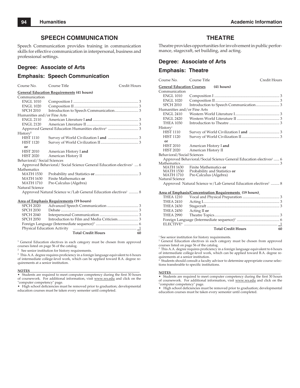### **SPEECH COMMUNICATION**

Speech Communication provides training in communication skills for effective communication in interpersonal, business and professional settings.

### **Degree: Associate of Arts**

### **Emphasis: Speech Communication**

| Course No.                                       | Course Title                                                                   | Credit Hours                                                              |  |  |  |
|--------------------------------------------------|--------------------------------------------------------------------------------|---------------------------------------------------------------------------|--|--|--|
| <b>General Education Requirements (41 hours)</b> |                                                                                |                                                                           |  |  |  |
| Communication                                    |                                                                                |                                                                           |  |  |  |
| <b>ENGL 1010</b>                                 |                                                                                |                                                                           |  |  |  |
| <b>ENGL 1020</b>                                 |                                                                                |                                                                           |  |  |  |
| <b>SPCH 2010</b>                                 |                                                                                |                                                                           |  |  |  |
| Humanities and/or Fine Arts                      |                                                                                |                                                                           |  |  |  |
| <b>ENGL 2110</b>                                 |                                                                                |                                                                           |  |  |  |
| <b>ENGL 2120</b>                                 |                                                                                |                                                                           |  |  |  |
|                                                  |                                                                                |                                                                           |  |  |  |
| History <sup>2</sup>                             |                                                                                |                                                                           |  |  |  |
| <b>HIST 1110</b>                                 |                                                                                |                                                                           |  |  |  |
| <b>HIST 1120</b>                                 |                                                                                |                                                                           |  |  |  |
| or                                               |                                                                                |                                                                           |  |  |  |
| <b>HIST 2010</b>                                 | American History I and                                                         |                                                                           |  |  |  |
| <b>HIST 2020</b>                                 | American History II                                                            |                                                                           |  |  |  |
| Behavioral/Social Sciences                       |                                                                                |                                                                           |  |  |  |
|                                                  | Approved Behavioral/ Social Science General Education electives <sup>1</sup> 6 |                                                                           |  |  |  |
| Mathematics                                      |                                                                                |                                                                           |  |  |  |
| <b>MATH 1530</b>                                 |                                                                                |                                                                           |  |  |  |
| MATH 1630                                        | Finite Mathematics or                                                          |                                                                           |  |  |  |
| MATH 1710                                        | Pre-Calculus (Algebra)                                                         |                                                                           |  |  |  |
| Natural Science                                  |                                                                                |                                                                           |  |  |  |
|                                                  |                                                                                | Approved Natural Science w/Lab General Education electives <sup>1</sup> 8 |  |  |  |

#### **Area of Emphasis Requirements (19 hours)**

| <b>SPCH 2020</b> |                           |    |
|------------------|---------------------------|----|
| <b>SPCH 2030</b> |                           |    |
| <b>SPCH 2040</b> |                           |    |
| <b>SPCH 2050</b> |                           |    |
|                  |                           |    |
|                  |                           |    |
|                  | <b>Total Credit Hours</b> | 60 |
|                  |                           |    |

<sup>1</sup> General Education electives in each category must be chosen from approved courses listed on page 56 of the catalog.

<sup>2</sup> See senior institution for history requirements.

<sup>3</sup> This A.A. degree requires proficiency in a foreign language equivalent to 6 hours of intermediate college-level work, which can be applied toward B.A. degree requirements at a senior institution.

#### **NOTES**\_\_\_\_\_\_\_\_\_\_\_\_\_\_\_\_\_\_\_\_\_\_\_\_\_\_\_\_\_\_\_\_\_\_\_\_\_\_\_\_\_\_\_\_\_\_\_\_\_\_\_\_\_\_\_\_\_\_\_\_\_\_\_\_

 $\bullet$  Students are required to meet computer competency during the first 30 hours of coursework. For additional information, visit www.ws.edu and click on the "computer competency" page.

• High school deficiencies must be removed prior to graduation; developmental education courses must be taken every semester until completed.

### **THEATRE**

Theatre provides opportunities for involvement in public performance, stagecraft, set building, and acting.

### **Degree: Associate of Arts**

#### **Emphasis: Theatre**

| Course No.                       | Course Title                                                                  | Credit Hours |
|----------------------------------|-------------------------------------------------------------------------------|--------------|
| <b>General Education Courses</b> | $(41$ hours)                                                                  |              |
| Communication                    |                                                                               |              |
| <b>ENGL 1010</b>                 |                                                                               |              |
| <b>ENGL 1020</b>                 |                                                                               |              |
| <b>SPCH 2010</b>                 |                                                                               |              |
| Humanities and/or Fine Arts      |                                                                               |              |
| <b>ENGL 2410</b>                 |                                                                               |              |
| <b>ENGL 2420</b>                 |                                                                               |              |
| <b>THEA 1030</b>                 |                                                                               |              |
| Historv <sup>1</sup>             |                                                                               |              |
| <b>HIST 1110</b>                 |                                                                               |              |
| <b>HIST 1120</b>                 |                                                                               |              |
| Ωr                               |                                                                               |              |
| <b>HIST 2010</b>                 | American History I and                                                        |              |
| <b>HIST 2020</b>                 | American History II                                                           |              |
| Behavioral/Social Sciences       |                                                                               |              |
|                                  | Approved Behavioral/Social Science General Education electives <sup>2</sup> 6 |              |
|                                  |                                                                               |              |
|                                  | MATH 1630 Finite Mathematics or                                               |              |
| <b>MATH 1710</b>                 | MATH 1530 Probability and Statistics or<br>Pre-Calculus (Algebra)             |              |
| Natural Science                  |                                                                               |              |
|                                  | Approved Natural Science w/Lab General Education electives <sup>2</sup> 8     |              |
|                                  | <b>Area of Emphasis/Concentration Requirements (19 hours)</b>                 |              |
| THEA 1210                        |                                                                               |              |

|                  | <b>Total Credit Hours</b> | 60 |
|------------------|---------------------------|----|
|                  |                           |    |
|                  |                           |    |
|                  |                           |    |
| <b>THEA 2450</b> | Acting II or              |    |
| <b>THEA 2430</b> |                           |    |
| <b>THEA 2410</b> |                           |    |
| <b>THEA 1210</b> |                           |    |
|                  |                           |    |

 $^{\rm 1}$  See senior institution for history requirements.

<sup>2</sup> General Education electives in each category must be chosen from approved courses listed on page 56 of the catalog.

<sup>3</sup> This A.A. degree requires proficiency in a foreign language equivalent to 6 hours of intermediate college-level work, which can be applied toward B.A. degree requirements at a senior institution.<br><sup>4</sup> Students should consult a faculty

 Students should consult a faculty advisor to determine appropriate course selections transferable to specific institutions.

#### **NOTES**\_\_\_\_\_\_\_\_\_\_\_\_\_\_\_\_\_\_\_\_\_\_\_\_\_\_\_\_\_\_\_\_\_\_\_\_\_\_\_\_\_\_\_\_\_\_\_\_\_\_\_\_\_\_\_\_\_\_\_\_\_\_\_\_

• Students are required to meet computer competency during the first 30 hours of coursework. For additional information, visit www.ws.edu and click on the "computer competency" page.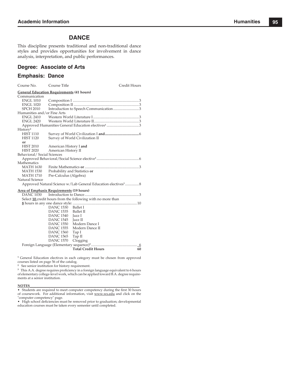### **DANCE**

This discipline presents traditional and non-traditional dance styles and provides opportunities for involvement in dance analysis, interpretation, and public performances.

### **Degree: Associate of Arts**

### **Emphasis: Dance**

| Course No.                                       | Course Title                  |                                                                           | Credit Hours |  |  |
|--------------------------------------------------|-------------------------------|---------------------------------------------------------------------------|--------------|--|--|
| <b>General Education Requirements (41 hours)</b> |                               |                                                                           |              |  |  |
| Communication                                    |                               |                                                                           |              |  |  |
| <b>ENGL 1010</b>                                 |                               |                                                                           |              |  |  |
| <b>ENGL 1020</b>                                 |                               |                                                                           |              |  |  |
| <b>SPCH 2010</b>                                 |                               | Introduction to Speech Communication3                                     |              |  |  |
| Humanities and/or Fine Arts                      |                               |                                                                           |              |  |  |
| <b>ENGL 2410</b>                                 |                               |                                                                           |              |  |  |
| <b>ENGL 2420</b>                                 |                               |                                                                           |              |  |  |
|                                                  |                               | Approved Humanities General Education electives <sup>1</sup> 3            |              |  |  |
| History <sup>2</sup>                             |                               |                                                                           |              |  |  |
| <b>HIST 1110</b>                                 |                               |                                                                           |              |  |  |
| <b>HIST 1120</b>                                 |                               | Survey of World Civilization II                                           |              |  |  |
| or                                               |                               |                                                                           |              |  |  |
| <b>HIST 2010</b>                                 | American History I and        |                                                                           |              |  |  |
| <b>HIST 2020</b>                                 | American History II           |                                                                           |              |  |  |
| Behavioral/Social Sciences                       |                               |                                                                           |              |  |  |
|                                                  |                               |                                                                           |              |  |  |
| Mathematics                                      |                               |                                                                           |              |  |  |
| <b>MATH 1630</b>                                 |                               |                                                                           |              |  |  |
| <b>MATH 1530</b>                                 | Probability and Statistics or |                                                                           |              |  |  |
| <b>MATH 1710</b>                                 | Pre-Calculus (Algebra)        |                                                                           |              |  |  |
| Natural Science                                  |                               |                                                                           |              |  |  |
|                                                  |                               | Approved Natural Science w/Lab General Education electives <sup>1</sup> 8 |              |  |  |
| <b>Area of Emphasis Requirements (19 hours)</b>  |                               |                                                                           |              |  |  |
| DANC 1030                                        |                               |                                                                           |              |  |  |
|                                                  |                               | Select 10 credit hours from the following with no more than               |              |  |  |
|                                                  |                               |                                                                           |              |  |  |
|                                                  | <b>DANC 1530</b>              | <b>Ballet I</b>                                                           |              |  |  |
|                                                  | DANC 1535                     | <b>Ballet II</b>                                                          |              |  |  |
|                                                  | <b>DANC 1540</b>              | Jazz I                                                                    |              |  |  |
|                                                  | DANC 1545                     | Jazz II                                                                   |              |  |  |
|                                                  | DANC 1550                     | Modern Dance I                                                            |              |  |  |
|                                                  | DANC 1555                     | Modern Dance II                                                           |              |  |  |
|                                                  | <b>DANC 1560</b>              | Tap I                                                                     |              |  |  |
|                                                  | <b>DANC 1565</b>              | Tap II                                                                    |              |  |  |
|                                                  | <b>DANC 1570</b>              | Clogging                                                                  |              |  |  |
|                                                  |                               |                                                                           |              |  |  |
|                                                  |                               | <b>Total Credit Hours</b>                                                 | 60           |  |  |

<sup>1</sup> General Education electives in each category must be chosen from approved

courses listed on page 56 of the catalog. **2** See senior institution for history requirement.

<sup>3</sup> This A.A. degree requires proficiency in a foreign language equivalent to 6 hours of elementary college-level work, which can be applied toward B.A. degree requirements at a senior institution.

#### **NOTES**\_\_\_\_\_\_\_\_\_\_\_\_\_\_\_\_\_\_\_\_\_\_\_\_\_\_\_\_\_\_\_\_\_\_\_\_\_\_\_\_\_\_\_\_\_\_\_\_\_\_\_\_\_\_\_\_\_\_\_\_\_\_\_\_

• Students are required to meet computer competency during the first 30 hours of coursework. For additional information, visit www.ws.edu and click on the "computer competency" page.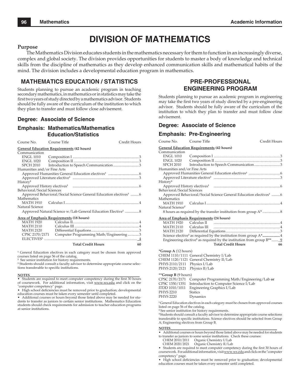# **DIVISION OF MATHEMATICS**

### **Purpose**

The Mathematics Division educates students in the mathematics necessary for them to function in an increasingly diverse, complex and global society. The division provides opportunities for students to master a body of knowledge and technical skills from the discipline of mathematics as they develop enhanced communication skills and mathematical habits of the mind. The division includes a developmental education program in mathematics.

### **MATHEMATICS EDUCATION / STATISTICS**

Students planning to pursue an academic program in teaching secondary mathematics, in mathematics or in statistics may take the first two years of study directed by a mathematics advisor. Students should be fully aware of the curriculum of the institution to which they plan to transfer and must follow close advisement.

### **Degree: Associate of Science**

### **Emphasis: Mathematics/Mathematics Education/Statistics**

Course No. Course Title Credit Hours

**General Education Requirements (42 hours)**

|                             | <u>General Luucation Requirements</u> (72 nours)                              |  |
|-----------------------------|-------------------------------------------------------------------------------|--|
| Communication               |                                                                               |  |
| <b>ENGL 1010</b>            |                                                                               |  |
| <b>ENGL 1020</b>            |                                                                               |  |
| SPCH 2010                   | Introduction to Speech Communication3                                         |  |
| Humanities and/or Fine Arts |                                                                               |  |
|                             |                                                                               |  |
|                             |                                                                               |  |
| History <sup>2</sup>        |                                                                               |  |
|                             |                                                                               |  |
| Behavioral/Social Sciences  |                                                                               |  |
|                             | Approved Behavioral/Social Science General Education electives <sup>1</sup> 6 |  |
| Mathematics                 |                                                                               |  |
| MATH 1910                   |                                                                               |  |
| Natural Science             |                                                                               |  |
|                             | Approved Natural Science w/Lab General Education Elective <sup>1</sup> 8      |  |

**Area of Emphasis Requirements (18 hours)**

| <b>MATH 1920</b> |                                         |  |
|------------------|-----------------------------------------|--|
| <b>MATH 2110</b> |                                         |  |
| <b>MATH 2120</b> |                                         |  |
| CPSC 2170/2171   | Computer Programming Math/Engineering 3 |  |
|                  |                                         |  |
|                  |                                         |  |

#### **Total Credit Hours 60**

<sup>1</sup> General Education electives in each category must be chosen from approved courses listed on page 56 of the catalog.

**2** See senior institution for history requirements.

<sup>3</sup> Students should consult a faculty advisor to determine appropriate course selections transferable to specific institutions.

**NOTES**\_\_\_\_\_\_\_\_\_\_\_\_\_\_\_\_\_\_\_\_\_\_\_\_\_\_\_\_\_\_\_\_\_\_\_\_\_\_\_\_\_\_\_\_\_\_\_\_\_\_\_\_\_\_\_\_\_\_\_\_\_\_\_\_ • Students are required to meet computer competency during the first 30 hours of coursework. For additional information, visit www.ws.edu and click on the "computer competency" page.

• High school deficiencies must be removed prior to graduation; developmental education courses must be taken every semester until completed.

• Additional courses or hours beyond those listed above may be needed for students to transfer as juniors to certain senior institutions. Mathematics Education students should check requirements for admission to teacher education programs at senior institutions.

### **PRE-PROFESSIONAL ENGINEERING PROGRAM**

Students planning to pursue an academic program in engineering may take the first two years of study directed by a pre-engineering advisor. Students should be fully aware of the curriculum of the institution to which they plan to transfer and must follow close advisement.

### **Degree: Associate of Science**

### **Emphasis: Pre-Engineering**

| Course No.                                                                                                                                                                                                                                                                                                                                                                                                                                    | Course Title                                                                                                                                              | Credit Hours |  |  |
|-----------------------------------------------------------------------------------------------------------------------------------------------------------------------------------------------------------------------------------------------------------------------------------------------------------------------------------------------------------------------------------------------------------------------------------------------|-----------------------------------------------------------------------------------------------------------------------------------------------------------|--------------|--|--|
| <b>General Education Requirements (42 hours)</b><br>Communication                                                                                                                                                                                                                                                                                                                                                                             |                                                                                                                                                           |              |  |  |
| <b>ENGL 1010</b><br><b>ENGL 1020</b>                                                                                                                                                                                                                                                                                                                                                                                                          |                                                                                                                                                           |              |  |  |
| <b>SPCH 2010</b><br>Humanities and/or Fine Arts                                                                                                                                                                                                                                                                                                                                                                                               | Introduction to Speech Communication3                                                                                                                     |              |  |  |
|                                                                                                                                                                                                                                                                                                                                                                                                                                               |                                                                                                                                                           |              |  |  |
| History <sup>2</sup>                                                                                                                                                                                                                                                                                                                                                                                                                          |                                                                                                                                                           |              |  |  |
| Behavioral/Social Sciences                                                                                                                                                                                                                                                                                                                                                                                                                    | Approved Behavioral/Social Science General Education electives <sup>1</sup> 6                                                                             |              |  |  |
| Mathematics                                                                                                                                                                                                                                                                                                                                                                                                                                   |                                                                                                                                                           |              |  |  |
| <b>MATH 1910</b><br>Natural Science <sup>3</sup>                                                                                                                                                                                                                                                                                                                                                                                              |                                                                                                                                                           |              |  |  |
|                                                                                                                                                                                                                                                                                                                                                                                                                                               |                                                                                                                                                           |              |  |  |
| MATH 1920                                                                                                                                                                                                                                                                                                                                                                                                                                     | Area of Emphasis Requirements (24 hours)<br>Calculus II music music contractor and the Calculus II music music music contractor and the Calculus II music |              |  |  |
| <b>MATH 2110</b>                                                                                                                                                                                                                                                                                                                                                                                                                              | Calculus III                                                                                                                                              |              |  |  |
|                                                                                                                                                                                                                                                                                                                                                                                                                                               |                                                                                                                                                           |              |  |  |
|                                                                                                                                                                                                                                                                                                                                                                                                                                               | Science elective <sup>3</sup> as required by the institution from group A*4                                                                               |              |  |  |
|                                                                                                                                                                                                                                                                                                                                                                                                                                               | Engineering elective <sup>3</sup> as required by the institution from group $B^{**}$ <u>9</u>                                                             |              |  |  |
|                                                                                                                                                                                                                                                                                                                                                                                                                                               | <b>Total Credit Hours</b>                                                                                                                                 | 66           |  |  |
| <i>*Group A <math>(12 \text{ hours})</math></i>                                                                                                                                                                                                                                                                                                                                                                                               |                                                                                                                                                           |              |  |  |
|                                                                                                                                                                                                                                                                                                                                                                                                                                               | CHEM 1110/1111 General Chemistry I/Lab<br>CHEM 1120/1121 General Chemistry II/Lab                                                                         |              |  |  |
| PHYS 2110/2111 Physics I/Lab                                                                                                                                                                                                                                                                                                                                                                                                                  |                                                                                                                                                           |              |  |  |
| PHYS 2120/2121 Physics II/Lab                                                                                                                                                                                                                                                                                                                                                                                                                 |                                                                                                                                                           |              |  |  |
| **Group B (9 hours)                                                                                                                                                                                                                                                                                                                                                                                                                           |                                                                                                                                                           |              |  |  |
| CPSC 2170/2171                                                                                                                                                                                                                                                                                                                                                                                                                                | Computer Programming Math/Engineering/Lab or                                                                                                              |              |  |  |
| CPSC 1350/1351                                                                                                                                                                                                                                                                                                                                                                                                                                | Introduction to Computer Science I/Lab                                                                                                                    |              |  |  |
| ITDD 1010/1011<br>PHYS 2210                                                                                                                                                                                                                                                                                                                                                                                                                   | Engineering Graphics I/Lab<br><b>Statics</b>                                                                                                              |              |  |  |
| <b>PHYS 2220</b>                                                                                                                                                                                                                                                                                                                                                                                                                              | Dynamics                                                                                                                                                  |              |  |  |
| <sup>1</sup> General Education electives in each category must be chosen from approved courses<br>listed on page 56 of the catalog.<br><sup>2</sup> See senior institution for history requirements.<br><sup>3</sup> Students should consult a faculty advisor to determine appropriate course selections<br>transferable to specific institutions. Science electives should be selected from Group<br>A; Engineering electives from Group B. |                                                                                                                                                           |              |  |  |

- **NOTES**\_\_\_\_\_\_\_\_\_\_\_\_\_\_\_\_\_\_\_\_\_\_\_\_\_\_\_\_\_\_\_\_\_\_\_\_\_\_\_\_\_\_\_\_\_\_\_\_\_\_\_\_\_\_\_\_\_\_\_\_\_\_\_\_ • Additional courses or hours beyond those listed above may be needed for students to transfer as juniors to some senior institutions. Check these courses:
	-
	- CHEM 2010/2011 Organic Chemistry I/Lab Organic Chemistry II/Lab

<sup>•</sup> Students are required to meet computer competency during the first 30 hours of coursework. For additional information, visit www.ws.edu and click on the "computer competency" page.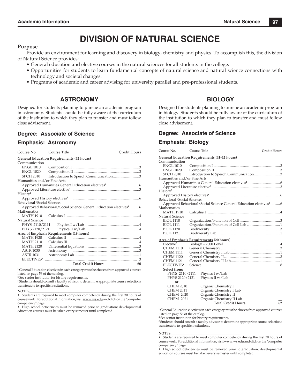# **DIVISION OF NATURAL SCIENCE**

### **Purpose**

Provide an environment for learning and discovery in biology, chemistry and physics. To accomplish this, the division of Natural Science provides:

- General education and elective courses in the natural sciences for all students in the college.
- Opportunities for students to learn fundamental concepts of natural science and natural science connections with technology and societal changes.
- Programs of academic and career advising for university parallel and pre-professional students.

### **ASTRONOMY**

Designed for students planning to pursue an academic program in astronomy. Students should be fully aware of the curriculum of the institution to which they plan to transfer and must follow close advisement.

### **Degree: Associate of Science**

### **Emphasis: Astronomy**

| Course No.                                       | Course Title                             | Credit Hours                                                                  |  |  |
|--------------------------------------------------|------------------------------------------|-------------------------------------------------------------------------------|--|--|
| <b>General Education Requirements (42 hours)</b> |                                          |                                                                               |  |  |
| Communication                                    |                                          |                                                                               |  |  |
| ENGL 1010                                        |                                          |                                                                               |  |  |
| ENGL 1020                                        |                                          |                                                                               |  |  |
| <b>SPCH 2010</b>                                 |                                          | Introduction to Speech Communication3                                         |  |  |
| Humanities and/or Fine Arts                      |                                          |                                                                               |  |  |
|                                                  |                                          |                                                                               |  |  |
|                                                  |                                          |                                                                               |  |  |
| History <sup>2</sup>                             |                                          |                                                                               |  |  |
|                                                  |                                          |                                                                               |  |  |
| Behavioral/Social Sciences                       |                                          |                                                                               |  |  |
|                                                  |                                          | Approved Behavioral/Social Science General Education electives <sup>1</sup> 6 |  |  |
| Mathematics                                      |                                          |                                                                               |  |  |
|                                                  |                                          |                                                                               |  |  |
| Natural Science                                  |                                          |                                                                               |  |  |
|                                                  |                                          |                                                                               |  |  |
| PHYS 2120/2121                                   |                                          |                                                                               |  |  |
|                                                  | Area of Emphasis Requirements (18 hours) |                                                                               |  |  |
| <b>MATH 1920</b>                                 |                                          |                                                                               |  |  |
| <b>MATH 2110</b>                                 |                                          |                                                                               |  |  |
| <b>MATH 2120</b>                                 |                                          |                                                                               |  |  |
| <b>ASTR 1030</b>                                 |                                          |                                                                               |  |  |
| <b>ASTR 1031</b>                                 |                                          |                                                                               |  |  |
| <b>ELECTIVES</b> <sup>3</sup>                    |                                          |                                                                               |  |  |
|                                                  | <b>Total Credit Hours</b>                | 60                                                                            |  |  |

**1** General Education electives in each category must be chosen from approved courses listed on page 56 of the catalog.

**<sup>2</sup>** See senior institution for history requirements.

**3** Students should consult a faculty advisor to determine appropriate course selections transferable to specific institutions.

#### **NOTES**\_\_\_\_\_\_\_\_\_\_\_\_\_\_\_\_\_\_\_\_\_\_\_\_\_\_\_\_\_\_\_\_\_\_\_\_\_\_\_\_\_\_\_\_\_\_\_\_\_\_\_\_\_\_\_\_\_\_\_\_\_\_\_\_\_\_\_

• Students are required to meet computer competency during the first 30 hours of coursework. For additional information, visit www.ws.edu and click on the "computer competency" page.

• High school deficiencies must be removed prior to graduation; developmental education courses must be taken every semester until completed.

### **BIOLOGY**

Designed for students planning to pursue an academic program in biology. Students should be fully aware of the curriculum of the institution to which they plan to transfer and must follow close advisement.

### **Degree: Associate of Science**

### **Emphasis: Biology**

| Course No.                    | Course Title |                                                                               | Credit Hours |
|-------------------------------|--------------|-------------------------------------------------------------------------------|--------------|
|                               |              | <b>General Education Requirements (41-42 hours)</b>                           |              |
| Communication                 |              |                                                                               |              |
| <b>ENGL 1010</b>              |              |                                                                               |              |
| <b>ENGL 1020</b>              |              |                                                                               |              |
| <b>SPCH 2010</b>              |              | Introduction to Speech Communication3                                         |              |
| Humanities and/or Fine Arts   |              |                                                                               |              |
|                               |              |                                                                               |              |
|                               |              |                                                                               |              |
| History <sup>2</sup>          |              |                                                                               |              |
|                               |              |                                                                               |              |
| Behavioral/Social Sciences    |              |                                                                               |              |
|                               |              | Approved Behavioral/Social Science General Education electives <sup>1</sup> 6 |              |
| Mathematics                   |              |                                                                               |              |
| <b>MATH 1910</b>              |              |                                                                               |              |
| Natural Science               |              |                                                                               |              |
| <b>BIOL 1110</b>              |              |                                                                               |              |
| <b>BIOL 1111</b>              |              |                                                                               |              |
| <b>BIOL 1120</b>              |              |                                                                               |              |
| <b>BIOL 1121</b>              |              |                                                                               |              |
|                               |              |                                                                               |              |
|                               |              | Area of Emphasis Requirements (20 hours)                                      |              |
| Elective <sup>3</sup>         |              |                                                                               |              |
| <b>CHEM 1110</b>              |              |                                                                               |              |
| <b>CHEM 1111</b>              |              |                                                                               |              |
| <b>CHEM 1120</b>              |              |                                                                               |              |
| <b>CHEM 1121</b>              |              |                                                                               |              |
| <b>ELECTIVES</b> <sup>3</sup> |              |                                                                               |              |
| Select from:                  |              |                                                                               |              |
| PHYS 2110/2111                |              | Physics $I w/Lab$                                                             |              |
| PHYS 2120/2121                |              | Physics II w/Lab                                                              |              |
| or                            |              |                                                                               |              |
| <b>CHEM 2010</b>              |              | Organic Chemistry I                                                           |              |
| <b>CHEM 2011</b>              |              | Organic Chemistry I Lab                                                       |              |
| <b>CHEM 2020</b>              |              | Organic Chemistry II                                                          |              |
| <b>CHEM 2021</b>              |              | Organic Chemistry II Lab                                                      |              |
|                               |              | <b>Total Credit Hours</b>                                                     | 62           |

**1** General Education electives in each category must be chosen from approved courses listed on page 56 of the catalog.

**2** See senior institution for history requirements.

**<sup>3</sup>**Students should consult a faculty advisor to determine appropriate course selections transferable to specific institutions.

#### **NOTES\_\_\_\_\_\_\_\_\_\_\_\_\_\_\_\_\_\_\_\_\_\_\_\_\_\_\_\_\_\_\_\_\_\_\_\_\_\_\_\_\_\_**\_\_\_\_\_\_\_\_\_\_\_\_\_\_\_\_\_\_\_\_\_\_\_\_\_

• Students are required to meet computer competency during the first 30 hours of coursework. For additional information, visit www.ws.edu and click on the "computer competency" page.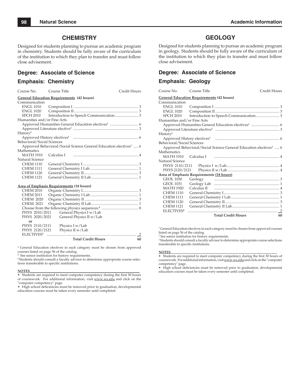### **CHEMISTRY**

Designed for students planning to pursue an academic program in chemistry. Students should be fully aware of the curriculum of the institution to which they plan to transfer and must follow close advisement.

### **Degree: Associate of Science**

### **Emphasis: Chemistry**

| Course No.                                       | Course Title |                                                                                                                | Credit Hours |
|--------------------------------------------------|--------------|----------------------------------------------------------------------------------------------------------------|--------------|
| <b>General Education Requirements (42 hours)</b> |              |                                                                                                                |              |
| Communication                                    |              |                                                                                                                |              |
| <b>ENGL 1010</b>                                 |              |                                                                                                                |              |
| ENGL 1020                                        |              |                                                                                                                |              |
| SPCH 2010                                        |              |                                                                                                                |              |
| Humanities and/or Fine Arts                      |              |                                                                                                                |              |
|                                                  |              |                                                                                                                |              |
|                                                  |              |                                                                                                                |              |
| History <sup>2</sup>                             |              |                                                                                                                |              |
|                                                  |              |                                                                                                                |              |
| Behavioral/Social Sciences                       |              |                                                                                                                |              |
|                                                  |              | Approved Behavioral/Social Science General Education electives <sup>1</sup> 6                                  |              |
| Mathematics                                      |              |                                                                                                                |              |
| MATH 1910                                        |              | Calculus I manufactured and the set of the set of the set of the set of the set of the set of the set of the s |              |
| Natural Science                                  |              |                                                                                                                |              |
| <b>CHEM 1110</b>                                 |              |                                                                                                                |              |
| CHEM 1111                                        |              |                                                                                                                |              |
| <b>CHEM 1120</b>                                 |              |                                                                                                                |              |
| <b>CHEM 1121</b>                                 |              |                                                                                                                |              |
|                                                  |              |                                                                                                                |              |

### **Area of Emphasis Requirements (18 hours)**

| <b>CHEM 2010</b>       |                           |    |
|------------------------|---------------------------|----|
| <b>CHEM 2011</b>       |                           |    |
| <b>CHEM 2020</b>       |                           |    |
| <b>CHEM 2021</b>       |                           |    |
|                        |                           |    |
| PHYS 2010/2011         | General Physics I w/Lab   |    |
| PHYS 2020/2021         | General Physics II w/Lab  |    |
| or                     |                           |    |
| PHYS 2110/2111         | Physics I w/Lab           |    |
| PHYS 2120/2121         | Physics II w/Lab          |    |
| ELECTIVES <sup>3</sup> |                           |    |
|                        | <b>Total Credit Hours</b> | 60 |

<sup>1</sup> General Education electives in each category must be chosen from approved courses listed on page 56 of the catalog. **2**

See senior institution for history requirements.

<sup>3</sup> Students should consult a faculty advisor to determine appropriate course selections transferable to specific institutions.

#### **NOTES**\_\_\_\_\_\_\_\_\_\_\_\_\_\_\_\_\_\_\_\_\_\_\_\_\_\_\_\_\_\_\_\_\_\_\_\_\_\_\_\_\_\_\_\_\_\_\_\_\_\_\_\_\_\_\_\_\_\_\_\_\_\_\_\_

• Students are required to meet computer competency during the first 30 hours of coursework. For additional information, visit www.ws.edu and click on the "computer competency" page.

• High school deficiencies must be removed prior to graduation; developmental education courses must be taken every semester until completed.

### **GEOLOGY**

Designed for students planning to pursue an academic program in geology. Students should be fully aware of the curriculum of the institution to which they plan to transfer and must follow close advisement.

### **Degree: Associate of Science**

#### **Emphasis: Geology**

| Course No.                                       | Course Title |                                                                               | Credit Hours |
|--------------------------------------------------|--------------|-------------------------------------------------------------------------------|--------------|
| <b>General Education Requirements (42 hours)</b> |              |                                                                               |              |
| Communication                                    |              |                                                                               |              |
| <b>ENGL 1010</b>                                 |              |                                                                               |              |
| <b>ENGL 1020</b>                                 |              |                                                                               |              |
| SPCH 2010                                        |              |                                                                               |              |
| Humanities and/or Fine Arts                      |              |                                                                               |              |
|                                                  |              |                                                                               |              |
|                                                  |              |                                                                               |              |
| History <sup>2</sup>                             |              |                                                                               |              |
|                                                  |              |                                                                               |              |
| Behavioral/Social Sciences                       |              |                                                                               |              |
|                                                  |              | Approved Behavioral/Social Science General Education electives <sup>1</sup> 6 |              |
| Mathematics                                      |              |                                                                               |              |
| MATH 1910 Calculus I                             |              |                                                                               |              |
| Natural Science                                  |              |                                                                               |              |
|                                                  |              |                                                                               |              |
|                                                  |              |                                                                               |              |
| Area of Emphasis Requirements (18 hours)         |              |                                                                               |              |
| GEOL 1030                                        |              |                                                                               |              |
| GEOL 1031                                        |              |                                                                               |              |
| <b>MATH 1920</b>                                 |              |                                                                               |              |
| <b>CHEM 1110</b>                                 |              |                                                                               |              |
| <b>CHEM 1111</b>                                 |              |                                                                               |              |
| <b>CHEM 1120</b>                                 |              |                                                                               |              |
| <b>CHEM 1121</b>                                 |              |                                                                               |              |
| <b>ELECTIVES</b> <sup>3</sup>                    |              |                                                                               |              |
|                                                  |              | <b>Total Credit Hours</b>                                                     | 60           |
|                                                  |              |                                                                               |              |

1 General Education electives in each category must be chosen from approved courses listed on page 56 of the catalog.

<sup>2</sup> See senior institution for history requirements.

3 Students should consult a faculty advisor to determine appropriate course selections transferable to specific institutions.

#### **NOTES**\_\_\_\_\_\_\_\_\_\_\_\_\_\_\_\_\_\_\_\_\_\_\_\_\_\_\_\_\_\_\_\_\_\_\_\_\_\_\_\_\_\_\_\_\_\_\_\_\_\_\_\_\_\_\_\_\_\_\_\_\_\_\_\_

• Students are required to meet computer competency during the first 30 hours of coursework. For additional information, visit www.ws.edu and click on the "computer competency" page.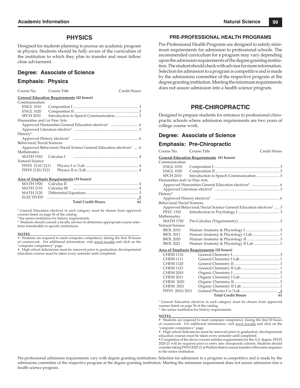### **PHYSICS**

Designed for students planning to pursue an academic program in physics. Students should be fully aware of the curriculum of the institution to which they plan to transfer and must follow close advisement.

### **Degree: Associate of Science**

### **Emphasis: Physics**

| Course No. Course Title     |                                                  |                                                                               | Credit Hours |
|-----------------------------|--------------------------------------------------|-------------------------------------------------------------------------------|--------------|
|                             | <b>General Education Requirements (42 hours)</b> |                                                                               |              |
| Communication               |                                                  |                                                                               |              |
| <b>ENGL 1010</b>            |                                                  |                                                                               |              |
| ENGL 1020                   |                                                  |                                                                               |              |
| SPCH 2010                   |                                                  |                                                                               |              |
| Humanities and/or Fine Arts |                                                  |                                                                               |              |
|                             |                                                  |                                                                               |              |
|                             |                                                  |                                                                               |              |
| History <sup>2</sup>        |                                                  |                                                                               |              |
|                             |                                                  |                                                                               |              |
| Behavioral/Social Sciences  |                                                  |                                                                               |              |
|                             |                                                  | Approved Behavioral/Social Science General Education electives <sup>1</sup> 6 |              |
| Mathematics                 |                                                  |                                                                               |              |
|                             |                                                  | MATH 1910 Calculus I municipal mercuritan and 4                               |              |
| Natural Science             |                                                  |                                                                               |              |
| PHYS 2110/2111              |                                                  |                                                                               |              |
| PHYS 2120/2121              |                                                  |                                                                               |              |
|                             |                                                  |                                                                               |              |

#### **Area of Emphasis Requirements (19 hours)**

|                       | <b>Total Credit Hours</b> | 61 |
|-----------------------|---------------------------|----|
|                       |                           |    |
|                       |                           |    |
|                       |                           |    |
| MATH 1920 Calculus II |                           |    |

**<sup>1</sup>** General Education electives in each category must be chosen from approved courses listed on page 56 of the catalog.

**<sup>2</sup>** See senior institution for history requirements.

<sup>3</sup> Students should consult a faculty advisor to determine appropriate course selections transferable to specific institutions.

#### **NOTES**\_\_\_\_\_\_\_\_\_\_\_\_\_\_\_\_\_\_\_\_\_\_\_\_\_\_\_\_\_\_\_\_\_\_\_\_\_\_\_\_\_\_\_\_\_\_\_\_\_\_\_\_\_\_\_\_\_\_\_\_\_\_\_\_

Students are required to meet computer competency during the first 30 hours of coursework. For additional information, visit www.ws.edu and click on the "computer competency" page.

• High school deficiencies must be removed prior to graduation; developmental education courses must be taken every semester until completed.

### **PRE-PROFESSIONAL HEALTH PROGRAMS**

Pre-Professional Health Programs are designed to satisfy minimum requirements for admission to professional schools. The recommended curriculum for a program may vary depending upon the admission requirements of the degree granting institution. The student should check with advisor for more information. Selection for admission to a program is competitive and is made by the admissions committee of the respective program at the degree granting institution. Meeting the minimum requirements does not assure admission into a health science program.

### **PRE-CHIROPRACTIC**

Designed to prepare students for entrance to professional chiropractic schools where admission requirements are two years of college course work.

### **Degree: Associate of Science**

### **Emphasis: Pre-Chiropractic**

| Course No.                                       | Course Title                                                                  | Credit Hours |  |  |
|--------------------------------------------------|-------------------------------------------------------------------------------|--------------|--|--|
| <b>General Education Requirements (41 hours)</b> |                                                                               |              |  |  |
| Communication                                    |                                                                               |              |  |  |
| ENGL 1010                                        |                                                                               |              |  |  |
| ENGL 1020                                        |                                                                               |              |  |  |
| SPCH 2010                                        |                                                                               |              |  |  |
| Humanities and/or Fine Arts                      |                                                                               |              |  |  |
|                                                  |                                                                               |              |  |  |
|                                                  |                                                                               |              |  |  |
| History <sup>2</sup>                             |                                                                               |              |  |  |
|                                                  |                                                                               |              |  |  |
| Behavioral/Social Sciences                       |                                                                               |              |  |  |
|                                                  | Approved Behavioral/Social Science General Education electives <sup>1</sup> 3 |              |  |  |
| PSYC 1310                                        |                                                                               |              |  |  |
| Mathematics                                      |                                                                               |              |  |  |
| <b>MATH 1720</b>                                 |                                                                               |              |  |  |
| Natural Science                                  |                                                                               |              |  |  |
| <b>BIOL 2010</b>                                 |                                                                               |              |  |  |
| <b>BIOL 2011</b>                                 |                                                                               |              |  |  |
| <b>BIOL 2020</b>                                 |                                                                               |              |  |  |
| <b>BIOL 2021</b>                                 |                                                                               |              |  |  |
|                                                  |                                                                               |              |  |  |

#### **Area of Emphasis Requirements (20 hours)**

| <b>CHEM 1110</b> |                           |    |
|------------------|---------------------------|----|
| <b>CHEM 1111</b> |                           |    |
| <b>CHEM 1120</b> |                           |    |
| <b>CHEM 1121</b> |                           |    |
| <b>CHEM 2010</b> |                           |    |
| <b>CHEM 2011</b> |                           |    |
| <b>CHEM 2020</b> |                           |    |
| <b>CHEM 2021</b> |                           |    |
| PHYS 2010/2011   |                           |    |
|                  | <b>Total Credit Hours</b> | 61 |
|                  |                           |    |

<sup>1</sup> General Education electives in each category must be chosen from approved courses listed on page 56 of the catalog.

2 See senior institution for history requirements.

**NOTES**\_\_\_\_\_\_\_\_\_\_\_\_\_\_\_\_\_\_\_\_\_\_\_\_\_\_\_\_\_\_\_\_\_\_\_\_\_\_\_\_\_\_\_\_\_\_\_\_\_\_\_\_\_\_\_\_\_\_\_\_\_\_\_\_

• Students are required to meet computer competency during the first 30 hours of coursework. For additional information, visit www.ws.edu and click on the "computer competency" page.

• Completion of the above courses satisfies requirements for the A.S. degree. PHYS 2020-21 will be required prior to entry into chiropractic schools. Students should consider taking PHYS 2020-21 at Walters State to assure transfer of the entire sequence to the senior institution.

<sup>•</sup> High school deficiencies must be removed prior to graduation; developmental education courses must be taken every semester until completed.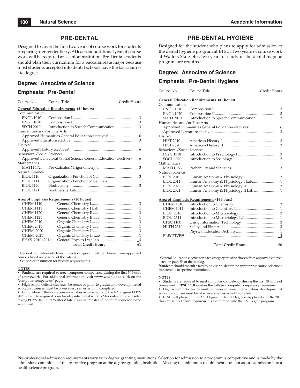### **PRE-DENTAL**

Designed to cover the first two years of course work for students preparing to enter dentistry. At least one additional year of course work will be required at a senior institution. Pre-Dental students should plan their curriculum for a baccalaureate major because most students accepted into dental schools have the baccalaureate degree.

### **Degree: Associate of Science**

### **Emphasis: Pre-Dental**

| Course No.                                       | Course Title                                                                  | Credit Hours |  |  |
|--------------------------------------------------|-------------------------------------------------------------------------------|--------------|--|--|
| <b>General Education Requirements (41 hours)</b> |                                                                               |              |  |  |
| Communication                                    |                                                                               |              |  |  |
| <b>ENGL 1010</b>                                 |                                                                               |              |  |  |
| ENGL 1020                                        |                                                                               |              |  |  |
| SPCH 2010                                        |                                                                               |              |  |  |
| Humanities and/or Fine Arts                      |                                                                               |              |  |  |
|                                                  |                                                                               |              |  |  |
|                                                  |                                                                               |              |  |  |
| History <sup>2</sup>                             |                                                                               |              |  |  |
|                                                  |                                                                               |              |  |  |
| Behavioral/Social Sciences                       |                                                                               |              |  |  |
|                                                  | Approved Behavioral/Social Science General Education electives <sup>1</sup> 6 |              |  |  |
| Mathematics                                      |                                                                               |              |  |  |
| <b>MATH 1720</b>                                 |                                                                               |              |  |  |
| Natural Science                                  |                                                                               |              |  |  |
| <b>BIOL 1110</b>                                 |                                                                               |              |  |  |
| <b>BIOL 1111</b>                                 |                                                                               |              |  |  |
| <b>BIOL 1120</b>                                 |                                                                               |              |  |  |
| <b>BIOL 1121</b>                                 |                                                                               |              |  |  |
|                                                  |                                                                               |              |  |  |
| Area of Emphasis Requirements (20 hours)         |                                                                               |              |  |  |
|                                                  | $\alpha$                                                                      |              |  |  |

| <b>CHEM 1110</b> |                           |    |
|------------------|---------------------------|----|
| <b>CHEM 1111</b> |                           |    |
| <b>CHEM 1120</b> |                           |    |
| <b>CHEM 1121</b> |                           |    |
| <b>CHEM 2010</b> |                           |    |
| <b>CHEM 2011</b> |                           |    |
| <b>CHEM 2020</b> |                           |    |
| <b>CHEM 2021</b> |                           |    |
| PHYS 2010/2011   |                           |    |
|                  | <b>Total Credit Hours</b> | 61 |
|                  |                           |    |

<sup>1</sup> General Education electives in each category must be chosen from approved courses listed on page 56 of the catalog.

**2** See senior institution for history requirements.

#### **NOTES**\_\_\_\_\_\_\_\_\_\_\_\_\_\_\_\_\_\_\_\_\_\_\_\_\_\_\_\_\_\_\_\_\_\_\_\_\_\_\_\_\_\_\_\_\_\_\_\_\_\_\_\_\_\_\_\_\_\_\_\_\_\_\_\_

• Students are required to meet computer competency during the first 30 hours of coursework. For additional information, visit www.ws.edu and click on the "computer competency" page.

• High school deficiencies must be removed prior to graduation; developmental education courses must be taken every semester until completed.

• Completion of the above courses satisfies requirements for the A.S. degree. PHYS 2020-21 will be required prior to entry into dental schools. Students should consider taking PHYS 2020-21 at Walters State to assure transfer of the entire sequence to the senior institution.

### **PRE-DENTAL HYGIENE**

Designed for the student who plans to apply for admission to the dental hygiene program at ETSU. Two years of course work at Walters State plus two years of study in the dental hygiene program are required.

### **Degree: Associate of Science**

### **Emphasis: Pre-Dental Hygiene**

Course No. Course Title Credit Hours

#### **General Education Requirements (41 hours)**

| Communication               |                                      |  |
|-----------------------------|--------------------------------------|--|
| <b>ENGL 1010</b>            |                                      |  |
| <b>ENGL 1020</b>            |                                      |  |
| <b>SPCH 2010</b>            |                                      |  |
| Humanities and/or Fine Arts |                                      |  |
|                             |                                      |  |
|                             |                                      |  |
| History                     |                                      |  |
| <b>HIST 2010</b>            |                                      |  |
| <b>HIST 2020</b>            |                                      |  |
| Behavioral/Social Sciences  |                                      |  |
| <b>PSYC 1310</b>            |                                      |  |
| <b>SOCI 1020</b>            |                                      |  |
| Mathematics                 |                                      |  |
| MATH 1530                   |                                      |  |
| Natural Science             |                                      |  |
| <b>BIOL 2010</b>            |                                      |  |
| <b>BIOL 2011</b>            |                                      |  |
| <b>BIOL 2020</b>            |                                      |  |
| <b>BIOL 2021</b>            | Human Anatomy & Physiology II Lab  1 |  |
|                             |                                      |  |

#### **Area of Emphasis Requirements (19 hours)**

| <b>CHEM 1010</b>       |  |
|------------------------|--|
| <b>CHEM 1011</b>       |  |
| <b>BIOL 2510</b>       |  |
| <b>BIOL 2511</b>       |  |
| <b>CPSC 1100</b>       |  |
| <b>HLTH 2310</b>       |  |
|                        |  |
| ELECTIVES <sup>2</sup> |  |
|                        |  |

**Total Credit Hours 60**

1 General Education electives in each category must be chosen from approved courses listed on page 56 of the catalog.

<sup>2</sup> Students should consult a faculty advisor to determine appropriate course selections transferable to specific institutions.

#### **NOTES**\_\_\_\_\_\_\_\_\_\_\_\_\_\_\_\_\_\_\_\_\_\_\_\_\_\_\_\_\_\_\_\_\_\_\_\_\_\_\_\_\_\_\_\_\_\_\_\_\_\_\_\_\_\_\_\_\_\_\_\_\_\_\_\_

• Students are required to meet computer competency during the first 30 hours of coursework. CPSC 1100 satisfies the college's computer competency requirement.

• High school deficiencies must be removed prior to graduation; developmental education courses must be taken every semester until completed.

• ETSU will phase out the A.S. Degree in Dental Hygiene. Applicants for the 2005 class must meet above requirements for entrance into the B.S. Degree program.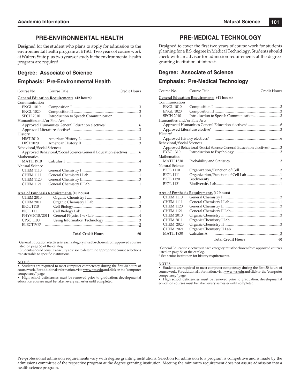### **PRE-ENVIRONMENTAL HEALTH**

Designed for the student who plans to apply for admission to the environmental health program at ETSU. Two years of course work at Walters State plus two years of study in the environmental health program are required.

### **Degree: Associate of Science**

### **Emphasis: Pre-Environmental Health**

Course No. Course Title Credit Hours

|                             | <b>General Education Requirements (42 hours)</b>                              |
|-----------------------------|-------------------------------------------------------------------------------|
| Communication               |                                                                               |
| <b>ENGL 1010</b>            |                                                                               |
| ENGL 1020                   |                                                                               |
| <b>SPCH 2010</b>            | Introduction to Speech Communication3                                         |
| Humanities and/or Fine Arts |                                                                               |
|                             |                                                                               |
|                             |                                                                               |
| History                     |                                                                               |
| <b>HIST 2010</b>            |                                                                               |
| <b>HIST 2020</b>            |                                                                               |
| Behavioral/Social Sciences  |                                                                               |
|                             | Approved Behavioral/Social Science General Education electives <sup>1</sup> 6 |
| Mathematics                 |                                                                               |
| <b>MATH 1910</b>            |                                                                               |
| Natural Science             |                                                                               |
| <b>CHEM 1110</b>            |                                                                               |
| <b>CHEM 1111</b>            |                                                                               |
| <b>CHEM 1120</b>            |                                                                               |
| <b>CHEM 1121</b>            |                                                                               |
|                             | Area of Emphasic Requirements (18 hours)                                      |

#### **Area of Emphasis Requirements (18 hours)**

| <b>CHEM 2010</b>      |  |
|-----------------------|--|
| <b>CHEM 2011</b>      |  |
| <b>BIOL 1110</b>      |  |
| <b>BIOL 1111</b>      |  |
|                       |  |
| <b>CPSC 1100</b>      |  |
| ELECTIVE <sup>2</sup> |  |
|                       |  |

#### **Total Credit Hours 60**

**1** General Education electives in each category must be chosen from approved courses listed on page 56 of the catalog.

**2** Students should consult a faculty advisor to determine appropriate course selections transferrable to specific institutions.

#### **NOTES**\_\_\_\_\_\_\_\_\_\_\_\_\_\_\_\_\_\_\_\_\_\_\_\_\_\_\_\_\_\_\_\_\_\_\_\_\_\_\_\_\_\_\_\_\_\_\_\_\_\_\_\_\_\_\_\_\_\_\_\_\_\_\_\_

• Students are required to meet computer competency during the first 30 hours of coursework. For additional information, visit www.ws.edu and click on the "computer competency" page.

High school deficiencies must be removed prior to graduation; developmental education courses must be taken every semester until completed.

### **PRE-MEDICAL TECHNOLOGY**

Designed to cover the first two years of course work for students planning for a B.S. degree in Medical Technology. Students should check with an advisor for admission requirements at the degreegranting institution of interest.

### **Degree: Associate of Science**

### **Emphasis: Pre-Medical Technology**

| Course No.                  | Course Title                                                                  | Credit Hours |  |  |
|-----------------------------|-------------------------------------------------------------------------------|--------------|--|--|
|                             | <b>General Education Requirements (41 hours)</b>                              |              |  |  |
| Communication               |                                                                               |              |  |  |
| <b>ENGL 1010</b>            |                                                                               |              |  |  |
| ENGL 1020                   |                                                                               |              |  |  |
| SPCH 2010                   | Introduction to Speech Communication3                                         |              |  |  |
| Humanities and/or Fine Arts |                                                                               |              |  |  |
|                             |                                                                               |              |  |  |
|                             |                                                                               |              |  |  |
| History <sup>2</sup>        |                                                                               |              |  |  |
|                             |                                                                               |              |  |  |
| Behavioral/Social Sciences  |                                                                               |              |  |  |
|                             | Approved Behavioral/Social Science General Education electives <sup>1</sup> 3 |              |  |  |
| <b>PYSC 1310</b>            |                                                                               |              |  |  |
| Mathematics                 |                                                                               |              |  |  |
| <b>MATH 1530</b>            |                                                                               |              |  |  |
| Natural Science             |                                                                               |              |  |  |
| <b>BIOL 1110</b>            |                                                                               |              |  |  |
| <b>BIOL 1111</b>            |                                                                               |              |  |  |
| <b>BIOL 1120</b>            |                                                                               |              |  |  |
| <b>BIOL 1121</b>            |                                                                               |              |  |  |

#### **Area of Emphasis Requirements (19 hours)**

|                  | <u> 11 met of Emphasis Requirements</u> (1) hours) |    |
|------------------|----------------------------------------------------|----|
| <b>CHEM 1110</b> |                                                    |    |
| <b>CHEM 1111</b> |                                                    |    |
| <b>CHEM 1120</b> |                                                    |    |
| <b>CHEM 1121</b> |                                                    |    |
| <b>CHEM 2010</b> |                                                    |    |
| <b>CHEM 2011</b> |                                                    |    |
| <b>CHEM 2020</b> |                                                    |    |
| <b>CHEM 2021</b> |                                                    |    |
| <b>MATH 1830</b> |                                                    |    |
|                  | <b>Total Credit Hours</b>                          | 60 |

**1** General Education electives in each category must be chosen from approved courses listed on page 56 of the catalog.

**2** See senior institution for history requirements.

#### **NOTES**\_\_\_\_\_\_\_\_\_\_\_\_\_\_\_\_\_\_\_\_\_\_\_\_\_\_\_\_\_\_\_\_\_\_\_\_\_\_\_\_\_\_\_\_\_\_\_\_\_\_\_\_\_\_\_\_\_\_\_\_\_\_\_\_

• Students are required to meet computer competency during the first 30 hours of coursework. For additional information, visit www.ws.edu and click on the "computer competency" page.

• High school deficiencies must be removed prior to graduation; developmental education courses must be taken every semester until completed.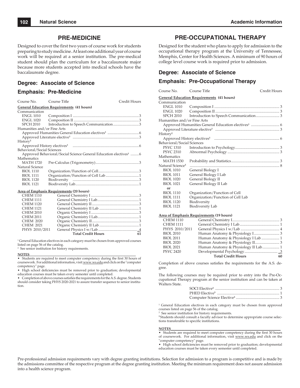### **PRE-MEDICINE**

Designed to cover the first two years of course work for students preparing to study medicine. At least one additional year of course work will be required at a senior institution. The pre-medical student should plan the curriculum for a baccalaureate major because more students accepted into medical schools have the baccalaureate degree.

### **Degree: Associate of Science**

### **Emphasis: Pre-Medicine**

| Course No.                                                                    | Course Title                                     | Credit Hours |  |
|-------------------------------------------------------------------------------|--------------------------------------------------|--------------|--|
|                                                                               | <b>General Education Requirements (41 hours)</b> |              |  |
| Communication                                                                 |                                                  |              |  |
| <b>ENGL 1010</b>                                                              |                                                  |              |  |
| <b>ENGL 1020</b>                                                              |                                                  |              |  |
| <b>SPCH 2010</b>                                                              |                                                  |              |  |
| Humanities and/or Fine Arts                                                   |                                                  |              |  |
|                                                                               |                                                  |              |  |
|                                                                               |                                                  |              |  |
| History <sup>2</sup>                                                          |                                                  |              |  |
|                                                                               |                                                  |              |  |
| Behavioral/Social Sciences                                                    |                                                  |              |  |
| Approved Behavioral/Social Science General Education electives <sup>1</sup> 6 |                                                  |              |  |
| Mathematics                                                                   |                                                  |              |  |
| <b>MATH 1720</b>                                                              |                                                  |              |  |
| Natural Science                                                               |                                                  |              |  |
| <b>BIOL 1110</b>                                                              |                                                  |              |  |
| <b>BIOL 1111</b>                                                              |                                                  |              |  |
| <b>BIOL 1120</b>                                                              | Biodiversity                                     |              |  |
| <b>BIOL 1121</b>                                                              |                                                  |              |  |

#### **Area of Emphasis Requirements (20 hours)**

| <b>CHEM 1110</b> |                           |    |
|------------------|---------------------------|----|
| <b>CHEM 1111</b> |                           |    |
| <b>CHEM 1120</b> |                           |    |
| <b>CHEM 1121</b> |                           |    |
| <b>CHEM 2010</b> |                           |    |
| <b>CHEM 2011</b> |                           |    |
| <b>CHEM 2020</b> |                           |    |
| <b>CHEM 2021</b> |                           |    |
| PHYS 2010/2011   |                           |    |
|                  | <b>Total Credit Hours</b> | 61 |

<sup>1</sup> General Education electives in each category must be chosen from approved courses listed on page 56 of the catalog.

2 See senior institution for history requirements.

#### **NOTES**\_\_\_\_\_\_\_\_\_\_\_\_\_\_\_\_\_\_\_\_\_\_\_\_\_\_\_\_\_\_\_\_\_\_\_\_\_\_\_\_\_\_\_\_\_\_\_\_\_\_\_\_\_\_\_\_\_\_\_\_\_\_\_\_

• Students are required to meet computer competency during the first 30 hours of coursework. For additional information, visit www.ws.edu and click on the "computer competency" page.

• High school deficiencies must be removed prior to graduation; developmental education courses must be taken every semester until completed.

• Completion of above courses satisfies the requirements for the A.S. degree. Students should consider taking PHYS 2020-2021 to assure transfer sequence to senior institution.

### **PRE-OCCUPATIONAL THERAPY**

Designed for the student who plans to apply for admission to the occupational therapy program at the University of Tennessee, Memphis, Center for Health Sciences. A minimum of 90 hours of college level course work is required prior to admission.

### **Degree: Associate of Science**

### **Emphasis: Pre-Occupational Therapy**

| Course No. | Course Title | Credit Hours |
|------------|--------------|--------------|
|------------|--------------|--------------|

#### **General Education Requirements (41 hours)**

| Communication                |                                   |  |
|------------------------------|-----------------------------------|--|
| ENGL 1010                    |                                   |  |
| ENGL 1020                    |                                   |  |
| SPCH 2010                    |                                   |  |
| Humanities and/or Fine Arts  |                                   |  |
|                              |                                   |  |
|                              |                                   |  |
| History <sup>2</sup>         |                                   |  |
|                              |                                   |  |
| Behavioral/Social Sciences   |                                   |  |
| PSYC 1310                    |                                   |  |
| PSYC 2310                    |                                   |  |
| Mathematics                  |                                   |  |
| <b>MATH 1530</b>             |                                   |  |
| Natural Science <sup>3</sup> |                                   |  |
| <b>BIOL 1010</b>             | General Biology I                 |  |
| <b>BIOL 1011</b>             | General Biology I Lab             |  |
| <b>BIOL 1020</b>             | General Biology II                |  |
| <b>BIOL 1021</b>             | General Biology II Lab            |  |
| or                           |                                   |  |
| <b>BIOL 1110</b>             | Organization/Function of Cell     |  |
| <b>BIOL 1111</b>             | Organization/Function of Cell Lab |  |
| <b>BIOL 1120</b>             | Biodiversity                      |  |
| <b>BIOL 1121</b>             | <b>Biodiversity Lab</b>           |  |
|                              |                                   |  |

#### **Area of Emphasis Requirements (19 hours)**

| <b>CHEM 1110</b> |                                     |    |
|------------------|-------------------------------------|----|
| <b>CHEM 1111</b> |                                     |    |
| PHYS 2010/2011   |                                     |    |
| <b>BIOL 2010</b> |                                     |    |
| <b>BIOL 2011</b> |                                     |    |
| <b>BIOL 2020</b> |                                     |    |
| <b>BIOL 2021</b> | Human Anatomy & Physiology II Lab 1 |    |
| <b>PSYC 2420</b> |                                     |    |
|                  | <b>Total Credit Hours</b>           | 60 |

Completion of above courses satisfies the requirements for the A.S. degree.

The following courses may be required prior to entry into the Pre-Occupational Therapy program at the senior institution and can be taken at Walters State.

<sup>1</sup> General Education electives in each category must be chosen from approved courses listed on page 56 of the catalog.

See senior institution for history requirements.

<sup>3</sup> Students should consult a faculty advisor to determine appropriate course selections transferable to specific institutions.

#### **NOTES**\_\_\_\_\_\_\_\_\_\_\_\_\_\_\_\_\_\_\_\_\_\_\_\_\_\_\_\_\_\_\_\_\_\_\_\_\_\_\_\_\_\_\_\_\_\_\_\_\_\_\_\_\_\_\_\_\_\_\_\_\_\_\_\_

2

• Students are required to meet computer competency during the first 30 hours of coursework. For additional information, visit www.ws.edu and click on the "computer competency" page.

• High school deficiencies must be removed prior to graduation; developmental education courses must be taken every semester until completed.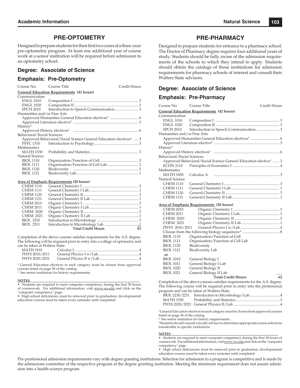### **PRE-OPTOMETRY**

Designed to prepare students for their first two years of a three-year pre-optometric program. At least one additional year of course work at a senior institution will be required before admission to an optometry school.

### **Degree: Associate of Science**

### **Emphasis: Pre-Optometry**

| Course No.                  | Course Title                                                                  | Credit Hours |
|-----------------------------|-------------------------------------------------------------------------------|--------------|
|                             | <b>General Education Requirements (41 hours)</b>                              |              |
| Communication               |                                                                               |              |
| <b>ENGL 1010</b>            |                                                                               |              |
| ENGL 1020                   |                                                                               |              |
| SPCH 2010                   |                                                                               |              |
| Humanities and/or Fine Arts |                                                                               |              |
|                             |                                                                               |              |
|                             |                                                                               |              |
| History <sup>2</sup>        |                                                                               |              |
|                             |                                                                               |              |
| Behavioral/Social Sciences  |                                                                               |              |
|                             | Approved Behavioral/Social Science General Education electives <sup>1</sup> 3 |              |
| PSYC 1310                   |                                                                               |              |
| Mathematics                 |                                                                               |              |
| <b>MATH 1530</b>            |                                                                               |              |
| Natural Science             |                                                                               |              |
| <b>BIOL 1110</b>            |                                                                               |              |
| <b>BIOL 1111</b>            |                                                                               |              |
| <b>BIOL 1120</b>            |                                                                               |              |
| <b>BIOL 1121</b>            |                                                                               |              |

#### **Area of Emphasis Requirements (20 hours)**

| <b>CHEM 1110</b> |                           |    |
|------------------|---------------------------|----|
| <b>CHEM 1111</b> |                           |    |
| <b>CHEM 1120</b> |                           |    |
| <b>CHEM 1121</b> |                           |    |
| <b>CHEM 2010</b> |                           |    |
| <b>CHEM 2011</b> |                           |    |
| <b>CHEM 2020</b> |                           |    |
| <b>CHEM 2021</b> |                           |    |
| <b>BIOL 2510</b> |                           |    |
| <b>BIOL 2511</b> |                           |    |
|                  | <b>Total Credit Hours</b> | 61 |
|                  |                           |    |

Completion of the above courses satisfies requirements for the A.S. degree. The following will be required prior to entry into a college of optometry and can be taken at Walters State:

| MATH 1910      |  |
|----------------|--|
| PHYS 2010/2011 |  |
| PHYS 2020/2021 |  |

<sup>1</sup> General Education electives in each category must be chosen from approved courses listed on page 56 of the catalog. 2 See senior institution for history requirements.

#### **NOTES**\_\_\_\_\_\_\_\_\_\_\_\_\_\_\_\_\_\_\_\_\_\_\_\_\_\_\_\_\_\_\_\_\_\_\_\_\_\_\_\_\_\_\_\_\_\_\_\_\_\_\_\_\_\_\_\_\_\_\_\_\_\_\_\_

Students are required to meet computer competency during the first 30 hours of coursework. For additional information, visit www.ws.edu and click on the "computer competency" page.

• High school deficiencies must be removed prior to graduation; developmental education courses must be taken every semester until completed.

### **PRE-PHARMACY**

Designed to prepare students for entrance to a pharmacy school. The Doctor of Pharmacy degree requires four additional years of study. Students should be fully aware of the admission requirements of the schools to which they intend to apply. Students should obtain the catalogs of those institutions for admission requirements for pharmacy schools of interest and consult their Walters State advisors.

### **Degree: Associate of Science**

# **Emphasis: Pre-Pharmacy**

| Course No.                  | Course Title                                                                 | Credit Hours |
|-----------------------------|------------------------------------------------------------------------------|--------------|
|                             | <b>General Education Requirements (42 hours)</b>                             |              |
| Communication               |                                                                              |              |
| <b>ENGL 1010</b>            |                                                                              |              |
| <b>ENGL 1020</b>            |                                                                              |              |
| <b>SPCH 2010</b>            |                                                                              |              |
| Humanities and/or Fine Arts |                                                                              |              |
|                             |                                                                              |              |
|                             |                                                                              |              |
| History <sup>2</sup>        |                                                                              |              |
|                             |                                                                              |              |
| Behavioral/Social Sciences  |                                                                              |              |
|                             | Approved Behavioral/Social Science General Education elective <sup>1</sup> 3 |              |
| <b>ECON 2110</b>            |                                                                              |              |
| Mathematics                 |                                                                              |              |
| <b>MATH 1830</b>            | Calculus A                                                                   |              |
| Natural Science             |                                                                              |              |
| <b>CHEM 1110</b>            |                                                                              |              |
| <b>CHEM 1111</b>            |                                                                              |              |
| <b>CHEM 1120</b>            |                                                                              |              |
| <b>CHEM 1121</b>            |                                                                              |              |
|                             | <b>Area of Emphasis Requirements</b> (20 hours)                              |              |
| <b>CHEM 2010</b>            |                                                                              |              |
| <b>CHEM 2011</b>            |                                                                              |              |
| CHEM 2020                   |                                                                              |              |
| <b>CHEM 2021</b>            |                                                                              |              |
| PHYS 2010/2011              |                                                                              |              |
|                             |                                                                              |              |
| <b>BIOL 1110</b>            | Organization/Function of Cell                                                |              |
| <b>BIOL 1111</b>            | Organization/Function of Cell Lab                                            |              |
| <b>BIOL 1120</b>            | Biodiversity                                                                 |              |
| <b>BIOL 1121</b>            | <b>Biodiversity Lab</b>                                                      |              |
| or                          |                                                                              |              |
| <b>BIOL 1010</b>            | General Biology I                                                            |              |
| <b>BIOL 1011</b>            | General Biology I Lab                                                        |              |
| <b>BIOL 1020</b>            | General Biology II                                                           |              |
| <b>BIOL 1021</b>            | General Biology II Lab                                                       |              |
|                             | <b>Total Credit Hours</b>                                                    | 62           |
|                             | Completion of the above courses satisfies requirements for the A.S. degree.  |              |

The following course will be required prior to entry into the professional program and can be taken at Walters State:

| MATH 1530 |  |
|-----------|--|
|           |  |

**1** General Education electives in each category must be chosen from approved courses listed on page 56 of the catalog.

**<sup>2</sup>** See senior institution for history requirements.

**<sup>3</sup>**Students should consult a faculty advisor to determine appropriate course selections transferable to specific institutions.

#### **NOTES**\_\_\_\_\_\_\_\_\_\_\_\_\_\_\_\_\_\_\_\_\_\_\_\_\_\_\_\_\_\_\_\_\_\_\_\_\_\_\_\_\_\_\_\_\_\_\_\_\_\_\_\_\_\_\_\_\_\_\_\_\_\_\_\_

• Students are required to meet computer competency during the first 30 hours of coursework. For additional information, visit www.ws.edu and click on the "computer competency" page.

• High school deficiencies must be removed prior to graduation; developmental education courses must be taken every semester until completed.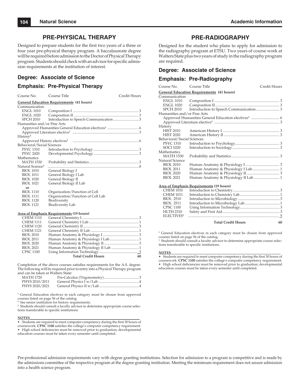### **PRE-PHYSICAL THERAPY**

Designed to prepare students for the first two years of a three or four year pre-physical therapy program. A baccalaureate degree will be required before admission to the Doctor of Physical Therapy program. Students should check with an advisor for specific admission requirements at the institution of interest.

### **Degree: Associate of Science**

### **Emphasis: Pre-Physical Therapy**

| Course No.                   | Course Title                                     | Credit Hours |
|------------------------------|--------------------------------------------------|--------------|
|                              | <b>General Education Requirements (41 hours)</b> |              |
| Communication                |                                                  |              |
| <b>ENGL 1010</b>             |                                                  |              |
| <b>ENGL 1020</b>             |                                                  |              |
| <b>SPCH 2010</b>             |                                                  |              |
| Humanities and/or Fine Arts  |                                                  |              |
|                              |                                                  |              |
|                              |                                                  |              |
| History <sup>2</sup>         |                                                  |              |
|                              |                                                  |              |
| Behavioral/Social Sciences   |                                                  |              |
| <b>PSYC 1310</b>             |                                                  |              |
| <b>PSYC 2420</b>             |                                                  |              |
| Mathematics                  |                                                  |              |
| <b>MATH 1530</b>             |                                                  |              |
| Natural Science <sup>3</sup> |                                                  |              |
| <b>BIOL 1010</b>             | General Biology I                                |              |
| <b>BIOL 1011</b>             | General Biology I Lab                            |              |
| <b>BIOL 1020</b>             | General Biology II                               |              |
| <b>BIOL 1021</b>             | General Biology II Lab                           |              |
| or                           |                                                  |              |
| <b>BIOL 1110</b>             | Organization/Function of Cell                    |              |
| <b>BIOL 1111</b>             | Organization/Function of Cell Lab                |              |
| <b>BIOL 1120</b>             | Biodiversity                                     |              |
| <b>BIOL 1121</b>             | Biodiversity Lab                                 |              |
|                              | <b>Area of Emphasis Requirements (19 hours)</b>  |              |
| <b>CHEM 1110</b>             |                                                  |              |
| <b>CHEM 1111</b>             | General Chemistry Hah                            | 1            |

| <b>CHEM 1111</b> |                           |    |
|------------------|---------------------------|----|
| <b>CHEM 1120</b> |                           |    |
| <b>CHEM 1121</b> |                           |    |
| <b>BIOL 2010</b> |                           |    |
| <b>BIOL 2011</b> |                           |    |
| <b>BIOL 2020</b> |                           |    |
| <b>BIOL 2021</b> |                           |    |
| <b>CPSC 1100</b> |                           |    |
|                  | <b>Total Credit Hours</b> | 60 |
|                  |                           |    |

Completion of the above courses satisfies requirements for the A.S. degree. The following will be required prior to entry into a Physical Therapy program and can be taken at Walters State:

| MATH 1720      |  |
|----------------|--|
| PHYS 2010/2011 |  |
| PHYS 2020/2021 |  |

<sup>1</sup> General Education electives in each category must be chosen from approved courses listed on page 56 of the catalog.

**2** See senior institution for history requirements.

<sup>3</sup> Students should consult a faculty advisor to determine appropriate course selections transferable to specific institutions

#### **NOTES**\_\_\_\_\_\_\_\_\_\_\_\_\_\_\_\_\_\_\_\_\_\_\_\_\_\_\_\_\_\_\_\_\_\_\_\_\_\_\_\_\_\_\_\_\_\_\_\_\_\_\_\_\_\_\_\_\_\_\_\_\_\_\_\_

• Students are required to meet computer competency during the first 30 hours of coursework. **CPSC** 1100 satisfies the college's computer competency requirement. • High school deficiencies must be removed prior to graduation; developmental education courses must be taken every semester until completed.

### **PRE-RADIOGRAPHY**

Designed for the student who plans to apply for admission to the radiography program at ETSU. Two years of course work at Walters State plus two years of study in the radiography program are required.

### **Degree: Associate of Science**

### **Emphasis: Pre-Radiography**

| Course No.                  | Course Title                                     | Credit Hours |
|-----------------------------|--------------------------------------------------|--------------|
|                             | <b>General Education Requirements (41 hours)</b> |              |
| Communication               |                                                  |              |
| <b>ENGL 1010</b>            |                                                  |              |
| ENGL 1020                   |                                                  |              |
| SPCH 2010                   |                                                  |              |
| Humanities and/or Fine Arts |                                                  |              |
|                             |                                                  |              |
|                             |                                                  |              |
| History                     |                                                  |              |
| <b>HIST 2010</b>            |                                                  |              |
| <b>HIST 2020</b>            |                                                  |              |
| Behavioral/Social Sciences  |                                                  |              |
| <b>PSYC 1310</b>            |                                                  |              |
| <b>SOCI 1020</b>            |                                                  |              |
| Mathematics                 |                                                  |              |
| <b>MATH 1530</b>            |                                                  |              |
| Natural Science             |                                                  |              |
| <b>BIOL 2010</b>            |                                                  |              |
| <b>BIOL 2011</b>            |                                                  |              |
| <b>BIOL 2020</b>            |                                                  |              |
| <b>BIOL 2021</b>            | Human Anatomy & Physiology II Lab  1             |              |
|                             |                                                  |              |

### **Area of Emphasis Requirements (19 hours)**

| <b>CHEM 1010</b>       |                           |    |
|------------------------|---------------------------|----|
| <b>CHEM 1011</b>       |                           |    |
| <b>BIOL 2510</b>       |                           |    |
| <b>BIOL 2511</b>       |                           |    |
| <b>CPSC 1100</b>       |                           |    |
| <b>HLTH 2310</b>       |                           |    |
| ELECTIVES <sup>2</sup> |                           |    |
|                        | <b>Total Credit Hours</b> | 60 |

**1** General Education electives in each category must be chosen from approved courses listed on page 56 of the catalog.

2 Students should consult a faculty advisor to determine appropriate course selections transferable to specific institutions.

#### **NOTES**\_\_\_\_\_\_\_\_\_\_\_\_\_\_\_\_\_\_\_\_\_\_\_\_\_\_\_\_\_\_\_\_\_\_\_\_\_\_\_\_\_\_\_\_\_\_\_\_\_\_\_\_\_\_\_\_\_\_\_\_\_\_\_\_

- Students are required to meet computer competency during the first 30 hours of coursework. CPSC 1100 satisfies the college's computer competency requirement. • High school deficiencies must be removed prior to graduation; developmental education courses must be taken every semester until completed.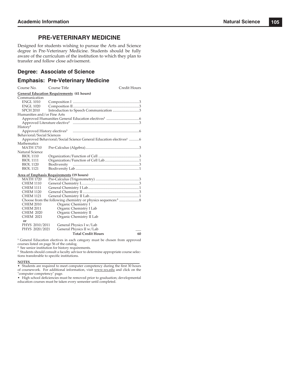### **PRE-VETERINARY MEDICINE**

Designed for students wishing to pursue the Arts and Science degree in Pre-Veterinary Medicine. Students should be fully aware of the curriculum of the institution to which they plan to transfer and follow close advisement.

### **Degree: Associate of Science**

### **Emphasis: Pre-Veterinary Medicine**

| Course No.                  | Course Title                                                                  | Credit Hours |
|-----------------------------|-------------------------------------------------------------------------------|--------------|
|                             | <b>General Education Requirements (41 hours)</b>                              |              |
| Communication               |                                                                               |              |
| <b>ENGL 1010</b>            |                                                                               |              |
| ENGL 1020                   |                                                                               |              |
| <b>SPCH 2010</b>            | Introduction to Speech Communication 3                                        |              |
| Humanities and/or Fine Arts |                                                                               |              |
|                             |                                                                               |              |
|                             |                                                                               |              |
| History <sup>2</sup>        |                                                                               |              |
|                             |                                                                               |              |
| Behavioral/Social Sciences  |                                                                               |              |
|                             | Approved Behavioral/Social Science General Education electives <sup>1</sup> 6 |              |
| Mathematics                 |                                                                               |              |
| <b>MATH 1710</b>            |                                                                               |              |
| Natural Science             |                                                                               |              |
| <b>BIOL 1110</b>            |                                                                               |              |
| <b>BIOL 1111</b>            |                                                                               |              |
| <b>BIOL 1120</b>            | Biodiversity                                                                  |              |
| <b>BIOL 1121</b>            |                                                                               |              |

#### **Area of Emphasis Requirements (19 hours)**

| <b>MATH 1720</b> |                           |    |
|------------------|---------------------------|----|
| <b>CHEM 1110</b> |                           |    |
| <b>CHEM 1111</b> |                           |    |
| <b>CHEM 1120</b> |                           |    |
| <b>CHEM 1121</b> |                           |    |
|                  |                           |    |
| <b>CHEM 2010</b> | Organic Chemistry I       |    |
| <b>CHEM 2011</b> | Organic Chemistry I Lab   |    |
| <b>CHEM 2020</b> | Organic Chemistry II      |    |
| <b>CHEM 2021</b> | Organic Chemistry II Lab  |    |
| or               |                           |    |
| PHYS 2010/2011   | General Physics I w/Lab   |    |
| PHYS 2020/2021   | General Physics II w/Lab  |    |
|                  | <b>Total Credit Hours</b> | 60 |
|                  |                           |    |

<sup>1</sup> General Education electives in each category must be chosen from approved courses listed on page 56 of the catalog.

**2** See senior institution for history requirements.

<sup>3</sup> Students should consult a faculty advisor to determine appropriate course selections transferable to specific institutions.<br>NOTES

#### **NOTES**\_\_\_\_\_\_\_\_\_\_\_\_\_\_\_\_\_\_\_\_\_\_\_\_\_\_\_\_\_\_\_\_\_\_\_\_\_\_\_\_\_\_\_\_\_\_\_\_\_\_\_\_\_\_\_\_\_\_\_\_\_\_\_\_

• Students are required to meet computer competency during the first 30 hours of coursework. For additional information, visit www.ws.edu and click on the "computer competency" page.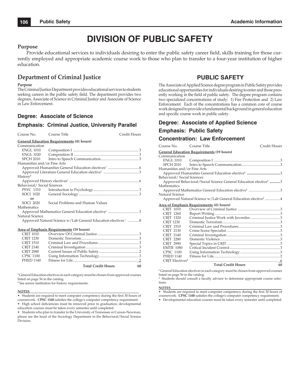# **DIVISION OF PUBLIC SAFETY**

### **Purpose**

Provide educational services to individuals desiring to enter the public safety career field, skills training for those currently employed and appropriate academic course work to those who plan to transfer to a four-year institution of higher education.

### **Department of Criminal Justice**

#### **Purpose**

The Criminal Justice Department provides educational services to students seeking careers in the public safety field. The department provides two degrees, Associate of Science in Criminal Justice and Associate of Science in Law Enforcement.

### **Degree: Associate of Science**

### **Emphasis: Criminal Justice, University Parallel**

| Course No.                  | Course Title                                                              | Credit Hours |
|-----------------------------|---------------------------------------------------------------------------|--------------|
|                             | <b>General Education Requirements (41 hours)</b>                          |              |
| Communication               |                                                                           |              |
| <b>ENGL 1010</b>            |                                                                           |              |
|                             |                                                                           |              |
| SPCH 2010                   |                                                                           |              |
| Humanities and/or Fine Arts |                                                                           |              |
|                             |                                                                           |              |
|                             |                                                                           |              |
| History <sup>2</sup>        |                                                                           |              |
|                             |                                                                           |              |
| Behavioral/Social Sciences  |                                                                           |              |
| PSYC 1310                   |                                                                           |              |
| <b>SOCI 1020</b>            |                                                                           |              |
| or                          |                                                                           |              |
| SOCI 2020                   | Social Problems and Human Values                                          |              |
| Mathematics                 |                                                                           |              |
|                             |                                                                           |              |
| Natural Science             |                                                                           |              |
|                             | Approved Natural Science w/Lab General Education electives <sup>1</sup> 8 |              |

#### **Area of Emphasis Requirements (19 hours)**

| <b>CRIT 1010</b> |                           |    |
|------------------|---------------------------|----|
| <b>CRIT 1230</b> |                           |    |
| <b>CRIT 1510</b> |                           |    |
| <b>CRIT 2140</b> |                           |    |
| <b>CRIT 2980</b> |                           |    |
| <b>CPSC 1100</b> |                           |    |
| <b>PHED 1140</b> |                           |    |
|                  | <b>Total Credit Hours</b> | 60 |

**1** General Education electives in each category must be chosen from approved courses listed on page 56 in the catalog.

**2** See senior institution for history requirements.

#### **NOTES**\_\_\_\_\_\_\_\_\_\_\_\_\_\_\_\_\_\_\_\_\_\_\_\_\_\_\_\_\_\_\_\_\_\_\_\_\_\_\_\_\_\_\_\_\_\_\_\_\_\_\_\_\_\_\_\_\_\_\_\_\_\_\_\_\_

• Students are required to meet computer competency during the first 30 hours of coursework. **CPSC 1100** satisfies the college's computer competency requirement.

• High school deficiencies must be removed prior to graduation; developmental education courses must be taken every semester until completed.

• Students who plan to transfer to the University of Tennessee or Carson-Newman, please see the head of the Sociology Department in the Behavioral/Social Science Division.

### **PUBLIC SAFETY**

The Associate of Applied Science degree program in Public Safety provides educational opportunities for individuals desiring to enter and those presently working in the field of public safety. The degree program contains two specialized concentrations of study: 1) Fire Protection and 2) Law Enforcement. Each of the concentrations has a common core of course work designed to provide a fundamental background in general education and specific course work in public safety.

### **Degree: Associate of Applied Science**

### **Emphasis: Public Safety**

### **Concentration: Law Enforcement**

| Course No.                        | Course Title                                                                 | Credit Hours |
|-----------------------------------|------------------------------------------------------------------------------|--------------|
|                                   | <b>General Education Requirements (19 hours)</b>                             |              |
| Communication                     |                                                                              |              |
| ENGL 1010                         |                                                                              |              |
| SPCH 2010                         |                                                                              |              |
| Humanities and/or Fine Arts       |                                                                              |              |
|                                   |                                                                              |              |
| Behavioral/Social Sciences        |                                                                              |              |
|                                   | Approved Behavioral/Social Science General Education elective <sup>1</sup> 3 |              |
| Mathematics                       |                                                                              |              |
|                                   | Approved Mathematics General Education elecitve <sup>1</sup> 3               |              |
| Natural Science                   |                                                                              |              |
|                                   | Approved Natural Science w/Lab General Education elective <sup>1</sup> 4     |              |
|                                   | Area of Emphasis Requirements (41 hours)                                     |              |
| CRJT 1010                         |                                                                              |              |
| CRJT 1260                         |                                                                              |              |
| CRIT 1320                         | Criminal Justice Work with Juveniles 3                                       |              |
| <b>CRIT 1230</b>                  |                                                                              |              |
| <b>CRIT 1510</b>                  |                                                                              |              |
| CRIT 2130                         |                                                                              |              |
| <b>CRIT 2140</b>                  |                                                                              |              |
| <b>CRIT 2280</b>                  |                                                                              |              |
| <b>CRIT 2990</b>                  |                                                                              |              |
| <b>EMTB 1080</b>                  |                                                                              |              |
| <b>CPSC 1100</b>                  |                                                                              |              |
| <b>PHED 1140</b>                  |                                                                              |              |
| <b>CRIT Electives<sup>2</sup></b> |                                                                              |              |
|                                   | <b>Total Credit Hours</b>                                                    | 60           |
|                                   |                                                                              |              |

**1** General Education electives in each category must be chosen from approved courses

listed on page 56 in the catalog. **2** Students should consult a faculty advisor to determine appropriate course selections.

**NOTES**\_\_\_\_\_\_\_\_\_\_\_\_\_\_\_\_\_\_\_\_\_\_\_\_\_\_\_\_\_\_\_\_\_\_\_\_\_\_\_\_\_\_\_\_\_\_\_\_\_\_\_\_\_\_\_\_\_\_\_\_\_\_\_\_\_\_\_ • Students are required to meet computer competency during the first 30 hours of coursework. **CPSC 1100** satisfies the college's computer competency requirement.

• Developmental education courses must be taken every semester until completed.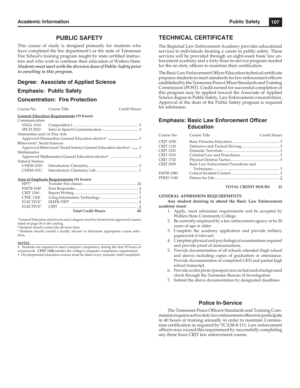### **PUBLIC SAFETY**

This course of study is designed primarily for students who have completed the fire department's or the state of Tennessee Fire School's training program taught by state certified instructors and who wish to continue their education at Walters State. *Students must meet with the division dean of Public Safety prior to enrolling in this program.*

### **Degree: Associate of Applied Science**

### **Emphasis: Public Safety**

### **Concentration: Fire Protection**

Course No. Course Title Credit Hours

#### **General Education Requirements (19 hours)**

| Communication               |                                                                              |  |
|-----------------------------|------------------------------------------------------------------------------|--|
| <b>ENGL 1010</b>            |                                                                              |  |
| SPCH 2010                   |                                                                              |  |
| Humanities and/or Fine Arts |                                                                              |  |
|                             |                                                                              |  |
| Behavioral/Social Sciences  |                                                                              |  |
|                             | Approved Behavioral/Social Science General Education elective <sup>1</sup> 3 |  |
| Mathematics                 |                                                                              |  |
|                             |                                                                              |  |
| Natural Science             |                                                                              |  |
| <b>CHEM 1010</b>            |                                                                              |  |
| <b>CHEM 1011</b>            |                                                                              |  |
|                             |                                                                              |  |
|                             |                                                                              |  |

#### **Area of Emphasis Requirements (41 hours)**

| FIPT <sup>2</sup>     |                           |    |
|-----------------------|---------------------------|----|
| <b>EMTB 1040</b>      |                           |    |
| CRJT 1260             |                           |    |
| <b>CPSC 1100</b>      |                           |    |
| ELECTIVE <sup>3</sup> |                           |    |
| ELECTIVE <sup>3</sup> |                           |    |
|                       | <b>Total Credit Hours</b> | 60 |

**1** General Education electives in each category must be chosen from approved courses listed on page 56 in the catalog.

**2** Students should contact the division dean.

**3** Students should consult a faculty advisor to determine appropriate course selections.

#### **NOTES**\_\_\_\_\_\_\_\_\_\_\_\_\_\_\_\_\_\_\_\_\_\_\_\_\_\_\_\_\_\_\_\_\_\_\_\_\_\_\_\_\_\_\_\_\_\_\_\_\_\_\_\_\_\_\_\_\_\_\_\_\_\_\_\_\_\_\_

• Students are required to meet computer competency during the first 30 hours of

- coursework. **CPSC 1100** satisfies the college's computer competency requirement.
- Developmental education courses must be taken every semester until completed.

### **TECHNICAL CERTIFICATE**

The Regional Law Enforcement Academy provides educational services to individuals desiring a career in public safety. These services will be provided through an eight-week basic law enforcement academy and a forty hour in-service program needed for the on-duty officers to maintain their certification.

The Basic Law Enforcement Officer Education technical certificate prepares students to meet standards for law enforcement officers established by the Tennessee Peace Officer Standards and Training Commission (POST). Credit earned for successful completion of this program may be applied toward the Associate of Applied Science degree in Public Safety, Law Enforcement concentration. Approval of the dean of the Public Safety program is required for admission.

### **Emphasis: Basic Law Enforcement Officer Education**

| Course No.       | Course Title                         | Credit Hours |
|------------------|--------------------------------------|--------------|
| <b>CRIT 1030</b> |                                      |              |
| <b>CRIT 1130</b> |                                      |              |
| <b>CRIT 1230</b> |                                      |              |
| <b>CRIT 1510</b> |                                      |              |
| <b>CRIT 1720</b> |                                      |              |
| <b>CRIT 2930</b> | Basic Law Enforcement Procedures and |              |
|                  |                                      |              |
| <b>EMTB 1080</b> |                                      |              |
| <b>PHED 1140</b> |                                      |              |
|                  |                                      |              |

#### **TOTAL CREDIT HOURS 23**

#### **GENERAL ADMISSION REQUIREMENTS**

**Any student desiring to attend the Basic Law Enforcement academy must:**

- 1. Apply, meet admission requirements and be accepted by Walters State Community College.
- 2. Be currently employed by a law enforcement agency or be 20 years of age or older.
- 3. Complete the academy application and provide military paperwork if relevant.
- 4. Complete physical and psychological examinations required and provide proof of immunizations.
- 5. Provide documentation of all schools attended (high school and above) including copies of graduation or attendance. Provide documentation of completed GED and partial high school transcript.
- 6. Provide a color photo (passport size; no hat) and a background check through the Tennessee Bureau of Investigation.
- 7. Submit the above documentation by designated deadlines.

### **Police In-Service**

The Tennessee Peace Officers Standards and Training Commission requires active duty law enforcement officers to participate in 40 hours of training annually in order to maintain Commission certification as required by TCA38-8-111. Law enforcement officers may exceed this requirement by successfully completing any three hour CRJT law enforcement course.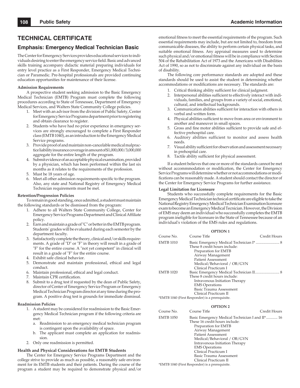### **TECHNICAL CERTIFICATE**

### **Emphasis: Emergency Medical Technician Basic**

The Center for Emergency Services provides educational services to individuals desiring to enter the emergency service field. Basic and advanced skills training accompany didactic material preparing individuals for entry level practice as a First Responder, Emergency Medical Technician or Paramedic. Pre-hospital professionals are provided continuing education opportunities for maintenance of their license.

#### **Admission Requirements**

A prospective student seeking admission to the Basic Emergency Medical Technician (EMTB) Program must complete the following procedures according to State of Tennessee, Department of Emergency Medical Services, and Walters State Community College policies.

- 1. Meet with an advisor from the division of Public Safety, Center for Emergency Service Programs department prior to registering and obtain clearance to register.
- 2. Students who have had no prior experience in emergency services are strongly encouraged to complete a First Responder class (EMTB 1040), as an introduction to the Emergency Medical Service programs.
- 3. Provide proof of and maintain non-cancelable medical malpractice liability insurance coverage in amount of \$1,000,000/3,000,000 aggregate for the entire length of the program.
- 4. Submit evidence of an acceptable physical examination, provided by a physician, which has been performed within the last six months as it relates to the requirements of the profession.
- 5. Must be 18 years of age.
- 6. Meet all other admission requirements specific to the program. Also, any state and National Registry of Emergency Medical Technician requirements must be met.

### **Retention/Progression Policies**

To remain in good standing, once admitted, a student must maintain the following standards or be dismissed from the program:

- 1. Adhere to all Walters State Community College, Center for Emergency Service Programs Department and Clinical Affiliate policy.
- 2. Earn and maintain a grade of "C" or better in the EMTB program. Students' grades will be evaluated during each semester by the department faculty.
- 3. Satisfactorily complete the theory, clinical and/or skills requirements. A grade of "D" or "F" in theory will result in a grade of "F" for the entire course. A "not yet competent" in clinical will result in a grade of "F" for the entire course.
- 4. Exhibit safe clinical behavior.
- 5. Demonstrate and maintain professional, ethical and legal conduct.
- 6. Maintain professional, ethical and legal conduct.
- 7. Maintain CPR certification.
- Submit to a drug test if requested by the dean of Public Safety, director of Center of Emergency Service Program or Emergency Medical Technician Program director at any time during the program. A positive drug test is grounds for immediate dismissal.

#### **Readmission Policies**

- 1. A student may be considered for readmission to the Basic Emergency Medical Technician program if the following criteria are met:
	- a. Readmission to an emergency medical technician program is contingent upon the availability of space.
	- b. The applicant must complete an application for readmission.
- 2. Only one readmission is permitted.

#### **Health and Physical Considerations for EMTB Students**

The Center for Emergency Service Programs Department and the college strive to provide as much as possible, a reasonably safe environment for its EMTB students and their patients. During the course of the program a student may be required to demonstrate physical and/or

emotional fitness to meet the essential requirements of the program. Such essential requirements may include, but are not limited to, freedom from communicable diseases, the ability to perform certain physical tasks, and suitable emotional fitness. Any appraisal measures used to determine such physical and/or emotional fitness will be in compliance with Section 504 of the Rehabilitation Act of 1973 and the Americans with Disabilities Act of 1990, so as not to discriminate against any individual on the basis of disability.

The following core performance standards are adopted and these standards should be used to assist the student in determining whether accommodations or modifications are necessary. The standards are:

- 1. Critical thinking ability sufficient for clinical judgment.
- 2. Interpersonal abilities sufficient to effectively interact with individuals, families, and groups from a variety of social, emotional, cultural, and intellectual backgrounds.
- 3. Communication abilities sufficient for interaction with others in verbal and written form.
- 4. Physical abilities sufficient to move from area or environment to another and maneuver in small spaces.
- Gross and fine motor abilities sufficient to provide safe and effective prehospital care.
- 6. Auditory abilities sufficient to monitor and assess health needs.
- 7. Visual ability sufficient for observation and assessment necessary in prehospital care.
- 8. Tactile ability sufficient for physical assessment.

If a student believes that one or more of the standards cannot be met without accommmodation or modification, the Center for Emergency Service Programs will determine whether or not accommodations or modifications can be reasonably made. A student should contact the director of the Center for Emergency Service Programs for further assistance.

#### **Legal Limitation for Licensure**

Students who successfully complete requirements for the Basic Emergency Medical Technician technical certificate are eligible to take the National Registry Emergency Medical Technician Examination licensure exam to become an Emergency Medical Tecnician. However, the Division of EMS may deem an individual who successfully completes the EMTB program ineligible for licensure in the State of Tennessee because of an individual's violation of the EMS rules and regulations.

|                  | <b>OPTION1</b>                                                                                                                                                                                             |              |
|------------------|------------------------------------------------------------------------------------------------------------------------------------------------------------------------------------------------------------|--------------|
| Course No.       | Course Title                                                                                                                                                                                               | Credit Hours |
| <b>EMTB 1010</b> | Basic Emergency Medical Technician I*  8<br>These 8 credit hours include:<br>Preparation for EMTB<br>Airway Management<br><b>Patient Assessment</b><br>Medical/Behavioral / OB/GYN<br>Clinical Practicum I |              |
| <b>EMTB 1020</b> | Basic Emergency Medical Technician II 8<br>These 8 credit hours include:<br>Intravenous Initiation Therapy<br><b>EMS</b> Operations<br>Basic Trauma Assessment<br>Clinical Practicum II                    |              |
|                  | *EMTB 1040 (First Responder) is a prerequisite.                                                                                                                                                            |              |

#### **OPTION 2**

| Course No. | Course Title                                                                                                                                                                                       | Credit Hours                                    |
|------------|----------------------------------------------------------------------------------------------------------------------------------------------------------------------------------------------------|-------------------------------------------------|
| EMTB 1050  | These 16 credit hours include:<br>Preparation for EMTB<br>Airway Management<br><b>Patient Assessment</b><br>Medical/Behavioral / OB/GYN<br>Intravenous Initiation Therapy<br><b>EMS</b> Operations | Basic Emergency Medical Technician I and II* 16 |
|            | Clinical Practicum I                                                                                                                                                                               |                                                 |
|            | Basic Trauma Assessment                                                                                                                                                                            |                                                 |
|            | Clinical Practicum II                                                                                                                                                                              |                                                 |
|            | *EMTB 1040 (First Responder) is a prerequisite.                                                                                                                                                    |                                                 |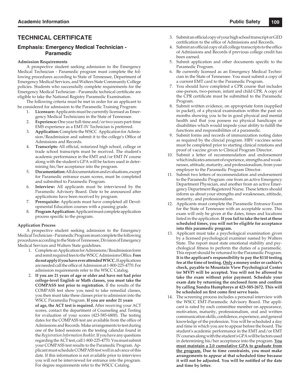## **TECHNICAL CERTIFICATE**

### **Emphasis: Emergency Medical Technician - Paramedic**

### **Admission Requirements**

A prospective student seeking admission to the Emergency Medical Technician - Paramedic program must complete the following procedures according to State of Tennessee, Department of Emergency Medical Services, and Walters State Community College policies. Students who successfully complete requirements for the Emergency Medical Technician - Paramedic technical certificate are eligible to take the National Registry Paramedic Examination.

The following criteria must be met in order for an applicant to be considered for admission to the Paramedic Training Program:

- 1. **Licensure:** Applicants must be currently licensed as Emergency Medical Technicians in the State of Tennessee.
- 2. **Experience:** One year full-time and/or two years part-time EMS experience as a EMT-IV Technician is preferred.
- 3. **Application:** Complete the WSCC Application for Admission/Readmission and submit it to the college's Office of Admissions and Records.
- **Transcripts:** All official, notarized high school, college or trade school transcripts must be received. The student's academic performance in the EMT and/or EMT IV course along with the student's GPA will be factors used in determining his/her acceptance into the program.
- 5. **Documentation:** All documentation and evaluations, except for Paramedic entrance exam scores, must be completed and submitted to Paramedic Program.
- 6. **Interview:** All applicants must be interviewed by the Paramedic Advisory Board. Date to be announced after applications have been received by program.
- 7. **Prerequisite:** Applicants must have completed all Developmental Education courses with a passing grade.
- 8. **Program Application:** Applicant must complete application process specific to the program.

### **Application Process**

A prospective student seeking admission to the Emergency Medical Technician - Paramedic Program must complete the following procedures according to the State of Tennessee, Division of Emergency Medical Services and Walters State guidelines.

- 1. Complete an Application for Admissions/Readmission form and remit required fees to the WSCC Admissions Office. Fees **do not apply if you have ever attended WSCC.** If applications are needed call the office of Admission at 1-800-225-4770. For admission requirements refer to the WSCC Catalog.
- 2. **If you are 21 years of age or older and have not had prior college-level English or Math classes, you must take the COMPASS test prior to registration.** If the results of the COMPASS test show you need to take remedial classes, you then must take these classes prior to admission into the WSCC Paramedia Program. **If you are under 21 years**

 **of age, the ACT test is required.** After receiving your ACT scores, contact the department of Counseling and Testing for evaluation of your scores (423-585-6800). The testing dates for the COMPASS test are available from the office of Admissions and Records. Make arrangements to test during one of the listed sessions on the testing calendar found in the *Registration Information Booklet.* If you have any questions regarding the ACT test, call 1-800-225-4770. You must submit your COMPASS test results to the Paramedic Program. Applicant must schedule COMPASS test well in advance of this date. If this information is not available prior to interviews you will not be interviewed for entrance into the program. For degree requirements refer to the WSCC Catalog.

- 3. Submit an official copy of your high school transcript or GED certification to the office of Admissions and Records.
- 4. Submit an official copy of all college transcripts to the office of Admissions and Records if previous college credit has been earned.
- 5. Submit application and other documents specific to the Paramedic Program.
- 6. Be currently licensed as an Emergency Medical Technician in the State of Tennessee. You must submit a copy of a current EMT card to the Paramedic Program.
- 7. You should have completed a CPR course that includes one-person, two-person, infant and child CPR. A copy of the CPR certificate must be submitted to the Paramedic Program.
- 8. Submit written evidence, on appropriate form (supplied in packet), of a physical examination within the past six months showing you to be in good physical and mental health and that you possess no physical handicaps or disabilities which would impede your ability to fulfill the functions and responsibilities of a paramedic.
- 9. Submit forms and records of immunization noting dates as required by the clincial program. HBV vaccines series must be completed prior to starting clinical rotations and proof of vaccine given to Clinical Program Director.
- 10. Submit a letter of recommendation and endorsement which indicates amount of experience, strengths and weaknesses, attitude, maturity, and professionalism, from your employer to the Paramedic Program Director.
- 11. Submit two letters of recommendation and endorsement to the Paramedic Program: one from an active Emergency Department Physician, and another from an active Emergency Department Registered Nurse. These letters should inform us about your strengths and weaknesses, attitude, maturity, and professionalism.
- 12. Applicants must complete the Paramedic Entrance Exam for the State of Tennessee with an acceptable score. This exam will only be given at the dates, times and locations listed in the application. **If you fail to take the test at these scheduled times, you will not be eligible for acceptance into this paramedic program.**
- 13. Applicant must take a psychological examination given by a licensed psychological examiner named by Walters State. The report must state emotional stability and psychological fitness to perform the duties of a paramedic. This report should be returned to the Paramedic Program. **It is the applicant's responsibility to pay the \$110 testing fee at the time of testing. Only a money order or cashier's check, payable to Mountain View Psychological Center (or MVP) will be accepted. You will not be allowed to take the exam without prior payment. Schedule your**  exam date by returning the enclosed form and confirm **by calling Sondra Humphreys at 423-585-2672. This will**  be scheduled on first come first serve basis.
- 14. The screening process includes a personal interview with the WSCC EMT-Paramedic Advisory Board. The applicant is rated by each committee member on appearance, motivation, maturity, professionalism, oral and written communication skills, confidence, experience, and general knowledge of the profession. You will be scheduled a day and time in which you are to appear before the board. The student's academic performance in the EMT and/or EMT IV courses along with the student's GPA will be factors used in determining his/her acceptance into the program. **You must maintain a 2.0 cumulative GPA to graduate from the program. Due to time constraints, you must make arrangements to appear at that scheduled time because**  it will not be adjusted. You will be notified of the date **and time by letter.**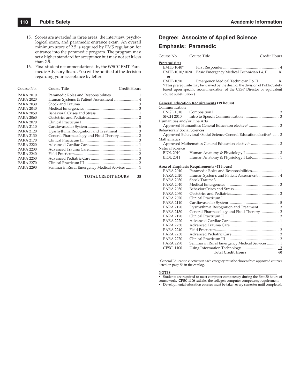- 15. Scores are awarded in three areas: the interview, psychological exam, and paramedic entrance exam. An overall minimum score of 2.5 is required by EMS regulation for entrance into the paramedic program. The program may set a higher standard for acceptance but may not set it less than 2.5.
- 16. Final student recommendation is by the WSCC EMT-Paramedic Advisory Board. You will be notified of the decision regarding your acceptance by letter.

| Course No.       | Course Title                                   | Credit Hours |
|------------------|------------------------------------------------|--------------|
| <b>PARA 2010</b> |                                                |              |
| PARA 2020        | Human Systems & Patient Assessment  4          |              |
| PARA 2030        |                                                |              |
| PARA 2040        |                                                |              |
| PARA 2050        |                                                |              |
| <b>PARA 2060</b> |                                                |              |
| PARA 2070        |                                                |              |
| <b>PARA 2110</b> |                                                |              |
| <b>PARA 2120</b> |                                                |              |
| PARA 2130        | General Pharmacology and Fluid Therapy  2      |              |
| PARA 2170        |                                                |              |
| <b>PARA 2220</b> |                                                |              |
| <b>PARA 2230</b> |                                                |              |
| <b>PARA 2240</b> |                                                |              |
| <b>PARA 2250</b> |                                                |              |
| <b>PARA 2270</b> |                                                |              |
| <b>PARA 2290</b> | Seminar in Rural Emergency Medical Services  1 |              |
|                  |                                                |              |

#### **TOTAL CREDIT HOURS 38**

### **Degree: Associate of Applied Science**

### **Emphasis: Paramedic**

| Course No.                  | Course Title                                     | Credit Hours                                                                   |
|-----------------------------|--------------------------------------------------|--------------------------------------------------------------------------------|
| <u>Prerequisites</u>        |                                                  |                                                                                |
| $EMTB 1040*$                |                                                  |                                                                                |
| EMTB 1010/1020              |                                                  | Basic Emergency Medical Technician I & II  16                                  |
| or                          |                                                  |                                                                                |
| EMTB 1050                   |                                                  | *(This prerequisite may be waived by the dean of the division of Public Safety |
|                             |                                                  | based upon specific recommendation of the CESP Director or equivalent          |
| course substitution.)       |                                                  |                                                                                |
|                             |                                                  |                                                                                |
|                             | <u>General Education Requirements</u> (19 hours) |                                                                                |
| Communication               |                                                  |                                                                                |
|                             |                                                  |                                                                                |
|                             |                                                  |                                                                                |
| Humanities and/or Fine Arts |                                                  |                                                                                |
|                             |                                                  |                                                                                |
| Behavioral/Social Sciences  |                                                  |                                                                                |
|                             |                                                  | Approved Behavioral/Social Science General Education elective <sup>1</sup> 3   |
| Mathematics                 |                                                  |                                                                                |
|                             |                                                  |                                                                                |
| Natural Science             |                                                  |                                                                                |
| <b>BIOL 2010</b>            |                                                  |                                                                                |
| <b>BIOL 2011</b>            |                                                  |                                                                                |

#### **Area of Emphasis Requirements (41 hours)**

| PARA 2010        |                                                |    |
|------------------|------------------------------------------------|----|
| PARA 2020        | Human Systems and Patient Assessment 4         |    |
| PARA 2030        | Shock Trauma3                                  |    |
| PARA 2040        |                                                |    |
| PARA 2050        |                                                |    |
| PARA 2060        |                                                |    |
| PARA 2070        |                                                |    |
| PARA 2110        |                                                |    |
| PARA 2120        |                                                |    |
| PARA 2130        |                                                |    |
| PARA 2170        |                                                |    |
| PARA 2220        |                                                |    |
| PARA 2230        |                                                |    |
| PARA 2240        |                                                |    |
| PARA 2250        |                                                |    |
| PARA 2270        |                                                |    |
| <b>PARA 2290</b> | Seminar in Rural Emergency Medical Services  1 |    |
| <b>CPSC 1100</b> |                                                |    |
|                  | <b>Total Credit Hours</b>                      | 60 |
|                  |                                                |    |

**1** General Education electives in each category must be chosen from approved courses listed on page 56 in the catalog.

**NOTES**\_\_\_\_\_\_\_\_\_\_\_\_\_\_\_\_\_\_\_\_\_\_\_\_\_\_\_\_\_\_\_\_\_\_\_\_\_\_\_\_\_\_\_\_\_\_\_\_\_\_\_\_\_\_\_\_\_\_\_\_\_\_\_\_

• Students are required to meet computer competency during the first 30 hours of coursework. **CPSC 1100** satisfies the college's computer competency requirement.

• Developmental education courses must be taken every semester until completed.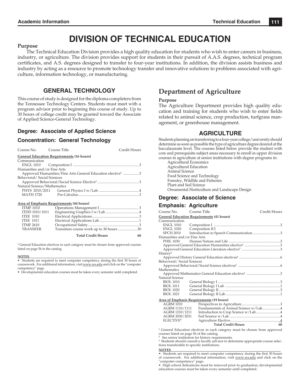# **DIVISION OF TECHNICAL EDUCATION**

### **Purpose**

The Technical Education Division provides a high quality education for students who wish to enter careers in business, industry, or agriculture. The division provides support for students in their pursuit of A.A.S. degrees, technical program certifi cates, and A.S. degrees designed to transfer to four-year institutions. In addition, the division assists business and industry by acting as a resource to promote technology transfer and innovative solutions to problems associated with agriculture, information technology, or manufacturing.

### **GENERAL TECHNOLOGY**

This course of study is designed for the diploma completers from the Tennessee Technology Centers. Students must meet with a program advisor prior to beginning this course of study. Up to 30 hours of college credit may be granted toward the Associate of Applied Science-General Technology.

### **Degree: Associate of Applied Science**

### **Concentration: General Technology**

| Course No. Course Title     |                                                  | Credit Hours                                                            |
|-----------------------------|--------------------------------------------------|-------------------------------------------------------------------------|
|                             | <b>General Education Requirements (16 hours)</b> |                                                                         |
| Communication               |                                                  |                                                                         |
|                             |                                                  |                                                                         |
| Humanities and/or Fine Arts |                                                  |                                                                         |
|                             |                                                  | Approved Humanities/Fine Arts General Education elective <sup>1</sup> 3 |
| Behavioral/Social Sciences  |                                                  |                                                                         |
|                             |                                                  |                                                                         |
| Natural Science/Mathematics |                                                  |                                                                         |
|                             |                                                  |                                                                         |
|                             |                                                  |                                                                         |
|                             | <b>Area of Emphasis Requirements (44 hours)</b>  |                                                                         |

| <b>ITMF 1010</b> |                                          |            |
|------------------|------------------------------------------|------------|
| ITDD 1010/1011   |                                          |            |
| <b>ITEE 1010</b> |                                          |            |
| <b>ITEE 1011</b> |                                          |            |
| <b>ITMF 2610</b> |                                          |            |
| <b>TRANSFER</b>  | Transition course work up to 30 hours 30 |            |
|                  | $T = 1$ $C_{max}$ dia $T$ $T_{max}$      | $\epsilon$ |

 **Total Credit Hours 60**

**1** General Education electives in each category must be chosen from approved courses listed on page 56 in the catalog.

#### **NOTES**\_\_\_\_\_\_\_\_\_\_\_\_\_\_\_\_\_\_\_\_\_\_\_\_\_\_\_\_\_\_\_\_\_\_\_\_\_\_\_\_\_\_\_\_\_\_\_\_\_\_\_\_\_\_\_\_\_\_\_\_\_\_\_\_\_\_\_

• Students are required to meet computer competency during the first 30 hours of coursework. For additional information, visit www.ws.edu and click on the "computer competency" page.

• Developmental education courses must be taken every semester until completed.

# **Department of Agriculture**

### **Purpose**

The Agriculture Department provides high quality education and training for students who wish to enter fields related to animal science, crop production, turfgrass management, or greenhouse management.

### **AGRICULTURE**

Students planning on transferring to a four-year college/university should determine as soon as possible the type of agriculture degree desired at the baccalaureate level. The courses listed below provide the student with core and prerequisite subject areas necessary to enroll in upper division courses in agriculture at senior institutions with degree programs in:

Agricultural Economics Agricultural Education Animal Science Food Science and Technology Forestry, Wildlife and Fisheries Plant and Soil Science Ornamental Horticulture and Landscape Design

### **Degree: Associate of Science**

### **Emphasis: Agriculture**

| Course No. Course Title     |                                                  | Credit Hours |
|-----------------------------|--------------------------------------------------|--------------|
|                             | <b>General Education Requirements (41 hours)</b> |              |
| Communication               |                                                  |              |
| ENGL 1010                   |                                                  |              |
| <b>ENGL 1020</b>            | Composition II3                                  |              |
| SPCH 2010                   | Introduction to Speech Communication3            |              |
| Humanities and/or Fine Arts |                                                  |              |
|                             |                                                  |              |
|                             |                                                  |              |
|                             |                                                  |              |
| History <sup>2</sup>        |                                                  |              |
|                             |                                                  |              |
| Behavioral/Social Sciences  |                                                  |              |
|                             |                                                  |              |
| Mathematics                 |                                                  |              |
|                             |                                                  |              |
| Natural Science             |                                                  |              |
| <b>BIOL 1010</b>            |                                                  |              |
| <b>BIOL 1011</b>            |                                                  |              |
| <b>BIOL 1020</b>            |                                                  |              |
| <b>BIOL 1021</b>            |                                                  |              |
|                             | Area of Emphasis Requirements (19 hours)         |              |
| AGRM 1010                   |                                                  |              |
| AGRM 1110/1111              | Fundamentals of Animal Science w/Lab4            |              |
| AGRM 1210/1211              | Introduction to Crop Science w/Lab4              |              |
| AGRM 2030/2031              |                                                  |              |

**1** General Education electives in each category must be chosen from approved courses listed on page 56 of the catalog.

**Total Credit Hours 60**

Agriculture Elective...

**2** See senior institution for history requirements.

<sup>3</sup> Students should consult a faculty advisor to determine appropriate course selections transferable to specific institutions.

ELECTIVE**<sup>3</sup>**

**NOTES**\_\_\_\_\_\_\_\_\_\_\_\_\_\_\_\_\_\_\_\_\_\_\_\_\_\_\_\_\_\_\_\_\_\_\_\_\_\_\_\_\_\_\_\_\_\_\_\_\_\_\_\_\_\_\_\_\_\_\_\_\_\_\_\_ • Students are required to meet computer competency during the first 30 hours of coursework. For additional information, visit www.ws.edu and click on the "computer competency" page.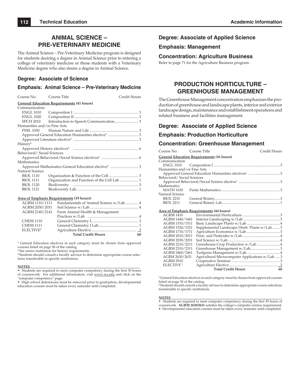## **ANIMAL SCIENCE – PRE-VETERINARY MEDICINE**

The Animal Science – Pre-Veterinary Medicine program is designed for students desiring a degree in Animal Science prior to entering a college of veterinary medicine or those students with a Veterinary Medicine degree who also desire a degree in Animal Science.

### **Degree: Associate of Science**

### **Emphasis: Animal Science – Pre-Veterinary Medicine**

| Course No. Course Title     |                                                  | Credit Hours |
|-----------------------------|--------------------------------------------------|--------------|
|                             | <b>General Education Requirements (41 hours)</b> |              |
| Communication               |                                                  |              |
| <b>ENGL 1010</b>            |                                                  |              |
| ENGL 1020                   |                                                  |              |
| SPCH 2010                   |                                                  |              |
| Humanities and/or Fine Arts |                                                  |              |
|                             |                                                  |              |
|                             |                                                  |              |
|                             |                                                  |              |
| History <sup>2</sup>        |                                                  |              |
|                             |                                                  |              |
| Behavioral/Social Sciences  |                                                  |              |
|                             |                                                  |              |
| Mathematics                 |                                                  |              |
|                             |                                                  |              |
| Natural Science             |                                                  |              |
| <b>BIOL 1110</b>            |                                                  |              |
| <b>BIOL 1111</b>            | Organization and Function of the Cell Lab  1     |              |
| <b>BIOL 1120</b>            |                                                  |              |
| <b>BIOL 1121</b>            |                                                  |              |
|                             |                                                  |              |

#### **Area of Emphasis Requirements (19 hours)**

| AGRM 1110/1111 Fundamentals of Animal Science w/Lab 4 |    |
|-------------------------------------------------------|----|
|                                                       |    |
| Farm Animal Health & Management                       |    |
|                                                       |    |
|                                                       |    |
|                                                       |    |
|                                                       |    |
| <b>Total Credit Hours</b>                             | 60 |
|                                                       |    |

**1** General Education electives in each category must be chosen from approved courses listed on page 56 of the catalog.

**2** See senior institution for history requirements.

<sup>3</sup> Students should consult a faculty advisor to determine appropriate course selections transferable to specific institutions.

#### **NOTES**\_\_\_\_\_\_\_\_\_\_\_\_\_\_\_\_\_\_\_\_\_\_\_\_\_\_\_\_\_\_\_\_\_\_\_\_\_\_\_\_\_\_\_\_\_\_\_\_\_\_\_\_\_\_\_\_\_\_\_\_\_\_\_\_

• Students are required to meet computer competency during the first 30 hours of coursework. For additional information, visit www.ws.edu and click on the "computer competency" page.

• High school deficiencies must be removed prior to graduation; developmental education courses must be taken every semester until completed.

### **Degree: Associate of Applied Science**

### **Emphasis: Management**

### **Concentration: Agriculture Business**

Refer to page 71 for the Agriculture Business program.

### **PRODUCTION HORTICULTURE – GREENHOUSE MANAGEMENT**

The Greenhouse Management concentration emphasizes the production of greenhouse and landscape plants, interior and exterior landscape design, maintenance and establishment operations and related business and facilities management.

### **Degree: Associate of Applied Science**

### **Emphasis: Production Horticulture**

### **Concentration: Greenhouse Management**

| Course No. Course Title     |                                                                | Credit Hours |
|-----------------------------|----------------------------------------------------------------|--------------|
|                             | <b>General Education Requirements (16 hours)</b>               |              |
| Communication               |                                                                |              |
|                             |                                                                |              |
| Humanities and/or Fine Arts |                                                                |              |
|                             | Approved General Education Humanities electives <sup>1</sup> 3 |              |
| Behavioral/Social Sciences  |                                                                |              |
|                             |                                                                |              |
| <b>Mathematics</b>          |                                                                |              |
|                             |                                                                |              |
| Natural Science             |                                                                |              |
| <b>BIOL 2210</b>            |                                                                |              |
| <b>BIOL 2211</b>            |                                                                |              |

#### **Area of Emphasis Requirements (44 hours)**

|                       | $\frac{1}{1000}$ of Emphasis Requirements (11 hours) |    |
|-----------------------|------------------------------------------------------|----|
| <b>AGRM 1410</b>      |                                                      |    |
| AGRM 1440/1441        |                                                      |    |
| AGRM 1510/1511        |                                                      |    |
| AGRM 1520/1521        | Supplemental Landscape/Herb. Plants w/Lab 3          |    |
| AGRM 1710/1711        |                                                      |    |
| AGRM 2010/2011        |                                                      |    |
| AGRM 2030/2031        |                                                      |    |
| AGRM 2210/2211        |                                                      |    |
| AGRM 2310/2311        |                                                      |    |
| AGRM 2460/2461        |                                                      |    |
| AGRM 2630/2631        | Agricultural Microcomputer Applications w/Lab3       |    |
| <b>AGRM 2910</b>      |                                                      |    |
| ELECTIVE <sup>2</sup> |                                                      |    |
|                       | <b>Total Credit Hours</b>                            | 60 |
|                       |                                                      |    |

**1** General Education electives in each category must be chosen from approved courses listed on page 56 of the catalog.

**2** Students should consult a faculty advisor to determine appropriate course selections transferable to specific institutions.

**NOTES**<br>• Students are required to meet computer competency during the first 30 hours of coursework. AGRM 2630/2631 satisfies the college's computer science requirement.

• Developmental education courses must be taken every semester until completed.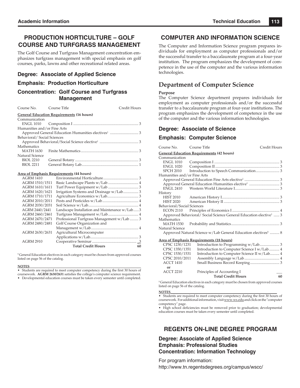## **PRODUCTION HORTICULTURE – GOLF COURSE AND TURFGRASS MANAGEMENT**

The Golf Course and Turfgrass Management concentration emphasizes turfgrass management with special emphasis on golf courses, parks, lawns and other recreational related areas.

### **Degree: Associate of Applied Science**

### **Emphasis: Production Horticulture**

### **Concentration: Golf Course and Turfgrass Management**

| Course No. Course Title     |                                                  | Credit Hours |
|-----------------------------|--------------------------------------------------|--------------|
|                             | <b>General Education Requirements (16 hours)</b> |              |
| Communication               |                                                  |              |
|                             |                                                  |              |
| Humanities and/or Fine Arts |                                                  |              |
|                             |                                                  |              |
| Behavioral/Social Sciences  |                                                  |              |
|                             |                                                  |              |
| Mathematics                 |                                                  |              |
|                             |                                                  |              |
| Natural Science             |                                                  |              |
| <b>BIOL 2210</b>            |                                                  |              |
| <b>BIOL 2211</b>            |                                                  |              |

#### **Area of Emphasis Requirements (44 hours)**

| Golf Course Organization and |                                                                                             |
|------------------------------|---------------------------------------------------------------------------------------------|
|                              |                                                                                             |
| Agricultural Microcomputer   |                                                                                             |
|                              |                                                                                             |
|                              |                                                                                             |
| <b>Total Credit Hours</b>    | 60                                                                                          |
|                              | Landscape Installation and Maintenance w/Lab3<br>Professional Turfgrass Management w/Lab  3 |

**1** General Education electives in each category must be chosen from approved courses listed on page 56 of the catalog.

#### **NOTES**\_\_\_\_\_\_\_\_\_\_\_\_\_\_\_\_\_\_\_\_\_\_\_\_\_\_\_\_\_\_\_\_\_\_\_\_\_\_\_\_\_\_\_\_\_\_\_\_\_\_\_\_\_\_\_\_\_\_\_\_\_\_\_\_\_\_\_

• Students are required to meet computer competency during the first 30 hours of coursework. **AGRM 2630/2631** satisfies the college's computer science requirement.

• Developmental education courses must be taken every semester until completed.

### **COMPUTER AND INFORMATION SCIENCE**

The Computer and Information Science program prepares individuals for employment as computer professionals and/or the successful transfer to a baccalaureate program at a four-year institution. The program emphasizes the development of competence in the use of the computer and the various information technologies.

## **Department of Computer Science**

### **Purpose**

The Computer Science department prepares individuals for employment as computer professionals and/or the successful transfer to a baccalaureate program at four-year institutions. The program emphasizes the development of competence in the use of the computer and the various information technologies.

### **Degree: Associate of Science**

### **Emphasis: Computer Science**

| Course No.                                                                | Course Title                                                                  | Credit Hours |  |  |
|---------------------------------------------------------------------------|-------------------------------------------------------------------------------|--------------|--|--|
|                                                                           | <b>General Education Requirements (42 hours)</b>                              |              |  |  |
| Communication                                                             |                                                                               |              |  |  |
| <b>ENGL 1010</b>                                                          |                                                                               |              |  |  |
| <b>ENGL 1020</b>                                                          |                                                                               |              |  |  |
| <b>SPCH 2010</b>                                                          |                                                                               |              |  |  |
| Humanities and/or Fine Arts                                               |                                                                               |              |  |  |
|                                                                           |                                                                               |              |  |  |
|                                                                           |                                                                               |              |  |  |
| <b>ENGL 2410</b>                                                          |                                                                               |              |  |  |
| History                                                                   |                                                                               |              |  |  |
| <b>HIST 2010</b>                                                          |                                                                               |              |  |  |
| <b>HIST 2020</b>                                                          |                                                                               |              |  |  |
|                                                                           | Behavioral/Social Sciences                                                    |              |  |  |
| ECON 2110                                                                 |                                                                               |              |  |  |
|                                                                           | Approved Behavioral/ Social Science General Education elective <sup>1</sup> 3 |              |  |  |
| Mathematics                                                               |                                                                               |              |  |  |
| <b>MATH 1530</b>                                                          |                                                                               |              |  |  |
| Natural Science                                                           |                                                                               |              |  |  |
| Approved Natural Science w/Lab General Education electives <sup>1</sup> 8 |                                                                               |              |  |  |
| <b>Area of Emphasis Requirements (18 hours)</b>                           |                                                                               |              |  |  |
| CPSC 1230/1231                                                            | Introduction to Programming w/Lab 3                                           |              |  |  |
| CPSC 1350/1351                                                            | Introduction to Computer Science I w/Lab 4                                    |              |  |  |
| CPSC 1530/1531                                                            | Introduction to Computer Science II w/Lab 4                                   |              |  |  |
| CPSC 2010/2011                                                            |                                                                               |              |  |  |
| <b>ACCT 1410</b>                                                          |                                                                               |              |  |  |
| or                                                                        |                                                                               |              |  |  |
| <b>ACCT 2210</b>                                                          | Principles of Accounting I                                                    |              |  |  |
|                                                                           | <b>Total Credit Hours</b>                                                     | 60           |  |  |

**1** General Education electives in each category must be chosen from approved courses listed on page 56 of the catalog.

#### **NOTES**\_\_\_\_\_\_\_\_\_\_\_\_\_\_\_\_\_\_\_\_\_\_\_\_\_\_\_\_\_\_\_\_\_\_\_\_\_\_\_\_\_\_\_\_\_\_\_\_\_\_\_\_\_\_\_\_\_\_\_\_\_\_\_\_

• Students are required to meet computer competency during the first 30 hours of coursework. For additional information, visit www.ws.edu and click on the "computer competency" page.

• High school deficiencies must be removed prior to graduation; developmental education courses must be taken every semester until completed.

## **REGENTS ON-LINE DEGREE PROGRAM**

**Degree: Associate of Applied Science Emphasis: Professional Studies Concentration: Information Technology**

For program information:

http://www.tn.regentsdegrees.org/campus/wscc/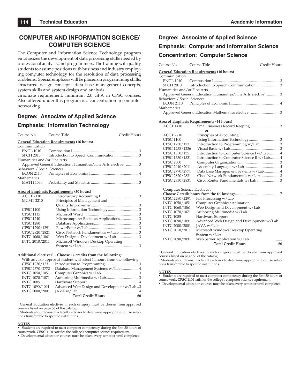## **COMPUTER AND INFORMATION SCIENCE/ COMPUTER SCIENCE**

The Computer and Information Science Technology program emphasizes the development of data processing skills needed by professional analysts and programmers. The training will qualify students to assume positions with business and industry employing computer technology for the resolution of data processing problems. Special emphasis will be placed on programming skills, structured design concepts, data base management concepts, system skills and system design and analysis.

Graduate requirement: minimum 2.0 GPA in CPSC courses. Also offered under this program is a concentration in computer networking.

### **Degree: Associate of Applied Science**

### **Emphasis: Information Technology**

| Course No.                                       | Course Title                 | Credit Hours                                                            |  |  |
|--------------------------------------------------|------------------------------|-------------------------------------------------------------------------|--|--|
| <b>General Education Requirements (16 hours)</b> |                              |                                                                         |  |  |
| Communication                                    |                              |                                                                         |  |  |
| ENGL 1010                                        |                              |                                                                         |  |  |
| SPCH 2010                                        |                              |                                                                         |  |  |
| Humanities and/or Fine Arts                      |                              |                                                                         |  |  |
|                                                  |                              | Approved General Education Humanities/Fine Arts elective <sup>1</sup> 3 |  |  |
|                                                  | Behavioral/Social Sciences   |                                                                         |  |  |
| ECON 2110                                        |                              |                                                                         |  |  |
| <b>Mathematics</b>                               |                              |                                                                         |  |  |
| MATH 1530                                        |                              |                                                                         |  |  |
| Area of Emphasis Requirements (30 hours)         |                              |                                                                         |  |  |
| <b>ACCT 2110</b>                                 |                              |                                                                         |  |  |
| <b>MGMT 2210</b>                                 | Principles of Management and |                                                                         |  |  |
|                                                  |                              |                                                                         |  |  |
| <b>CPSC 1100</b>                                 |                              |                                                                         |  |  |
| <b>CPSC 1115</b>                                 |                              |                                                                         |  |  |

| <b>CPSC 1240</b> | Microcomputer Business Applications 3 |  |
|------------------|---------------------------------------|--|
| <b>CPSC 1280</b> |                                       |  |
| CPSC 1290/1291   |                                       |  |
| CPSC 2820/2821   |                                       |  |
| INTC 1060/1061   |                                       |  |
| INTC 2010/2011   | Microsoft Windows Desktop Operating   |  |
|                  |                                       |  |

#### **Additional electives2 - Choose 14 credits from the following:**

With advisor approval student will select 14 hours from the following:

|                  | <b>Total Credit Hours</b>                  | 60 |
|------------------|--------------------------------------------|----|
| INTC 2000/2001   |                                            |    |
| INTC 1090/1091   | Advanced Web Design and Development w/Lab3 |    |
| <b>INTC 1085</b> |                                            |    |
| INTC 1070/1071   |                                            |    |
| INTC 1050/1051   |                                            |    |
| CPSC 2770/2772   | Database Management Systems w/Lab  4       |    |
| CPSC 1230/1231   |                                            |    |

<sup>1</sup> General Education electives in each category must be chosen from approved courses listed on page 56 of the catalog.

**2** Students should consult a faculty advisor to determine appropriate course selections transferable to specific institutions.

**NOTES**<br>• Students are required to meet computer competency during the first 30 hours of coursework. **CPSC 1100** satisfies the college's computer science requirement.

• Developmental education courses must be taken every semester until completed.

# **Degree: Associate of Applied Science Emphasis: Computer and Information Science Concentration: Computer Science**

| Course No.                                | Course Title                                     | Credit Hours                                                            |
|-------------------------------------------|--------------------------------------------------|-------------------------------------------------------------------------|
|                                           | <b>General Education Requirements (16 hours)</b> |                                                                         |
| Communication                             |                                                  |                                                                         |
| <b>ENGL 1010</b>                          |                                                  |                                                                         |
| <b>SPCH 2010</b>                          |                                                  |                                                                         |
| Humanities and/or Fine Arts               |                                                  |                                                                         |
|                                           |                                                  | Approved General Education Humanities/Fine Arts elective <sup>1</sup> 3 |
| Behavioral/Social Sciences                |                                                  |                                                                         |
| <b>ECON 2110</b>                          |                                                  |                                                                         |
| Mathematics                               |                                                  |                                                                         |
|                                           |                                                  |                                                                         |
|                                           | <u>Area of Emphasis Requirements</u> (44 hours)  |                                                                         |
| <b>ACCT 1410</b>                          |                                                  |                                                                         |
|                                           | Ωr                                               |                                                                         |
| <b>ACCT 2210</b>                          | Principles of Accounting I                       |                                                                         |
| <b>CPSC 1100</b>                          |                                                  |                                                                         |
| CPSC 1230/1231                            |                                                  | Introduction to Programming w/Lab 3                                     |
| CPSC 1235/1236                            |                                                  |                                                                         |
| CPSC 1350/1351                            |                                                  | Introduction to Computer Science I w/Lab 4                              |
| CPSC 1530/1531                            |                                                  | Introduction to Computer Science II w/Lab 4                             |
| <b>CPSC 2000</b>                          |                                                  |                                                                         |
| CPSC 2010/2011                            |                                                  |                                                                         |
| CPSC 2770/2771                            |                                                  | Data Base Management Systems w/Lab 4                                    |
| CPSC 2820/2821                            |                                                  | Cisco Network Fundamentals w/Lab  3                                     |
| CPSC 2830/2831                            |                                                  |                                                                         |
| Computer Science Electives <sup>2</sup> : |                                                  |                                                                         |
|                                           |                                                  |                                                                         |
| CPSC 2290/2291                            | File Processing w/Lab                            |                                                                         |
| INTC 1050/1051                            | Computer Graphics/Animation                      |                                                                         |
| INTC 1060/1061                            | Web Design and Development w/Lab                 |                                                                         |
| INTC 1070/1071                            | Authoring Multimedia w/Lab                       |                                                                         |
| <b>INTC 1085</b>                          | Hardware Support                                 |                                                                         |
| INTC 1090/1091                            |                                                  | Advanced Web Design and Development w/Lab                               |
| INTC 2000/2001                            | JAVA w/Lab                                       |                                                                         |
| INTC 2010/2011                            | Microsoft Windows Desktop Operating              |                                                                         |
|                                           | System w/Lab                                     |                                                                         |
| INTC 2090/2091                            | Web Server Application w/Lab                     |                                                                         |
|                                           | <b>Total Credit Hours</b>                        | 60                                                                      |
|                                           |                                                  |                                                                         |

**1** General Education electives in each category must be chosen from approved courses listed on page 56 of the catalog.

<sup>2</sup> Students should consult a faculty advisor to determine appropriate course selections transferable to specific institutions.

**NOTES**<br>• Students are required to meet computer competency during the first 30 hours of coursework. **CPSC** 1100 satisfies the college's computer science requirement.

• Developmental education courses must be taken every semester until completed.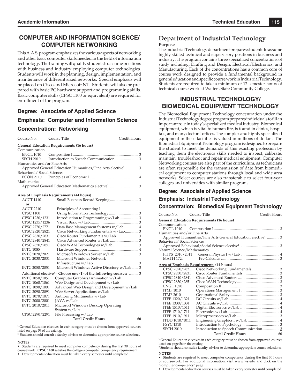## **COMPUTER AND INFORMATION SCIENCE/ COMPUTER NETWORKING**

This A.A.S. program emphasizes the various aspects of networking and other basic computer skills needed in the field of information technology. The training will qualify students to assume positions with business and industry employing computer technologies. Students will work in the planning, design, implementation, and maintenance of different sized networks. Special emphasis will be placed on Cisco and Microsoft NT. Students will also be prepared with basic PC hardware support and programming skills. Basic computer skills (CPSC 1100 or equivalent) are required for enrollment of the program.

### **Degree: Associate of Applied Science**

### **Emphasis: Computer and Information Science**

### **Concentration: Networking**

| Course No.                                       | Course Title                             | Credit Hours                                                            |  |  |
|--------------------------------------------------|------------------------------------------|-------------------------------------------------------------------------|--|--|
| <b>General Education Requirements (16 hours)</b> |                                          |                                                                         |  |  |
| Communication                                    |                                          |                                                                         |  |  |
|                                                  |                                          |                                                                         |  |  |
| SPCH 2010                                        |                                          |                                                                         |  |  |
| Humanities and/or Fine Arts                      |                                          |                                                                         |  |  |
|                                                  |                                          | Approved General Education Humanities/Fine Arts elective <sup>1</sup> 3 |  |  |
| Behavioral/Social Sciences                       |                                          |                                                                         |  |  |
|                                                  |                                          |                                                                         |  |  |
| Mathematics                                      |                                          |                                                                         |  |  |
|                                                  |                                          |                                                                         |  |  |
|                                                  |                                          |                                                                         |  |  |
| <b>ACCT 1410</b>                                 | Area of Emphasis Requirements (44 hours) |                                                                         |  |  |
|                                                  |                                          |                                                                         |  |  |
| or<br><b>ACCT 2210</b>                           | Principles of Accounting I               |                                                                         |  |  |
| <b>CPSC 1100</b>                                 |                                          |                                                                         |  |  |
| CPSC 1230/1231                                   |                                          | Introduction to Programming w/Lab 3                                     |  |  |
| CPSC 1235/1236                                   |                                          |                                                                         |  |  |
| CPSC 2770/2771                                   |                                          | Data Base Management Systems w/Lab  4                                   |  |  |
| CPSC 2820/2821                                   |                                          | Cisco Networking Fundamentals w/Lab 3                                   |  |  |
|                                                  |                                          |                                                                         |  |  |
| CPSC 2830/2831                                   |                                          | Cisco Router Fundamentals w/Lab  3                                      |  |  |
| CPSC 2840/2841                                   |                                          |                                                                         |  |  |
| CPSC 2850/2851                                   |                                          |                                                                         |  |  |
| <b>INTC 1085</b>                                 |                                          |                                                                         |  |  |

| INTC 2020/2021 |                                                                                |    |
|----------------|--------------------------------------------------------------------------------|----|
| INTC 2030/2031 | Microsoft Windows Network                                                      |    |
|                |                                                                                |    |
| INTC 2050/2051 | Microsoft Windows Active Directory w/Lab 3                                     |    |
|                | Additional elective <sup>2</sup> – Choose one (1) of the following courses:  3 |    |
| INTC 1050/1051 | Computer Graphics/Animation w/Lab                                              |    |
| INTC 1060/1061 | Web Design and Development w/Lab                                               |    |
| INTC 1090/1091 | Advanced Web Design and Development w/Lab                                      |    |
| INTC 2090/2091 | Web Server Applications w/Lab                                                  |    |
| INTC 1070/1071 | Authoring Multimedia w/Lab                                                     |    |
| INTC 2000/2001 | JAVA w/Lab                                                                     |    |
| INTC 2010/2011 | Microsoft Windows Desktop Operating                                            |    |
|                | System w/Lab                                                                   |    |
| CPSC 2290/2291 | File Processing w/Lab                                                          |    |
|                | <b>Total Credit Hours</b>                                                      | 60 |
|                |                                                                                |    |

**1** General Education electives in each category must be chosen from approved courses listed on page 56 of the catalog.

**2** Students should consult a faculty advisor to determine appropriate course selections.

#### **NOTES**\_\_\_\_\_\_\_\_\_\_\_\_\_\_\_\_\_\_\_\_\_\_\_\_\_\_\_\_\_\_\_\_\_\_\_\_\_\_\_\_\_\_\_\_\_\_\_\_\_\_\_\_\_\_\_\_\_\_\_\_\_\_\_\_

• Students are required to meet computer competency during the first 30 hours of coursework. **CPSC** 1100 satisfies the college's computer competency requirement.

• Developmental education must be taken every semester until completed.

# **Department of Industrial Technology**

### **Purpose**

The Industrial Technology department prepares students to assume highly skilled technical and supervisory positions in business and industry. The program contains three specialized concentrations of study including: Drafting and Design, Electrical/Electronics, and Manufacturing. Each of the concentrations has a common core of course work designed to provide a fundamental background in general education and specific course work in Industrial Technology. Students are required to take a minimum of 12 semester hours of technical course work at Walters State Community College.

### **INDUSTRIAL TECHNOLOGY/ BIOMEDICAL EQUIPMENT TECHNOLOGY**

The Biomedical Equipment Technology concentration under the Industrial Technology degree program prepares individuals to fill an important role in today's specialized medical industry. Biomedical equipment, which is vital to human life, is found in clinics, hospitals, and many doctors' offices. The complex and highly specialized equipment in these facilities is valued in millions of dollars. The Biomedical Equipment Technology program is designed to prepare the student to meet the demands of this exacting profession by teaching them the electronics skills needed to inspect, calibrate, maintain, troubleshoot and repair medical equipment. Computer Networking courses are also part of the curriculum, as technicians are often responsible for the transmission of date from biomedical equipment to computer stations through local and wide area networks. Select courses are also transferable to select four-year colleges and universities with similar programs.

### **Degree: Associate of Applied Science**

### **Emphasis: Industrial Technology Concentration: Biomedical Equipment Technology**

| Course No.                  | Course Title                                                            | Credit Hours |
|-----------------------------|-------------------------------------------------------------------------|--------------|
|                             | <u><b>General Education Requirements (16 hours)</b></u>                 |              |
| Communication               |                                                                         |              |
|                             |                                                                         |              |
| Humanities and/or Fine Arts |                                                                         |              |
|                             | Approved Humanities/Fine Arts General Education elective <sup>1</sup> 3 |              |
| Behavioral/ Social Sciences |                                                                         |              |
|                             |                                                                         |              |
| Natural Science/Mathematics |                                                                         |              |
|                             |                                                                         |              |
| <b>MATH 1720</b>            |                                                                         |              |
|                             | <u>Area of Emphasis Requirements (44 hours)</u>                         |              |
| CPSC 2820/2821              |                                                                         |              |
| CPSC 2830/2831              |                                                                         |              |
| CPSC 2840/2841              |                                                                         |              |
| CPSC 2850/2851              |                                                                         |              |
| <b>ENGL 1020</b>            |                                                                         |              |
| <b>ITMF 1010</b>            |                                                                         |              |
| <b>ITMF 2610</b>            |                                                                         |              |
| ITEE 1320/1321              |                                                                         |              |
| ITEE 1330/1331              |                                                                         |              |
| ITEE 1510/1511              |                                                                         |              |
| ITEE 1710/1711              |                                                                         |              |
| <b>ITEE 1910/1911</b>       |                                                                         |              |
| ITDD 1010/1011              |                                                                         |              |
| <b>PSYC 1310</b>            |                                                                         |              |
| <b>SPCH 2010</b>            | Introduction to Speech Communication 3                                  |              |
|                             | <b>Total Credit Hours</b>                                               | 60           |
|                             |                                                                         |              |

**1** General Education electives in each category must be chosen from approved courses listed on page 56 in the catalog.

**2** Students should consult a faculty advisor to determine appropriate course selections. **NOTES**\_\_\_\_\_\_\_\_\_\_\_\_\_\_\_\_\_\_\_\_\_\_\_\_\_\_\_\_\_\_\_\_\_\_\_\_\_\_\_\_\_\_\_\_\_\_\_\_\_\_\_\_\_\_\_\_\_\_\_\_\_\_\_\_

• Students are required to meet computer competency during the first 30 hours of coursework. For additional information, visit www.ws.edu and click on the "computer competency" page.

• Developmental education courses must be taken every semester until completed.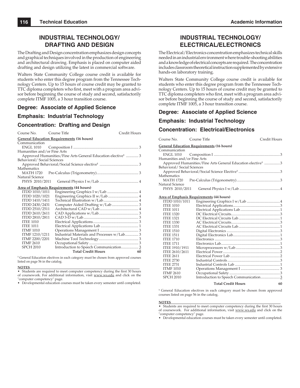# **INDUSTRIAL TECHNOLOGY/ DRAFTING AND DESIGN**

The Drafting and Design concentration emphasizes design concepts and graphical techniques involved in the production of engineering and architectural drawing. Emphasis is placed on computer aided drafting and design utilizing the latest in commercial software.

Walters State Community College course credit is available for students who enter this degree program from the Tennessee Technology Centers. Up to 15 hours of course credit may be granted to TTC diploma completers who first, meet with a program area advisor before beginning the course of study and second, satisfactorily complete ITMF 1005, a 3 hour transition course.

# **Degree: Associate of Applied Science**

# **Emphasis: Industrial Technology**

## **Concentration: Drafting and Design**

| Course No.                  | Course Title                                                            | Credit Hours |
|-----------------------------|-------------------------------------------------------------------------|--------------|
|                             | <b>General Education Requirements (16 hours)</b>                        |              |
| Communication               |                                                                         |              |
| <b>ENGL 1010</b>            |                                                                         |              |
| Humanities and/or Fine Arts |                                                                         |              |
|                             | Approved Humanities/Fine Arts General Education elective <sup>1</sup> 3 |              |
| Behavioral/Social Sciences  |                                                                         |              |
|                             |                                                                         |              |
| Mathematics                 |                                                                         |              |
| MATH 1720                   |                                                                         |              |
| Natural Science             |                                                                         |              |
| PHYS 2010/2011              |                                                                         |              |
|                             | Area of Emphasis Requirements (44 hours)                                |              |
| ITDD 1010/1011              |                                                                         |              |
| ITDD 1020/1021              |                                                                         |              |
| ITDD 1410/1411              |                                                                         |              |
| ITDD 2430/2431              |                                                                         |              |
| ITDD 2510/2511              |                                                                         |              |
| ITDD 2610/2611              |                                                                         |              |
| ITDD 2810/2811              |                                                                         |              |
| <b>ITEE 1010</b>            |                                                                         |              |
| <b>ITEE 1011</b>            |                                                                         |              |
| <b>ITMF 1010</b>            |                                                                         |              |
| ITMF 1210/1211              | Industrial Materials and Processes w/Lab 3                              |              |
| ITMF 2200/2201              |                                                                         |              |
| <b>ITMF 2610</b>            |                                                                         |              |
| <b>SPCH 2010</b>            | Introduction to Speech Communication 3                                  |              |
|                             | <b>Total Credit Hours</b>                                               | 60           |

**1** General Education electives in each category must be chosen from approved courses listed on page 56 in the catalog.

#### **NOTES**\_\_\_\_\_\_\_\_\_\_\_\_\_\_\_\_\_\_\_\_\_\_\_\_\_\_\_\_\_\_\_\_\_\_\_\_\_\_\_\_\_\_\_\_\_\_\_\_\_\_\_\_\_\_\_\_\_\_\_\_\_\_\_\_

• Students are required to meet computer competency during the first 30 hours of coursework. For additional information, visit www.ws.edu and click on the "computer competency" page.

• Developmental education courses must be taken every semester until completed.

# **INDUSTRIAL TECHNOLOGY/ ELECTRICAL/ELECTRONICS**

The Electrical/Electronics concentration emphasizes technical skills needed in an industrial environment where trouble-shooting abilities and a knowledge of electrical concepts are required. The concentration includes classroom theoretical instruction supplemented by extensive hands-on laboratory training.

Walters State Community College course credit is available for students who enter this degree program from the Tennessee Technology Centers. Up to 15 hours of course credit may be granted to TTC diploma completers who first, meet with a program area advisor before beginning the course of study and second, satisfactorily complete ITMF 1005, a 3 hour transition course.

## **Degree: Associate of Applied Science**

# **Emphasis: Industrial Technology**

## **Concentration: Electrical/Electronics**

| Course No. Course Title     |                                                  | Credit Hours                                                            |
|-----------------------------|--------------------------------------------------|-------------------------------------------------------------------------|
|                             | <b>General Education Requirements (16 hours)</b> |                                                                         |
| Communication               |                                                  |                                                                         |
|                             |                                                  |                                                                         |
| Humanities and/or Fine Arts |                                                  |                                                                         |
|                             |                                                  | Approved Humanities/Fine Arts General Education elective <sup>1</sup> 3 |
| Behavioral/Social Sciences  |                                                  |                                                                         |
|                             |                                                  |                                                                         |
| Mathematics                 |                                                  |                                                                         |
|                             |                                                  |                                                                         |
| Natural Science             |                                                  |                                                                         |
|                             |                                                  |                                                                         |
|                             |                                                  |                                                                         |
|                             | Area of Emphasis Requirements (44 hours)         |                                                                         |
|                             |                                                  |                                                                         |
| <b>ITEE 1010</b>            |                                                  |                                                                         |

| ITDD 1010/1011        |                                       |    |
|-----------------------|---------------------------------------|----|
| <b>ITEE 1010</b>      |                                       |    |
| <b>ITEE 1011</b>      |                                       |    |
| <b>ITEE 1320</b>      |                                       |    |
| <b>ITEE 1321</b>      |                                       |    |
| <b>ITEE 1330</b>      |                                       |    |
| <b>ITEE 1331</b>      |                                       |    |
| <b>ITEE 1510</b>      |                                       |    |
| <b>ITEE 1511</b>      |                                       |    |
| <b>ITEE 1710</b>      |                                       |    |
| <b>ITEE 1711</b>      |                                       |    |
| <b>ITEE 1910/1911</b> |                                       |    |
| ITEE 2610/2611        |                                       |    |
| <b>ITEE 2611</b>      |                                       |    |
| <b>ITEE 2730</b>      |                                       |    |
| <b>ITEE 2731</b>      |                                       |    |
| <b>ITMF 1010</b>      |                                       |    |
| <b>ITMF 2610</b>      |                                       |    |
| <b>SPCH 2010</b>      | Introduction to Speech Communication3 |    |
|                       | <b>Total Credit Hours</b>             | 60 |

<sup>1</sup> General Education electives in each category must be chosen from approved courses listed on page 56 in the catalog.

#### **NOTES**\_\_\_\_\_\_\_\_\_\_\_\_\_\_\_\_\_\_\_\_\_\_\_\_\_\_\_\_\_\_\_\_\_\_\_\_\_\_\_\_\_\_\_\_\_\_\_\_\_\_\_\_\_\_\_\_\_\_\_\_\_\_\_\_

• Students are required to meet computer competency during the first 30 hours of coursework. For additional information, visit www.ws.edu and click on the "computer competency" page.

• Developmental education courses must be taken every semester until completed.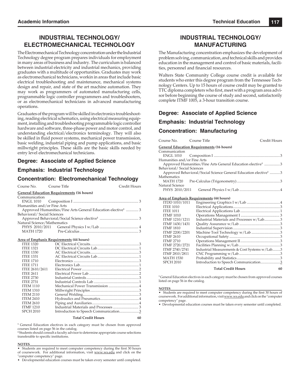# **INDUSTRIAL TECHNOLOGY/ ELECTROMECHANICAL TECHNOLOGY**

The Electromechanical Technology concentration under the Industrial Technology degree program prepares individuals for employment in many areas of business and industry. The curriculum is balanced between industrial electricity and industrial mechanics, providing graduates with a multitude of opportunities. Graduates may work as electromechanical technicians, workin in areas that include basic electrical troubleshooting and maintenance, mechanical systems design and repair, and state of the art machine automation. They may work as programmers of automated manufacturing cells, programmable logic controller programmers and troubleshooters, or as electromechanical technicians in advanced manufacturing operations.

Graduates of the program will be skilled in electronics troubleshooting, reading electrical schematics, using electrical measuring equipment, installing and troubleshooting programmable logic controller hardware and software, three-phase power and motor control, and understanding electrical/electronics terminology. They will also be skilled in fluid power systems, mechanical power transmission, basic welding, industrial piping and pump applications, and basic millwright principles. These skills are the basic skills needed by entry level electromechanical technicians.

# **Degree: Associate of Applied Science**

## **Emphasis: Industrial Technology**

# **Concentration: Electromechanical Technology**

| Course No. Course Title     |                                                  | Credit Hours                                                            |
|-----------------------------|--------------------------------------------------|-------------------------------------------------------------------------|
|                             | <b>General Education Requirements (16 hours)</b> |                                                                         |
| Communication               |                                                  |                                                                         |
|                             |                                                  |                                                                         |
| Humanities and/or Fine Arts |                                                  |                                                                         |
|                             |                                                  | Approved Humanities/Fine Arts General Education elective <sup>1</sup> 3 |
| Behavioral/Social Sciences  |                                                  |                                                                         |
|                             |                                                  |                                                                         |
| Natural Science/Mathematics |                                                  |                                                                         |
|                             |                                                  |                                                                         |
|                             |                                                  |                                                                         |

#### **Area of Emphasis Requirements (44 hours)**

| <b>ITEE 1320</b> |                                       |  |
|------------------|---------------------------------------|--|
| <b>ITEE 1321</b> |                                       |  |
| <b>ITEE 1330</b> |                                       |  |
| <b>ITEE 1331</b> |                                       |  |
| <b>ITEE 1710</b> |                                       |  |
| <b>ITEE 1711</b> |                                       |  |
| ITEE 2610/2611   |                                       |  |
| <b>ITEE 2611</b> |                                       |  |
| <b>ITEE 2730</b> |                                       |  |
| <b>ITEE 2731</b> |                                       |  |
| <b>ITEM 1110</b> |                                       |  |
| <b>ITEM 1310</b> |                                       |  |
| <b>ITEM 2110</b> |                                       |  |
| <b>ITEM 2410</b> |                                       |  |
| <b>ITEM 2610</b> |                                       |  |
| <b>ITMF 1210</b> | Industrial Materials and Processes  3 |  |
| <b>SPCH 2010</b> |                                       |  |
|                  |                                       |  |

#### **Total Credit Hours 60**

<sup>1</sup> General Education electives in each category must be chosen from approved courses listed on page 56 in the catalog.

**2** Students should consult a faculty advisor to determine appropriate course selections transferable to specific institutions.

#### **NOTES**\_\_\_\_\_\_\_\_\_\_\_\_\_\_\_\_\_\_\_\_\_\_\_\_\_\_\_\_\_\_\_\_\_\_\_\_\_\_\_\_\_\_\_\_\_\_\_\_\_\_\_\_\_\_\_\_\_\_\_\_\_\_\_\_

• Students are required to meet computer competency during the first 30 hours of coursework. For additional information, visit www.ws.edu and click on the "computer competency" page.

• Developmental education courses must be taken every semester until completed.

# **INDUSTRIAL TECHNOLOGY/ MANUFACTURING**

The Manufacturing concentration emphasizes the development of problem solving, communication, and technical skills and provides education in the management and control of basic materials, facilities, personnel and financial resources.

Walters State Community College course credit is available for students who enter this degree program from the Tennessee Technology Centers. Up to 15 hours of course credit may be granted to TTC diploma completers who first, meet with a program area advisor before beginning the course of study and second, satisfactorily complete ITMF 1005, a 3-hour transition course.

## **Degree: Associate of Applied Science**

# **Emphasis: Industrial Technology**

## **Concentration: Manufacturing**

| Course No. Course Title     |                                                                              | Credit Hours |
|-----------------------------|------------------------------------------------------------------------------|--------------|
|                             | <b>General Education Requirements (16 hours)</b>                             |              |
| Communication               |                                                                              |              |
|                             |                                                                              |              |
| Humanities and/or Fine Arts |                                                                              |              |
|                             | Approved Humanities/Fine Arts General Education elective <sup>1</sup> 3      |              |
| Behavioral/ Social Sciences |                                                                              |              |
|                             | Approved Behavioral/Social Science General Education elective <sup>1</sup> 3 |              |
| Mathematics                 |                                                                              |              |
|                             |                                                                              |              |
| Natural Science             |                                                                              |              |
|                             |                                                                              |              |
|                             | Area of Emphasis Requirements (44 hours)                                     |              |

| ITDD 1010/1011   |                                               |    |
|------------------|-----------------------------------------------|----|
| <b>ITEE 1010</b> |                                               |    |
| <b>ITEE 1011</b> |                                               |    |
| <b>ITMF 1010</b> |                                               |    |
| ITMF 1210/1211   | Industrial Materials and Processes w/Lab3     |    |
| ITMF 1430/1431   |                                               |    |
| <b>ITMF 1810</b> |                                               |    |
| ITMF 2200/2201   |                                               |    |
| <b>ITMF 2610</b> |                                               |    |
| <b>ITMF 2710</b> |                                               |    |
| ITMF 2720/2721   |                                               |    |
| ITMF 2740/2741   | Industrial Measurements & Cost Systems w/Lab3 |    |
| ITMF 2810/2811   |                                               |    |
| <b>MATH 1530</b> |                                               |    |
| <b>SPCH 2010</b> | Introduction to Speech Communication3         |    |
|                  | <b>Total Credit Hours</b>                     | 60 |

**1** General Education electives in each category must be chosen from approved courses listed on page 56 in the catalog.

#### **NOTES**\_\_\_\_\_\_\_\_\_\_\_\_\_\_\_\_\_\_\_\_\_\_\_\_\_\_\_\_\_\_\_\_\_\_\_\_\_\_\_\_\_\_\_\_\_\_\_\_\_\_\_\_\_\_\_\_\_\_\_\_\_\_\_\_\_\_\_

• Students are required to meet computer competency during the first 30 hours of coursework. For additional information, visit www.ws.edu and click on the "computer competency" page.

• Developmental education courses must be taken every semester until completed.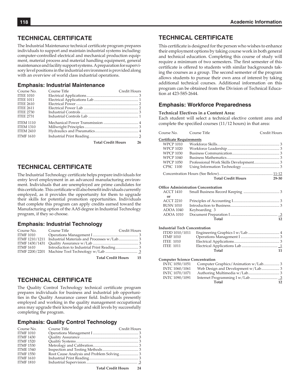# **TECHNICAL CERTIFICATE**

The Industrial Maintenance technical certificate program prepares individuals to support and maintain industrial systems including: computer-controlled electrical and mechanical production equipment, material process and material handling equipment, general maintenance and facility support systems. A preparation for supervisory level positions in the industrial environment is provided along with an overview of world class industrial operations.

#### **Emphasis: Industrial Maintenance**

| Course No.       | Course Title          | Credit Hours |
|------------------|-----------------------|--------------|
| <b>ITEE 1010</b> |                       |              |
| <b>ITEE 1011</b> |                       |              |
| <b>ITEE 2610</b> |                       |              |
| <b>ITEE 2611</b> |                       |              |
| <b>ITEE 2730</b> |                       |              |
| <b>ITEE 2731</b> |                       |              |
| <b>ITEM 1110</b> |                       |              |
| <b>ITEM 1310</b> |                       |              |
| <b>ITEM 2410</b> |                       |              |
| <b>ITMF 1610</b> |                       |              |
|                  | Total Credit Hours 26 |              |

**TECHNICAL CERTIFICATE**

The Industrial Technology certificate helps prepare individuals for entry level employment in an advanced manufacturing environment. Individuals that are unemployed are prime candidates for this certificate. This certificate will also benefit individuals currently employed, as it provides the opportunity for them to upgrade their skills for potential promotion opportunities. Individuals that complete this program can apply credits earned toward the Manufacturing option of the AAS degree in Industrial Technology program, if they so choose.

## **Emphasis: Industrial Technology**

| Course No.       | Course Title | Credit Hours          |
|------------------|--------------|-----------------------|
| <b>ITMF 1010</b> |              |                       |
|                  |              |                       |
| ITMF 1430/1431   |              |                       |
| ITMF 1610        |              |                       |
|                  |              |                       |
|                  |              | Total Credit Hours 15 |

**TECHNICAL CERTIFICATE**

The Quality Control Technology technical certificate program prepares individuals for business and industrial job opportunities in the Quality Assurance career field. Individuals presently employed and working in the quality management occupational area may upgrade their knowledge and skill levels by successfully completing the program.

## **Emphasis: Quality Control Technology**

| Course No.       | Course Title | Credit Hours |
|------------------|--------------|--------------|
| <b>ITMF 1010</b> |              |              |
| <b>ITMF 1430</b> |              |              |
| <b>ITMF 1520</b> |              |              |
| <b>ITMF 1530</b> |              |              |
| <b>ITME 1540</b> |              |              |
| <b>ITMF 1550</b> |              |              |
| <b>ITMF 1610</b> |              |              |
| <b>ITMF 1810</b> |              |              |

# **TECHNICAL CERTIFICATE**

This certificate is designed for the person who wishes to enhance their employment options by taking course work in both general and technical education. Completing this course of study will require a minimum of two semesters. The first semester of this certificate is offered to students with similar backgrounds taking the courses as a group. The second semester of the program allows students to pursue their own area of interest by taking additional technical courses. Additional information on this program can be obtained from the Division of Technical Education at 423-585-2644.

## **Emphasis: Workforce Preparedness**

#### **Technical Electives in a Content Area:**

Each student will select a technical elective content area and complete the specified courses  $(11/12$  hours) in that area:

| Course No.                      | Course Title                                     | Credit Hours |
|---------------------------------|--------------------------------------------------|--------------|
| <b>Certificate Requirements</b> |                                                  |              |
| <b>WPCP 1010</b>                |                                                  |              |
| <b>WPCP 1020</b>                |                                                  |              |
| <b>WPCP 1030</b>                |                                                  |              |
| <b>WPCP 1040</b>                |                                                  |              |
| <b>WPCP 1050</b>                | Professional Work Skills Development 3           |              |
| <b>CPSC 1100</b>                |                                                  |              |
|                                 |                                                  |              |
|                                 | <b>Total Credit Hours</b>                        | 29-30        |
|                                 | <b>Office Administration Concentration</b>       |              |
| <b>ACCT 1410</b>                |                                                  |              |
| or                              |                                                  |              |
| <b>ACCT 2210</b>                |                                                  |              |
| <b>BUSN 1010</b>                |                                                  |              |
| <b>ADOA 1040</b>                | Keyboarding 3                                    |              |
| <b>ADOA 1010</b>                |                                                  |              |
|                                 | Total                                            | 12           |
| Industrial Tech Concentration   |                                                  |              |
| ITDD 1010/1011                  |                                                  |              |
| <b>ITMF 1010</b>                |                                                  |              |
| <b>ITEE 1010</b>                |                                                  |              |
| <b>ITEE 1011</b>                |                                                  |              |
|                                 | Total                                            | 11           |
|                                 | $\sim$ $\sim$ $\sim$ $\sim$ $\sim$ $\sim$ $\sim$ |              |

#### **Computer Science Concentration**

|                | Total | 12 <sub>12</sub> |
|----------------|-------|------------------|
| INTC 1090/1091 |       |                  |
| INTC 1070/1071 |       |                  |
| INTC 1060/1061 |       |                  |
| INTC 1050/1051 |       |                  |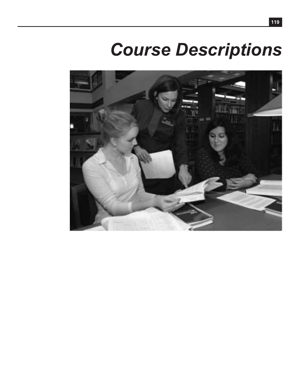# *Course Descriptions*

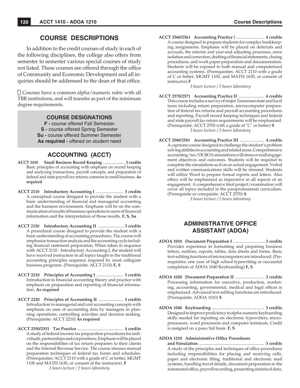# **COURSE DESCRIPTIONS**

In addition to the credit courses of study in each of the following disciplines, the college also offers from semester to semester various special courses of study not listed. These courses are offered through the office of Community and Economic Development and all inquiries should be addressed to the dean of that office.

 $\Box$  Courses have a common alpha/numeric rubic with all TBR institutions, and will transfer as part of the minimum degree requirements.

## **COURSE DESIGNATIONS**

**F -** course offered Fall Semester **S -** course offered Spring Semester **Su -** course offered Summer Semester **As required -** offered on student need

# **ACCOUNTING (ACCT)**

- **ACCT 1410 Small Business Record Keeping** ...................... **3 credits** Basic principles of accounting with emphasis on record keeping and analyzing transactions, payroll concepts, and preparation of federal and state payroll tax returns common to small business. **As required**
- **ACCT 2110 Introductory Accounting I** .......................... **3 credits** A conceptual course designed to provide the student with a basic understanding of financial and managerial accounting and the business environment. Emphasis will be on the communication of results of business operations to users of financial information and the interpretation of those results. **F, S, Su**
- **ACCT 2120 Introductory Accounting II** ......................... **3 credits** A procedural course designed to provide the student with a basic understanding of accounting procedures. The course will emphasize transaction analysis and the accounting cycle including financial statement preparation. When taken in sequence with ACCT 2110 - Introductory Accounting I, the student will have received instruction in all topics taught in the traditional accounting principles sequence required by most collegiate business programs. (Prerequisite: ACCT 2110) **F, S**
- **ACCT 2210 Principles of Accounting I** ......................... **3 credits** Introduction to financial accounting theory and practice with emphasis on preparation and reporting of financial information. **As required**
- **ACCT 2220 Principles of Accounting II** ....................... **3 credits** Introduction to managerial and cost accounting concepts with emphasis on uses of accounting data by managers in planning operations, controlling activities and decision making. (Prerequisite: ACCT 2210) **As required**
- **ACCT 2550/2551 Tax Practice** ........................................... **4 credits** A study of federal income tax preparation procedures for individuals, partnerships and corporations. Emphasis will be placed on the responsibilities of tax return preparers to their clients and the Internal Revenue Service. The course stresses manual preparation techniques of federal tax forms and schedules. (Prerequisites: ACCT 2110 with a grade of C or better, MGMT 1100 and MATH 1630, or consent of the instructor). **F** *3 hours lecture / 2 hours laboratory*

**ACCT 2560/2561 Accounting Practice** I .......................... **4 credits** A course designed to prepare students for complex bookkeeping assignments. Emphasis will be placed on deferrals and accruals, the interim and year-end adjusting processes, error isolation and correction, drafting of financial statements, closing procedures, and work paper preparation and documentation. Students will be exposed to both manual and computerized accounting systems. (Prerequisites: ACCT 2110 with a grade of C or better, MGMT 1100, and MATH 1630, or consent of instructor) **F**

*3 hours lecture / 2 hours laboratory*

- **ACCT 2570/2571 Accounting Practice II** ........................ **4 credits** This course includes a survey of major Tennessee state and local taxes including return preparation, microcomputer preparation of federal tax returns and payroll accounting procedures and reporting. Payroll record keeping techniques and federal and state payroll tax return requirements will be emphasized. (Prerequisite: ACCT 2550 with a grade of "C" or better) **S** *3 hours lecture / 2 hours laboratory*
- **ACCT 2580/2581 Accounting Practice III** ....................... **4 credits** A capstone course designed to challenge the student's problem solving abilities in accounting and related areas. Comprehensive accounting/tax/OCBOA simulations will stress overall engagement objectives and outcomes. Students will be required to complete the simulations as if on an actual engagement. Verbal and written communications skills will be stressed. Students will utilize Word to prepare formal reports and letters. Also ethics will be emphasized as imperative in all aspects of an engagement. A comprehensive final project/examination will cover all topics included in the paraprofessional curriculum. (Prerequisite or corequisite: ACCT 2570) **S**

*3 hours lecture / 2 hours laboratory*

# **ADMINISTRATIVE OFFICE ASSISTANT (ADOA)**

- **ADOA 1010 Document Preparation I** .............................. **3 credits** Provides experience in formatting and preparing business letters, outlines, reports, tables, data sheets and forms. Basic text-editing functions of microcomputers are introduced. (Prerequisites: one year of high school typewriting or successful completion of ADOA 1040 Keyboarding) **F, S**
- **ADOA 1020 Document Preparation II** ........................... **3 credits** Processing information for executive, production, marketing, accounting, governmental, medical and legal offices is emphasized. Advanced text-editing functions are introduced. (Prerequisite: ADOA 1010) **S**
- **ADOA 1040 Keyboarding** ................................................. **3 credits** Designed to improve proficiency in alpha-numeric keyboarding skills needed for inputting on electronic typewriters, microprocessors, word processors and computer terminals. Credit is assigned on a pass/fail basis. **F, S**

#### **ADOA 1210 Administrative Office Procedures**

 **and Simulation** ............................................................. **3 credits** A study of the principles and techniques of office procedures including responsibilities for placing and receiving calls, paper and electronic filing, traditional and electronic mail systems, handling travel details, document preparation in the automated office, payroll recording, presenting statistical data,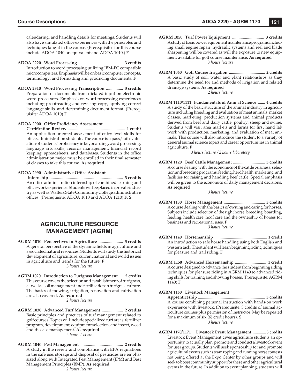calendaring, and handling details for meetings. Students will also have simulated office experiences with the principles and techniques taught in the course. (Prerequisites for this course include ADOA 1040 or equivalent and ADOA 1010.) **F**

- **ADOA 2220 Word Processing** .......................................... **3 credits** Introduction to word processing utilizing IBM-PC compatible microcomputers. Emphasis will be on basic computer concepts, terminology, and formatting and producing documents. **F**
- **ADOA 2310 Word Processing Transcription** ................ **3 credits** Preparation of documents from dictated input on electronic word processors. Emphasis on word processing experiences including proofreading and revising copy, applying correct language skills, and determining document format. (Prerequisite: ADOA 1010) **F**

#### **ADOA 2900 Office Proficiency Assessment**

 **Certifi cation Review** ...................................................... **1 credit** An application-oriented assessment of entry-level skills for office administration students. The course is a pass/fail evaluation of students' proficiency in keyboarding, word processing, language arts skills, records management, financial record keeping, spreadsheets, and databases. Students in the office administration major must be enrolled in their final semester of classes to take this course. **As required**

#### **ADOA 2990 Administrative Office Assistant**

 **Internship** ..................................................................... **3 credits** An office administration internship of combined learning and office work experience. Students will be placed in private industry as well as Walters State Community College administrative offices. (Prerequisite: ADOA 1010 and ADOA 1210) **F, S** 

# **AGRICULTURE RESOURCE MANAGEMENT (AGRM)**

- **AGRM 1010 Perspectives in Agriculture** ....................... **3 credits** A general perspective of the dynamic fields in agriculture and associated natural resources. Students will study the historical development of agriculture, current national and world issues in agriculture and trends for the future. **F** *3 hours lecture*
- **AGRM 1020 Introduction to Turfgrass Management** ......**2 credits** This course covers the selection and establishment of turf grass, as well as soil management and fertilization in turfgrass culture. The basics of mowing, irrigation, renovation and cultivation are also covered. **As required**

*2 hours lecture*

- **AGRM 1030 Advanced Turf Management** .................... **2 credits** Basic principles and practices of turf management related to golf courses. Topics will include specialized turf areas, fertilizer program, development, equipment selection, and insect, weed and disease management. **As required** *2 hours lecture*
- **AGRM 1040 Pest Management** ........................................ **2 credits** A study in the review and compliance with EPA regulations in the safe use, storage and disposal of pesticides are emphasized along with Integrated Pest Management (IPM) and Best Management Principles (BMP). **As required** *2 hours lecture*
- **AGRM 1050 Turf Power Equipment** .............................. **3 credits** A study of basic power equipment maintenance programs including small engine repair, hydraulic systems and reel and blade sharpening will be covered as will the exposure to new equipment available for golf course maintenance. **As required** *3 hours lecture*
- **AGRM 1060 Golf Course Irrigation** ................................... **2 credits** A basic study of soil, water and plant relationships as they determine the need for and methods of irrigation and related drainage systems. **As required**

*2 hours lecture*

**AGRM 1110/1111 Fundamentals of Animal Science** ....... **4 credits** A study of the basic structure of the animal industry in agriculture including breeding and evaluation of meat animals, market classes, marketing, production systems and animal products derived from beef and dairy cattle, poultry, sheep and swine. Students will visit area markets and farms for first hand lab work with production, marketing, and evaluation of meat animals. This course will also introduce the student to a variety of general animal science topics and career opportunities in animal agriculture. **F**

*3 hours lecture / 2 hours laboratory*

**AGRM 1120 Beef Cattle Management** ............................... **3 credits** A course dealing with the economics of the cattle business, selection and breeding programs, feeding, herd health, marketing, and facilities for raising and handling beef cattle. Special emphasis will be given to the economics of daily management decisions. **As required**

*3 hours lecture*

- **AGRM 1130 Horse Management** ........................................ **3 credits** A course dealing with the basics of owning and caring for horses. Subjects include selection of the right horse, breeding, boarding, feeding, health care, hoof care and the ownership of horses for business and recreational uses. **F** *3 hours lecture*
- **AGRM 1140 Horsemanship** ................................................... **1 credit** An introduction to safe horse handling using both English and western tack. The student will learn beginning riding techniques for pleasure and trail riding. **F**
- **AGRM 1150 Advanced Horsemanship** .............................. **1 credit** A course designed to advance the student from beginning riding techniques for pleasure riding in AGRM 1140 to advanced riding skills for training and showing horses. (Prerequisite: AGRM 1140) **F**

#### **AGRM 1160 Livestock Management**

 **Apprenticeship** ................................................................. **3 credits** A course combining personal instruction with hands-on work experience with livestock. (Prerequisite: 3 credits of animal agriculture courses plus permission of instructor. May be repeated for a maximum of six (6) credit hours). **S** *3 hours lecture*

**AGRM 1170/1171 Livestock Event Management** .............**3 credits** Livestock Event Management gives agriculture students an opportunity to actually plan, promote and conduct a livestock event for user groups. Students will seek sponsorship for and promote agricultural events such as team roping and running horse contests not being offered at the Expo Center by other groups and will seek to boost community support for these and other agricultural events in the future. In addition to event planning, students will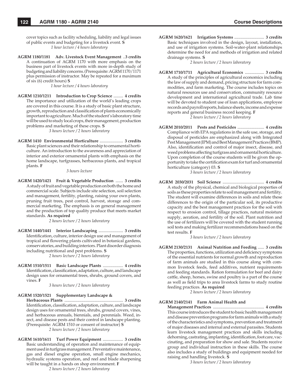cover topics such as facility scheduling, liability and legal issues of public events and budgeting for a livestock event. **S** *1 hour lecture / 4 hours laboratory*

**AGRM 1180/1181 Adv. Livestock Event Management** ..**3 credits** A continuation of AGRM 1170 with more emphasis on the business part of livestock events with more in-depth study of budgeting and liability concerns. (Prerequisite: AGRM 1170/1171 plus permission of instructor. May be repeated for a maximum of six (6) credit hours) **S**

*1 hour lecture / 4 hours laboratory*

**AGRM 1210/1211 Introduction to Crop Science** ......... **4 credits** The importance and utilization of the world's leading crops are covered in this course. It is a study of basic plant structure, growth, reproduction and classification of plants economically important to agriculture. Much of the student's laboratory time will be used to study local crops, their management, production problems and marketing of these crops. **S**

*3 hours lecture / 2 hours laboratory*

**AGRM 1410 Environmental Horticulture** ...................... **3 credits** Basic plant sciences and their relationship to ornamental horticulture. An introduction to the awareness and appreciation of interior and exterior ornamental plants with emphasis on the home landscape, turfgrasses, herbaceous plants, and tropical plants. **F**

*3 hours lecture*

**AGRM 1420/1421 Fruit & Vegetable Production** ....... **3 credits** A study of fruit and vegetable production on both the home and commercial scale. Subjects include site selection, soil selection and management, fertility, planting, raising your own plants, pruning fruit trees, pest control, harvest, storage and commercial marketing. The emphasis is on general management and the production of top quality produce that meets market standards. **As required**

*2 hours lecture / 2 hours laboratory*

- **AGRM 1440/1441 Interior Landscaping** ....................... **3 credits** Identification, culture, interior design use and management of tropical and flowering plants cultivated in botanical gardens, conservatories, and building interiors. Plant disorder diagnosis including nutritional and pest problems. **S** *2 hours lecture / 2 hours laboratory*
- **AGRM 1510/1511 Basic Landscape Plants** ................... **4 credits** Identification, classification, adaptation, culture, and landscape design uses for ornamental trees, shrubs, ground covers, and vines. **F**

*3 hours lecture / 2 hours laboratory*

#### **AGRM 1520/1521 Supplementary Landscape &**

 **Herbaceous Plants** ....................................................... **3 credits** Identification, classification, adaptation, culture, and landscape design uses for ornamental trees, shrubs, ground covers, vines, and herbaceous annuals, biennials, and perennials. Weed, insect, and disease pests and their control in landscape planting. (Prerequisite: AGRM 1510 or consent of instructor) **S** *2 hours lecture / 2 hours laboratory*

**AGRM 1610/1611 Turf Power Equipment** ................... **3 credits** Basic understanding of operation and maintenance of equipment used in turfgrass management. Preventative maintenance, gas and diesel engine operation, small engine mechanics, hydraulic systems operation, and reel and blade sharpening will be taught in a hands on shop environment. **F** *2 hours lecture / 2 hours laboratory*

**AGRM 1620/1621 Irrigation Systems** ............................ **3 credits** Basic techniques involved in the design, layout, installation, and use of irrigation systems. Soil-water-plant relationships determine the need for and methods of irrigation and related drainage systems. **S**

*2 hours lecture / 2 hours laboratory*

**AGRM 1710/1711 Agricultural Economics** .................. **3 credits** A study of the principles of agricultural economics including the law of supply and demand, pricing structure for farm commodities, and farm marketing. The course includes topics on natural resources use and conservation, community resource development and international agricultural trade. Lab time will be devoted to student use of loan applications, employee records and payroll reports, balance sheets, income and expense reports and general business record keeping. **F**

*2 hours lecture / 2 hours laboratory*

**AGRM 2010/2011 Pests and Pesticides** ......................... **4 credits** Compliance with EPA regulations in the safe use, storage, and disposal of pesticides are emphasized along with Integrated Pest Management (IPM) and Best Management Practices (BMP). Also, identification and control of major insect, disease, and weed problems affecting turfgrass and ornamental horticulture. Upon completion of the course students will be given the opportunity to take the certification exam for turf and ornamental horticulture (category) 03. **S**

*3 hours lecture / 2 hours laboratory*

**AGRM 2030/2031 Soil Science** ....................................... **4 credits** A study of the physical, chemical and biological properties of soils as these properties relate to soil management and fertility. The student will examine differences in soils and relate these differences to the origin of the particular soil, its productive capacity and the best management practices for the soil with respect to erosion control, tillage practices, natural moisture supply, aeration, and fertility of the soil. Plant nutrition and the use of fertilizers will be covered with the student running soil tests and making fertilizer recommendations based on the test results. **F**

*3 hours lecture / 2 hours laboratory*

**AGRM 2130/2131 Animal Nutrition and Feeding** ...... **3 credits** The properties, functions, utilization and deficiency symptoms of the essential nutrients for normal growth and reproduction of farm animals are studied in this course along with common livestock feeds, feed additives, nutrient requirements and feeding standards. Ration formulation for beef and dairy cattle, sheep, horses, swine and poultry is a part of the course as well as field trips to area livestock farms to study routine feeding practices. **As required**

*2 hours lecture / 2 hours laboratory*

## **AGRM 2140/2141 Farm Animal Health and**

 **Management Practices** ................................................ **4 credits** This course introduces the student to basic health management and disease prevention programs for farm animals with a study of the characteristics and symptoms, prevention and treatment of major diseases and internal and external parasites. Students learn livestock management practices and skills including dehorning, castrating, implanting, identification, foot care, vaccinating, and preparation for show and sale. Students receive group and individual instruction in these skills. The course also includes a study of buildings and equipment needed for raising and handling livestock. **S**

*3 hours lecture / 2 hours laboratory*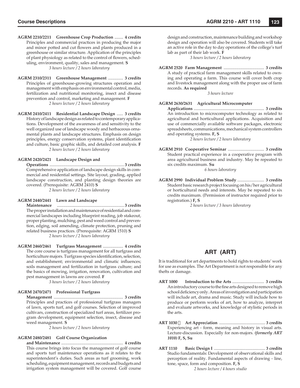- **AGRM 2210/2211 Greenhouse Crop Production** ........ **4 credits** Principles and commercial practices in producing the major and minor potted and cut flowers and plants produced in a greenhouse or similar structure. Application of the principles of plant physiology as related to the control of flowers, scheduling, environment, quality, sales and management. **S** *3 hours lecture / 2 hours laboratory*
- **AGRM 2310/2311 Greenhouse Management** .............. **3 credits** Principles of greenhouse-growing structures operation and management with emphasis on environmental control, media, fertilization and nutritional monitoring, insect and disease prevention and control, marketing and management. **F** *2 hours lecture / 2 hours laboratory*
- **AGRM 2410/2411 Residential Landscape Design** ...... **3 credits** History of landscape design as related to contemporary applications. Development of the awareness of and sensitivity to the well organized use of landscape woody and herbaceous ornamental plants and landscape structures. Emphasis on design principles, energy conservation systems, plant identification and culture, basic graphic skills, and detailed cost analysis. **F** *2 hours lecture / 2 hours laboratory*

#### **AGRM 2420/2421 Landscape Design and**

 **Operations** ...................................................................... **3 credits** Comprehensive application of landscape design skills in commercial and residential settings. Site layout, grading, applied landscape construction, and planting design theories are covered. (Prerequisite: AGRM 2410) **S**

*2 hours lecture / 2 hours laboratory*

#### **AGRM 2440/2441 Lawn and Landscape**

 **Maintenance** ............................................................... **3 credits** The proper installation and maintenance of residential and commercial landscapes including blueprint reading, job stakeout, proper planting, mulching, pest and weed control and prevention, edging, soil amending, climate protection, pruning and related business practices. (Prerequisite: AGRM 1510) **S** *2 hours lecture / 2 hours laboratory*

**AGRM 2460/2461 Turfgrass Management** ................... **4 credits** The core course is turfgrass management for all turfgrass and horticulture majors. Turfgrass species identification, selection, and establishment; environmental and climatic influences; soils management and fertilization in turfgrass culture; and the basics of mowing, irrigation, renovation, cultivation and pest management in lawns are covered. **F**

*3 hours lecture / 2 hours laboratory*

#### **AGRM 2470/2471 Professional Turfgrass**

 **Management** ................................................................. **3 credits** Principles and practices of professional turfgrass managers of lawn, sports turf, and golf courses. Selection of improved cultivars, construction of specialized turf areas, fertilizer program development, equipment selection, insect, disease and weed management. **S**

*2 hours lecture / 2 hours laboratory*

#### **AGRM 2480/2481 Golf Course Organization**

 **and Maintenance** .......................................................... **4 credits** This course brings into focus the management of golf course and sports turf maintenance operations as it relates to the superintendent's duties. Such areas as turf grooming, work scheduling, equipment management, records and budgets and irrigation system management will be covered. Golf course design and construction, maintenance building and workshop design and operation will also be covered. Students will take an active role in the day to day operations of the college's turf lab as part of their lab work. **F**

*3 hours lecture / 2 hours laboratory*

**AGRM 2520 Farm Management** ...................................... **3 credits** A study of practical farm management skills related to owning and operating a farm. This course will cover both crop and livestock management along with the proper use of farm records. **As required**

*3 hours lecture*

#### **AGRM 2630/2631 Agricultural Microcomputer**

 **Applications** .................................................................. **3 credits** An introduction to microcomputer technology as related to agricultural and horticultural applications. Acquisition and use of commercially available software packages, electronic spreadsheets, communications, mechanical system controllers and operating systems. **F, S**

*2 hours lecture / 2 hours laboratory*

**AGRM 2910 Cooperative Seminar** .................................. **3 credits** Student practical experience in a cooperative program with area agricultural business and industry. May be repeated to six credits maximum. **Su**

*6 hours laboratory*

**AGRM 2990 Individual Problem Study** ......................... **3 credits** Student basic research project focusing on his/her agricultural or horticultural needs and interests. May be repeated to six credits maximum. (Permission of instructor required prior to registration.) **F, S**

*2 hours lecture / 3 hours laboratory*

# **ART (ART)**

It is traditional for art departments to hold rights to students' work for use as examples. The Art Department is not responsible for any thefts or damage.

- **ART 1000 Introduction to the Arts** .............................. **3 credits** An introductory course to the fine arts designed to remove high school deficiency only. Areas of investigation and participation will include art, drama and music. Study will include how to produce or perform works of art, how to analyze, interpret and evaluate artworks, and knowledge of stylistic periods in the arts.
- **ART 1030 Art Appreciation** ............................................ **3 credits** Experiencing art - form, meaning and history in visual arts. Lecture-discussion. Especially for non-majors. *(formerly ART 1010)* **F, S, Su**
- **ART 1110 Basic Design I** ................................................. **3 credits** Studio fundamentals: Development of observational skills and perception of reality. Fundamental aspects of drawing - line, tone, space, form and composition. **F, S** *2 hours lecture / 4 hours studio*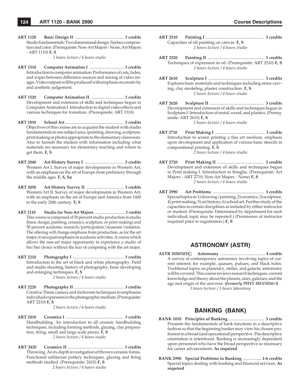**ART 1120 Basic Design II** ............................................... **3 credits** Studio fundamentals: Two dimensional design. Surface composition and color. (Prerequisite: Non-Art Majors - None; Art Majors - ART 1110) **F, S**

*2 hours lecture / 4 hours studio*

- **ART 1510 Computer Animation I** ................................. **3 credits** Introduction to computer animation. Performance of cuts, fades, and wipes between difference sources and mixing of video images. Video outputs will be produced with emphasis on creativity and aesthetic judgement.
- **ART 1520 Computer Animation II** ................................ **3 credits** Development and extension of skills and techniques begun in Computer Animation I. Introduction to digital video effects and various techniques for transition. (Prerequisite: ART 1510)
- **ART 1810 School Art** ........................................................ **3 credits** Objectives of this course are to acquaint the student with studio fundamentals in one subject area, (painting, drawing, sculpture, print making or photo) appropriate to the elementary classroom. Also to furnish the student with information including what materials are necessary for elementary teaching and where to get them. **F, S**
- **ART 2040 Art History Survey I** ...................................... **3 credits** Western Art I. Survey of major developments in Western Art, with an emphasis on the art of Europe from prehistory through the middle ages. **F, S, Su**
- **ART 2050 Art History Survey II** .................................... **3 credits** Western Art II. Survey of major developments in Western Art, with an emphasis on the art of Europe and America from 1400 to the early 20th century. **F, S**
- **ART 2110 Studio for Non-Art Majors** ............................. **3 credits** This course is composed of 50 percent studio production in studio (basic design, painting, ceramics, sculpture, or print making) and 50 percent academic research/participation/museum visitation. The offering will change emphasis from production, as for the art major, to an equal emphasis on academic activities. A course which allows the non-art major opportunity to experience a studio of his/her choice without the fear of competing with the art major.
- **ART 2210 Photography I** ................................................. **3 credits** Introduction to the art of black and white photography. Field and studio shooting, history of photography, basic developing and enlarging techniques. **F, S** *2 hours lecture / 4 hours studio*
- **ART 2220 Photography II** ................................................ **3 credits** Creative 35mm camera and darkroom techniques to emphasize individual expression in the photographic medium. (Prerequisite: ART 2210) **F, S**

*2 hours lecture / 4 hours studio*

- **ART 2410 Ceramics I** ........................................................ **3 credits** Handbuilding. An introduction to all ceramic handbuilding techniques, including forming methods, glazing, clay preparation, firing, small and large scale pieces. **F**, S *2 hours lecture / 4 hours studio*
- **ART 2420 Ceramics II** .................................................... **3 credits** Throwing. An in-depth investigation of thrown ceramic forms. Functional utilitarian pottery techniques, glazing and firing methods studied. (Prerequisite: 2410) **F, S** *2 hours lecture / 4 hours studio*
- **ART 2510 Painting I** ....................................................... **3 credits** Capacities of oil painting on canvas. **F, S** *2 hours lecture / 4 hours studio*
- **ART 2520 Painting II** ..................................................... **3 credits** Techniques of expression in oil. (Prerequisite: ART 2510) **F, S** *2 hours lecture / 4 hours studio*
- **ART 2610 Sculpture I** .................................................... **3 credits** Explores basic materials and techniques including stone carving, clay modeling, plaster construction. **F, S** *2 hours lecture / 4 hours studio*
- **ART 2620 Sculpture II** ................................................... **3 credits** Development and extension of skills and techniques begun in Sculpture I. Introduction of metal, wood, and plastics. (Prerequisite: ART 2610) **F, S** *2 hours lecture / 4 hours studio*
- **ART 2710 Print Making I** ................................................ **3 credits** Introduction to screen printing a fine art medium, emphasis upon development and application of various basic stencils in compositional printing. **F, S** *2 hours lecture / 4 hours studio*
- **ART 2720 Print Making II** ............................................ **3 credits** Development and extension of skills and techniques begun in Print making I. Introduction to Intaglio. (Prerequisite: Art Majors - ART 2710; Non-Art Majors - None) **F, S** *2 hours lecture / 4 hours studio*
- **ART 2990 Art Problems** ................................................ **3 credits** Special topics in 1) drawing/painting, 2) ceramics, 3) sculpture, 4) print making, 5) art history, 6) school art. Further study of the capacities in certain disciplines as initiated by either instructor or student. (Prerequisite: Determined by department for each individual; topic may be repeated.) (Permission of instructor required prior to registration.) **F, S**

## **ASTRONOMY (ASTR)**

**ASTR 1030/1031 Astronomy** ........................................... **4 credits** A survey of contemporary astronomy involving topics of current interest; for example, quasars, pulsars, and black holes. Traditional topics on planetary, stellar, and galactic astronomy will be covered. This course reviews research techniques, current knowledge and theory about the planets, stars, galaxies, and the age and origin of the universe. *(formerly PHYS 1015/1016)* **S** *3 hours lecture / 3 hours laboratory*

## **BANKING (BANK)**

- **BANK 1010 Principles of Banking** ................................. **3 credits** Presents the fundamentals of bank functions in a descriptive fashion so that the beginning banker may view his chosen profession in a broad (and operational) perspective. The descriptive orientation is intentional. Banking is increasingly dependent upon personnel who have the broad perspective so necessary for career advancement. **As required**
- **BANK 2990 Special Problems in Banking** ..................**1-6 credits** Special topics dealing with banking and financial services. As **required**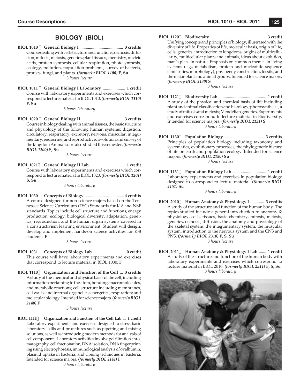# **BIOLOGY (BIOL)**

- **BIOL 1010 General Biology I** ........................................ **3 credits** Course dealing with cell structure and functions, osmosis, diffusion, mitosis, meiosis, genetics, plant tissues, chemistry, nucleic acids, protein synthesis, cellular respiration, photosynthesis, ecology, pollution, population problems, survey of bacteria, protists, fungi, and plants. *(formerly BIOL 1100)* **F, Su** *3 hours lecture*
- **BIOL 1011 General Biology I Laboratory** ..................... **1 credit** Course with laboratory experiments and exercises which correspond to lecture material in BIOL 1010. *(formerly BIOL 1110)*  **F, Su**

*3 hours laboratory*

**BIOL 1020 General Biology II** ....................................... **3 credits** Course in biology dealing with animal tissues, the basic structure and physiology of the following human systems: digestion, circulatory, respiratory, excretory, nervous, muscular, integumentary, endocrine, and reproductive. Evolution and survey of the kingdom Animalia are also studied this semester. *(formerly BIOL 1200)* **S, Su**

*3 hours lecture*

**BIOL 1021 General Biology II Lab** ................................. **1 credit** Course with laboratory experiments and exercises which correspond to lecture material in BIOL 1020. *(formerly BIOL 1201)*  **S, Su**

*3 hours laboratory*

**BIOL 1030 Concepts of Biology** ..................................... **4 credits** A course designed for non-science majors based on the Tennessee Science Curriculum (TSC) Standards for K-8 and NSF standards. Topics include cell structure and functions, energy production, ecology, biological diversity, adaptation, genetics, reproduction, and the human organ systems covered in a constructivism learning environment. Student will design, develop and implement hands-on science activities for K-8 students. **F**

*3 hours lecture*

- **BIOL 1031 Concepts of Biology Lab** ...............................**0 credit** This course will have laboratory experiments and exercises that correspond to lecture material in BIOL 1030. **F**
- **BIOL 1110 Organization and Function of the Cell** ... **3 credits** A study of the chemical and physical basis of the cell, including information pertaining to the atom, bonding, macromolecules, and metabolic reactions; cell structure including membranes, cell walls, and internal organelles; energetics, respiration; and molecular biology. Intended for science majors. *(formerly BIOL 2140)* **F**

#### *3 hours lecture*

**BIOL 1111 Organization and Function of the Cell Lab** ... **1 credit** Laboratory experiments and exercises designed to stress basic laboratory skills and procedures such as pipetting and mixing solutions, as well as introducing modern methods for analysis of cell components. Laboratory activities involve gel filtration chromatography, cell fractionation, DNA isolation, DNA fingerprinting using electrophoresis, immunological analysis of ovalbumin, plasmid uptake in bacteria, and cloning techniques in bacteria. Intended for science majors. *(formerly BIOL 2141)* **F**

*3 hours laboratory*

**BIOL 1120 Biodiversity** .................................................... **3 credit** Unifying concepts and principles of biology, illustrated with the diversity of life. Properties of life, molecular basis, origin of life, cells, genetics, introduction to kingdoms, origins of multicellularity, multicellular plants and animals, ideas about evolution, man's place in nature. Emphasis on common themes in living systems (e.g., metabolism, protein and nucleotide sequence similarities, morphology), phylogeny construction, fossils, and the major plant and animal groups. Intended for science majors. *(formerly BIOL 2130)* **S**

*3 hours lecture*

- **BIOL 1121 Biodiversity Lab** ............................................ **1 credit** A study of the physical and chemical basis of life including plant and animal classification and histology; photosynthesis; a study of mitosis and meiosis; Mendelian genetics. Experiments and exercises correspond to lecture material in Biodiversity. Intended for science majors. *(formerly BIOL 2131)* **S** *3 hours laboratory*
- **BIOL 1130 Population Biology** ...................................... **3 credits** Principles of population biology including taxonomy and systematics, evolutionary processes, the phylogenetic history of life on earth and population ecology. Intended for science majors. *(formerly BIOL 2150)* **Su** *3 hours lecture*
- **BIOL 1131 Population Biology Lab** ................................**1 credit** Laboratory experiments and exercises in population biology designed to correspond to lecture material. *(formerly BIOL 2151)* **Su**

*3 hours laboratory*

**BIOL 2010 Human Anatomy & Physiology I** ............. **3 credits** A study of the structure and function of the human body. The topics studied include a general introduction to anatomy & physiology, cells, tissues, basic chemistry, mitosis, meiosis, genetics, osmosis, diffusion, the anatomy and physiology of the skeletal system, the integumentary system, the muscular system, introduction to the nervous system and the CNS and PNS. *(formerly BIOL 2310)* **F, S, Su** *3 hours lecture*

**BIOL 2011 Human Anatomy & Physiology I Lab** ....... **1 credit** A study of the structure and function of the human body with laboratory experiments and exercises which correspond to lecture material in BIOL 2010. *(formerly BIOL 2311)* **F, S, Su** *3 hours laboratory*

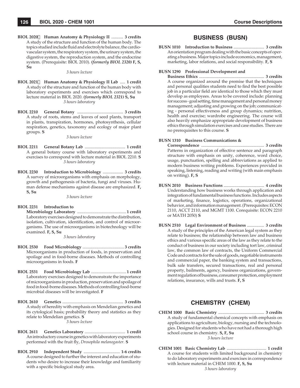**BIOL 2020 Human Anatomy & Physiology II** ........... **3 credits** A study of the structure and function of the human body. The topics studied include fluid and electrolyte balance, the cardiovascular system, the respiratory system, the urinary system, the digestive system, the reproduction system, and the endocrine system. (Prerequisite: BIOL 2010). *(formerly BIOL 2320)* **F, S, Su**

#### *3 hours lecture*

- **BIOL 2021 Human Anatomy & Physiology II Lab** ..... **1 credit** A study of the structure and function of the human body with laboratory experiments and exercises which correspond to lecture material in BIOL 2020. *(formerly BIOL 2321)* **S, Su** *3 hours laboratory*
- **BIOL 2210 General Botany** ........................................... **3 credits** A study of roots, stems and leaves of seed plants, transport in plants, transpiration, hormones, photosynthesis, cellular respiration, genetics, taxonomy and ecology of major plant groups. **S**

*3 hours lecture*

- **BIOL 2211 General Botany Lab** ...................................... **1 credit** A general botany course with laboratory experiments and exercises to correspond with lecture material in BIOL 2210. **S** *3 hours laboratory*
- **BIOL 2230 Introduction to Microbiology** ................... **3 credits** A survey of microorganisms with emphasis on morphology, growth and pathogenesis of bacteria, fungi and viruses. Human defense mechanisms against disease are emphasized. **F, S, Su**

*3 hours lecture*

**BIOL 2231 Introduction to Microbiology Laboratory** ..............................................**1 credit** Laboratory exercises designed to demonstrate the distribution, isolation, cultivation, identification, and control of microorganisms. The use of microorganisms in biotechnology will be examined. **F, S, Su**

*3 hours laboratory*

- **BIOL 2530 Food Microbiology** ....................................... **3 credits** Microorganisms in production of foods, in preservation and spoilage and in food-borne diseases. Methods of controlling microorganisms in foods. **F**
- **BIOL 2531 Food Microbiology Lab** .................................**1 credit** Laboratory exercises designed to demonstrate the importance of microorganisms in production, preservation and spoilage of food in food-borne diseases. Methods of controlling food-borne microbial diseases will be investigated. **F**
- **BIOL 2610 Genetics** ......................................................... **3 credits** A study of heredity with emphasis on Mendelian genetics and its cytological basis; probability theory and statistics as they relate to Mendelian genetics. **S** *3 hours lecture*
- **BIOL 2611 Genetics Laboratory** ...................................... **1 credit** An introductory course in genetics with laboratory experiments performed with the fruit fly, *Drosophila melanogaster*. **S**
- **BIOL 2910 Independent Study** .................................. **1-6 credits** A course designed to further the interest and education of students who desire to increase their knowledge and familiarity with a specific biological study area.

## **BUSINESS (BUSN)**

**BUSN 1010 Introduction to Business** ............................. **3 credits** An orientation program dealing with the basic concepts of operating a business. Major topics include economics, management, marketing, labor relations, and social responsibility. **F, S**

#### **BUSN 1290 Professional Development and**

 **Business Ethics** ............................................................. **3 credits** A course organized around the premise that the techniques and personal qualities students need to find the best possible job in a particular field are identical to those which they must develop as employees. Areas to be covered include: planning for success - goal setting, time management and personal money management; adjusting and growing on the job; communicating - personal effectiveness and group dynamics; nutrition, health and exercise; wardrobe engineering. The course will also heavily emphasize appropriate development of business ethics through simulation exercises and case studies. There are no prerequisites to this course. **S**

#### **BUSN 1310 Business Communications &**

 **Correspondence** ........................................................... **3 credits** Patterns in organization of effective sentence and paragraph structure with emphasis on unity, coherence, word choice, usage, punctuation, spelling and abbreviations as applied to modern business writing problems. Experiences provided in speaking, listening, reading and writing (with main emphasis on writing). **F, S**

- **BUSN 2010 Business Functions** ...................................... **4 credits** Understanding how business works through application and integration of fundamental business functions. Includes aspects of marketing, finance, logistics, operations, organizational behavior, and information management. (Prerequisites: ECON 2110, ACCT 2110, and MGMT 1100. Corequisite: ECON 2210 or MATH 2050) **S**
- **BUSN 2510 Legal Environment of Business** ................ **3 credits** A study of the principles of the American legal system as they relate to business; the relationship between law and business ethics and various specific areas of the law as they relate to the conduct of business in our society including tort law, criminal law, the common law of contracts, the Uniform Commercial Code and contracts for the sale of goods, negotiable instruments and commercial paper, the banking system and transactions, bulk sale transfers, secured transactions, real and personal property, bailments, agency, business organizations, government regulation of business, consumer protection, employment relations, insurance, wills and trusts. **F, S**

# **CHEMISTRY (CHEM)**

- **CHEM 1000 Basic Chemistry** ........................................... **3 credits** A study of fundamental chemical concepts with emphasis on applications to agriculture, biology, nursing and the technologies. Designed for students who have not had a thorough high school course in chemistry. **S, F, Su** *3 hours lecture*
- **CHEM 1001 Basic Chemistry Lab** ..................................... **1 credit** A course for students with limited background in chemistry to do laboratory experiments and exercises in correspondence with lecture material in CHEM 1000. **F, S, Su** *3 hours laboratory*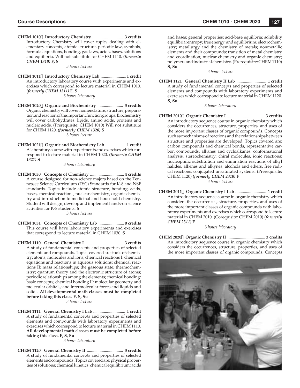**CHEM 1010 Introductory Chemistry** ............................. **3 credits** Introductory Chemistry will cover topics dealing with elementary concepts, atomic structure, periodic law, symbols, formula, equations, bonding, gas laws, acids, bases, solutions and equilibria. Will not substitute for CHEM 1110. *(formerly CHEM 1310)* **F, S**

#### *3 hours lecture*

**CHEM 1011 Introductory Chemistry Lab** ........................**1 credit** An introductory laboratory course with experiments and exercises which correspond to lecture material in CHEM 1010. *(formerly CHEM 1311)* **F, S**

*3 hours laboratory*

**CHEM 1020 Organic and Biochemistry** ........................ **3 credits** Organic chemistry will cover nomenclature, structure, preparation and reaction of the important function groups. Biochemistry will cover carbohydrates, lipids, amino acids, proteins and nucleic acids. (Prerequisite: CHEM 1010) Will not substitute for CHEM 1120. *(formerly CHEM 1320)* **S** *3 hours lecture*

**CHEM 1021 Organic and Biochemistry Lab** .................. **1 credit** A laboratory course with experiments and exercises which correspond to lecture material in CHEM 1020. *(formerly CHEM 1321)* **S**

*3 hours laboratory*

**CHEM 1030 Concepts of Chemistry** ................................ **4 credits** A course designed for non-science majors based on the Tennessee Science Curriculum (TSC) Standards for K-8 and NSF standards. Topics include atomic structure, bonding, acids, bases, chemical reactions, nuclear chemistry, organic chemistry and introduction to medicinal and household chemistry. Student will design, develop and implement hands-on science activities for K-8 students. **S**

*3 hours lecture*

- **CHEM 1031 Concepts of Chemistry Lab** ........................ **0 credits** This course will have laboratory experiments and exercises that correspond to lecture material in CHEM 1030. **S**
- **CHEM 1110 General Chemistry I** ................................... **3 credits** A study of fundamental concepts and properties of selected elements and compounds. Topics covered are: tools of chemistry; atoms, molecules and ions; chemical reactions I: chemical equations and reactions in aqueous solutions; chemical reactions II: mass relationships; the gaseous state; thermochemistry; quantum theory and the electronic structure of atoms; periodic relationships among the elements; chemical bonding: basic concepts; chemical bonding II: molecular geometry and molecular orbitals; and intermolecular forces and liquids and solids. **All developmental math classes must be completed before taking this class. F, S, Su**

*3 hours lecture*

**CHEM 1111 General Chemistry I Lab** .............................. **1 credit** A study of fundamental concepts and properties of selected elements and compounds with laboratory experiments and exercises which correspond to lecture material in CHEM 1110. **All developmental math classes must be completed before taking this class. F, S, Su**

*3 hours laboratory*

**CHEM 1120 General Chemistry II** .................................. **3 credits** A study of fundamental concepts and properties of selected elements and compounds. Topics covered are: physical properties of solutions; chemical kinetics; chemical equilibrium; acids and bases; general properties; acid-base equilibria; solubility equilibria; entropy; free energy; and equilibrium; electrochemistry; metallurgy and the chemistry of metals; nonmetallic elements and their compounds; transition of metal chemistry and coordination; nuclear chemistry and organic chemistry; polymers and industrial chemistry. (Prerequisite: CHEM 1110) **S, Su**

#### *3 hours lecture*

**CHEM 1121 General Chemistry II Lab** ............................ **1 credit** A study of fundamental concepts and properties of selected elements and compounds with laboratory experiments and exercises which correspond to lecture material in CHEM 1120. **S, Su**

*3 hours laboratory*

**CHEM 2010 Organic Chemistry I** ................................... **3 credits** An introductory sequence course in organic chemistry which considers the occurrences, structure, properties, and uses of the more important classes of organic compounds. Concepts such as mechanisms of reactions and the relationships between structure and properties are developed. Topics covered are: carbon compounds and chemical bonds, representative carbon compounds, alkanes and cycloalkanes: conformational analysis, stereochemistry: chiral molecules, ionic reactions: nucleophilic substitution and elimination reactions of alkyl halides, alkenes and alkynes, alcohols and ethers, free radical reactions, conjugated unsaturated systems. (Prerequisite: CHEM 1120) *(formerly CHEM 2310)* **F**

*3 hours lecture*

**CHEM 2011 Organic Chemistry I Lab** ............................. **1 credit** An introductory sequence course in organic chemistry which considers the occurrences, structure, properties, and uses of the more important classes of organic compounds with laboratory experiments and exercises which correspond to lecture material in CHEM 2010. (Corequisite: CHEM 2010) *(formerly CHEM 2311)* **F**

*3 hours laboratory*

**CHEM 2020 Organic Chemistry II** .................................... **3 credits** An introductory sequence course in organic chemistry which considers the occurrences, structure, properties, and uses of the more important classes of organic compounds. Concepts

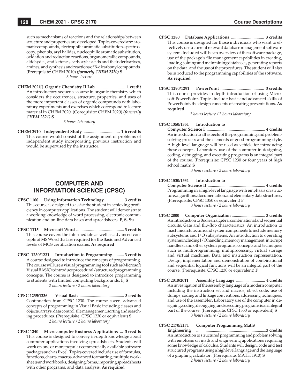such as mechanisms of reactions and the relationships between structure and properties are developed. Topics covered are: aromatic compounds, electrophilic aromatic substitution, spectroscopy, phenols, aryl halides, nucleophilic aromatic substitution, oxidation and reduction reactions, organometallic compounds, aldehydes, and ketones, carboxylic acids and their derivatives, amines, and synthesis and reactions of B-dicarbonyl compounds. (Prerequisite: CHEM 2010) *(formerly CHEM 2320)* **S** *3 hours lecture*

**CHEM 2021 Organic Chemistry II Lab** ........................... **1 credit** An introductory sequence course in organic chemistry which considers the occurrences, structure, properties, and uses of the more important classes of organic compounds with laboratory experiments and exercises which correspond to lecture material in CHEM 2020. (Corequisite: CHEM 2020) *(formerly CHEM 2321)* **S**

#### *3 hours laboratory*

**CHEM 2910 Independent Study** .................................. **1-6 credits** This course would consist of the assignment of problems of independent study incorporating previous instruction and would be supervised by the instructor.

# **COMPUTER AND INFORMATION SCIENCE (CPSC)**

- **CPSC 1100 Using Information Technology** ................. **3 credits** This course is designed to assist the student in achieving proficiency in computer applications. The student will demonstrate a working knowledge of word processing, electronic communication and on-line data bases and spreadsheets. **F, S, Su**
- **CPSC 1115 Microsoft Word** ............................................. **3 credits** This course covers the intermediate as well as advanced concepts of MS Word that are required for the Basic and Advanced levels of MOS certification exams. As required
- **CPSC 1230/1231 Introduction to Programming** .......... **3 credits** A course designed to introduce the concepts of programming. The course will use a visual programming tool such as Microsoft Visual BASIC to introduce procedural/structured programming concepts. The course is designed to introduce programming to students with limited computing backgrounds. **F, S** *2 hours lecture / 2 hours laboratory*
- **CPSC 1235/1236 Visual Basic** ........................................... **3 credits** Continuation from CPSC 1230. The course covers advanced concepts of programming in Visual Basic including classes and objects, arrays, data control, file management, sorting and searching procedures. (Prerequisite: CPSC 1230 or equivalent) **S** *2 hours lecture / 2 hours laboratory*
- **CPSC 1240 Microcomputer Business Applications** ... **3 credits** This course is designed to convey in-depth knowledge about computer applications involving spreadsheets. Students will work on one or more popular commercially available software packages such as Excel. Topics covered include use of formulas, functions, charts, macros, advanced formatting, multiple worksheets and workbooks, designing forms, importing spreadsheets with other programs, and data analysis. **As required**
- **CPSC 1280 Database Applications** ............................... **3 credits** This course is designed for those individuals who want to effectively use a current relevant database management software system. Included will be an overview of the software package, use of the package's file management capabilities in creating, loading, joining and maintaining databases, generating reports on the data, and the use of the procedures. The student will also be introduced to the programming capabilities of the software. **As required**
- **CPSC 1290/1291 PowerPoint** ......................................... **3 credits** This course provides in-depth introduction of using Microsoft PowerPoint. Topics include basic and advanced skills of PowerPoint, the design concepts of creating presentations. **As required**

*2 hours lecture / 2 hours laboratory*

#### **CPSC 1350/1351 Introduction to**

 **Computer Science I** ........................................................ **4 credits** An introduction to all aspects of the programming and problemsolving process and the elements of good programming style. A high-level language will be used as vehicle for introducing these concepts. Laboratory use of the computer in designing, coding, debugging, and executing programs is an integral part of the course. (Prerequisite: CPSC 1230 or four years of high school math) **S**

*3 hours lecture / 2 hours laboratory*

#### **CPSC 1530/1531 Introduction to**

 **Computer Science II** ....................................................... **4 credits** Programming in a high-level language with emphasis on structure, algorithms, documentation, and elementary data structures. (Prerequisite: CPSC 1350 or equivalent) **F** *3 hours lecture / 2 hours laboratory*

- **CPSC 2000 Computer Organization** ................................ **3 credits** An introduction to Boolean algebra, combinational and sequential circuits. Gate and flip-flop characteristics. An introduction to machine architecture and system components to include memory subsystems and I/O subsystems. An introduction to operating systems including I/O handling, memory management, interrupt handlers, and other system programs, concepts and techniques such as multiprogramming, multiprocessing, virtual storage and virtual machines. Data and instruction representation. Design, implementation and demonstration of combinational and sequential logical functions will be an integral part of the course. (Prerequisite: CPSC 1230 or equivalent) **F**
- **CPSC 2010/2011 Assembly Language** ............................ **4 credits** An investigation of the assembly language of a modern computer including the instruction set and macros, object code, use of dumps, coding and linkage conventions, addressing techniques, and use of the assembler. Laboratory use of the computer in designing, coding, debugging, and executing programs is an integral part of the course. (Prerequisite: CPSC 1350 or equivalent) **S** *3 hours lecture / 2 hours laboratory*

#### **CPSC 2170/2171 Computer Programming Math/**

 **Engineering** ...................................................................**3 credits** An introduction to structured programming and problem solving with emphasis on math and engineering applications requiring some knowledge of calculus. Students will design, code and test structured programs using a high level language and the language of a graphing calculator. (Prerequisite: MATH 1910) **S**

*2 hours lecture / 2 hours laboratory*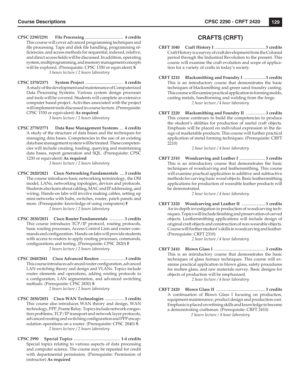- **CPSC 2290/2291 File Processing** .................................... **4 credits** This course will cover advanced programming techniques and file processing. Tape and disk file handling, programming efficiencies, and access methods for sequential, indexed, relative, and direct access fields will be discussed. In addition, operating system, multiprogramming, and memory management concepts will be explored. (Prerequisite: CPSC 1350 or equivalent) **S** *3 hours lecture / 2 hours laboratory*
- **CPSC 2370/2371 System Project** ................................... **4 credits** A study of the development and maintenance of Computerized Data Processing Systems. Various system design processes and tools will be covered. Students will complete an extensive computer based project. Activities associated with the project will implement tools discussed in course lecture. (Prerequisite: CPSC 1530 or equivalent) **As required**

*3 hours lecture / 2 hours laboratory*

**CPSC 2770/2771 Data Base Management Systems** ... **4 credits** A study of the structure of data bases and the techniques for managing data bases. Competencies in the use of an existing data base management system will be treated. These competencies will include creating, loading, querying and maintaining data bases, report generation and SQL. (Prerequisite: CPSC 1230 or equivalent) **As required**

*3 hours lecture / 2 hours laboratory*

- **CPSC 2820/2821 Cisco Networking Fundamentals** .... **3 credits** The course introduces basic networking terminology, the OSI model, LANs, networking topologies, devices and protocols. Students also learn about cabling, MAC and IP addressing, and wiring. Hands-on labs will involve making cables, setting up mini-networks with hubs, switches, router, patch panels and more. (Prerequisite: knowledge of using computers) **F** *2 hours lecture / 2 hours laboratory*
- **CPSC 2830/2831 Cisco Router Fundamentals** .............. **3 credits** This course introduces TCP/IP protocol, routing protocols, basic routing processes, Access Control Lists and router commands and configuration. Hands-on labs will provide students with access to routers to apply routing processes, commands, configurations and testing. (Prerequisite: CPSC 2820) F *2 hours lecture / 2 hours laboratory*
- **CPSC 2840/2841 Cisco Advanced Routers** ........................**3 credits** This course introduces advanced router configuration, advanced LAN switching theory and design and VLANs. Topics include router elements and operations, adding routing protocols to a configuration, LAN segmentation, and advanced switching methods. (Prerequisite: CPSC 2830) **S**

*2 hours lecture / 2 hours laboratory*

- **CPSC 2850/2851 Cisco WAN Technologies** .................. **3 credits** This course also introduces WAN theory and design, WAN technology, PPP, Frame Relay. Topics include network congestion problems, TCP/IP transport and network layer protocols, advanced routing and switching configuration and PPP encapsulation operations on a router. (Prerequisite: CPSC 2840) **S** *2 hours lecture / 2 hours laboratory*
- **CPSC 2990 Special Topics** ........................................... **1-4 credits** Special topics relating to various aspects of data processing and computer science. The course may be repeated for credit with departmental permission. (Prerequisite: Permission of instructor) **As required**

# **CRAFTS (CRFT)**

- **CRFT 1040 Craft History I** ............................................... **3 credits** Craft History is a survey of craft development from the Colonial period through the Industrial Revolution to the present. This course will examine the craft evolution and scope of application for a variety of crafts in today's society.
- **CRFT 2210 Blacksmithing and Foundry I** .................... **3 credits** This is an introductory course that demonstrates the basic techniques of blacksmithing and green sand foundry casting. This course will examine practical application in forming molds, casting metals, handforming and welding from the forge. *2 hour lecture / 4 hour laboratory*
- **CRFT 2220 Blacksmithing and Foundry II** .................. **3 credits** This course continues to build the competencies to produce the student's abilities for production of useful craft objects. Emphasis will be placed on individual expression in the design of marketable products. This course will further practical application of metal forming techniques. (Prerequisite: CRFT 2210)

*2 hour lecture / 4 hour laboratory*

**CRFT 2310 Woodcarving and Leather I** ........................ **3 credits** This is an introductory course that demonstrates the basic techniques of woodcarving and leathersmithing. This course will examine practical application in additive and subtractive methods for carving basic wood objects. Basic leathersmithing applications for production of wearable leather products will be demonstrated.

*2 hour lecture / 4 hour laboratory*

**CRFT 2320 Woodcarving and Leather II** ...................... **3 credits** An in-depth investigation in production of woodcarving techniques. Topics will include finishing and preservation of carved objects. Leathersmithing applications will include design of original craft objects and construction of non-wearable objects. Course will further student's skills in woodcarving and leather. (Prerequisite: CRFT 2310)

*2 hour lecture / 4 hour laboratory*

**CRFT 2410 Blown Glass I** ................................................ **3 credits** This is an introductory course that demonstrates the basic techniques of glass furnace techniques. This course will examine practical application in blown glass, safety procedures for molten glass, and raw materials survey. Basic designs for objects of production will be emphasized.

*2 hour lecture / 4 hour laboratory*

**CRFT 2420 Blown Glass II** .............................................. **3 credits** A continuation of Blown Glass I focusing on production, equipment maintenance, product design and production cost. Emphasis is placed on refining skills and knowledge to become a demonstrating craftsman. (Prerequisite: CRFT 2410)

*2 hours lecture / 4 hour laboratory*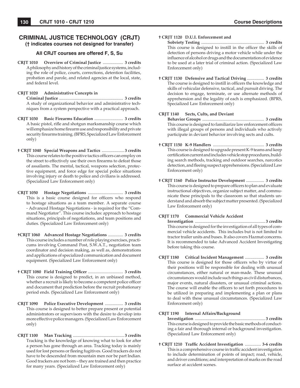# **CRIMINAL JUSTICE TECHNOLOGY (CRJT) († indicates courses not designed for transfer)**

## **All CRJT courses are offered F, S, Su**

**CRJT 1010 Overview of Criminal Justice** ................... **3 credits** A philosophy and history of the criminal justice systems, including the role of police, courts, corrections, detention facilities, probation and parole, and related agencies at the local, state, and federal level.

# **CRJT 1020 Administrative Concepts in**

 **Criminal Justice** ............................................................ **3 credits** A study of organizational behavior and administrative techniques from a system perspective with a practical approach.

- **CRJT 1030 Basic Firearms Education** ........................... **3 credits** A basic pistol, rifle and shotgun marksmanship course which will emphasize home firearm use and responsibility and private security firearms training. (BPRS, Specialized Law Enforcement only)
- **† CRJT 1040 Special Weapons and Tactics** ..................... **3 credits** This course relates to the positive tactics officers can employ on the street to effectively use their own firearms to defeat those of assailants. The mental, tactical, weapons selection, protective equipment, and force edge for special police situations involving injury or death to police and civilians is addressed. (Specialized Law Enforcement only)
- **CRJT 1050 Hostage Negotiations** ................................. **3 credits** This is a basic course designed for officers who respond to hostage situations as a team member. A separate course - Advanced Hostage Negotiations - is required for the "Command Negotiator". This course includes: approach to hostage situations, principals of negotiations, and team positions and duties. (Specialized Law Enforcement only)
- **†CRJT 1060 Advanced Hostage Negotiations** .............. **3 credits** This course includes a number of role playing exercises, practicums involving Command Post, S.W.A.T., negotiation team coordinator and decision making, as well as, demonstrations and applications of specialized communication and document equipment. (Specialized Law Enforcement only)
- **† CRJT 1080 Field Training Officer .................................. 3 credits**  This course is designed to predict, in an unbiased method, whether a recruit is likely to become a competent police officer and document that prediction before the recruit probationary period ends. (Specialized Law Enforcement only)
- **CRJT 1090 Police Executive Development** ................. **3 credits** This course is designed to better prepare present or potential administrators or supervisors with the desire to develop into more effective police managers. (Specialized Law Enforcement only)
- **CRJT 1100 Man Tracking** ................................................ **3 credits** Tracking is the knowledge of knowing what to look for after a person has gone through an area. Tracking today is mainly used for lost persons or fleeing fugitives. Good trackers do not have to be descended from mountain men nor be part Indian. Good trackers are not born – they are trained and then practice for many years. (Specialized Law Enforcement only)

#### **† CRJT 1120 D.U.I. Enforcement and**

 **Sobriety Testing** ........................................................... **3 credits** This course is designed to instill in the officer the skills of detection of persons driving a motor vehicle while under the influence of alcohol or drugs and the documentation of evidence to be used at a later trial of criminal action. (Specialized Law Enforcement only)

**† CRJT 1130 Defensive and Tactical Driving** ................ **3 credits** The course is designed to instill in officers the knowledge and skills of vehicular defensive, tactical, and pursuit driving. The decision to engage, terminate, or use alternate methods of apprehension and the legality of each is emphasized. (BPRS, Specialized Law Enforcement only)

## **CRJT 1140 Sects, Cults, and Deviant**

 **Behavior Groups** .......................................................... **3 credits** This course is designed to familiarize law enforcement officers with illegal groups of persons and individuals who actively participate in deviant behavior involving sects and cults.

- **† CRJT 1150 K-9 Handlers** ................................................ **3 credits** This course is designed to upgrade present K-9 teams and keep certification current and includes vehicle stop procedures, building search methods, tracking and outdoor searches, narcotics detection, and fleeing suspect apprehensions. (Specialized Law Enforcement only)
- **† CRJT 1160 Police Instructor Development** ................. **3 credits** This course is designed to prepare officers to plan and evaluate instructional objectives, organize subject matter, and communicate these principals to the classroom so that students understand and absorb the subject matter presented. (Specialized Law Enforcement only)

#### **CRJT 1170 Commercial Vehicle Accident**

 **Investigation** .................................................................. **3 credits** This course is designed for the investigation of all types of commercial vehicle accidents. This includes but is not limited to tractor trailer units and buses. It also covers Hazmat concerns. It is recommended to take Advanced Accident Investigating before taking this course.

**CRJT 1180 Critical Incident Management** .................. **3 credits** This course is designed for those officers who by virtue of their positions will be responsible for dealing with unusual circumstances, either natural or man-made. These unusual circumstances would include such things as civil disturbances, major events, natural disasters, or unusual criminal actions. The course will enable the officers to set forth procedures to be utilized in preparing and implementing a plan or plans to deal with these unusual circumstances. (Specialized Law Enforcement only)

#### **CRJT 1190 Internal Affairs/Background**

 **Investigation** .................................................................. **3 credits** This course is designed to provide the basic methods of conducting a fair and thorough internal or background investigation. (Specialized Law Enforcement only)

**† CRJT 1210 Traffi c Accident Investigation** ............... **3-6 credits** This is a comprehensive course in traffic accident investigation to include determination of points of impact; road, vehicle, and driver conditions; and interpretation of marks on the road surface at accident scenes.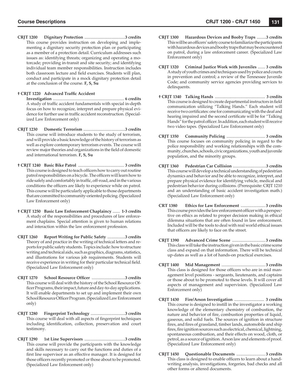**CRJT 1200 Dignitary Protection** .......................................**3 credits** This course provides instruction on developing and implementing a dignitary security protection plan or participating as a member of a protection detail. Curriculum addresses such issues as: identifying threats; organizing and operating a motorcade; providing in-transit and site security; and identifying individual team member responsibilities. Instruction includes both classroom lecture and field exercises. Students will plan, conduct and participate in a mock dignitary protection detail at the conclusion of the course. **F, S, Su**

#### **† CRJT 1220 Advanced Traffic Accident**

 **Investigation** .................................................................... **6 credits** A study of traffic accident fundamentals with special in-depth focus on how to recognize, interpret and prepare physical evidence for further use in traffic accident reconstruction. (Specialized Law Enforcement only)

- **CRJT 1230 Domestic Terrorism** ........................................**3 credits** This course will introduce students to the study of terrorism, and will provide a basic knowledge of the history of terrorism as well as explore contemporary terrorism events. The course will review major theories and organizations in the field of domestic and international terrorism. **F, S, Su**
- **† CRJT 1240 Basic Bike Patrol** ............................................ **3 credits** This course is designed to teach officers how to carry out routine patrol responsibilities on a bicycle. The officers will learn how to ride safely and comfortably in traffic, off-road, and in the various conditions the officers are likely to experience while on patrol. This course will be particularly applicable to those departments that are committed to community-oriented policing. (Specialized Law Enforcement only)
- **† CRJT 1250 Basic Law Enforcement Chaplaincy** ....... **1-3 credits** A study of the responsibilities and procedures of law enforcement chaplains. Special attention is given to human relations and interaction within the law enforcement profession.
- **CRJT 1260 Report Writing for Public Safety** .................**3 credits** Theory of and practice in the writing of technical letters and reports for public safety students. Topics include: how to structure writing and technical aids, such as graphics, diagrams, statistics, and illustrations for various job requirements. Students will receive experience in writing for their particular technical field. (Specialized Law Enforcement only)
- **CRJT 1270** School Resource Officer ................................3 credits This course will deal with the history of the School Resource Officer Programs, their impact, future and day-to-day applications. It will enable departments to set up and implement their own School Resource Officer Program. (Specialized Law Enforcement only)
- **CRJT 1280 Fingerprint Technology** .................................**3 credits** This course will deal with all aspects of fingerprint techniques including identification, collection, preservation and court testimony.
- **CRJT 1290 1st Line Supervisors** .......................................**3 credits** This course will provide the participants with the knowledge and skills necessary to carry out the functions and duties of a first line supervisor as an effective manager. It is designed for those officers recently promoted or those about to be promoted. (Specialized Law Enforcement only)
- **CRJT 1300 Hazardous Devices and Booby Traps** .........**3 credits** This will be an officers' safety course to familiarize the participants with hazardous devices and booby traps that may be encountered on patrol, during a law enforcement career. (Specialized Law Enforcement only)
- **CRJT 1320 Criminal Justice Work with Juveniles** ....... **3 credits** A study of youth crimes and techniques used by police and courts in prevention and control; a review of the Tennessee Juvenile Code; and community service agencies providing services to delinquents.
- **† CRJT 1340 Talking Hands** ................................................. **3 credits** This course is designed to create departmental instructors in field communication utilizing "Talking Hands." Each student will receive two certificates: one for communicating with the deaf and hearing impaired and the second certificate will be for "Talking Hands" for the patrol officer. In addition, each student will receive two video tapes. (Specialized Law Enforcement only)
- **CRJT 1350 Community Policing** ..................................... **3 credits** This course focuses on community policing in regard to the police responsibility and working relationships with the community, churches, schools, civic organizations, youth and juvenile population, and the minority groups.
- **CRJT 1360 Pedestrian Car Collision** ................................**3 credits** This course will develop a technical understanding of pedestrian dynamics and behavior and be able to recognize, interpret, and prepare physical evidence for identifying vehicle, medical and pedestrian behavior during collisions. (Prerequisite: CRJT 1210 and an understanding of basic accident investigation math.) (Specialized Law Enforcement only)
- **CRT 1380 Ethics for Law Enforcement** ....................... **3 credits** This course provides the law enforcement officer with a perspective on ethics as related to proper decision making in ethical dilemma situations that are often found in law enforcement. Included will be the tools to deal with real world ethical issues that officers are likely to face on the street.
- **CRJT 1390 Advanced Crime Scene** ............................... **3 credits** This class will take the instruction given in the basic crime scene class and expand on that information. There will be technical up-dates as well as a lot of hands-on practical exercises.
- **CRJT 1400 Mid Management** ......................................... **3 credits** This class is designed for those officers who are in mid management level positions - sergeants, lieutenants, and captains or those about to be promoted to these levels. It will cover all aspects of management and supervision. (Specialized Law Enforcement only)
- **CRJT 1430 Fire/Arson Investigation** ............................ **3 credits** This course is designed to instill in the investigator a working knowledge of the elementary chemistry of combustion, the nature and behavior of fire, combustion properties of liquid, gaseous, and solid fuels. The sources of ignition in structure fires, and fires of grassland, timber lands, automobile and ship fires, fire ignition sources such as electrical, chemical, lightning, spontaneous combustion, and their effects on wood, cloth, or petrol, as a source of ignition. Arson law and elements of proof. (Specialized Law Enforcement only)
- **CRJT 1450 Questionable Documents** ........................... **3 credits** This class is designed to enable officers to learn about a handwriting analysis, investigations, forgeries, bad checks and all other forms or altered documents.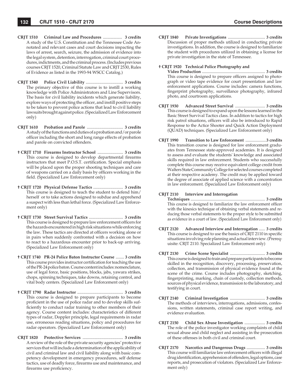- **CRJT 1510 Criminal Law and Procedures** .................. **3 credits** A study of the U.S. Constitution and the Tennessee Code Annotated and relevant cases and court decisions impacting the laws of arrest, search, seizure, the admission of evidence into the legal system, detention, interrogation, criminal court procedures, indictments, and the criminal process. (Includes previous courses CRJT 1520, Criminal Statute Law and CRJT 2530, Rules of Evidence as listed in the 1993-94 WSCC Catalog.)
- **CRJT 1540 Police Civil Liability** ................................... **3 credits** The primary objective of this course is to instill a working knowledge with Police Administrators and Line Supervisors. The basis for civil liability incidents which generate liability, explore ways of protecting the officer, and instill positive steps to be taken to prevent police actions that lead to civil liability lawsuits brought against police. (Specialized Law Enforcement only)
- **CRJT 1610 Probation and Parole** .................................. **3 credits** A study of the functions and duties of a probation and/or parole officer including the short and long range effects of probation and parole on convicted offenders.
- **† CRJT 1710 Firearms Instructor School** ........................ **3 credits** This course is designed to develop departmental firearms instructors that meet P.O.S.T. certification. Special emphasis will be placed upon the proper shooting techniques and care of weapons carried on a daily basis by officers working in the field. (Specialized Law Enforcement only)
- **† CRJT 1720 Physical Defense Tactics** ............................ **3 credits** This course is designed to teach the student to defend him/ herself or to take actions designed to subdue and apprehend a suspect with less than lethal force. (Specialized Law Enforcement only)
- **† CRJT 1730 Street Survival Tactics** ................................ **3 credits** This course is designed to prepare law enforcement officers for the hazards encountered in high risk situations while enforcing the law. These tactics are directed at officers working alone or in pairs when suddenly confronted with a decision on how to react to a hazardous encounter prior to back-up arriving. (Specialized Law Enforcement only)
- **† CRJT 1740 PR-24 Police Baton Instructor Course** ........ **3 credits** This course provides instructor certification for teaching the use of the PR-24 police baton. Course content includes: nomenclature, use of legal force, basic positions, blocks, jabs, yawara strikes, chops, spinning techniques, take downs, retaining control, and vital body centers. (Specialized Law Enforcement only)
- **† CRJT 1790 Radar Instructor** ........................................... **3 credits** This course is designed to prepare participants to become proficient in the use of police radar and to develop skills sufficiently to conduct radar training to other members of their agency. Course content includes: characteristics of different types of radar, Doppler principle, legal requirements in radar use, erroneous reading situations, policy and procedures for radar operators. (Specialized Law Enforcement only)
- **CRJT 1820 Protective Services** ...................................... **3 credits** A review of the role of the private security agencies' protective services that will include a determination of the applicability of civil and criminal law and civil liability along with basic competency development in emergency procedures, self defense tactics, use of deadly force, firearms use and maintenance, and firearms use proficiency.

**CRJT 1840 Private Investigations** .................................... **3 credits** Discussion of proper methods utilized in conducting private investigations. In addition, the course is designed to familiarize the student with procedures utilized in obtaining a license for private investigation in the state of Tennessee.

#### **† CRJT 1920 Technical Police Photography and**

 **Video Production** ............................................................. **3 credits** This course is designed to prepare officers assigned to photograph or video tape evidence for court presentation and law enforcement applications. Course includes: camera functions, fingerprint photography, surveillance photography, infrared photo, and courtroom applications.

- **CRJT 1930 Advanced Street Survival** ............................. **3 credits** This course is designed to expand upon the lessons learned in the Basic Street Survival Tactics class. In addition to tactics for high risk patrol situations, officers will also be introduced to Rapid Response to the Actice Shooter and Quick Action Deployment (QUAD) techniques. (Specialized Law Enforcement only)
- **CRJT 1990 Transition to Law Enforcement** ....................**3 credits** This transition course is designed for law enforcement graduates from Tennessee state-approved academies. It is designed to assess and evaluate the students' knowledge and associated skills required in law enforcement. Students who successfully complete this course may receive equivalent college credit from Walters State Community College for selected courses completed at their respective academy. The credit may be applied toward the degree of associate of applied science with a concentration in law enforcement. (Specialized Law Enforcement only)

#### **CRJT 2110 Interview and Interrogation**

 **Techniques** ........................................................................ **3 credits** This course is designed to familiarize the law enforcement officer with the kinesics technique of obtaining verbal statements and reducing those verbal statements to the proper style to be submitted as evidence in a court of law. (Specialized Law Enforcement only)

- **CRJT 2120 Advanced Interview and Interrogation** ...... **3 credits** This course is designed to use the basics of CRJT 2110 in specific situations involving role planning and actual interview. (Prerequisite: CRJT 2110. Specialized Law Enforcement only)
- **CRJT 2130 Crime Scene Specialist** .................................. **3 credits** This course is designed to train and prepare participants to become skilled in the recognition, discovery, processing, preservation, collection, and transmission of physical evidence found at the scene of the crime. Course includes photography, sketching, fingerprinting, marking, chain of custody, collection methods, sources of physical evidence, transmission to the laboratory, and testifying in court.
- **CRJT 2140 Criminal Investigation** .................................. **3 credits** The methods of interviews, interrogations, admissions, confessions, written statements, criminal case report writing, and evidence evaluation.
- **CRJT 2150 Child Sex Abuse Investigation** .................... **3 credits** The role of the police investigator working complaints of child sexual abuse and child neglect and assisting in the prosecution of these offenses in both civil and criminal court.
- **CRJT 2170 Narcotics and Dangerous Drugs** .................. **3 credits** This course will familiarize law enforcement officers with illegal drug identification, apprehension of offenders, legal options, case reports, and prosecution of violators. (Specialized Law Enforcement only)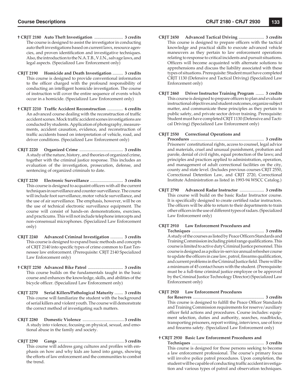- **† CRJT 2180 Auto Theft Investigation** ........................... **3 credits** The course is designed to assist the investigator in conducting auto theft investigations based on current laws, resource agencies, and proven identification and investigative techniques. Also, the introduction to the N.A.T.B., V.I.N., salvage laws, and legal aspects. (Specialized Law Enforcement only)
- **CRJT 2190 Homicide and Death Investigation** .......... **3 credits** This course is designed to provide conventional information to the officer charged with the profound responsibility of conducting an intelligent homicide investigation. The course of instruction will cover the entire sequence of events which occur in a homicide. (Specialized Law Enforcement only)
- **† CRJT 2210 Traffic Accident Reconstruction ............... 6 credits** An advanced course dealing with the reconstruction of traffic accident scenes. Mock traffic accident scenes investigations are conducted by students. Application of photography, measurements, accident causation, evidence, and reconstruction of traffic accidents based on interpretation of vehicle, road, and driver conditions. (Specialized Law Enforcement only)
- **CRJT 2220 Organized Crime** ......................................... **3 credits** A study of the nature, history, and theories of organized crime, together with the criminal justice response. This includes an evaluation of the investigation, prosecution, defense, and sentencing of organized criminals to date.
- **CRJT 2230 Electronic Surveillance** ............................... **3 credits** This course is designed to acquaint officers with all the current techniques in surveillance and counter-surveillance. The course will include foot surveillance, motor vehicle surveillance, and the use of air surveillance. The emphasis, however, will be on the use of technical electronic surveillance equipment. The course will consist of hands-on demonstrations, exercises, and practicums. This will not include telephone intercepts and non-consensual microphones. (Specialized Law Enforcement only)
- **CRJT 2240 Advanced Criminal Investigation** ............ **3 credits** This course is designed to expand basic methods and concepts of CRJT 2140 into specific types of crime common to East Tennessee law enforcement. (Prerequisite: CRJT 2140 Specialized Law Enforcement only)
- **† CRJT 2250 Advanced Bike Patrol** ................................. **3 credits** This course builds on the fundamentals taught in the basic course and enhances the knowledge, skills, and abilities of the bicycle officer. (Specialized Law Enforcement only)
- **CRJT 2270 Serial Killers/Pathological Maturity** ........ **3 credits** This course will familiarize the student with the background of serial killers and violent youth. The course will demonstrate the correct method of investigating such matters.
- **CRJT 2280 Domestic Violence** ....................................... **3 credits** A study into violence, focusing on physical, sexual, and emotional abuse in the family and society.
- **CRJT 2290 Gangs** .............................................................. **3 credits** This course will address gang cultures and profiles with emphasis on how and why kids are lured into gangs, showing the efforts of law enforcement and the communities to combat the trend.
- **CRJT 2450 Advanced Tactical Driving** ........................ **3 credits** This course is designed to prepare officers with the tactical knowledge and practical skills to execute advanced vehicle maneuvers as they pertain to law enforcement operations relating to response to critical incidents and pursuit situations. Officers will become acquainted with alternate solutions to apprehensions and discuss the liability associated with these types of situations. Prerequisite: Student must have completed CRJT 1130 (Defensive and Tactical Driving) (Specialized Law Enforcement only)
- **CRJT 2460 Driver Instructor Training Program** ........ **3 credits** This course is designed to prepare officers to plan and evaluate instructional objectives and student outcomes, organize subject matter, and communicate these principles as they pertain to public safety, and private sector driver training. Prerequisite: Student must have completed CRJT 1130 (Defensive and Tactical Driving) (Specialized Law Enforcement only)

#### **CRJT 2550 Correctional Operations and**

 **Procedures** ..................................................................... **3 credits** Prisoners' constitutional rights, access to counsel, legal advice and materials, cruel and unusual punishment, probation and parole, denial of civil rights, equal protection of the laws; and principles and practices applied to administration, operation, and management of adult correctional facilities on the city, county and state level. (Includes previous courses CRJT 2550, Correctional Detention Law, and CRJT 2720, Correctional Institute Administration as listed in 1993-94 WSCC Catalog.)

**CRJT 2790 Advanced Radar Instructor** ....................... **3 credits** This course will build on the basic Radar Instructor course. It is specifically designed to create certified radar instructors. The officers will be able to return to their departments to train other officers in the use of different types of radars. (Specialized Law Enforcement only)

#### **CRJT 2910 Law Enforcement Procedures and**

 **Techniques** .................................................................... **3 credits** A study of the courses as listed by Peace Officers Standards and Training Commission including pistol range qualifications. This course is limited to active duty Criminal Justice personnel. This course is designed as a police in-service annual refresher course to update the officers in case law, patrol, firearms qualification, and current problems in the Criminal Justice field. There will be a minimum of 45 contact hours with the student. (Prerequisite: must be a full-time criminal justice employee or be approved by the Criminal Justice Technology Director) (Specialized Law Enforcement only)

#### **CRJT 2920 Law Enforcement Procedures**

 **for Reserves** ................................................................... **3 credits** This course is designed to fulfill the Peace Officer Standards and Training Commission requirements for reserve/auxiliary officer field actions and procedures. Course includes: equipment selection, duties and authority, searches, roadblocks, transporting prisoners, report writing, interviews, use of force and firearms safety. (Specialized Law Enforcement only)

#### **† CRJT 2930 Basic Law Enforcement Procedures and**

 **Techniques** .................................................................... **3 credits** This course is designed for those persons seeking to become a law enforcement professional. The course's primary focus will involve police patrol procedures. Upon completion, the student will be capable of conducting traffic accident investigation and various types of patrol and observation techniques.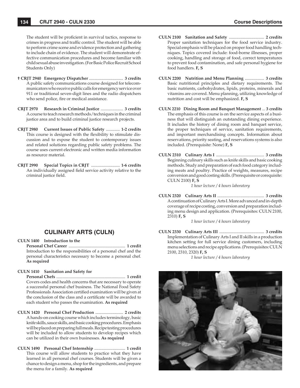The student will be proficient in survival tactics, response to crimes in progress and traffic control. The student will be able to perform crime scene and evidence protection and gathering to include chain of evidence. The student will demonstrate effective communication procedures and become familiar with child sexual abuse investigation. (For Basic Police Recruit School Students Only)

- **† CRJT 2940 Emergency Dispatcher** ................................ **3 credits** A public safety communications course designed for telecommunicators who receive public calls for emergency service over 911 or traditional seven-digit lines and the radio dispatchers who send police, fire or medical assistance.
- **CRJT 2970 Research in Criminal Justice** ..................... **3 credits** A course to teach research methods/techniques in the criminal justice area and to build criminal justice research projects.
- **CRJT 2980 Current Issues of Public Safety** ............. **1-2 credits** This course is designed with the flexibility to stimulate discussion and to expose the student to contemporary issues and related solutions regarding public safety problems. The course uses current electronic and written media information as resource material.
- **CRJT 2990 Special Topics in CRJT** ........................... **1-6 credits** An individually assigned field service activity relative to the criminal justice field.

# **CULINARY ARTS (CULN)**

**CULN 1400 Introduction to the Personal Chef Career** ...................................................... **1 credit** Introduction to the responsibilities of a personal chef and the personal characteristics necessary to become a personal chef. **As required**

#### **CULN 1410 Sanitation and Safety for**

 **Personal Chefs** .................................................................. **1 credit** Covers codes and health concerns that are necessary to operate a successful personal chef business. The National Food Safety Professionals Association certified examination will be given at the conclusion of the class and a certificate will be awarded to each student who passes the examination. **As required**

- **CULN 1420 Personal Chef Production** .......................... **2 credits** A hands-on cooking course which includes terminology, basic knife skills, sauce skills, and basic cooking procedures. Emphasis will be placed on preparing full meals. Recipe testing procedures will be included to allow students to develop recipes which can be utilized in their own businesses. **As required**
- **CULN 1490 Personal Chef Internship** ............................. **1 credit** This course will allow students to practice what they have learned in all personal chef courses. Students will be given a chance to design a menu, shop for the ingredients, and prepare the menu for a family. **As required**
- **CULN 2100 Sanitation and Safety** ................................. **2 credits** Proper sanitation techniques for the food service industry. Special emphasis will be placed on proper food handling techniques. Topics covered include: food-borne illnesses, proper cooking, handling and storage of food, correct temperatures to prevent food contamination, and safe personal hygiene for food handlers. **F, S**
- **CULN 2200 Nutrition and Menu Planning** .................. **3 credits** Basic nutritional principles and dietary requirements. The basic nutrients, carbohydrates, lipids, proteins, minerals and vitamins are covered. Menu planning, utilizing knowledge of nutrition and cost will be emphasized. **F, S**
- **CULN 2210 Dining Room and Banquet Management** ... **3 credits** The emphasis of this course is on the service aspects of a business that will distinguish an outstanding dining experience. It includes the history of dining room and banquet service, the proper techniques of service, sanitation requirements, and important merchandising concepts. Information about reservations, priority seating, and reservations systems is also included. (Prerequisite: None) **F, S**
- **CULN 2310 Culinary Arts I** ............................................. **3 credits** Beginning culinary skills such as knife skills and basic cooking methods. Study and preparation of each food category including meats and poultry. Practice of weights, measures, recipe conversion and good costing skills. (Prerequisite or corequisite: CULN 2100) **F, S**

*1 hour lecture / 4 hours laboratory*

**CULN 2320 Culinary Arts II** ............................................ **3 credits** A continuation of Culinary Arts I. More advanced and in-depth coverage of recipe costing, conversion and preparation including menu design and application. (Prerequisites: CULN 2100, 2310) **F, S**

*1 hour lecture / 4 hours laboratory*

**CULN 2330 Culinary Arts III** .......................................... **3 credits** Implementation of Culinary Arts I and II skills in a production kitchen setting for full service dining customers, including menu selections and recipe applications. (Prerequisites: CULN 2100, 2310, 2320) **F, S**

*1 hour lecture / 4 hours laboratory*

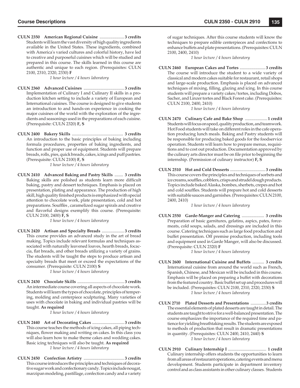**CULN 2350 American Regional Cuisine** ....................... **3 credits** Students will learn the vast diversity of high quality ingredients available in the United States. These ingredients, combined with America's varied cultures and colorful history, have led to creative and purposeful cuisines which will be studied and prepared in this course. The skills learned in this course are authentic and unique to each region. (Prerequisites: CULN 2100, 2310, 2320, 2330) **F**

*1 hour lecture / 4 hours laboratory*

- **CULN 2360 Advanced Cuisines** ...................................... **3 credits** Implementation of Culinary I and Culinary II skills in a production kitchen setting to include a variety of European and International cuisines. The course is designed to give students an introduction to and hands-on experience in cooking the major cuisines of the world with the exploration of the ingredients and seasonings used in the preparations of each cuisine. (Prerequisite: CULN 2320) **F, S**
- **CULN 2400 Bakery Skills** ................................................ **3 credits** An introduction to the basic principles of baking including formula procedures, properties of baking ingredients, and function and proper use of equipment. Students will prepare breads, rolls, pies, quick breads, cakes, icings and puff pastries. (Prerequisite: CULN 2100) **F, S**

*1 hour lecture / 4 hours laboratory*

**CULN 2410 Advanced Baking and Pastry Skills** ........ **3 credits** Baking skills are polished as students learn more difficult baking, pastry and dessert techniques. Emphasis is placed on presentation, plating and appearance. The production of high skill, high quality finished products is emphasized with special attention to chocolate work, plate presentation, cold and hot preparations. Soufflés, caramelized sugar spirals and creative and flavorful designs exemplify this course. (Prerequisite: CULN 2100, 2400) **F, S**

*1 hour lecture / 4 hours laboratory*

**CULN 2420 Artisan and Specialty Breads** ..................... **3 credits** This course provides an advanced study in the art of bread making. Topics include relevant formulas and techniques associated with naturally leavened loaves, hearth breads, focaccia, flat breads, and other breads utilizing a variety of grains. The students will be taught the steps to produce artisan and specialty breads that meet or exceed the expectations of the consumer. (Prerequisite: CULN 2100) **S**

*1 hour lecture / 4 hours laboratory*

**CULN 2430 Chocolate Skills** ............................................ **3 credits** An intermediate course covering all aspects of chocolate work. Students will learn the types of chocolate, principles of tempering, molding and centerpiece sculpturing. Many varieties of uses with chocolate in baking and individual pastries will be taught. **As required**

*1 hour lecture / 4 hours laboratory*

- **CULN 2440 Art of Decorating Cakes** .............................. **3 credits** This course teaches the methods of icing cakes, all piping techniques, flower making and writing on cakes. In this class you will also learn how to make theme cakes and wedding cakes. Basic icing techniques will also be taught. **As required** *1 hour lecture / 4 hours laboratory*
- **CULN 2450 Confection Artistry** ...................................... **3 credits** This course introduces the principles and techniques of decorative sugar work and confectionary candy. Topics include nougat, marzipan modeling, pastillage, confection candy and a variety

of sugar techniques. After this course students will know the techniques to prepare edible centerpieces and confections to enhance buffets and plate presentations. (Prerequisites: CULN 2100, 2400, 2410)

*1 hour lecture / 4 hours laboratory*

**CULN 2460 European Cakes and Tortes** ........................ **3 credits** The course will introduce the student to a wide variety of classical and modern cakes suitable for restaurant, retail shops and large-scale production. Emphasis is placed on advanced techniques of mixing, filling, glazing and icing. In this course students will prepare a variety cakes/tortes, including Dobos, Sacher, and Linzer tortes and Black Forest cake. (Prerequisites: CULN 2100, 2400, 2410)

*1 hour lecture / 4 hours laboratory*

- **CULN 2470 Culinary Cafe and Bake Shop** .....................**1 credit** Students will focus on speed, quality production, and teamwork. Hot Food students will take on different roles in the cafe operation producing lunch meals. Baking and Pastry students will be responsible for producing baked goods for the foodservice operation. Students will learn how to prepare menus, requisitions and to cost out production. Documentation approved by the culinary arts director must be on file prior to beginning the internship. (Permission of culinary instructor) **F, S**
- **CULN 2510 Hot and Cold Desserts** ................................. **3 credits** This course covers the principles and techniques of sorbets and ice creams, souffles, cobblers, crisps and strudel dough products. Topics include baked Alaska, bombes, sherbets, crepes and hot and cold souffles. Students will prepare hot and cold desserts with suitable sauces and garnishes. (Prerequisites: CULN 2100, 2400, 2410)

*1 hour lecture / 4 hours laboratory*

**CULN 2550 Garde-Manger and Catering** ..................... **3 credits** Preparation of basic garnitures, gelatins, aspics, pates, forcemeats, cold soups, salads, and dressings are included in this course. Catering techniques such as large food production and buffet presentation. Off premise production, including tools and equipment used in Garde Manger, will also be discussed. (Prerequisite: CULN 2320) **F**

*1 hour lecture / 4 hours laboratory*

- **CULN 2600 International Cuisine and Buffets** ........... **3 credits** International cuisine from around the world such as French, Spanish, Chinese, and Mexican will be included in this course. Emphasis will be placed on preparing a buffet with decorations from the featured country. Basic buffet set up and procedures will be included. (Prerequisites: CULN 2100, 2310, 2320, 2330) **S** *1 hour lecture / 4 hours laboratory*
- **CULN 2710 Plated Desserts and Presentations** ...............**3 credits** The essential elements of plated desserts are taught in detail. The students are taught to strive for a well-balanced presentation. The course emphasizes the importance of the required time and patience for yielding breathtaking results. The students are exposed to methods of production that result in dramatic presentations in quantity. (Prerequisites: CULN 2400, 2410, 2440) **S** *1 hour lecture / 4 hours laboratory*
- **CULN 2910 Culinary Internship I** .................................... **1 credit** Culinary internship offers students the opportunities to learn from all areas of restaurant operations, catering events and menu development. Students participate in department inventory control and as class assistants in other culinary classes. Students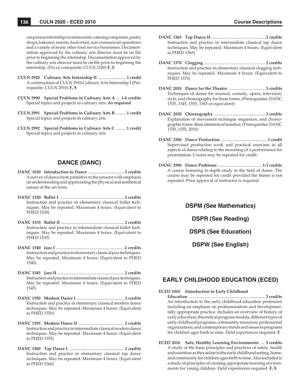can pursue internships in restaurants, catering companies, pastry shops, bakeries, resorts, food retail, non-commercial operations and a variety of many other food service businesses. Documentatioin approved by the culinary arts director must be on file prior to beginning the internship. Documentation approved by the culinary arts director must be on file prior to beginning the internship. (Pre or corequisite: CULN 2100) **F, S**

- **CULN 2920 Culinary Arts Internship II** ..........................**1 credit** A continuation of CULN 2910 Culinary Arts Internship I (Prerequisite: CULN 2910) **F, S**
- **CULN 2990 Special Problems in Culinary Arts A** ....**1-6 credits** Special topics and projects in culinary arts. **As required**
- **CULN 2991 Special Problems in Culinary Arts B** ..........**1 credit** Special topics and projects in culinary arts.
- **CULN 2992 Special Problems in Culinary Arts C** .........**1 credit** Special topics and projects in culinary arts.

## **DANCE (DANC)**

- **DANC 1030 Introduction to Dance** .................................. **3 credits** A survey of dance from primitive to the present with emphasis on understanding and appreciating the physical and aesthetical nature of the art form.
- **DANC 1530 Ballet I** ............................................................ **2 credits** Instruction and practice in elementary classical ballet techniques. May be repeated. Maximum 4 hours. (Equivalent to PHED 1530)
- **DANC 1535 Ballet II** ........................................................... **2 credits** Instruction and practice in intermediate classical ballet techniques. May be repeated. Maximum 4 hours. (Equivalent to PHED 1535)
- **DANC 1540 Jazz I** ................................................................ **2 credits** Instruction and practice in elementary classical jazz techniques. May be repeated. Maximum 4 hours. (Equivalent to PHED 1540)
- **DANC 1545 Jazz II** ............................................................... **2 credits** Instruction and practice in intermediate classical jazz techniques. May be repeated. Maximum 4 hours. (Equivalent to PHED 1545)
- **DANC 1550 Modern Dance I** ............................................. **2 credits** Instruction and practice in elementary classical modern dance techniques. May be repeated. Maximum 4 hours. (Equivalent to PHED 1550)
- **DANC 1555 Modern Dance II** ........................................... **2 credits** Instruction and practice in intermediate classical modern dance techniques. May be repeated. Maximum 4 hours. (Equivalent to PHED 1555)
- **DANC 1560 Tap Dance I** .................................................... **2 credits** Instruction and practice in elementary classical tap dance techniques. May be repeated. Maximum 4 hours. (Equivalent to PHED 1560)
- **DANC 1565 Tap Dance II** ................................................... **2 credits** Instruction and practice in intermediate classical tap dance techniques. May be repeated. Maximum 4 hours. (Equivalent to PHED 1565)
- **DANC 1570 Clogging** .......................................................... **2 credits** Instruction and practice in elementary classical clogging techniques. May be repeated. Maximum 4 hours. (Equivalent to PHED 1570)
- **DANC 2010 Dance for the Theatre** ................................... **3 credits** Techniques of dance for musical, comedy, opera, television, style, and choreography for these forms. (Prerequisites: DANC 1535, 1545, 1555, 1565 or equivalent)
- **DANC 2020 Choreography** ................................................ **3 credits** Explanation of movement technique sequences, and choreographic forms. Basic elements of notation. (Prerequisites: DANC 1550, 1555, 2010)
- **DANC 2500 Dance Production** ............................................ **1 credit** Supervised production work and practical exercises in all aspects of dance relating to the mounting of a performance for presentation. Course may be repeated for credit.
- **DANC 2990 Dance Problems** ..........................................**1-3 credits** A course featuring in-depth study in the field of dance. The course may be repeated for credit provided the theme is not repeated. Prior approval of instructor is required.

**DSPM (See Mathematics) DSPR (See Reading) DSPS (See Education)**

**DSPW (See English)**

# **EARLY CHILDHOOD EDUCATION (ECED)**

**ECED 1010 Introduction to Early Childhood**

 **Education** ....................................................................... **2 credits** An introduction to the early childhood education profession including an emphasis on professionalism and developmentally appropriate practice. Includes an overview of history of early education, theoretical program models, different types of early childhood programs, community resources, professional organizations, and contemporary trends and issues in programs for children ages birth to nine. Field experiences required. **F**

**ECED 2010 Safe, Healthy Learning Environments** .... **3 credits** A study of the basic principles and practices of safety, health and nutrition as they relate to the early childhood setting, home, and community for children ages birth to nine. Also included is a study of principles of creating appropriate learning environments for young children. Field experiences required. **F, S**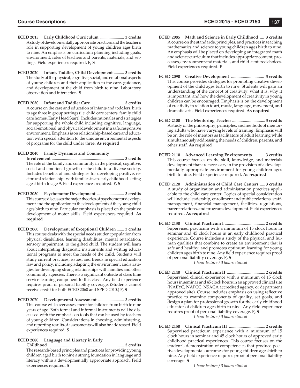- **ECED 2015 Early Childhood Curriculum** ....................... **3 credits** A study of developmentally appropriate practices and the teacher's role in supporting development of young children ages birth to nine. An emphasis on curriculum planning including goals, environment, roles of teachers and parents, materials, and settings. Field experiences required. **F, S**
- **ECED 2020 Infant, Toddler, Child Development** .......... **3 credits** The study of the physical, cognitive, social, and emotional aspects of young children and their application to the care, guidance, and development of the child from birth to nine. Laboratory observation and interaction. **S**
- **ECED 2030 Infant and Toddler Care** ................................ **3 credits** A course on the care and education of infants and toddlers, birth to age three in group settings (i.e. child care centers, family child care homes, Early Head Start). Includes rationales and strategies for supporting the whole child including cognitive, language, social-emotional, and physical development in a safe, responsive environment. Emphasis is on relationship-based care and education with special attention to the unique environmental aspects of programs for the child under three. **As required**

**ECED 2040 Family Dynamics and Community**

 **Involvement** ...................................................................... **3 credits** The role of the family and community in the physical, cognitive, social and emotional growth of the child in a diverse society. Includes benefits of and strategies for developing positive, reciprocal relationships with families in an early childhood setting agest birth to age 9. Field experiences required. **F, S**

- **ECED 2050 Psychomotor Development** .......................... **3 credits** This course discusses the major theories of psychomotor development and the application to the development of the young child ages birth to nine. Particular emphasis is placed on the positive development of motor skills. Field experiences required. **As required**
- **ECED 2060 Development of Exceptional Children** ....... **3 credits** This course deals with the special needs student population from physical disabilities, learning disabilities, mental retardation, sensory impairment, to the gifted child. The student will learn about interpreting diagnostic instruments and writing educational programs to meet the needs of the child. Students will study current practices, issues, and trends in special education law and policy, including adapting the environment and strategies for developing strong relationships with families and other community agencies. There is a significant outside of class time service-learning component to this class. Any field experience requires proof of personal liability coverage. (Students cannot receive credit for both ECED 2060 and SPED 2010.) **F, S**
- **ECED 2070 Developmental Assessment** ......................... **3 credits** This course will cover assessment for children from birth to nine years of age. Both formal and informal instruments will be discussed with the emphasis on tools that can be used by teachers of young children. Considerations in choosing, administering, and reporting results of assessments will also be addressed. Field experiences required. **S**

**ECED 2080 Language and Literacy in Early Childhood** ......................................................................... **3 credits**

 The research-based principles and practices for providing young children aged birth to nine a strong foundation in language and literacy within a developmentally appropriate approach. Field experiences required. **S**

- **ECED 2085 Math and Science in Early Childhood** .... **3 credits** A course on the standards, principles, and practices in teaching mathematics and science to young children ages birth to nine. An emphasis will be placed on developing an integrated math and science curriculum that includes appropriate content, processes, environment and materials, and child-centered choices. Field experiences required. **F**
- **ECED 2090 Creative Development** ............................... **3 credits** This course provides strategies for promoting creative development of the child ages birth to nine. Students will gain an understanding of the concept of creativity: what it is, why it is important, and how the development of creativity in young children can be encouraged. Emphasis is on the development of creativity in relation to art, music, language, movement, and dramatic arts. Field experiences required. **As required**
- **ECED 2100 The Mentoring Teacher** ............................... **3 credits** A study of the philosophy, principles, and methods of mentoring adults who have varying levels of training. Emphasis will be on the role of mentors as facilitators of adult learning while simultaneously addressing the needs of children, parents, and other staff. **As required**
- **ECED 2110 Advanced Learning Environments** ........... **3 credits** This course focuses on the skill, knowledge, and materials development that are necessary in the provision of a developmentally appropriate environment for young children ages birth to nine. Field experience required. **As required**
- **ECED 2120 Administration of Child Care Centers** ..... **3 credits** A study of organization and administration practices applicable to the child care center. Topics of special consideration will include leadership, enrollment and public relations, staffmanagement, financial management, facilities, regulations, parent relations, and program development. Field experiences required. **As required**
- **ECED 2130 Clinical Practicum I** ...................................... **2 credits** Supervised practicum with a minimum of 15 clock hours in seminar and 45 clock hours in an early childhood practical experience. Course includes a study of the physical and human qualities that combine to create an environment that is safe and healthy, and promotes optimum learning for young children ages birth to nine. Any field experience requires proof of personal liability coverage. **F, S**

*1 hour lecture / 3 hours clinical*

- **ECED 2140 Clinical Practicum II** .................................... **2 credits** Supervised clinical experience with a minimum of 15 clock hours in seminar and 45 clock hours in an approved clinical site (NAEYC, NAFCC, NSACA accredited agency, or department approved site). Course includes emphasis on using reflective practice to examine components of quality, set goals, and design a plan for professional growth for the early childhood educator of children ages birth to nine. Any field experience requires proof of personal liability coverage. **F, S** *1 hour lecture / 3 hours clinical*
- **ECED 2150 Clinical Practicum III** .................................. **2 credits** Supervised practicum experience with a minimum of 15 clock hours in seminar and 45 clock hours of approved early childhood practical experiences. This course focuses on the student's demonstration of competencies that produce positive developmental outcomes for young children ages birth to nine. Any field experience requires proof of personal liability coverage. **S**

*1 hour lecture / 3 hours clinical*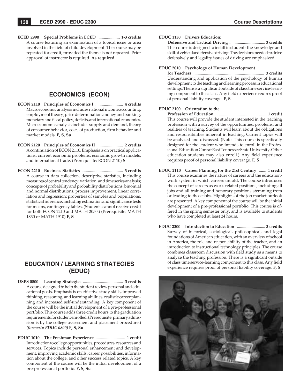**ECED 2990 Special Problems in ECED** ..................... **1-3 credits** A course featuring an examination of a topical issue or area involved in the field of child development. The course may be repeated for credit, provided the theme is not repeated. Prior approval of instructor is required. **As required**

# **ECONOMICS (ECON)**

- **ECON 2110 Principles of Economics I** .......................... **4 credits** Macroeconomic analysis includes national income accounting, employment theory, price determination, money and banking, monetary and fiscal policy, deficits, and international economics. Microeconomic analysis includes supply and demand, theory of consumer behavior, costs of production, firm behavior and market models. **F, S, Su**
- **ECON 2120 Principles of Economics II** ......................... **2 credits** A continuation of ECON 2110. Emphasis is on practical applications, current economic problems, economic growth models, and international trade. (Prerequisite: ECON 2110) **S**
- **ECON 2210 Business Statistics** ....................................... **3 credits** A course in data collection, descriptive statistics, including measures of central tendency, variation, and time series analysis; concepts of probability and probability distributions, binomial and normal distributions, process improvement, linear correlation and regression; properties of samples and populations, statistical inference, including estimation and significance tests for means, contingency tables. (Students cannot receive credit for both ECON 2210 and MATH 2050.) (Prerequisite: MATH 1830 or MATH 1910) **F, S**

# **EDUCATION / LEARNING STRATEGIES (EDUC)**

- **DSPS 0800 Learning Strategies** ...................................... **3 credits** A course designed to help the student review personal and educational goals. Emphasis is on effective study skills, improved thinking, reasoning, and learning abilities, realistic career planning and increased self-understanding. A key component of the course will be the initial development of a pre-professional portfolio. This course adds three credit hours to the graduation requirements for student enrolled. (Prerequisite: primary admission is by the college assessment and placement procedure.) *(formerly EDUC 0800)* **F, S, Su**
- **EDUC 1010 The Freshman Experience** ............................ **1 credit** Introduction to college opportunities, procedures, resources and services. Topics include personal enhancement and development, improving academic skills, career possibilities, information about the college, and other success related topics. A key component of the course will be the initial development of a pre-professional portfolio. **F, S, Su**

#### **EDUC 1130 Drivers Education:**

 **Defensive and Tactical Driving** .................................. **3 credits** This course is designed to instill in students the knowledge and skill of vehicular defensive driving. The decisions needed to drive defensively and legality issues of driving are emphasized.

#### **EDUC 2010 Psychology of Human Development**

 **for Teachers** .................................................................... **3 credits** Understanding and application of the psychology of human development to the teaching and learning process in educational settings. There is a significant outside of class time service-learning component to this class. Any field experience reuires proof of personal liability coverage. **F, S**

#### **EDUC 2100 Orientation to the**

 **Profession of Education** ................................................. **1 credit** This course will provide the student interested in the teaching profession with a survey of the opportunities, problems, and realities of teaching. Students will learn about the obligations and responsibilities inherent in teaching. Current topics will be analyzed and discussed. (Note: This course is specifically designed for the student who intends to enroll in the Professional Education Core at East Tennessee State University. Other education students may also enroll.) Any field experience requires proof of personal liability coverage. **F, S**

- **EDUC 2110 Career Planning for the 21st Century** ....... **1 credit** This course examines the nature of careers and the educationwork system in which careers unfold. The course introduces the concept of careers as work-related positions, including all jobs and all training and honorary positions stemming from or leading to those jobs. Highlights of the job market outlook are presented. A key component of the course will be the initial development of a pre-professional portfolio. This course is offered in the spring semester only, and is available to students who have completed at least 24 hours.
- **EDUC 2300 Introduction to Education** ........................... **3 credits** Survey of historical, sociological, philosophical, and legal foundations of American education, with an overview of school in America, the role and responsibililty of the teacher, and an introduction to instructional technology principles. The course combines classroom discussion with field study as a means to analyze the teaching profession. There is a significant outside of class time service-learning component to this class. Any field experience requires proof of personal liability coverage. **F, S**

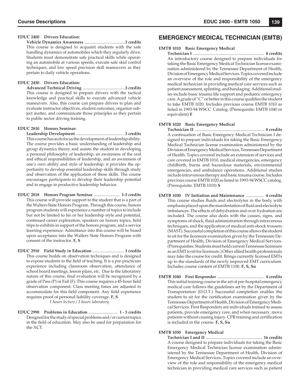#### **EDUC 2400 Drivers Education:**

 **Vehicle Dynamics Awareness** .......................................**3 credits** This course is designed to acquaint students with the safe handling dynamics of automobiles which they regularly drive. Students must demonstrate safe practical skills while operating an automobile at various speeds, execute safe skid control techniques, and low speed precision skill maneuvers as they pertain to daily vehicle operations.

### **EDUC 2450 Drivers Education:**

 **Advanced Technical Driving** ........................................**3 credits** This course is designed to prepare drivers with the tactical knowledge and practical skills to execute advanced vehicle maneuvers. Also, this course can prepare drivers to plan and evaluate instructor objectives, student outcomes, organize subject matter, and communicate those principles as they pertain to public sector driving training.

#### **EDUC 2810 Honors Seminar:**

 **Leadership Development** .............................................. **3 credits** This course has as its focus the development of leadership ability. The course provides a basic understanding of leadership and group dynamics theory and assists the student in developing a personal philosophy of leadership, an awareness of the oral and ethical responsibilities of leadership, and an awareness of one's own ability and style of leadership; it provides the opportunity to develop essential leadership skills through study and observation of the application of these skills. The course encourages participants to develop their leadership potential and to engage in productive leadership behavior.

- **EDUC 2818 Honors Program Seminar** ......................... **1-3 credits** This course will provide support to the student that is a part of the Walters State Honors Program. Through this course, honors program students will experience a number of topics to include but not be limited to his or her leadership style and potential, continued career exploration, speakers on honors topics, field trips to exhibits in support of the honors program, and a service learning experience. Admittance into this course will be based upon acceptance into the Walters State Honors Program with consent of the instructor. **F, S**
- **EDUC 2910 Field Study in Education** .............................. **3 credits** This course builds on observation techniques and is designed to expose students to the field of teaching. It is a pre-practicum experience including classroom observation, attendance of school board meetings, lesson plans, etc. Due to the laboratory nature of this course, final evaluation will be recognized by a grade of Pass  $(P)$  or Fail  $(F)$ . This course requires a 45-hour field observation component. Class meeting times are adjusted to accommodate for this field component. Any field experience requires proof of personal liability coverage. **F, S** *1 hours lecture / 3 hours laboratory*
- **EDUC 2990 Problems in Education** ............................ **1 3 credits** Designed for the study of special problems and/or current topics in the field of education. May also be used for preparation for the ACT.

# **EMERGENCY MEDICAL TECHNICIAN (EMTB)**

#### **EMTB 1010 Basic Emergency Medical**

 **Technician I** ................................................................... **8 credits** An introductory course designed to prepare individuals for taking the Basic Emergency Medical Technician license examination administered by the Tennessee Department of Health, Division of Emergency Medical Services. Topics covered include an overview of the role and responsibility of the emergency medical technician in providing medical care services such as patient assessment, splinting, and bandaging. Additional studies include basic trauma life support and pediatric emergency care. A grade of "C" or better in this course qualifies the student to take EMTB 1020. Includes previous course EMTB 1010 as listed in 1993-94 WSCC Catalog. (Prerequisite: EMTB 1040 or equivalent) **F**

#### **EMTB 1020 Basic Emergency Medical**

 **Technician II** ................................................................. **8 credits** A continuation of Basic Emergency Medical Technician I designed to prepare individuals for taking the Basic Emergency Medical Technician license examination administered by the Division of Emergency Medical Services, Tennessee Department of Health. Topics covered include an extension of services and care covered in EMTB 1010, medical emergencies, emergency childbirth, burns and hazardous materials, environmental emergencies, and ambulance operations. Additional studies include intravenous therapy and basic trauma course. Includes previous course EMTB 1020 as listed in 1993-94 WSCC catalog. (Prerequisite: EMTB 1010) **S**

- **EMTB 1030 IV Initiation and Maintenance** ................. **4 credits** This course studies fluids and electrolytes in the body with emphasis placed upon the manifestation of fluid and electrolyte imbalances. The effects of dehydration and over hydration are included. The course also deals with the causes, signs, and symptoms of shock, fluid administration through intravenous techniques, and the application of medical anti-shock trousers (MAST). Successful completion of this course allows the student to sit for the licensure examination given by the Tennessee Department of Health, Division of Emergency Medical Services. (Prerequisites: Students must hold current Tennessee licensure as an EMT to sit for licensure.) Other allied health professionals may take the course for credit. Brings currently licensed EMTs up to the standards of the newly improved EMT curriculum. Includes course content of EMTB 1100. **F, S, Su**
- **EMTB 1040 First Responder** ............................................ **4 credits** This initial training course in the art of pre-hospital emergency medical care follows the guidelines set by the Department of Transportation (D.O.T.) Successful completion enables the student to sit for the certification examination given by the Tennessee Department of Health, Division of Emergency Medical Services. First Responders are individuals trained to assess patients, provide emergency care, and when necessary, move patients without causing injury. CPR training and certification is included in the course. **F, S, Su**

#### **EMTB 1050 Emergency Medical**

 **Technician I and II** ..................................................... **16 credits** A course designed to prepare individuals for taking the Basic Emergency Medical Technician license examination administered by the Tennessee Department of Health, Division of Emergency Medical Services. Topics covered include an overview of the role and responsibility of the emergency medical technician in providing medical care services such as patient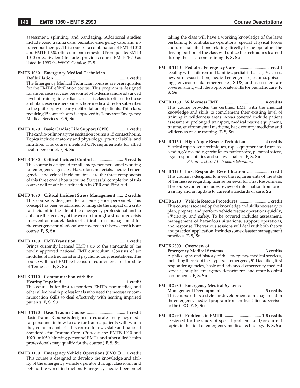assessment, splinting, and bandaging. Additional studies include basic trauma care, pediatric emergency care, and intravenous therapy. This course is a combination of EMTB 1010 and EMTB 1020, offered in one semester (Prerequisite: EMTB 1040 or equivalent) Includes previous course EMTB 1050 as listed in 1993-94 WSCC Catalog. **F, S**

#### **EMTB 1060 Emergency Medical Technician**

 **Defi brillation** .................................................................. **1 credit** The Emergency Medical Technician courses are prerequisites for the EMT-Defibrillation course. This program is designed for ambulance services personnel who desire a more advanced level of training in cardiac care. This class is offered to those ambulance service personnel whose medical director subscribes to the philosophy of early defibrillation of patients. This class, requiring 15 contact hours, is approved by Tennessee Emergency Medical Services. **F, S, Su**

- **EMTB 1070 Basic Cardiac Life Support (CPR)** .............. **1 credit** The cardio-pulmonary resuscitation course is 15 contact hours. Topics include anatomy and physiology, practical skills, and nutrition. This course meets all CPR requirements for allied health personnel. **F, S, Su**
- **EMTB 1080 Critical Incident Control** ............................ **3 credits** This course is designed for all emergency personnel working for emergency agencies. Hazardous materials, medical emergencies and critical incident stress are the three components of this three credit hours course. Successful completion of this course will result in certification in CPR and First Aid.
- **EMTB 1090 Critical Incident Stress Management** ...... **2 credits** This course is designed for all emergency personnel. This concept has been established to mitigate the impact of a critical incident in the life of the emergency professional and to enhance the recovery of the worker through a structured crisis intervention model. Basics of critical stress management for the emergency professional are covered in this two credit hour course. **F, S, Su**
- **EMTB 1100 EMT-Transition** ............................................. **1 credit** Brings currently licensed EMT's up to the standards of the newly approved national EMT curriculum. Consists of six modules of instructional and psychomotor presentations. The course will meet EMT re-licensure requirements for the state of Tennessee. **F, S, Su**

#### **EMTB 1110 Communication with the**

 **Hearing Impaired** .......................................................... **1 credit** This course is for first responders, EMT's, paramedics, and other allied health professionals who need the necessary communication skills to deal effectively with hearing impaired patients. **F, S, Su**

- **EMTB 1120 Basic Trauma Course** .................................... **1 credit** Basic Trauma Course is designed to educate emergency medical personnel in how to care for trauma patients with whom they come in contact. This course follows state and national Standards for Trauma Care. (Prerequisite: EMTB 1010 and 1020, or 1050. Nursing personnel EMT's and other allied health professionals may qualify for the course.) **F, S, Su**
- **EMTB 1130 Emergency Vehicle Operations (EVOC)** ... **1 credit** This course is designed to develop the knowledge and ability of the emergency vehicle operator through classroom and behind the wheel instruction. Emergency medical personnel

taking the class will have a working knowledge of the laws pertaining to ambulance operations, special physical forces and unusual situations relating directly to the operator. The driving portion of the class will utilize the techniques learned during the classroom training. **F, S, Su**

- **EMTB 1140 Pediatric Emergency Care** ............................ **1 credit** Dealing with children and families, pediatric basics, IV access, newborn resuscitation, medical emergencies, trauma, poisonings, environmental emergencies, SIDS, and assessment are covered along with the appropriate skills for pediatric care. **F, S, Su**
- **EMTB 1150 Wilderness EMT** .......................................... **4 credits** This course provides the certified EMT with the medical knowledge and skills to complement their existing level of training in wilderness areas. Areas covered include patient assessment, prolonged transport, medical rescue equipment, trauma, environmental medicine, back country medicine and wilderness rescue training. **F, S, Su**
- **EMTB 1160 High Angle Rescue Technician** ................ **4 credits** Vertical rope rescue techniques, rope equipment and care, ascending/descending techniques, patient care, personal safety, legal responsibilities and self evacuation. **F, S, Su** *8 hours lecture / 14.5 hours laboratory*
- **EMTB 1170 First Responder Recertification .................. 1 credit**  This course is designed to meet the requirements of the state of Tennessee regarding license renewal for First Responders. The course content includes review of information from prior training and an update to current standards of care. **Su**
- **EMTB 2210 Vehicle Rescue Procedures** .......................... **1 credit** This course is to develop the knowledge and skills necessary to plan, prepare, and perform vehicle rescue operations quickly, efficiently, and safely. To be covered includes assessment, management of hazardous situations, support operations, and response. The various sessions will deal with both theory and practical application. Includes some disaster management practices. **F, S, Su**

## **EMTB 2300 Overview of**

 **Emergency Medical Systems** ...................................... **3 credits** A philosophy and history of the emergency medical services, including the role of the layperson, emergency 911 facilities, first responder agencies, basic and advanced emergency medical services, hospital emergency departments and other hospital components. **F, S, Su**

## **EMTB 2980 Emergency Medical Systems**

 **Management Development** ....................................... **3 credits** This course offers a style for development of management in the emergency medical program from the front-line supervisor to the CEO. **F, S, Su**

**EMTB 2990 Problems in EMTB** ................................... **1-8 credits** Designed for the study of special problems and/or current topics in the field of emergency medical technology. **F**, S, Su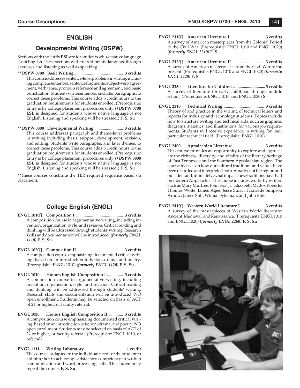# **ENGLISH**

# **Developmental Writing (DSPW)**

Sections with the suffix **ESL** are for students whose native language is not English. These sections will stress idiomatic language through exercises and listening as well as speaking.

- **\*\*DSPW 0700 Basic Writing** ............................................. **3 credits** This course addresses sentence-level problems in writing including complete sentences, sentence fragments, subject-verb agreement, verb tense, pronoun reference and agreement, and basic punctuation. Students write sentences, and later paragraphs, to correct these problems. This course adds 3 credit hours to the graduation requirements for students enrolled. (Prerequisite: Entry is by college placement procedures only.) **(DSPW 0700 ESL** is designed for students whose native language is not English. Listening and speaking will be stressed.) **F, S, Su**
- **\*\*DSPW 0800 Developmental Writing** .......................... **3 credits** This course addresses paragraph and theme-level problems in writing including thesis, support, development, revision, and editing. Students write paragraphs, and later themes, to correct these problems. This course adds 3 credit hours to the graduation requirements for students enrolled. (Prerequisite: Entry is by college placement procedures only.) **(DSPW 0800 ESL** is designed for students whose native language is not English. Listening and speaking will be stressed.) **F, S, Su**

\*\*These courses constitute the TBR required sequence based on placement.

# **College English (ENGL)**

- **ENGL 1010 Composition I** ............................................ **3 credits** A composition course in argumentative writing, including invention, organization, style, and revision. Critical reading and thinking will be addressed through students' writing. Research skills and documentation will be introduced. *(formerly ENGL 1110)* **F, S, Su**
- **ENGL 1020 Composition II** ........................................... **3 credits** A composition course emphasizing documented critical writing, based on an introduction to fiction, drama, and poetry. (Prerequisite: ENGL 1010) *(formerly ENGL 1120)* **F, S, Su**
- **ENGL 1010 Honors English Composition I** ............... **3 credits** A composition course in argumentative writing, including invention, organization, style, and revision. Critical reading and thinking will be addressed through students' writing. Research skills and documentation will be introduced. NO open enrollment. Students may be selected on basis of ACT of 24 or higher, or faculty referral.
- **ENGL 1020 Honors English Composition II** ............. **3 credits** A composition course emphasizing documented critical writing, based on an introduction to fiction, drama, and poetry. NO open enrollment. Students may be selected on basis of ACT of 24 or higher, or faculty referral. (Prerequisite: ENGL 1010, or referral)
- **ENGL 1111 Writing Laboratory** ..................................... **1 credit** The course is adapted to the individual needs of the student to aid him/her in achieving satisfactory competency in written communication and word processing skills. The student may repeat the course. **F, S, Su**
- **ENGL 2110 American Literature I** ............................... **3 credits** A survey of American masterpieces from the Colonial Period to the Civil War. (Prerequisite: ENGL 1010 and ENGL 1020) *(formerly ENGL 2210)* **F, S**
- **ENGL 2120 American Literature II** .............................. **3 credits** A survey of American masterpieces from the Civil War to the present. (Prerequisite: ENGL 1010 and ENGL 1020) *(formerly ENGL 2220)* **F, S**
- **ENGL 2230 Literature for Children .............................. 3 credits** A survey of literature for early childhood through middle school. (Prerequisite: ENGL 1010 and ENGL 1020) **S**
- **ENGL 2310 Technical Writing** ...................................... **3 credits** Theory of and practice in the writing of technical letters and reports for industry and technology students. Topics include how to structure writing and technical aids, such as graphics, diagrams, statistics, and illustrations, for various job requirements. Students will receive experience in writing for their particular technical field. (Prerequisite: ENGL 1010)
- **ENGL 2400 Appalachian Literature** ............................. **3 credits** This course provides an opportunity to explore and appreciate the richness, diversity, and vitality of the literary heritage of East Tennessee and the Southern Appalachian region. The course focuses on how our cultural traditions and values have been recorded and interpreted both by natives of the region and outsiders and, ultimately, what impact these traditions have had on modern Appalachia. The course includes works by writers such as Mary Murfree, John Fox, Jr., Elizabeth Madox Roberts, Thomas Wolfe, James Agee, Jesse Stuart, Harriette Simpson Arnow, James Still, Wilma Dykeman, and John Ehle.
- **ENGL 2410 Western World Literature I** ..................... **3 credits** A survey of the masterpieces of Western World literature: Ancient, Medieval, and Renaissance. (Prerequisite: ENGL 1010 and ENGL 1020) *(formerly ENGL 2260)* **F, S, Su**

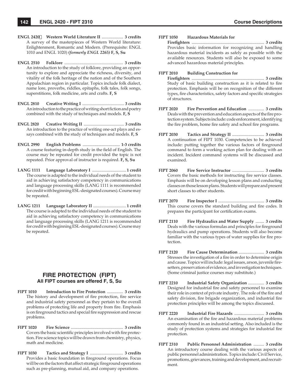- **ENGL 2420 Western World Literature II** .................... **3 credits** A survey of the masterpieces of Western World literature: Enlightenment, Romantic and Modern. (Prerequisite: ENGL 1010 and ENGL 1020) *(formerly ENGL 2265)* **F, S, Su**
- **ENGL 2510 Folklore** ....................................................... **3 credits** An introduction to the study of folklore, providing an opportunity to explore and appreciate the richness, diversity, and vitality of the folk heritage of the nation and of the Southern Appalachian region in particular. Topics include folk dialect, name lore, proverbs, riddles, epitaphs, folk tales, folk songs, superstitions, folk medicine, arts and crafts. **F, S**
- **ENGL 2810 Creative Writing I** ........................................ **3 credits** An introduction to the practice of writing short fiction and poetry combined with the study of techniques and models. **F, S**
- **ENGL 2820 Creative Writing II** ....................................... **3 credits** An introduction to the practice of writing one-act plays and essays combined with the study of techniques and models. **F, S**
- **ENGL 2990 English Problems** ................................... **1-3 credits** A course featuring in-depth study in the field of English. The course may be repeated for credit provided the topic is not repeated. Prior approval of instructor is required. **F, S, Su**
- **LANG 1111 Language Laboratory I** ................................**1 credit** The course is adapted to the individual needs of the student to aid in achieving satisfactory competency in communications and language processing skills (LANG 1111 is recommended for credit with beginning ESL-designated courses). Course may be repeated.
- **LANG 1211 Language Laboratory II** ...............................**1 credit** The course is adapted to the individual needs of the student to aid in achieving satisfactory competency in communications and language processing skills (LANG 1211 is recommended for credit with beginning ESL-designated courses). Course may be repeated.

## **FIRE PROTECTION (FIPT) All FIPT courses are offered F, S, Su**

- **FIPT 1010 Introduction to Fire Protection** ............... **3 credits** The history and development of fire protection, fire service and industrial safety personnel as they pertain to the overall problems of protecting life and property from fire. Emphasis is on fireground tactics and special fire suppression and rescue problems.
- **FIPT 1020 Fire Science** ................................................. **3 credits** Covers the basic scientific principles involved with fire protection. Fire science topics will be drawn from chemistry, physics, math and medicine.
- **FIPT 1030 Tactics and Strategy I** ............................... **3 credits** Provides a basic foundation in fireground operations. Focus will be on the factors that affect strategic fireground operations such as pre-planning, mutual aid, and company operations.

#### **FIPT 1050 Hazardous Materials for**

 **Firefi ghters** .................................................................... **3 credits** Provides basic information for recognizing and handling hazardous material incidents as safely as possible with the available resources. Students will also be exposed to some advanced hazardous material principles.

#### **FIPT 2010 Building Construction for**

 **Firefi ghters** .................................................................... **3 credits** Study of basic building construction as it is related to fire protection. Emphasis will be on recognition of the different types, fire characteristics, safety factors and specific strategies of structures.

- **FIPT 2020 Fire Prevention and Education** ............... **3 credits** Deals with the prevention and education aspects of the fire protection system. Subjects include: code enforcement, identifying the fire problem, home fire safety and school fire programs.
- **FIPT 2030 Tactics and Strategy II** .............................. **3 credits** A continuation of FIPT 1030. Competencies to be achieved include: putting together the various factors of fireground command to form a working action plan for dealing with an incident. Incident command systems will be discussed and examined.
- **FIPT 2060 Fire Service Instructor** .............................. **3 credits** Covers the basic methods for instructing fire service classes. Emphasis will be on developing lesson plans and conducting classes on those lesson plans. Students will prepare and present short classes to other students.
- **FIPT 2070 Fire Inspector I** ........................................... **3 credits** This course covers the standard building and fire codes. It prepares the participant for certification exams.
- **FIPT 2110 Fire Hydraulics and Water Supply** ........ **3 credits** Deals with the various formulas and principles for fireground hydraulics and pump operations. Students will also become familiar with the various types of water supplies for fire protection.
- **FIPT 2120 Fire Cause Determination** ........................ **3 credits** Stresses the investigation of a fire in order to determine origin and cause. Topics will include: legal issues, arson, juvenile firesetters, preservation of evidence, and investigation techniques. (Some criminal justice courses may substitute.)
- **FIPT 2210 Industrial Safety Organization** ............... **3 credits** Designed for industrial fire and safety personnel to examine their role in context of private industry. The role of the fire and safety division, fire brigade organization, and industrial fire protection principles will be among the topics discussed.
- **FIPT 2220 Industrial Fire Hazards** ............................ **3 credits** An examination of the fire and hazardous material problems commonly found in an industrial setting. Also included is the study of protection systems and strategies for industrial fire protection.
- **FIPT 2310 Public Personnel Administration** .......... **3 credits** An introductory course dealing with the various aspects of public personnel administration. Topics include: Civil Service, promotions, grievances, training and development, and recruitment.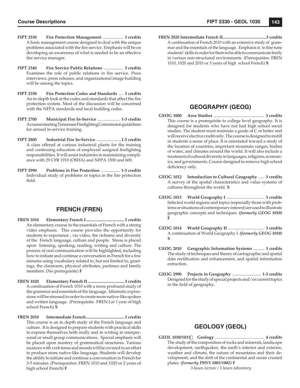- **FIPT 2330 Fire Protection Management** ................... **3 credits** A basic management course designed to deal with the unique problems associated with the fire service. Emphasis will be on developing an awareness of what is needed to be an effective fire service manager.
- **FIPT 2340 Fire Service Public Relations** .................. **3 credits** Examines the role of public relations in fire service. Press interviews, press releases, and organizational image building will be among the topics.
- **FIPT 2350 Fire Protection Codes and Standards** .... **3 credits** An in-depth look at the codes and standards that affect the fire protection system. Most of the discussion will be concerned with the NFPA standards and local building codes.
- **FIPT 2700 Municipal Fire In-Service** ..................... **1-3 credits** A course meeting Tennessee Firefighting Commission guidelines for annual in-service training.
- **FIPT 2800 Industrial Fire In-Service** .......................**1-3 credits** A class offered at various industrial plants for the training and continuing education of employed assigned firefighting responsibilities. It will assist industries in maintaining compliance with 29 CFR 1910 (OSHA) and NFPA 1500 and 600.
- **FIPT 2990 Problems in Fire Protection** .................. **1-3 credits** Individual study of problems or topics in the fire protection fi eld.

# **FRENCH (FREN)**

- **FREN 1010 Elementary French I .................................... 3 credits** An elementary course in the essentials of French with a strong video emphasis. This course provides the opportunity for students to experience , via video, the richness and diversity of the French language, culture and people. Stress is placed upon listening, speaking, reading, writing and culture. The process of oral communication will be highlighted, including how to initiate and continue a conversation in French for a few minutes using vocabulary related to, but not limited to, greetings, the classroom, physical attributes, pastimes and family members. (No prerequisite) **F**
- **FREN 1020 Elementary French II .................................. 3 credits** A continuation of French 1010 with a more profound study of the grammar and essentials of the language. Idiomatic expressions will be stressed in order to create more native-like spoken and written language. (Prerequisite: FREN I or 1 year of high school French) **S**
- **FREN 2010 Intermediate French .................................... 3 credits** This course is an in depth study of the French language and culture. It is designed to prepare students with practical skills to express themselves both orally and in writing in interpersonal or small group communications. Special emphasis will be placed upon mastery of grammatical structures. Various nuances with verb tense and moods will be covered in an effort to produce more native-like language. Students will develop the ability to initiate and continue a conversation in French for 3-5 minutes. (Prerequisites: FREN 1010 and 1020 or 2 years of high school French) **F**

**FREN 2020 Intermediate French II ..........................................3 credits** A continuation of French 2010 with an extensive study of grammar and the essentials of the language. Emphasis is to fine tune students' skills in order for them to be able to communicate freely in various non-structured environments. (Prerequisites: FREN 1010, 1020 and 2010 or 3 years of high school French) **S**

# **GEOGRAPHY (GEOG)**

- **GEOG 1000 Area Studies** ............................................... **3 credits** This course is a prerequisite to college level geography. It is designed for students who have not had high school social studies. The student must maintain a grade of C or better and will receive elective credit only. The course is designed to instill in students a sense of place. It is orientated toward a study of the location of countries, important mountain ranges, bodies of water, and climates around the world. It will also include a treatment of cultural diversity in languages, religions, economics, and governments. Course designed to remove high school deficiency only.
- **GEOG 1012 Introduction to Cultural Geography** ..... **3 credits** A survey of the spatial characteristics and value systems of cultures throughout the world. **S**
- **GEOG 1013 World Geography I** ................................... **3 credits** Selected world regions and topics (especially those with problems or situations of contemporary interest) are used to illustrate geographic concepts and techniques. *(formerly GEOG 1010)* **F**
- **GEOG 1014 World Geography II** .................................. **3 credits** A continuation of World Geography I. *(formerly GEOG 1010)* **S**
- **GEOG 2010 Geographic Information Systems** .......... **3 credits** The study of techniques and theory of cartographic and spatial data rectification and enhancement, and spatial information extraction.
- **GEOG 2990 Projects in Geography** ........................... **1-3 credits** Designed for the study of special projects and/or current topics in the field of geography.

# **GEOLOGY (GEOL)**

**GEOL 1030/1031 Geology** .............................................. **4 credits** The study of the composition of rocks and minerals, landscape development, earthquakes, the earth's interior and exterior, weather and climate, the nature of mountains and their development, and the drift of the continental and ocean crusted plates. *(formerly PHYS 1001/1002)* **F**

 *3 hours lecture / 3 hours laboratory*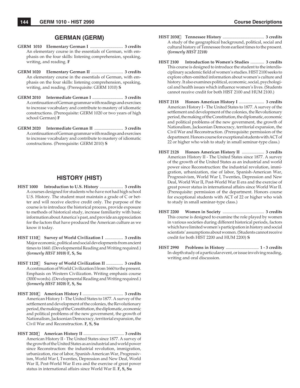## **GERMAN (GERM)**

- **GERM 1010 Elementary German I** ............................... **3 credits** An elementary course in the essentials of German, with emphasis on the four skills: listening comprehension, speaking, writing, and reading. **F**
- **GERM 1020 Elementary German II** .............................. **3 credits** An elementary course in the essentials of German, with emphasis on the four skills: listening comprehension, speaking, writing, and reading. (Prerequisite: GERM 1010) **S**
- **GERM 2010 Intermediate German I** ............................. **3 credits** A continuation of German grammar with readings and exercises to increase vocabulary and contribute to mastery of idiomatic constructions. (Prerequisite: GERM 1020 or two years of high school German) **F**
- **GERM 2020 Intermediate German II** ........................... **3 credits** A continuation of German grammar with readings and exercises to increase vocabulary and contribute to mastery of idiomatic constructions. (Prerequisite: GERM 2010) **S**

# **HISTORY (HIST)**

- **HIST 1000 Introduction to U.S. History** ...................... **3 credits** A courses designed for students who have not had high school U.S. History. The student must maintain a grade of C or better and will receive elective credit only. The purpose of the course is to introduce the historical process, provide exposure to methods of historical study, increase familiarity with basic information about America's past, and provide an appreciation for the factors that have produced the American culture as we know it today.
- **HIST 1110 Survey of World Civilization I** ................. **3 credits** Major economic, political and social developments from ancient times to 1660. (Developmental Reading and Writing required.) *(formerly HIST 1010)* **F, S, Su**
- **HIST 1120 Survey of World Civilization II** ................ **3 credits** A continuation of World Civilization I from 1660 to the present. Emphasis on Western Civilization. Writing emphasis course (3000 words). (Developmental Reading and Writing required.) *(formerly HIST 1020)* **F, S, Su**
- **HIST 2010 American History I** ...................................... **3 credits** American History I - The United States to 1877. A survey of the settlement and development of the colonies, the Revolutionary period, the making of the Constitution, the diplomatic, economic and political problems of the new government, the growth of Nationalism, Jacksonian Democracy, territorial expansion, the Civil War and Reconstruction. **F, S, Su**
- **HIST 2020 American History II** ....................................... **3 credits** American History II - The United States since 1877. A survey of the growth of the United States as an industrial and world power since Reconstruction: the industrial revolution, immigration, urbanization, rise of labor, Spanish-American War, Progressivism, World War I, Twenties, Depression and New Deal, World War II, Post-World War II era and the exercise of great power status in international affairs since World War II. **F, S, Su**
- **HIST 2030 Tennessee History** ....................................... **3 credits** A study of the geographical background, political, social and cultural history of Tennessee from earliest times to the present. *(formerly HIST 2210)*
- **HIST 2100 Introduction to Women's Studies** ............. **3 credits** This course is designed to introduce the student to the interdisciplinary academic field of women's studies. HIST 2100 seeks to explore often-omitted information about women's culture and history. It also examines political, economic, social, psychological and health issues which influence women's lives. (Students cannot receive credit for both HIST 2100 and HUM 2100.)
- **HIST 2118 Honors American History I** ........................ **3 credits** American History I - The United States to 1877. A survey of the settlement and development of the colonies, the Revolutionary period, the making of the Constitution, the diplomatic, economic and political problems of the new government, the growth of Nationalism, Jacksonian Democracy, territorial expansion, the Civil War and Reconstruction. (Prerequisite: permission of the department. Honors course for exceptional students with ACT of 22 or higher who wish to study in small seminar-type class.)
- **HIST 2128 Honors American History II** ..................... **3 credits** American History II - The United States since 1877. A survey of the growth of the United States as an industrial and world power since Reconstruction: the industrial revolution, immigration, urbanization, rise of labor, Spanish-American War, Progressivism, World War I, Twenties, Depression and New Deal, World War II, Post-World War II era and the exercise of great power status in international affairs since World War II. (Prerequisite: permission of the department. Honors course for exceptional students with ACT of 22 or higher who wish to study in small seminar-type class.)
- **HIST 2200 Women in Society** ....................................... **3 credits** This course is designed to examine the role played by women in various societies during different historical periods, factors which have limited women's participation in history and social scientists' assumptions about women. (Students cannot receive credit for both HIST 2200 and HUM 2200) **S**
- **HIST 2990 Problems in History** ............................... **1 3 credits** In-depth study of a particular event, or issue involving reading, writing and oral discussion.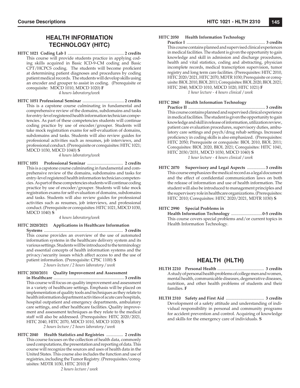# **HEALTH INFORMATION TECHNOLOGY (HITC)**

**HITC 1021 Coding Lab I** ..................................................... **2 credits** This course will provide students practice in applying coding skills acquired in Basic ICD-9-CM coding and Basic CPT/HCPCS coding. The students will become proficient at determining patient diagnoses and procedures by coding patient medical records. The students will develop skills using an encoder and grouper to assist in coding. (Prerequisite or corequisite: MDCD 1010, MDCD 1020) **F**

*4 hours laboratory/week*

**HITC 1051 Professional Seminar** ....................................... **2 credits** This is a capstone course culminating in fundamental and comprehensive review of the domains, subdomains and tasks for entry-level registered health information technician competencies. As part of these competencies students will continue coding practice by use of encoder/grouper. Students will take mock registration exams for self-evaluation of domains, subdomains and tasks. Students will also review guides for professional activities such as resumes, job interviews, and professional conduct. (Prerequisite or corequisites: HITC 1021; MDCD 1030, MDCD 1040) **S**

*4 hours laboratory/week*

**HITC 1051 Professional Seminar** .................................. **2 credits** This is a capstone course culminating in fundamental and comprehensive review of the domains, subdomains and tasks for entry-level registered health information technician competencies. As part of these competencies students will continue coding practice by use of encoder/grouper. Students will take mock registration exams for self-evaluation of domains, subdomains and tasks. Students will also review guides for professional activities such as resumes, job interviews, and professional conduct. (Prerequisite or corequisites: HITC 1021, MDCD 1030, MDCD 1040) **S**

*4 hours laboratory/week*

**HITC 2020/2021 Applications in Healthcare Information**

 **Systems** ........................................................................... **3 credits** This course provides an overview of the use of automated information systems in the healthcare delivery system and its various settings. Students will be introduced to the terminology and essential concepts of health information systems and the privacy/security issues which affect access to and the use of patient information. (Prerequisite: CPSC 1100) **S**

*2 hours lecture / 2 hours laboratory / week*

#### **HITC 2030/2031 Quality Improvement and Assessment**

- **in Healthcare** ................................................................... **3 credits** This course will focus on quality improvement and assessment in a variety of healthcare settings. Emphasis will be placed on implementation of quality tools and techniques as they relate to health information department activities of acute care hospitals, hospital outpatient and emergency departments, ambulatory care settings, and other healthcare facilities. Quality improvement and assessment techniques as they relate to the medical staff will also be addressed. (Prerequisites: HITC 2020/2021, HITC 2040, HITC 2070, MDCD 1010, MDCD 1020) **S** *2 hours lecture / 2 hours laboratory / week*
- **HITC 2040 Health Statistics and Registries** ................ **2 credits** This course focuses on the collection of health data, commonly used computations, the presentation and reporting of data. This course will recognize the sources and uses of health data in the United States. This course also includes the function and use of registries, including the Tumor Registry. (Prerequisites/corequisites: MDTR 1030, HITC 2010) **F**

*2 hours lecture / week*

#### **HITC 2050 Health Information Technology**

 **Practice I** ............................................................................ **3 credits** This course contains planned and supervised clinical experiences in medical facilities. The student is given the opportunity to gain knowledge and skill in admission and discharge procedures, health and vital statistics, coding and abstracting, physician incomplete records, medical transcription supervision, tumor registry and long term care facilities. (Prerequisites: HITC 2010, HITC 2020/2021, HITC 2070, MDTR 1030; Prerequisite or corequisite: BIOL 2010, BIOL 2011; Corequisites: BIOL 2020, BIOL 2021; HITC 2040, MDCD 1010, MDCD 1020, HITC 1021) **F** *1 hour lecture - 4 hours clinical / week*

#### **HITC 2060 Health Information Technology**

 **Practice II** ......................................................................... **3 credits** This course contains planned and supervised clinical experience in medical facilities. The student is given the opportunity to gain knowledge and skill in release of information, utilization review, patient care evaluation procedures, supervisory duties, ambulatory care settings and psych/drug rehab settings. Increased proficiency in coding skills is also emphasized. (Prerequisites: HITC 2050; Prerequisite or corequisite: BIOL 2010, BIOL 2011; Corequisites: BIOL 2020, BIOL 2021; Corequisites: HITC 1041, HITC 2030/2031, MDCD 1030, MDCD 1040) **S** *1 hour lecture - 4 hours clinical / week*

**HITC 2070 Supervisory and Legal Aspects** ................. **3 credits** This course emphasizes the medical record as a legal document and the effect of confidential communication laws on both the release of information and use of health information. The student will also be introduced to management principles and the supervisory role in healthcare organizations. (Prerequisites: HITC 2010; Corequisites: HITC 2020/2021, MDTR 1030) **S**

**HITC 2990 Special Problems in**

 **Health Information Technology** .............................**0-5 credits** This course covers special problems and/or current topics in Health Information Technology.

# **HEALTH (HLTH)**

- **HLTH 2210 Personal Health** ............................................ **3 credits** A study of personal health problems of college men and women, mental health, communicable diseases, degenerative diseases, nutrition, and other health problems of students and their families. **F**
- **HLTH 2310 Safety and First Aid** .................................... **3 credits** Development of a safety attitude and understanding of individual responsibility in personal and community programs for accident prevention and control. Acquiring of knowledge and skills for the emergency care of individuals. **S**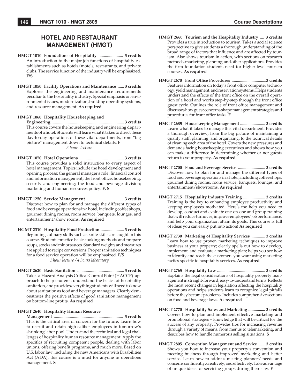# **HOTEL AND RESTAURANT MANAGEMENT (HMGT)**

- **HMGT 1010 Foundations of Hospitality** ....................... **3 credits** An introduction to the major job functions of hospitality establishments such as hotels/motels, restaurants, and private clubs. The service function of the industry will be emphasized. **F/S**
- **HMGT 1050 Facility Operations and Maintenance** ...... **3 credits** Explores the engineering and maintenance requirements peculiar to the hospitality industry. Special emphasis on environmental issues, modernization, building operating systems, and resource management. **As required**

**HMGT 1060 Hospitality Housekeeping and**

 **Engineering** .................................................................... **3 credits** This course covers the housekeeping and engineering departments of a hotel. Students will learn what it takes to direct these day-to-day operations of these vital departments, from "big picture" management down to technical details. **F** *3 hours lecture*

- **HMGT 1070 Hotel Operations** .......................................... **3 credits** This course provides a solid instruction to every aspect of hotel management. Topics include the hotel development and opening process; the general manager's role; financial control and information management; the front office, housekeeping, security and engineering; the food and beverage division; marketing and human resources policy. **F, S**
- **HMGT 1250 Service Management** .................................. **3 credits** Discover how to plan for and manage the different types of food and beverage operations in a hotel, including coffee shops, gourmet dining rooms, room service, banquets, lounges, and entertainment/show rooms. **As required**
- **HGMT 2310 Hospitality Food Production** ...................... **3 credits** Beginning culinary skills such as knife skills are taught in this course. Students practice basic cooking methods and prepare soups, stocks and minor sauces. Standard weights and measures are applied to recipe conversions. Proper sanitation techniques for a food service operation will be emphasized. **F/S** *1 hour lecture / 4 hours laboratory*
- **HMGT 2620 Basic Sanitation** ............................................ **3 credits** Takes a Hazard Analysis Critical Control Point (HACCP) approach to help students understand the basics of hospitality sanitation, and provides everything students will need to know about sanitation as food and beverage managers. Clearly demonstrates the positive effects of good sanitation management on bottom-line profits. As required

#### **HMGT 2640 Hospitality Human Resource**

 **Management** ................................................................. **3 credits** This is the critical area of concern for the future. Learn how to recruit and retain high-caliber employees in tomorrow's shrinking labor pool. Understand the technical and legal challenges of hospitality human resource management. Apply the specifics of recruiting competent people, dealing with labor unions, offering benefit programs, and much more. Based on U.S. labor law, including the new Americans with Disabilities Act (ADA), this course is a must for anyone in operations management. **S**

- **HMGT 2660 Tourism and the Hospitality Industry** .... **3 credits** Provides a true introduction to tourism. Takes a social science perspective to give students a thorough understanding of the broad range of factors that influence and are affected by tourism. Also shows tourism in action, with sections on research methods, marketing, planning, and other applications. Provides the firm foundation students need for higher-level tourism courses. **As required**
- HMGT 2670 Front Office Procedures ..................................3 credits Features information on today's front office computer technology, yield management, and reservation systems. Helps students understand the effects of the front office on the overall operation of a hotel and works step-by-step through the front office guest cycle. Outlines the role of front office management and discusses how guest concerns shape management strategies and procedures for front office tasks. **F**
- **HMGT 2685 Housekeeping Management** ........................ **3 credits** Learn what it takes to manage this vital department. Provides a thorough overview, from the big picture of maintaining a quality staff, planning, and organizing, to the technical details of cleaning each area of the hotel. Covers the new pressures and demands facing housekeeping executives and shows how you can make a difference in determining whether or not guests return to your property. **As required**
- **HMGT 2700 Food and Beverage Service** .......................... **3 credits** Discover how to plan for and manage the different types of food and beverage operations in a hotel, including coffee shops, gourmet dining rooms, room service, banquets, lounges, and entertainment/showrooms. **As required**
- **HMGT 2715 Hospitality Industry Training** ..................... **3 credits** Training is the key to enhancing employee productivity and keeping employees motivated. Here's the help you need to develop, conduct and evaluate one-on-one and group training that will reduce turnover, improve employees' job performance, and help your organization attain its goals. This course is full of ideas you can easily put into action! **As required**
- **HMGT 2730 Marketing of Hospitality Services** ............. **3 credits** Learn how to use proven marketing techniques to improve business at your property; clearly spells out how to develop, implement, and evaluate a marketing plan; helps you see how to identify and reach the customers you want using marketing tactics specific to hospitality services. As required
- **HMGT 2765 Hospitality Law** .............................................. **3 credits** Explains the legal considerations of hospitality property management in straight-forward, easy-to-understand terms. Reflects the most recent changes in legislation affecting the hospitality operations and helps students learn to recognize legal pitfalls before they become problems. Includes comprehensive sections on food and beverage laws. **As required**
- **HMGT 2770 Hospitality Sales and Marketing ................ 3 credits** Covers how to plan and implement effective marketing and promotional strategies – knowledge that will be critical for the success of any property. Provides tips for increasing revenue through a variety of means, from menus to telemarketing, and describes how to handle numerous selling situations. **S**
- **HMGT 2805 Convention Management and Service** .......**3 credits** Shows you how to increase your property's convention and meeting business through improved marketing and better service. Learn how to address meeting planners' needs and concerns confidently, creatively, and effectively. Take advantage of unique ideas for servicing groups during their stay. **F**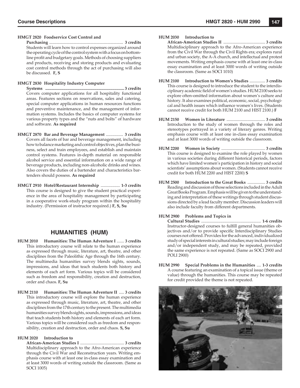#### **HMGT 2820 Foodservice Cost Control and**

 **Purchasing** ...................................................................... **3 credits** Students will learn how to control expenses organized around the operating cycle of the control system with a focus on bottomline profit and budgetary goals. Methods of choosing suppliers and products, receiving and storing products and evaluating cost control methods through the act of purchasing will also be discussed. **F, S**

#### **HMGT 2830 Hospitality Industry Computer**

 **Systems .......................................................................... 3 credits** Covers computer applications for all hospitality functional areas. Features sections on reservations, sales and catering, special computer applications in human resources functions and preventive maintenance, and the management of information systems. Includes the basics of computer systems for various property types and the "nuts and bolts" of hardware and software. **As required**

- **HMGT 2870 Bar and Beverage Management** ................ **3 credits**  Covers all facets of bar and beverage management, including how to balance marketing and control objectives, plan the business, select and train employees, and establish and maintain control systems. Features in-depth material on responsible alcohol service and essential information on a wide range of beverage products, including non-alcoholic drinks and wines. Also covers the duties of a bartender and characteristics bartenders should possess. **As required**
- **HMGT 2910 Hotel/Restaurant Internship** .................. **1-3 credits** This course is designed to give the student practical experience in the area of hospitality management by participating in a cooperative work-study program within the hospitality industry. (Permission of instructor required.) **F, S, Su**

## **HUMANITIES (HUM)**

- **HUM 2010 Humanities: The Human Adventure I** ....... **3 credits** This introductory course will relate to the human experience as expressed through music, literature, art, theatre, and other disciplines from the Paleolithic Age through the 16th century. The multimedia humanities survey blends sights, sounds, impressions, and ideas that teach students both history and elements of each art form. Various topics will be considered such as freedom and responsibility, creation and destruction, order and chaos. **F, Su**
- **HUM 2110 Humanities: The Human Adventure II** ..... **3 credits** This introductory course will explore the human experience as expressed through music, literature, art, theatre, and other disciplines from the 17th century to the present. The multimedia humanities survey blends sights, sounds, impressions, and ideas that teach students both history and elements of each art form. Various topics will be considered such as freedom and responsibility, creation and destruction, order and chaos. **S, Su**

#### **HUM 2020 Introduction to**

 **African-American Studies I** .......................................... **3 credits** Multidisciplinary approach to the Afro-American experience through the Civil War and Reconstruction years. Writing emphasis course with at least one in-class essay examination and at least 3000 words of writing outside the classroom. (Same as SOCI 1005)

#### **HUM 2030 Introduction to**

 **African-American Studies II** ........................................ **3 credits** Multidisciplinary approach to the Afro-American experience from the Civil War through the Civil Rights era; explores rural and urban society, the A-A church, and intellectual and protest movements. Writing emphasis course with at least one in-class essay examination and at least 3000 words of writing outside the classroom. (Same as SOCI 1010)

- **HUM 2100 Introduction to Women's Studies** ............... **3 credits** This course is designed to introduce the student to the interdisciplinary academic field of women's studies. HUM 2100 seeks to explore often-omitted information about women's culture and history. It also examines political, economic, social, psychological and health issues which influence women's lives. (Students cannot receive credit for both HUM 2100 and HIST 2100.) **F**
- **HUM 2150 Women in Literature** ..................................... **3 credits** Introduction to the study of women through the roles and stereotypes portrayed in a variety of literary genres. Writing emphasis course with at least one in-class essay examination and at least 3000 words of writing outside the classroom.
- **HUM 2200 Women in Society** .......................................... **3 credits** This course is designed to examine the role played by women in various societies during different historical periods, factors which have limited women's participation in history and social scientists' assumptions about women. (Students cannot receive credit for both HUM 2200 and HIST 2200) **S**
- **HUM 2500 Introduction to the Great Books** ................. **3 credits** Reading and discussion of those selections included in the Adult Great Books Program. Emphasis will be given to the understanding and interpretation of these writings through student discussions directed by a lead faculty member. Discussion leaders will also include faculty from different departments.

#### **HUM 2900 Problems and Topics in**

 **Cultural Studies** ........................................................ **1-6 credits** Instructor-designed courses to fulfill general humanities objectives and/or to provide specific Interdisciplinary Studies courses not offered. Provides for the advanced, individualized study of special interests in cultural studies; may include foreign and/or independent study, and may be repeated, provided the same experience is not repeated. (Same as SOCI 2900 and POLI 2900)

**HUM 2990 Special Problems in the Humanities** .... **1-3 credits** A course featuring an examination of a topical issue (theme or value) through the humanities. This course may be repeated for credit provided the theme is not repeated.

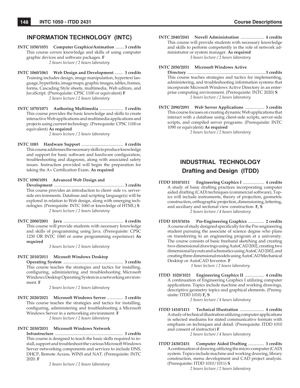# **INFORMATION TECHNOLOGY (INTC)**

**INTC 1050/1051 Computer Graphics/Animation** ........ **3 credits** This course covers knowledge and skills of using computer graphic devices and software packages. **F** *2 hours lecture / 2 hours laboratory*

- **INTC 1060/1061 Web Design and Development** ........ **3 credits** Training includes design, image manipulation, hypertext language, hyperlinks, image maps, graphic images, tables, frames, forms, Cascading Style sheets, multimedia, Web editors, and JavaScript. (Prerequisite: CPSC 1100 or equivalent) **F** *2 hours lecture / 2 hours laboratory*
- **INTC 1070/1071 Authoring Multimedia** ...................... **3 credits** This course provides the basic knowledge and skills to create interactive Web applications and multimedia applications and projects using current technology. (Prerequisite: CPSC 1100 or equivalent) **As required**

*2 hours lecture / 2 hours laboratory*

**INTC 1085 Hardware Support** ....................................... **4 credits** This course addresses the necessary skills to produce knowledge and support for basic software and hardware configuration, troubleshooting and diagnosis, along with associated safety issues. Instruction provided will begin the preparation for taking the A+ Certification Exam. As required

**INTC 1090/1091 Advanced Web Design and**

 **Development** ................................................................... **3 credits** This course provides an introduction to client- side vs. serverside environments. Database and scripting language(s) will be explored in relation to Web design, along with emerging technologies. (Prerequisite: INTC 1060 or knowledge of HTML) **S** *2 hours lecture / 2 hours laboratory*

**INTC 2000/2001 Java** ........................................................ **4 credits** This course will provide students with necessary knowledge and skills of programming using Java. (Prerequisite: CPSC 1230 OR INTC 1060 or some programming experience) **As required**

*3 hours lecture / 2 hours laboratory*

**INTC 2010/2011 Micosoft Windows Desktop**

 **Operating System** ........................................................ **3 credits** This course teaches the strategies and tactics for installing, configuring, administering and troubleshooting Microsoft Windows Desktop Operating System in a networking environment. **F**

*2 hours lecture / 2 hours laboratory*

**INTC 2020/2021 Microsoft Windows Server** ............... **3 credits** This course teaches the strategies and tactics for installing, configuring, administering and troubleshooting a Microsoft Windows Server in a networking environment. **F** *2 hours lecture / 2 hours laboratory*

#### **INTC 2030/2031 Microsoft Windows Network**

 **Infrastructure** ................................................................ **3 credits** This course is designed to teach the basic skills required to install, support and troubleshoot the various Microsoft Windows Server networking components and services to include DNS, DHCP, Remote Access, WINS and NAT. (Prerequisite: INTC 2020. **F**

*2 hours lecture / 2 hours laboratory*

**INTC 2040/2041 Novell Administration** ...................... **4 credits** This course will provide students with necessary knowledge and skills to perform competently in the role of network administrator or system manager. **As required** *3 hours lecture / 2 hours laboratory*

#### **INTC 2050/2051 Microsoft Windows Active**

 **Directory** ......................................................................... **3 credits** This course teaches strategies and tactics for implementing, administering, and troubleshooting information systems that incorporate Microsoft Windows Active Directory in an enterprise computing environment. (Prerequisite: INTC 2020) **S** *2 hours lecture / 2 hours laboratory*

**INTC 2090/2091 Web Server Applications** .................. **3 credits** This course focuses on creating dynamic Web applications that interact with a database using client-side scripts, server-side scripts, and compiled server programs. (Prerequisite: INTC 1090 or equivalent) **As required**

*2 hours lecture / 2 hours laboratory*

# **INDUSTRIAL TECHNOLOGY Drafting and Design (ITDD)**

- **ITDD 1010/1011 Engineering Graphics I** .................... **4 credits** A study of basic drafting practices incorporating computer aided drafting (CAD) techniques (commercial software), Topics will include instruments, theory of projection, geometric construction, orthographic projection, dimensioning, lettering, and auxiliary and sectional view construction. **F, S** *2 hours lecture / 4 hours laboratory*
- **ITDD 1015/1016 Pre-Engineering Graphics** ............... **2 credits** A course of study designed specifically for the Pre-engineering student pursuing the associate of science degree who plans on transferring to an engineering program at a university. The course consists of basic freehand sketching and creating two-dimensional drawings using AutoCAD 2002, creating two dimensional layouts and schematics using AutoCAD 2002, and creating three dimensional models using AutoCAD Mechanical Desktop or AutoCAD Inventor. **F**

*1 hour lecture / 2 hours laboratory*

**ITDD 1020/1021 Engineering Graphics II** .................. **4 credits** A continuation of Engineering Graphics I utilizing computer applications. Topics include machine and working drawings, descriptive geometry topics and graphical elements. (Prerequisite: ITDD 1010) **F, S**

*2 hours lecture / 4 hours laboratory*

**ITDD 1410/1411 Technical Illustration** ....................... **4 credits** A study of technical illustration utilizing computer applications in selected mediums for stated communicative formats with emphasis on techniques and detail. (Prerequisite: ITDD 1010 and consent of instructor) **F**

*2 hours lecture / 4 hours laboratory*

**ITDD 2430/2431 Computer Aided Drafting** ............... **3 credits** A continuation of drawing utilizing the micro-computer (CAD) system. Topics include machine and working drawing, library construction, menu development and CAD project analysis. (Prerequisite: ITDD 1010/1011) **S**

*2 hours lecture / 2 hours laboratory*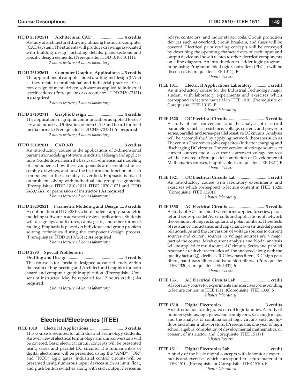- **ITDD 2510/2511 Architectural CAD** ............................ **4 credits** A study of architectural drawing utilizing the micro-computer (CAD) system. The students will produce drawings associated with building design including details, plans sections and specific design elements. (Prerequisite: ITDD 1010/1011) **F** *2 hours lecture / 4 hours laboratory*
- **ITDD 2610/2611 Computer Graphics Applications** ... **3 credits** The applications of computer aided drafting and design (CAD) as they relate to professional and industrial practices. Custom design of menu driven software as applied to industrial specifications. (Prerequisite or corequisite: ITDD 2430/2431) **As required**

*2 hours lecture / 2 hours laboratory*

- **ITDD 2710/2711 Graphic Design** ................................. **4 credits** The applications of graphic communication as applied to society and industry. Utilization of both CAD and board for total media format. (Prerequisite: ITDD 2430/2431) **As required**. *2 hours lecture / 4 hours laboratory*
- **ITDD 2810/2811 CAD 3-D** ............................................. **3 credits** An introductory course in the applications of 3-dimensional parametric modeling software in industrial design and applications. Students will learn the basics of 3-dimensional modeling of components, how these components are assembled in assembly drawings, and how the fit, form and function of each component in the assembly is verified. Emphasis is placed on problem solving with individual and group assignments. (Prerequisites: ITDD 1010/1011, ITDD 1020/1021 and ITDD 2430/2431 or permission of instructor.) **As required** *2 hours lecture / 2 hours laboratory*

**ITDD 2820/2821 Parametric Modeling and Design** .... **3 credits** A continuation of ITDD 2810, where students apply parametric modeling software in advanced design applications. Students will design jigs and fixtures, cams, gears, and other forms of tooling. Emphasis is placed on individual and group problem solving techniques during the component design process. (Prerequisites: ITDD 2810/2811) **As required**

*2 hours lecture / 2 hours laboratory*

**ITDD 2990 Special Problems in**

 **Drafting and Design** ................................................... **4 credits** This course is for specially designed advanced study within the realm of Engineering and Architectural Graphics for both board and computer graphic application. (Prerequisite: Consent of instructor. May be repeated for 12 hours credit.) **As required**.

*2 hours lecture / 4 hours laboratory*

## **Electrical/Electronics (ITEE)**

**ITEE 1010 Electrical Applications** ............................... **3 credits** This course is required for all Industrial Technology students. An overview of electrical terminology and unit conversions will be covered. Basic electrical circuit concepts will be presented using series and parallel DC circuits. The fundamentals of digital electronics will be presented using the "AND", "OR" and "NOT" logic gates. Industrial control circuits will be presented using numerous input devices such as limit, float, and push button switches along with such output devices as

relays, contactors, and motor starter coils. Circuit protection devices such as overload, circuit breakers, and fuses will be covered. Electrical print reading concepts will be conveyed by describing the operating characteristics of each input and output device and how it relates to other electrical components on a line diagram. An introduction to ladder logic programming using Programmable Logic Controllers (PLC's) will be discussed. (Corequisite: ITEE 1011). **F**

*3 hours lecture*

**ITEE 1011 Electrical Applications Laboratory** ............ **1 credit** An introductory course for the Industrial Technology major student with laboratory experiments and exercises which correspond to lecture material in ITEE 1010. (Prerequisite or Corequisite: ITEE 1010). **F**

*2 hours laboratory*

- **ITEE 1320 DC Electrical Circuits** ................................. **3 credits** A study of unit conversions and the analysis of electrical parameters such as resistance, voltage, current, and power in series, parallel, and series-parallel resistive DC circuits. Analysis will be accomplished by applying network theorems such as Thevenin's Theorem to solve capacitor/inductor charging and discharging DC circuits. The conversion of voltage sources to current sources and also current sources to voltage sources will be covered. (Prerequisite: completion of Developmental Mathematics courses, if applicable. Corequisite: ITEE 1321) **F** *3 hours lecture*
- **ITEE 1321 DC Electrical Circuits Lab** ........................... **1 credit** An introductory course with laboratory experiments and exercises which correspond to lecture content in ITEE 1320. (Corequisite: ITEE 1320) **F**

*2 hours laboratory*

- **ITEE 1330 AC Electrical Circuits** ................................. **3 credits** A study of AC sinusoidal waveforms applied to series, parallel and series-parallel AC circuits and applications of network theorems involving rectangular and polar numbers. The effects of resistance, inductance, and capacitance on sinusoidal phase relationships and the conversion of voltage sources to current sources and current sources to voltage sources are a major part of the course. Mesh current analysis and Nodal analysis will be applied to multisource AC circuits. Series and parallel resonant circuit characteristics will be analyzed along with the quality factor (Q), decibels, R-C low pass filters, R-C high pass filters, band-pass filters and band-stop filters. (Prerequisite: ITEE 1320; Corequisite: ITEE 1331) **S** *3 hours lecture*
- **ITEE 1331 AC Electrical Circuits Lab** ............................ **1 credit** A laboratory course for experiments and exercises corresponding to lecture content in ITEE 1311. (Corequisite: ITEE 1330) **S** *2 hours laboratory*
- **ITEE 1510 Digital Electronics** ....................................... **3 credits** An introduction to integrated circuit logic families. A study of number systems, logic gates, boolean algebra, Karnaugh maps, and the analysis of combinational logic circuits such as flipflops and other multivibrators. (Prerequisite: one year of high school algebra, completion of developmental mathematics, or consent of instructor, and Corequisite: ITEE 1511) **F** *3 hours lecture*
- **ITEE 1511 Digital Electronics Lab** ................................. **1 credit** A study of the basic digital concepts with laboratory experiments and exercises which correspond to lecture material in ITEE 1510. (Prerequisite or Corequisite: ITEE 1510). **F** *2 hours laboratory*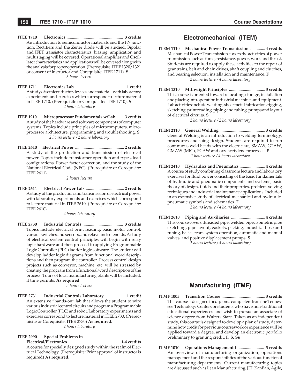- **ITEE 1710 Electronics** ..................................................... **3 credits** An introduction to semiconductor materials and the PN junction. Rectifiers and the Zener diode will be studied. Bipolar and JFET transistor characteristics, biasing, amplication and multistaging will be covered. Operational amplifier and Oscillator characteristics and applications will be covered along with the analysis for proper operation. (Prerequisite: ITEE 1320/1321 or consent of instructor and Corequisite: ITEE 1711). **S** *3 hours lecture*
- **ITEE 1711 Electronics Lab** ............................................... **1 credit** A study of semiconductor devices and materials with laboratory experiments and exercises which correspond to lecture material in ITEE 1710. (Prerequisite or Corequisite: ITEE 1710). **S** *2 hours laboratory*
- **ITEE 1910 Microprocessor Fundamentals w/Lab** ...... **3 credits** A study of the hardware and software components of computer systems. Topics include principles of microcomputers, microprocessor architecture, programming and troubleshooting. **S** *2 hours lecture / 2 hours laboratory*
- **ITEE 2610 Electrical Power** .............................................. **2 credits** A study of the production and transmission of electrical power. Topics include transformer operation and types, load configurations, Power factor correction, and the study of the National Electrical Code (NEC). (Prerequisite or Corequisite: ITEE 2611)

*2 hours lecture*

**ITEE 2611 Electrical Power Lab** .................................... **2 credits** A study of the production and transmission of electrical power with laboratory experiments and exercises which correspond to lecture material in ITEE 2610. (Prerequisite or Corequisite: ITEE 2610)

*4 hours laboratory*

**ITEE 2730 Industrial Controls** ...................................... **3 credits** Topics include electrical print reading, basic motor control, various switches and sensors, and relays and solenoids. A study of electrical system control principles will begin with relay logic hardware and then proceed to applying Programmable Logic Controller (PLC) ladder logic software. The student will develop ladder logic diagrams from functional word descriptions and then program the controller. Process control design projects such as conveyor, machine, etc. will be stressed by creating the program from a functional word description of the process. Tours of local manufacturing plants will be included, if time permits. **As required**.

*3 hours lecture*

**ITEE 2731 Industrial Controls Laboratory** ................... **1 credit** An extensive "hands-on" lab that allows the student to wire various industrial control circuits and program a Programmable Logic Controller (PLC) and robot. Laboratory experiments and exercises correspond to lecture material in ITEE 2730. (Prerequisite or Corequisite: ITEE 2730) **As required**. *2 hours laboratory*

#### **ITEE 2990 Special Problems in**

 **Electrical/Electronics** ................................................ **1-4 credits** A course for specially designed study within the realm of Electrical Technology. (Prerequisite: Prior approval of instructor is required) **As required**.

# **Electromechanical (ITEM)**

- **ITEM 1110 Mechanical Power Transmission** .............. **4 credits** Mechanical Power Transmission covers the activities of power tranmission such as force, resistance, power, work and thrust. Students are required to apply these activities to the repair of gear trains, belt and chain drives, shaft coupling and clutches, and bearing selection, installation and maintenance. **F** *2 hours lecture / 4 hours laboratory*
- **ITEM 1310 Millwright Principles** .................................. **3 credits** This course is oriented toward relocating, storage, installation and placing into operation industrial machines and equipment. Lab activities include welding, sheet metal fabrication, rigging, sketching, print reading, piping and tubing, pumps and layout of electrical circuits. **S**

*2 hours lecture / 2 hours laboratory*

- **ITEM 2110 General Welding** .......................................... **3 credits** General Welding is an introduction to welding terminology, procedures and joing design. Students are required to run continuous weld beads with the electric arc, SMAW, GTAW, GMAW (MIG), FCAW and oxy-acetylene processes. **F** *1 hour lecture / 4 hours laboratory*
- **ITEM 2410 Hydraulics and Pneumatics** ........................ **4 credits** A course of study combining classroom lecture and laboratory exercises for fluid power consisting of the basic fundamentals of hydraulic and pneumatic components and systems, basic theory of design, fluids and their properties, problem-solving techniques and industrial maintenance applications. Included in an extensive study of electrical-mechanical and hydraulicpneumatic symbols and schematics. **F**

*2 hours lecture / 4 hours laboratory*

**ITEM 2610 Piping and Auxiliaries** ................................ **4 credits** This course covers threaded pipe, welded pipe, isometric pipe sketching, pipe layout, gaskets, packing, industrial hose and tubing, basic steam system operation, automatic and manual valves, and positive displacement pumps. **S**

*2 hours lecture / 4 hours laboratory*

# **Manufacturing (ITMF)**

- **ITMF 1005 Transition Course** ......................................... **3 credits** This course is designed for diploma completers from the Tennessee Technology Centers or students who have non-traditional educational experiences and wish to pursue an associate of science degree from Walters State. Taken as an independent study, this course is designed to develop a plan of study, determine how credit for previous coursework or experience will be applied toward a degree, and develop an electronic portfolio preliminary to granting credit. **F, S, Su**
- **ITMF 1010 Operations Management I** ......................... **3 credits** An overview of manufacturing organization, operations management and the responsibilities of the various functional manufacturing departments. Current manufacturing topics are discussed such as Lean Manufacturing, JIT, KanBan, Agile,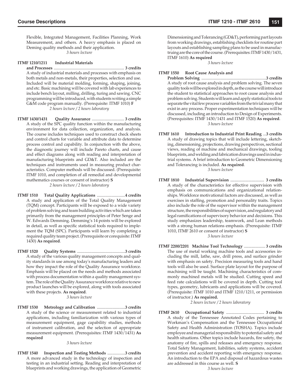Flexible, Integrated Management, Facilities Planning, Work Measurement, and others. A heavy emphasis is placed on Deming quality methods and their application. *3 hours lecture*

#### **ITMF 1210/1211 Industrial Materials**

 **and Processes** .................................................................... **3 credits** A study of industrial materials and processes with emphasis on both metals and non-metals, their properties, selection and use. Included will be material molding, forming, shaping, joining, and etc. Basic machining will be covered with lab experiences to include bench layout, milling, drilling, turing and sawing. CNC programming will be introduced, with students writing a simple G&M code program manually. (Prerequisite: ITMF 1010) **F** *2 hours lecture / 2 hours laboratory*

**ITMF 1430/1431 Quality Assurance** ............................... **3 credits** A study of the SPC quality function within the manufacturing environment for data collection, organization, and analysis. The course includes techniques used to construct check sheets and control charts for variable and attribute data to determine process control and capability. In conjunction with the above, the diagnostic journey will include Pareto charts, and cause and effect diagrams along with reading and interpretation of manufacturing blueprints and GD&T. Also included are the techniques and instruments used in measuring product characteristics. Computer methods will be discussed. (Prerequisite: ITMF 1010, and completion of all remedial and developmental mathematics courses or consent of instructor) **S** *2 hours lecture / 2 hours laboratory*

**ITMF 1510 Total Quality Applications** ...........................**4 credits** A study and application of the Total Quality Management (TQM) concept. Participants will be exposed to a wide variety of problem solving and team building activities which are taken primarily from the management principles of Peter Senge and W. Edwards Demming. Demming's 14 points will be explored in detail, as well as specific statistical tools required to implement the TQM (SPC). Participants will learn by completing a required quality team project. (Prerequisite or corequisite: ITMF 1430) **As required**.

**ITMF 1520 Quality Systems** ..............................................**3 credits** A study of the various quality management concepts and quality standards in use among today's manufacturing leaders and how they impact the role of the Quality Assurance workforce. Emphasis will be placed on the needs and methods associated with process documentation within a quality management system. The role of the Quality Assurance workforce relative to new product launches will be explored, along with tools associated with these projects. **As required**.

*3 hours lecture*

**ITMF 1530 Metrology and Calibration** ...........................**3 credits** A study of the science or measurement related to industrial applications, including familiarization with various types of measurement equipment, gage capability studies, methods of instrument calibration, and the selection of appropriate measurement equipment. (Prerequisites: ITMF 1430/1431) **As required**

*3 hours lecture*

**ITMF 1540 Inspection and Testing Methods** .................**3 credits** A more advanced study in the technology of inspection and testing in an industrial setting. Reading and interpretation of blueprints and working drawings, the application of Geometric

Dimensioning and Tolerancing (GD&T), performing part layouts from working drawings, establishing checklists for routine part layouts and establishing sampling plans to be used in manufactruing are the core of the course. (Prerequisites: ITMF 1430/1431, ITMF 1610) **As required**

*3 hours lecture*

#### **ITMF 1550 Root Cause Analysis and**

 **Problem Solving** ..............................................................**3 credits** A study of root cause analysis and problem solving. The seven quality tools will be explored in depth, as the course will introduce the student to statistical approaches to root cause analysis and problem solving. Students will learn and apply statistical tools to separate the vital few process variables from the trivial many that exist in any process. Proper experimentation techniques will be discussed, including an introduction to Design of Experiments. (Prerequisites: ITMF 1430/1431 and ITMF 1520) **As required**. *3 hours lecture*

- **ITMF 1610 Introduction to Industrial Print Reading** ...**3 credits** A study of drawing topics that will include lettering, sketching, dimensioning, projections, drawing perspectives, sectional views, reading of machine and mechanical drawings, tooling blueprints, and welding and fabrication drawings used in industrial systems. A brief introduction to Geometric Dimensioning and Tolerancing is included. **As required**. *3 hours lecture*
- **ITMF 1810 Industrial Supervision** ................................ **3 credits** A study of the characteristics for effective supervision with emphasis on communications and organizational relationships. Workforce motivational factors are discussed, as well as exercises in staffing, promotion and personality traits. Topics also include the role of the supervisor within the management structure, the responsibilities of supervision, and regulatory and legal ramifications of supervisory behavior and decisions. This study emphasizes leadership, teamwork, and Lean methods with a strong human relations emphasis. (Prerequisite: ITMF 1010, ITMF 2610 or consent of instructor) **S** *3 hours lecture*
- **ITMF 2200/2201 Machine Tool Technology** .................... **3 credits** The use of metal working machine tools and accessories including the mill, lathe, saw, drill press, and surface grinder with emphasis on safety. Precision measuring tools and hand tools will also be used. Surface plate layout for the purpose of machining will be taught. Machining characteristics of commonly machined metals will be studied. Cutting speed and feed rate calculations will be covered in depth. Cutting tool types, geometry, lubricants and applications will be covered. (Prerequisite: ITMF 1010 and ITMF 1210/1211, or permission of instructor.) **As required.**

*2 hours lecture / 2 hours laboratory*

**ITMF 2610 Occupational Safety** .................................... **3 credits** A study of the Tennessee Annotated Codes pertaining to Workman's Compensation and the Tennessee Occupational Safety and Health Administration (TOSHA). Topics include employee and managerial responsibility to potential safety and health situations. Other topics include hazards, fire safety, the anatomy of fire, spills and releases and emergency response. Total Safety Management, liabilities, safety systems, accident prevention and accident reporting with emergency response. An introduction to the EPA and disposal of hazardous wastes are addressed in this course as well. **S**

*3 hours lecture*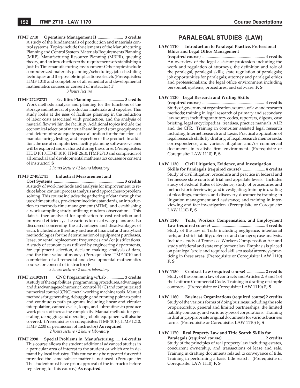**ITMF 2710 Operations Management II** ........................ **3 credits** A study of the fundamentals of production and materials control systems. Topics include the elements of the Manufacturing Planning and Control System. Materials Requirements Planning (MRP), Manufacturing Resource Planning (MRPII), queuing theory, and an introduction to the requirements of establishing a Just-In-Time manufacturing environment. Other topics include computerized materials planning/scheduling, job scheduling techniques and the possible implications of such.(Prerequisites: ITMF 1010 and completion of all remedial and developmental mathematics courses or consent of instructor) **F**

*3 hours lecture*

**ITMF 2720/2721 Facilities Planning** .............................. **3 credits** Work methods analysis and planning for the functions of the storage and retrieval of production materials and supplies. This study looks at the uses of facilities planning in the reduction of labor costs associated with production, and the analysis of material flow within the facilitity. Additional topics include the economical selection of material handling and storage equipment and determining adequate space allocation for the functions of manufacturing, testing, and inspection of the product. In addition, the use of computerized facility planning software systems will be explored and evaluated during the course. (Prerequisites: ITDD 1010, ITMF 1010, ITMF 2610, ITMF 2710 and completion of all remedial and developmental mathematics courses or consent of instructor) **S**

#### *2 hours lecture / 2 hours laboratory*

**ITMF 2740/2741 Industrial Measurement and Cost Systems** .................................................................. **3 credits** A study of work methods and analysis for improvement to re-

duce labor, content, process analysis and approaches to problem solving. This course includes the gathering of data through the use of time studies, pre-determined time standards, an introduction to methods-time-management (MTM), and establishing a work sampling study utilizing random observations. This data is then analyzed for application to cost reduction and improved efficiency. The various forms of wage plans are also discussed concerning the advantages and disadvantages of each. Included are the study and use of financial and analytical methodologies for the determination of equipment purchases, lease, or rental replacement frequencies and/or justifications. A study of economics as utilized by engineering departments, for equipment selection, decision making, analysis of data, and the time-value of money. (Prerequisites: ITMF 1010 and completion of all remedial and developmental mathematics courses or consent of instructor) **F**

*2 hours lecture / 2 hours laboratory*

**ITMF 2810/2811 CNC Programming w/Lab** ................ **3 credits** A study of the capabilities, programming procedures, advantages and disadvantages of numerical control (N/C) and computerized numerical control (CNC) metal working machine tools. Manual methods for generating, debugging and running point-to-point and continuous path programs including linear and circular interpolation, canned cycles, loops, and subroutines to produce work pieces of increasing complexity. Manual methods for generating, debugging and operating robotic equipment will also be covered. (Prerequisites or corequisites: ITMF 1010, ITMF 1210, ITMF 2200 or permission of instructor) **As required** 

*2 hours lecture / 2 hours laboratory*

**ITMF 2990 Special Problems in Manufacturing** .... **1-6 credits** This course allows the student additional advanced studies in a particular area of interest to the student or which are in demand by local industry. This course may be repeated for credit provided the same subject matter is not used. (Prerequisite: The student must have prior approval of the instructor before registering for this course.) **As required**.

# **PARALEGAL STUDIES (LAW)**

**LAW 1110 Introduction to Paralegal Practice, Professional Ethics and Legal Office Management** 

 **(required course)** ........................................................... **4 credits** An overview of the legal assistant profession including the work and regulation of attorneys; the definition and role of the paralegal; paralegal skills; state regulation of paralegals; job opportunities for paralegals; attorney and paralegal ethics and professionalism; the legal office environment including personnel, systems, procedures, and software. **F, S**

### **LAW 1120 Legal Research and Writing Skills**

 **(required course)** .......................................................... **4 credits** Study of government organization, sources of law and research methods; training in legal research of primary and secondary law sources including statutory codes, reporters, digests, case briefing, legal encyclopedias, treatises, practice manuals, ALR and the CFR. Training in computer assisted legal research including Internet research and Lexis. Practical application of legal research skills by drafting of legal research memoranda, correspondence, and various litigation and/or commercial documents in realistic firm environment. (Prerequisite or Corequisite: LAW 1110) **F, S**

#### **LAW 1130 Civil Litigation, Evidence, and Investigation**

 **Skills for Paralegals (required course)** ..................... **4 credits** Study of civil litigation procedure and practice in federal and Tennessee state courts at trial and appellate levels. Includes study of Federal Rules of Evidence; study of procedures and methods for interviewing and investigating; training in drafting of pleadings, motions, and discovery documents; training in litigation management and assistance; and training in interviewing and fact investigation. (Prerequisite or Corequisite: LAW 1110) **F, S**

- **LAW 1140 Torts, Workers Compensation, and Employment Law (required course)** .................................................. **4 credits**  Study of the law of Torts including negligence, intentional torts, and strict liability; defenses and damages; case analysis. Includes study of Tennessee Workers Compensation Act and study of federal and state employment law. Emphasis is placed on paralegal's role and required skills to assist attorneys practicing in these areas. (Prerequisite or Corequisite: LAW 1110) **F, S**
- **LAW 1150 Contract Law (required course)** ................. **2 credits** Study of the common law of contracts and Articles 2, 3 and 4 of the Uniform Commercial Code. Training in drafting of simple contracts. (Prerequisite or Corequisite: LAW 1110) **F, S**
- **LAW 1160 Business Organizations (required course)2 credits** Study of the various forms of doing business including the sole proprietorship, general and limited partnerships, the limited liability company, and various types of corporations. Training in drafting appropriate original documents for various business forms. (Prerequisite or Corequisite: LAW 1110) **F, S**

#### **LAW 1170 Real Property Law and Title Search Skills for**

 **Paralegals (required course)** ....................................... **2 credits** Study of the principles of real property law including estates, concurrent ownership, and transactions of lease and sale. Training in drafting documents related to conveyance of title. Training in performing a basic title search. (Prerequisite or Corequisite: LAW 1110) **F, S**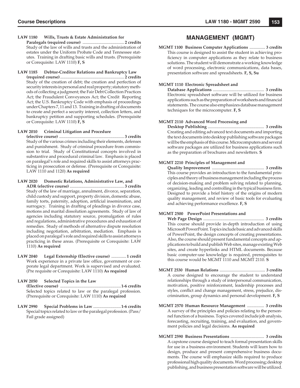#### **LAW 1180 Wills, Trusts & Estate Administration for**

 **Paralegals (required course)** ....................................... **2 credits** Study of the law of wills and trusts and the administration of estates under the Uniform Probate Code and Tennessee statutes. Training in drafting basic wills and trusts. (Prerequisite or Corequisite: LAW 1110) **F, S**

#### **LAW 1185 Debtor-Creditor Relations and Bankruptcy Law**

 **(required course)** ............................................................ **2 credits** Study of the creation of debt; the creation and perfection of security interests in personal and real property; statutory methods of collecting a judgment; the Fair Debt Collection Practices Act; the Fraudulent Conveyances Act; the Credit Reporting Act; the U.S. Bankruptcy Code with emphasis of proceedings under Chapters 7, 11 and 13. Training in drafting of documents to create and perfect a security interest, collection letters, and bankruptcy petition and supporting schedules. (Prerequisite or Corequisite: LAW 1110) **F, S**

#### **LAW 2010 Criminal Litigation and Procedure**

 **(elective course)** ............................................................. **3 credits** Study of the various crimes including their elements, defenses and punishment. Study of criminal procedure from commission to trial. Study of Constitutional concepts involved in substantive and procedural criminal law. Emphasis is placed on paralegal's role and required skills to assist attorneys practicing in prosecution or defense. (Prerequisite or Corequisite: LAW 1110 and 1120) **As required**

#### **LAW 2020 Domestic Relations, Administrative Law, and**

 **ADR (elective course)** ................................................... **3 credits**  Study of the law of marriage, annulment, divorce, separation, child custody and support, property division, domestic abuse, family torts, paternity, adoption, artificial insemination, and surrogacy. Training in drafting of pleadings in divorce case, motions and marital dissolution agreements. Study of law of agencies including statutory source, promulgation of rules and regulations, administrative procedures and exhaustion of remedies. Study of methods of alternative dispute resolution including negotiation, arbitration, mediation. Emphasis is placed on paralegal's role and required skills to assist attorneys practicing in these areas. (Prerequisite or Corequisite: LAW 1110) **As required**

**LAW 2040 Legal Externship (Elective course)** ..............**1 credit**  Work experience in a private law office, government or corporate legal department. Work is supervised and evaluated. (Pre requisite or Corequisite: LAW 1110) **As required**

### **LAW 2050 Selected Topics in the Law (Elective course)** .........................................................**1-6 credits** Selected topics related to law or the paralegal profession. (Prerequisite or Corequisite: LAW 1110) **As required**

**LAW 2990 Special Problems in Law** ..........................**1-6 credits** Special topics related to law or the paralegal profession. (Pass/ Fail grade assigned)

# **MANAGEMENT (MGMT)**

**MGMT 1100 Business Computer Applications** ............... **3 credits** This course is designed to assist the student in achieving proficiency in computer applications as they relate to business solutions. The student will demonstrate a working knowledge of word processing, electronic communications, data bases, presentation software and spreadsheets. **F, S, Su**

### **MGMT 1110 Electronic Spreadsheet and**

 **Database Applications** ................................................ **3 credits** Electronic spreadsheet software will be utilized for business applications such as the preparation of worksheets and financial statements. The course also emphasizes database management techniques for the microcomputer. **F, S**

### **MGMT 2110 Advanced Word Processing and**

 **Desktop Publishing** ..................................................... **3 credits** Creating and editing advanced text documents and importing the text documents into desktop publishing software packages will be the emphasis of this course. Microcomputers and several software packages are utilized for business applications such as the preparation of brochures and newsletters. **S**

### **MGMT 2210 Principles of Management and**

 **Quality Improvement** ................................................. **3 credits** This course provides an introduction to the fundamental principles and theory of business management including the process of decision-making and problem solving related to planning, organizing, leading and controlling in the typical business firm. Designed to provide a brief history of the origins of modern quality management, and review of basic tools for evaluating and achieving performance excellence. **F, S**

### **MGMT 2500 PowerPoint Presentations and**

 **Web Page Design** ......................................................... **3 credits** This course should provide in-depth introduction of using Microsoft PowerPoint. Topics include basic and advanced skills of PowerPoint, the design concepts of creating presentations. Also, the course should present fundamental concepts and applications to build and publish Web sites, manage existing Web sites, and create hyperlinks and HTML documents. Because basic computer-use knowledge is required, prerequisites to this course would be MGMT 1110 and MGMT 2110. **S**

- **MGMT 2530 Human Relations** ............................................ **3 credits** A course designed to encourage the student to understand relationships through a study of interpersonal communication, motivation, positive reinforcement, leadership processes and styles, conflict and change management, stress, prejudice, discrimination, group dynamics and personal development. **F, S**
- **MGMT 2570 Human Resource Management** ................ **3 credits** A survey of the principles and policies relating to the personnel function of a business. Topics covered include job analysis, forecasting, recruiting, training, and evaluation, and government policies and legal decisions. **As required**
- **MGMT 2590 Business Presentations** ................................ **3 credits** A capstone course designed to teach formal presentation skills for use in a business environment. Students will learn how to design, produce and present comprehensive business documents. The course will emphasize skills required to produce professional high quality documents. Word processing; desktop publishing, and business presentation software will be utilized.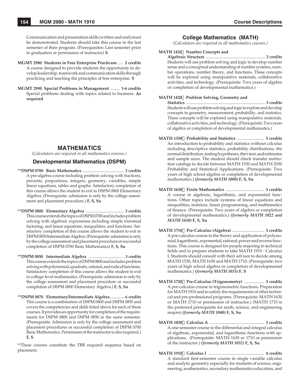- **MGMT 2980 Students in Free Enterprise Practicum** ..... **2 credits** A course designed to provide students the opportunity to develop leadership, teamwork and communication skills through practicing and teaching the principles of free enterprise. **S**
- **MGMT 2990 Special Problems in Management** ......... **1-6 credits** Special problems dealing with topics related to business. **As required**

# **MATHEMATICS**

*(Calculators are required in all mathematics courses.)*

### **Developmental Mathematics (DSPM)**

- **\*\*DSPM 0700 Basic Mathematics** ........................................ **3 credits** A pre-algebra course including problem solving with fractions, percents, proportions, integers, geometry, variables, simple linear equations, tables and graphs. Satisfactory completion of this course allows the student to exit to DSPM 0800 Elementary Algebra. (Prerequisite: admission is only by the college assessment and placement procedure.) **F, S, Su**
- **\*\*DSPM 0800 Elementary Algebra** ..................................... **3 credits** This course extends the topics of DSPM 0700 and includes problem solving with algebraic expressions including simple trinomial factoring, and linear equations, inequalities, and functions. Satisfactory completion of this course allows the student to exit to DSPM 0850 Intermediate Algebra. (Prerequisite: admission is only by the college assessment and placement procedure or successful completion of DSPM 0700 Basic Mathematics) **F, S, Su**
- **\*\*DSPM 0850 Intermediate Algebra** ................................... **3 credits** This course extends the topics of DSPM 0800 and includes problem solving with polynomial, quadratic, rational, and radical functions. Satisfactory completion of this course allows the student to exit to college-level mathematics. (Prerequisite: admission is only by the college assessment and placement procedure or successful completion of DSPM 0800 Elementary Algebra.) **F, S, Su**
- **\*\*DSPM 0870 Elementary/Intermediate Algebra** ...............**6 credits** This course is a combination of DSPM 0800 and DSPM 0850 and covers the competencies and skills listed above for each of these courses. It provides an opportunity for completion of the requirements for DSPM 0800 and DSPM 0850 in the same semester. (Prerequisite: Admission is only by the college assessment and placement procedures or successful completion of DSPM 0700 Basic Mathematics. Permission of the instructor is also required.) **F, S**

\*\*These courses constitute the TBR required sequence based on placement.

# **College Mathematics (MATH)**

*(Calculators are required in all mathematics courses.)*

### **MATH 1410Number Concepts and**

 **Algebraic Structure** ..........................................................**3 credits** Students will use problem solving and logic to develop number sense and a conceptual understanding of number systems, number operations, number theory, and functions. These concepts will be explored using manipulative materials, collaborative activities, and technology. (Prerequisite: Two years of algebra or completion of developmental mathematics.)

# **MATH 1420 Problem Solving, Geometry and**

 **Statistics** ............................................................................ **3 credits** Students will use problem solving and logic to explore and develop concepts in geometry, measurement, probability, and statistics. These concepts will be explored using manipulative materials, collaborative activities, and technology. (Prerequisite: Two years of algebra or completion of developmental mathematics.)

- **MATH 1530 Probability and Statistics** ......................... **3 credits** An introduction to probability and statistics without calculus including descriptive statistics, probability distributions, the normal distribution, testing hypotheses, the t-test, and estimates and sample sizes. The student should check transfer institution catalogs to decide between MATH 1530 and MATH 2050 Probability and Statistical Applications. (Prerequisite: Two years of high school algebra or completion of developmental mathematics.) *(formerly MATH 1080)* **F, S, Su**
- **MATH 1630 Finite Mathematics** .................................... **3 credits** A course in algebraic, logarithmic, and exponential functions. Other topics include systems of linear equations and inequalities, matrices, linear programming, and mathematics of finance. (Prerequisite: Two years of algebra or completion of developmental mathematics.) *(formerly MATH 1022 and MATH 1610)* **F, S, Su**
- **MATH 1710 Pre-Calculus (Algebra)** .............................. **3 credits** A pre-calculus course in the theory and application of polynomial, logarithmic, exponential, rational, power and inverse functions. This course is designed for people majoring in technical fields and to prepare students to take MATH 1910 - Calculus I. Students should consult with their advisor to decide among MATH 1530, MATH 1630 and MATH 1710. (Prerequisite: two years of high school algebra or completion of developmental mathematics.) *(formerly MATH 1035)* **F, S**
- **MATH 1720 Pre-Calculus (Trigonometry)** ................... **3 credits** A pre-calculus course in trigonometric functions. Preparation for MATH 1910 and to satisfy the requirements of other technical and pre-professional programs. (Prerequisite: MATH 1630 or MATH 1710 or permission of instructor.) (MATH 1710 is the preferred prerequisite for math, science, and engineering majors) *(formerly MATH 1040)* **F, S, Su**
- **MATH 1830 Calculus A** ................................................... **3 credits** A one-semester course in the differential and integral calculus of algebraic, exponential, and logarithmic functions with applications. (Prerequisite: MATH 1630 or 1710 or permission of the instructor.) *(formerly MATH 1032)* **F, S, Su**
- **MATH 1910 Calculus I** .................................................... **4 credits** A standard first-semester course in single variable calculus and analytic geometry especially for students of science, engineering, mathematics, secondary mathematics education, and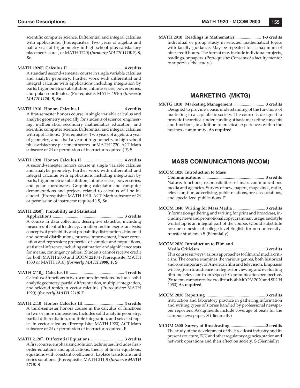scientific computer science. Differential and integral calculus with applications. (Prerequisites: Two years of algebra and half a year of trigonometry in high school plus satisfactory placement scores, or MATH 1720) *(formerly MATH 1110)* **F, S, Su**

- **MATH 1920 Calculus II** ................................................... **4 credits** A standard second-semester course in single variable calculus and analytic geometry. Further work with differential and integral calculus with applications including integration by parts, trigonometric substitution, infinite series, power series, and polar coordinates. (Prerequisite: MATH 1910) *(formerly MATH 1120)* **S, Su**
- **MATH 1910 Honors Calculus I** ........................................ **4 credits** A first-semester honors course in single variable calculus and analytic geometry especially for students of science, engineering, mathematics, secondary mathematics education, and scientific computer science. Differential and integral calculus with applications. (Prerequisites: Two years of algebra, a year of geometry, and a half a year of trigonometry in high school plus satisfactory placement scores, or MATH 1720. ACT Math subscore of 24 or permission of instructor required.) **F, S**
- **MATH 1920 Honors Calculus II** ...................................... **4 credits** A second-semester honors course in single variable calculus and analytic geometry. Further work with differential and integral calculus with applications including integration by parts, trigonometric substitution, infinite series, power series, and polar coordinates. Graphing calculator and computer demonstrations and projects related to calculus will be included. (Prerequisite: MATH 1910. ACT Math subscore of 24 or permission of instructor required.) **S, Su**

#### **MATH 2050Probability and Statistical**

 **Applications** .................................................................. **3 credits** A course in data collection, descriptive statistics, including measures of central tendency, variation and time series analysis; concepts of probability and probability distributions, binomial and normal distributions, process improvement, linear correlation and regression; properties of samples and populations, statistical inference, including estimation and significance tests for means, contingency tables. (Students cannot receive credit for both MATH 2050 and ECON 2210.) (Prerequisite: MATH 1830 or MATH 1910) *(formerly MATH 2900)* **F, S**

- **MATH 2110Calculus III** ................................................... **4 credits** Calculus of functions in two or more dimensions. Includes solid analytic geometry, partial differentiation, multiple integration, and selected topics in vector calculus. (Prerequisite: MATH 1920) *(formerly MATH 2210)* **F**
- **MATH 2110 Honors Calculus III** ..................................... **4 credits** A third-semester honors course in the calculus of functions in two or more dimensions. Includes solid analytic geometry, partial differentiation, multiple integration, and selected topics in vector calculus. (Prerequisite: MATH 1920) ACT Math subscore of 24 or permission of instructor required. **F**
- **MATH 2120Differential Equations** .............................. **3 credits** A first course, emphasizing solution techniques. Includes firstorder equations and applications, theory of linear equations, equations with constant coefficients, Laplace transforms, and series solutions. (Prerequisite: MATH 2110) *(formerly MATH 2710)* **S**

**MATH 2910 Readings in Mathematics** ....................... **1-3 credits** Individual or group study in selected mathematical topics with faculty guidance. May be repeated for a maximum of nine credit hours. The format may include individual projects, readings, or papers. (Prerequisite: Consent of a faculty mentor to supervise the study.)

# **MARKETING (MKTG)**

**MKTG 1010 Marketing Management** ............................ **3 credits** Designed to provide a basic understanding of the functions of marketing in a capitalistic society. The course is designed to provide theoretical understanding of basic marketing concepts and functions, in addition to practical experiences within the business community. **As required**

# **MASS COMMUNICATIONS (MCOM)**

**MCOM 1020 Introduction to Mass**

 **Communications** .......................................................... **3 credits** Nature, functions, responsibilities of mass communications media and agencies. Survey of newspapers, magazines, radio, television, film, advertising, public relations, press associations, and specialized publications. **F**

**MCOM 1040 Writing for Mass Media** .............................. **3 credits** Information gathering and writing for print and broadcast, including news and promotional copy; grammar, usage, and style workshop is an integral part of the course. (Could substitute for one semester of college-level English for non-universitytransfer students.) **S** (Biennially)

### **MCOM 2020 Introduction to Film and**

 **Media Criticism** ............................................................. **3 credits** This course surveys various approaches to film and media criticism. The course examines the various genres, both historical and contemporary, of American film and television. Emphasis will be given to audience strategies for viewing and evaluating film and television from a Speech Communication perspective. (Students cannot receive credit for both MCOM 2020 and SPCH 2050) **As required**

- **MCOM 2030 Reporting** ....................................................... **3 credits** Instruction and laboratory practice in gathering information and writing types of stories handled by professional newspaper reporters. Assignments include coverage of beats for the campus newspaper. **S** (Biennially)
- **MCOM 2600 Survey of Broadcasting** ..................................**3 credits** The study of the development of the broadcast industry and its present structure, FCC and other regulatory agencies, station and network operations and their effect on society. **S** (Biennially)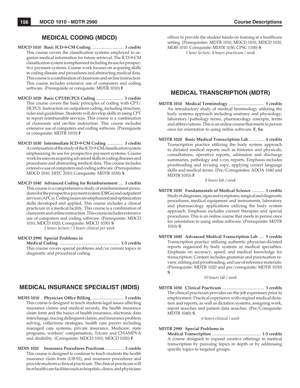# **MEDICAL CODING (MDCD)**

- **MDCD 1010 Basic ICD-9-CM Coding** ............................... **3 credits** This course covers the classification systems employed to organize medical information for future retrieval. The ICD-9-CM classification system is emphasized including its use for prospective payment systems. Course work focuses on acquiring skills in coding disease and procedures and abstracting medical data. This course is a combination of classroom and on line instruction. This course includes extensive use of computers and coding software. (Prerequisite or corequisite: MDTR 1010) **F**
- **MDCD 1020 Basic CPT/HCPCS Coding** ......................... **3 credits** This course covers the basic principles of coding with CPT/ HCPCS. Instruction on outpatient coding, including structure, rules and guidelines. Students will develop skills in using CPT to report reimbursable services. This course is a combination of classroom and on-line instruction. This course includes extensive use of computers and coding software. (Prerequisite or corequisite: MDTR 1010) **F**
- **MDCD 1030 Intermediate ICD-9-CM Coding** ............... **3 credits** A continuation of the study of the ICD-9-CM classification system emphasizing its use for prospective payment systems. Course work focuses on acquiring advanced skills in coding diseases and procedures and abstracting medical data. This course includes extensive use of computers and coding software. (Prerequisites: MDCD 1010, HITC 2010; Corequisite: MDTR 1030) **S**
- **MDCD 1040 Advanced Coding for Reimbursement** .... **3 credits** This course is a comprehensive study of reimbursement procedures for the prospective payment system (DRGs) and outpatient services (APCs). Coding issues are emphasized and optimization skills developed and applied. This course includes a clinical practicum in a medical facility. This course is a combination of classroom and online instruction. This course includes extensive use of computers and coding software. (Prerequisite: MDCD 1010, MDCD 1020; Corequisite: MDCD 1030) **S**

*2 hours lecture / 3 hours clinical per week*

### **MDCD 2990 Special Problems in**

 **Medical Coding** ......................................................... **1-5 credits** This course covers special problems and/or current topics in diagnostic and procedural coding.

# **MEDICAL INSURANCE SPECIALIST (MDIS)**

- **MDIS 1010 Physician Office Billing ................................ 3 credits** This course is designed to teach students legal issues affecting insurance claims and medical records, the health insurance claim form and the basics of health insurance, electronic data interchange, tracing delinquent claims, and insurance problem solving, collections strategies, health care payers including managed care systems, private insurance, Medicare, state programs, workers' compensation, Tricare and CHAMPVA and disability. (Corequisite: MDCD 1010, MDCD 1020) **F**
- **MDIS 1020 Insurance Procedures Practicum** *...................***3 credits** This course is designed to continue to teach students the health insurance claim form (UB-92), and insurance procedures and provide students a clinical practicum. The clinical practicum will be at health care facilities such as hospitals, clinics, and physicians

offices to provide the student hands-on training in a healthcare setting. (Prerequisites: MDTR 1010, MDCD 1010, MDCD 1020, MDIS 1010. Corequisite: MDTR 1030, CPSC 1100) **S** *1 hour lecture, 4 hours practicum / week*

# **MEDICAL TRANSCRIPTION (MDTR)**

- **MDTR 1010 Medical Terminology** ................................. **5 credits** An introductory study of medical terminology utilizing the body systems approach including anatomy and physiology, laboratory/pathology terms, pharmacology concepts, terms and abbreviations. This is an online course that meets in person once for orientation to using online software. **F, Su**
- **MDTR 1020 Basic Medical Transcription Lab***................* **4 credits** Transcription practice utilizing the body system approach to dictated medical reports such as histories and physicals, consultations, operative reports, admission and discharge summaries, pathology and x-ray reports. Emphasis includes proofreading and revising copy, applying correct language skills and medical terms. (Pre/Corequisites: ADOA 1040 and MDTR 1010) **F**

*8 hours lab / week*

- **MDTR 1030 Fundamentals of Medical Science** ........... **3 credits** Study of diagnoses, signs and symptoms, surgical and diagnostic procedures, medical equipment and instruments, laboratory and pharmacology applications utilizing the body system approach. Emphasis includes current therapies and special procedures. This is an online course that meets in person once for orientation to using online software. (Prerequisite: MDTR 1010) **S**
- **MDTR 1040 Advanced Medical Transcription Lab** ..... **5 credits** Transcription practice utilizing authentic physician-dictated reports organized by body systems or medical specialties. Emphasis on accuracy, speed, and medical knowledge for transcription. Content includes grammar and punctuation review, editing and proofreading, and use of reference materials. (Prerequisite: MDTR 1020 and pre/corequisite: MDTR 1030) **S**

*10 hours lab / week*

**MDTR 1050 Clinical Practicum** ....................................... **3 credits** The clinical practicum provides on-the-job experience prior to employment. Practical experience with original medical dictation and reports, as well as dictation systems, assigning work, report searches and patient data searches. (Pre/Corequisite: MDTR 1040) **S**

*6 hours clinical / week*

#### **MDTR 2990 Special Problems in**

 **Medical Transcription** .............................................. **1-5 credits** A course designed to expand creative offerings in medical transcription by pursuing topics in depth or by addressing specific topics to targeted groups.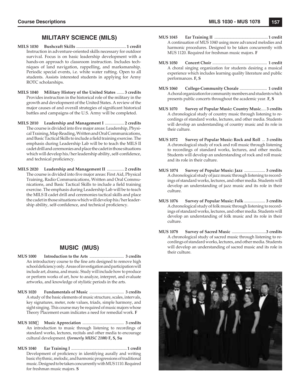# **MILITARY SCIENCE (MILS)**

- **MILS 1030 Bushcraft Skills** ...............................................**1 credit** Instruction in adventure-oriented skills necessary for outdoor survival. Focus is on basic leadership development with a hands-on approach to classroom instruction. Includes techniques of land navigation, rappelling, and marksmanship. Periodic special events, i.e. white water rafting. Open to all students. Assists interested students in applying for Army ROTC scholarships.
- **MILS 1040 Military History of the United States** ....... **3 credits** Provides instruction in the historical role of the military in the growth and development of the United States. A review of the major causes of and overall strategies of significant historical battles and campaigns of the U.S. Army will be completed.
- **MILS 2010 Leadership and Management I** .................. **2 credits** The course is divided into five major areas: Leadership, Physical Training, Map Reading, Written and Oral Communications, and Basic Tactical Skills to include a field training exercise. The emphasis during Leadership Lab will be to teach the MILS II cadet drill and ceremonies and place the cadet in those situations which will develop his/her leadership ability, self-confidence, and technical proficiency.
- **MILS 2020 Leadership and Management II** ................ **2 credits** The course is divided into five major areas: First Aid, Physical Training, Radio Communications, Written and Oral Communications, and Basic Tactical Skills to include a field training exercise. The emphasis during Leadership Lab will be to teach the MILS II cadet drill and ceremonies tactical skills and place the cadet in those situations which will develop his/her leadership ability, self-confidence, and technical proficiency.

# **MUSIC (MUS)**

- **MUS 1000 Introduction to the Arts** .................................. **3 credits** An introductory course to the fine arts designed to remove high school deficiency only. Areas of investigation and participation will include art, drama, and music. Study will include how to produce or perform works of art, how to analyze, interpret, and evaluate artworks, and knowledge of stylistic periods in the arts.
- **MUS 1020 Fundamentals of Music** .................................. **3 credits** A study of the basic elements of music structure, scales, intervals, key signatures, meter, note values, triads, simple harmony, and sight singing. This course may be required of music majors whose Theory Placement exam indicates a need for remedial work. **F**
- **MUS 1030 Music Appreciation** ......................................... **3 credits** An introduction to music through listening to recordings of standard works, lectures, recitals and other media to encourage cultural development. *(formerly MUSC 2100)* **F, S, Su**
- **MUS 1040 Ear Training I** ....................................................... **1 credit** Development of proficiency in identifying aurally and writing basic rhythmic, melodic, and harmonic progressions of traditional music. Designed to be taken concurrently with MUS 1110. Required for freshman music majors. **S**
- **MUS 1045 Ear Training II** ..................................................... **1 credit** A continuation of MUS 1040 using more advanced melodies and harmonic procedures. Designed to be taken concurrently with MUS 1120. Required for freshman music majors. **F**
- **MUS 1050 Concert Choir** ...................................................... **1 credit** A choral singing organization for students desiring a musical experience which includes learning quality literature and public performances. **F, S**
- **MUS 1060 College-Community Chorale** ........................... **1 credit** A choral organization for community members and students which presents public concerts throughout the academic year. **F, S**
- **MUS 1070 Survey of Popular Music: Country Music**..... **3 credits** A chronological study of country music through listening to recordings of standard works, lectures, and other media. Students will develop an understanding of country music and its role in their culture.
- **MUS 1072 Survey of Popular Music: Rock and Roll** ... **3 credits** A chronological study of rock and roll music through listening to recordings of standard works, lectures, and other media. Students will develop an understanding of rock and roll music and its role in their culture.
- **MUS 1074 Survey of Popular Music: Jazz** .................... **3 credits** A chronological study of jazz music through listening to recordings of standard works, lectures, and other media. Students will develop an understanding of jazz music and its role in their culture.
- **MUS 1076 Survey of Popular Music: Folk** .................... **3 credits** A chronological study of folk music through listening to recordings of standard works, lectures, and other media. Students will develop an understanding of folk music and its role in their culture.
- **MUS 1078 Survey of Sacred Music** .................................**3 credits** A chronological study of sacred music through listening to recordings of standard works, lectures, and other media. Students will develop an understanding of sacred music and its role in their culture.

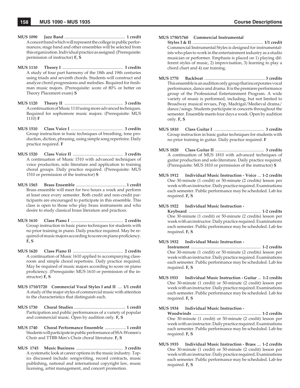- **MUS 1090 Jazz Band** ......................................................... **1 credit** A concert band which will represent the college in public performances; stage band and other ensembles will be selected from this organization. Individual practice as assigned. (Prerequisite: permission of instructor) **F, S**
- **MUS 1110 Theory I** ......................................................... **3 credits** A study of four part harmony of the 18th and 19th centuries using triads and seventh chords. Students will construct and analyze chord progressions and melodies. Required for freshman music majors. (Prerequisite: score of 80% or better on Theory Placement exam) **S**
- **MUS 1120 Theory II** ....................................................... **3 credits** A continuation of Music 1110 using more advanced techniques. Required for sophomore music majors. (Prerequisite: MUS 1110) **F**
- **MUS 1510 Class Voice I** ................................................. **3 credits** Group instruction in basic techniques of breathing, tone production, diction, phrasing, using simple song repertoire. Daily practice required. **F**
- **MUS 1520 Class Voice II** ............................................... **3 credits** A continuation of Music 1510 with advanced techniques of voice production, solo literature and application to training choral groups. Daily practice required. (Prerequisite: MUS 1510 or permission of the instructor) **S**
- **MUS 1565 Brass Ensemble** ...............................................**1 credit** Brass ensemble will meet for two hours a week and perform at least once every semester. Both credit and non-credit participants are encouraged to participate in this ensemble. This class is open to those who play brass instruments and who desire to study classical brass literature and practices.
- **MUS 1610 Class Piano I** ................................................. **2 credits** Group instruction in basic piano techniques for students with no prior training in piano. Daily practice required. May be required of music majors according to score on piano proficiency. **F, S**
- **MUS 1620 Class Piano II** ............................................... **2 credits** A continuation of Music 1610 applied to accompanying classroom and simple choral repertoire. Daily practice required. May be required of music majors according to score on piano proficiency. (Prerequisite: MUS 1610 or permission of the instructor) **F, S**
- **MUS 1710/1720 Commercial Vocal Styles I and II** .... **1/1 credit** A study of the major styles of commercial music with attention to the characteristics that distinguish each.
- **MUS 1730 Choral Studies** ................................................ **1 credit** Participation and public performances of a variety of popular and commercial music. Open by audition only. **F, S**
- **MUS 1740 Choral Performance Ensemble** ....................**1 credit** Students will participate in public performance of SSA-Women's Choir and TTBB-Men's Choir choral literature. **F, S**
- **MUS 1745 Music Business** ............................................ **3 credits** A systematic look at career options in the music industry. Topics discussed include: songwriting, record contracts, music publishing, national and international copyright law, music licensing, artist management, and concert promotion.

### **MUS 1750/1760 Commercial Instrumental**

- **Styles I & II** .................................................................. **1/1 credit** Commercial Instrumental Styles is designed for instrumentalists who plan to work in the entertainment industry as a studio musician or performer. Emphasis is placed on 1) playing different styles of music, 2) improvisation, 3) learning to play a chord chart and 4) ear training.
- **MUS 1770 Backbeat** ......................................................... **3 credits** This ensemble is an audition only group that incorporates vocal performance, dance and drama. It is the premiere performance group of the Professional Entertainment Program. A wide variety of music is performed, including, but not limited to Broadway musical revues, Pop, Madrigal/Medieval drama/ dance/songs. Students participate in concerts throughout the semester. Ensemble meets four days a week. Open by audition only. **F, S**
- **MUS 1810 Class Guitar I** ............................................... **3 credits** Group instruction in basic guitar techniques for students with no prior training in guitar. Daily practice required. **F**
- **MUS 1820 Class Guitar II** .............................................. **3 credits** A continuation of MUS 1810 with advanced techniques of guitar production and solo literature. Daily practice required. (Prerequisite: MUS 1810 or permission of the instructor) **S**
- **MUS 1912 Individual Music Instruction Voice** ... **1-2 credits** One 30-minute (1 credit) or 50-minute (2 credits) lesson per week with an instructor. Daily practice required. Examinations each semester. Public performance may be scheduled. Lab fee required. **F, S**

#### **MUS 1922 Individual Music Instruction -**

 **Keyboard** .................................................................... **1-2 credits** One 30-minute (1 credit) or 50-minute (2 credits) lesson per week with an instructor. Daily practice required. Examinations each semester. Public performance may be scheduled. Lab fee required. **F, S**

**MUS 1932 Individual Music Instruction -**

 **Instrument** .................................................................. **1-2 credits** One 30-minute (1 credit) or 50-minute (2 credits) lesson per week with an instructor. Daily practice required. Examinations each semester. Public performance may be scheduled. Lab fee required. **F, S**

**MUS 1933 Individual Music Instruction - Guitar** ... **1-2 credits** One 30-minute (1 credit) or 50-minute (2 credit) lesson per week with an instructor. Daily practice required. Examinations each semester. Public performance may be scheduled. Lab fee required. **F, S**

#### **MUS 1934 Individual Music Instruction -**

 **Woodwinds** ................................................................ **1-2 credits** One 30-minute (1 credit) or 50-minute (2 credit) lesson per week with an instructor. Daily practice required. Examinations each semester. Public performance may be scheduled. Lab fee required. **F, S**

**MUS 1935 Individual Music Instruction - Brass** .... **1-2 credits** One 30-minute (1 credit) or 50-minute (2 credit) lesson per week with an instructor. Daily practice required. Examinations each semester. Public performance may be scheduled. Lab fee required. **F, S**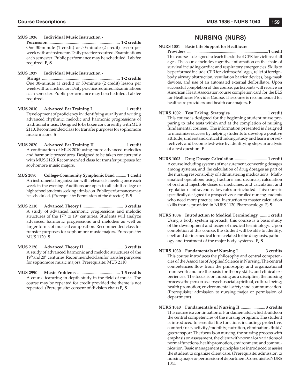**MUS 1936 Individual Music Instruction -**

 **Percussion** ................................................................... **1-2 credits** One 30-minute (1 credit) or 50-minute (2 credit) lesson per week with an instructor. Daily practice required. Examinations each semester. Public performance may be scheduled. Lab fee required. **F, S**

**MUS 1937 Individual Music Instruction -**

 **Strings** ......................................................................... **1-2 credits** One 30-minute (1 credit) or 50-minute (2 credit) lesson per week with an instructor. Daily practice required. Examinations each semester. Public performance may be scheduled. Lab fee required.

- **MUS 2010 Advanced Ear Training I** ...............................**1 credit** Development of proficiency in identifying aurally and writing advanced rhythmic, melodic and harmonic progressions of traditional music. Designed to be taken concurrently with MUS 2110. Recommended class for transfer purposes for sophomore music majors. **S**
- **MUS 2020 Advanced Ear Training II** ............................ **1 credit** A continuation of MUS 2010 using more advanced melodies and harmonic procedures. Designed to be taken concurrently with MUS 2120. Recommended class for transfer purposes for sophomore music majors.
- **MUS 2090 College-Community Symphonic Band** .......... **1 credit** An instrumental organization with rehearsals meeting once each week in the evening. Auditions are open to all adult college or high school students seeking admission. Public performances may be scheduled. (Prerequisite: Permission of the director) **F, S**
- **MUS 2110 Advanced Theory I** ...................................... **3 credits** A study of advanced harmonic progressions and melodic structures of the 17<sup>th</sup> to 19<sup>th</sup> centuries. Students will analyze advanced harmonic progressions and melodies as well as larger forms of musical composition. Recommended class for transfer purposes for sophomore music majors. Prerequisite: MUS 1120. **S**
- **MUS 2120 Advanced Theory II** .................................... **3 credits** A study of advanced harmonic and melodic structures of the 19<sup>th</sup> and 20<sup>th</sup> centuries. Recommended class for transfer purposes for sophomore music majors. Prerequisite: MUS 2110.
- **MUS 2990 Music Problems** ........................................ **1-3 credits** A course featuring in-depth study in the field of music. The course may be repeated for credit provided the theme is not repeated. (Prerequisite: consent of division chair) **F, S**

# **NURSING (NURS)**

- **NURS 1001 Basic Life Support for Healthcare Providers** ...............................................................................**1 credit** This course is designed to teach the skills of CPR for victims of all ages. The course includes cognitive information on the chain of survival including cardiac and respiratory emergencies. Skills to be performed include: CPR for victims of all ages, relief of foreignbody airway obstruction, ventilation barrier devices, bag-mask devices, and use of an automated external defibrillator. Upon successful completion of this course, participants will receive an American Heart Association course completion card for the BLS for Healthcare Provider Course. The course is recommended for healthcare providers and health care majors. **F**
- **NURS 1002 Test Taking Strategies** ..................................**1 credit** This course is designed for the beginning student nurse preparing to take tests within and at the completion of nursing fundamental courses. The information presented is designed to maximize success by helping students to develop a positive attitude, understand critical thinking, study and learn more effectively and become test-wise by identifying steps in analysis of a test question. **F**
- **NURS 1003 Drug Dosage Calculation** ............................... **1 credit** A course including systems of measurement, converting dosages among systems, and the calculation of drug dosages as part of the nursing responsibility of administering medications. Mathematical operations using fractions and decimals, calculation of oral and injectible doses of medicines, and calculation and regulation of intravenous flow rates are included. This course is specifically designed for prospective or enrolled nursing students who need more practice and instruction to master calculation skills than is provided in NURS 1130 Pharmacology. **F, S**
- **NURS 1004 Introduction to Medical Terminology** .......**1 credit** Using a body system approach, this course is a basic study of the development and usage of medical terminology. Upon completion of this course, the student will be able to identify, spell and define medical terms related to the diagnosis, pathology and treatment of the major body systems. **F, S**
- **NURS 1030 Fundamentals of Nursing I** ........................ **3 credits** This course introduces the philosophy and central competencies of the Associate of Applied Science in Nursing. The central competencies flow from the philosophy and organizational framework and are the basis for theory skills, and clinical experiences. The focus is on nursing as a discipline; the nursing process; the person as a psychosocial, spiritual, cultural being; health promotion; environmental safety; and communication. (Prerequisite: admission to nursing major or permission of department)
- **NURS 1040 Fundamentals of Nursing II** ....................... **3 credits** This course is a continuation of Fundamentals I, which builds on the central competencies of the nursing program. The student is introduced to essential life functions including: protective, comfort/rest, activity/mobility; nutrition, elimination, fluid/ gas transport. The focus is on nursing, the nursing process with emphasis on assessment, the client with normal or variations of normal functions, health promotion, environment, and communication. Basic management principles are introduced to assist the student to organize client care. (Prerequisite: admission to nursing major or permission of department. Corequisite: NURS 1041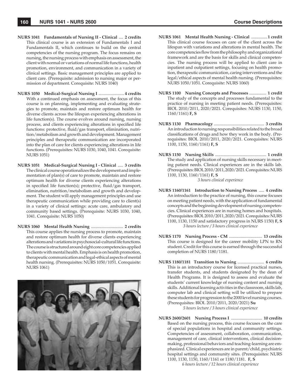- **NURS 1041 Fundamentals of Nursing II Clinical** .... **2 credits** This clinical course is an extension of Fundamentals I and Fundamentals II, which continues to build on the central competencies of the nursing program. The focus remains on nursing, the nursing process with emphasis on assessment, the client with normal or variations of normal life functions, health promotion, environment, and communication in a variety of clinical settings. Basic management principles are applied to client care. (Prerequisite: admission to nursing major or permission of department. Corequisite: NURS 1040)
- **NURS 1050 Medical-Surgical Nursing I** ........................ **4 credits** With a continued emphasis on assessment, the focus of this course is on planning, implementing and evaluating strategies to promote, maintain and restore optimum health for diverse clients across the lifespan experiencing alterations in life function(s). The course evolves around nursing, nursing process, and clients experiencing alterations in specified life functions: protective, fluid/gas transport, elimination, nutrition/metabolism and growth and development. Management principles and therapeutic communication are incorporated into the plan of care for clients experiencing alterations in life functions. (Prerequisites: NURS 1030, 1040, 1041. Corequisite: NURS 1051)
- **NURS 1051 Medical-Surgical Nursing I Clinical** ..... **3 credits** The clinical course operationalizes the development and implementation of plan(s) of care to promote, maintain and restore optimum health for diverse clients experiencing alterations in specified life function(s); protective, fluid/gas transport, elimination, nutrition/metabolism and growth and development. The student will apply management principles and use therapeutic communication while providing care to client(s) in a variety of clinical settings: acute care, ambulatory and community based settings. (Prerequisite: NURS 1030, 1040, 1041. Corequisite: NURS 1050)
- **NURS 1060 Mental Health Nursing** .............................. **2 credits** This course applies the nursing process to promote, maintain and restore optimum health for diverse clients experiencing alterations and variations in psychosocial-cultural life functions. The course is structured around eight core competencies applied to clients with mental health. Emphasis is on health promotion, therapeutic communication and legal-ethical aspects of mental health nursing. (Prerequisites: NURS 1050/1051. Corequisite: NURS 1061)



- **NURS 1061 Mental Health Nursing Clinical** ...............**1 credit** This clinical course focuses on care of the client across the lifespan with variations and alterations in mental health. The core competencies flow from the philosophy and organizational framework and are the basis for skills and clinical competencies. The nursing process will be applied to client care in inpatient and outpatient settings, focusing on health promotion, therapeutic communication, caring interventions and the legal/ethical aspects of mental health nursing. (Prerequisites: NURS 1050/1051. Corequisite: NURS 1060)
- **NURS 1100 Nursing Concepts and Processes** ................ **1 credit** The study of the concepts and processes fundamental to the practice of nursing in meeting patient needs. (Prerequisites: BIOL 2010/2011, 2020/2021. Corequisites: NURS 1130, 1150, 1160/1161) **F, S**
- **NURS 1130 Pharmacology** ............................................... **3 credits** An introduction to nursing responsibilities related to the broad classifications of drugs and how they work in the body. (Prerequisites: BIOL 2010/2011, 2020/2021. Corequisites: NURS 1100, 1150, 1160/1161) **F, S**
- **NURS 1150 Nursing Skills** ................................................ **1 credit** The study and application of nursing skills necessary in meeting patient needs. Clinical experiences are in the skills lab. (Prerequisites: BIOL 2010/2011, 2020/2021. Corequisites: NURS 1100, 1130, 1160/1161) **F, S**

*3 hours clinical experience*

- **NURS 1160/1161 Introduction to Nursing Process** ..... **4 credits** An introduction to the practice of nursing, this course focuses on meeting patient needs, with the application of fundamental concepts and the beginning development of nursing competencies. Clinical experiences are in nursing homes and hospitals. (Prerequisites: BIOL 2010/2011, 2020/2021. Corequisites: NURS 1100, 1130, 1150 and satisfactory progress in NURS 1150) **F, S** *3 hours lecture / 3 hours clinical experience*
- **NURS 1170 Nursing Process CM** ............................... **13 credits** This course is designed for the career mobility LPN to RN student. Credit for this course is earned through the successful completion of NURS 1180/1181.
- **NURS 1180/1181 Transition to Nursing** ......................... **6 credits** This is an introductory course for licensed practical nurses, transfer students, and students designated by the dean of Health Programs. It is designed to assess and evaluate the students' current knowledge of nursing content and nursing skills. Additional learning activities in the classroom, skills lab, computer lab and clinical setting will be utilized to prepare these students for progression to the 2000 level nursing courses. (Prerequisites: BIOL 2010/2011, 2020/2021) **Su**

*5 hours lecture / 3 hours clinical experience*

**NURS 2600/2601 Nursing Process I** ............................. **10 credits** Based on the nursing process, this course focuses on the care of special populations in hospital and community settings. Competencies of assessment, collaboration, communication, management of care, clinical interventions, clinical decisionmaking, professional behaviors and teaching-learning are emphasized. Clinical experiences are in parent/child, psychiatric hospital settings and community sites. (Prerequisites: NURS 1100, 1130, 1150, 1160/1161 or 1180/1181. **F, S**

*6 hours lecture / 12 hours clinical experience*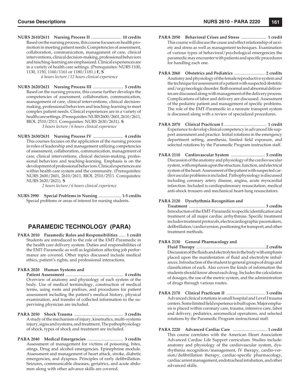**NURS 2610/2611 Nursing Process II** ............................ **10 credits** Based on the nursing process, this course focuses on health promotion in meeting patient needs. Competencies of assessment, collaboration, communication, management of care, clinical interventions, clinical decision-making, professional behaviors and teaching-learning are emphasized. Clinical experiences are in a variety of health care settings. (Prerequisites: NURS 1100, 1130, 1150, 1160/1161 or 1180/1181.) **F, S**

*6 hours lecture / 12 hours clinical experience*

**NURS 2620/2621 Nursing Process III** ............................ **5 credits** Based on the nursing process, this course further develops the competencies of assessment, collaboration, communication, management of care, clinical interventions, clinical decisionmaking, professional behaviors and teaching-learning to meet complex patient needs. Clinical experiences are in a variety of health care settings. (Prerequisites: NURS 2600/2601, 2610/2611, BIOL 2510/2511. Corequisites: NURS 2630/2631). **S**

*3 hours lecture / 6 hours clinical experience*

**NURS 2630/2631 Nursing Process IV** ............................ **4 credits** This courses focuses on the application of the nursing process in roles of leadership and management utilizing competencies of assessment, collaboration, communication, management of care, clinical interventions, clinical decision-making, professional behaviors and teaching-learning. Emphasis is on the development of professional behaviors. Clinical experiences are within health care system and the community. (Prerequisites: NURS 2600/2601, 2610/2611, BIOL 2510/2511. Corequisites: NURS 2620/2621). **S**

*2 hours lecture / 6 hours clinical experience*

**NURS 2990 Special Problems in Nursing** ...................... **1-5 credits** Special problems or areas of interest for nursing students.

# **PARAMEDIC TECHNOLOGY (PARA)**

**PARA 2010 Paramedic Roles and Responsibilities** ...... **1 credit** Students are introduced to the role of the EMT-Paramedic in the health care delivery system. Duties and responsibilities of the EMT-Paramedic as well as legislation affecting job performance are covered. Other topics discussed include medical ethics, patient's rights, and professional interactions.

#### **PARA 2020 Human Systems and**

 **Patient Assessment** ...................................................... **4 credits** Overview of anatomy and physiology of each system of the body. Use of medical terminology, construction of medical terms, using roots and prefixes, and procedures for patient assessment including the patient's medical history, physical examination, and transfer of collected information to the supervising physician are included.

- **PARA 2030 Shock Trauma** .............................................. **3 credits** A study of the mechanism of injury, kinematics, multi-systems injury, signs and systems, and treatment. The pathophysiology of shock, types of shock and treatment are included.
- **PARA 2040 Medical Emergencies** .................................. **3 credits** Assessment of management for victims of poisoning, bites, stings. Drug and alcohol emergencies. Epinephrine module. Assessment and management of heart attack, stroke, diabetic emergencies, and dyspnea. Principles of early defibrillation. Seizures, communicable diseases, geriatrics, and acute abdomen along with other advance skills are covered.
- **PARA 2050 Behavioral Crises and Stress** ........................ **1 credit** This course will discuss the cause and effect relationship of anxiety and stress as well as management techniques. Examination of various types of behavioral/psychological emergencies the paramedic may encounter with patients and specific procedures for handling each one.
- **PARA 2060 Obstetrics and Pediatrics** .............................. **2 credits** Anatomy and physiology of the female reproductive system and the technique for assessment of a patient with suspected obstetric and/or gynecologic disorder. Both normal and abnormal deliveries are discussed along with management of the delivery process. Complications of labor and delivery are discussed. Assessment of the pediatric patient and management of specific problems. The role of the EMT-Paramedic in a neonate transport system is discussed along with a review of specialized procedures.
- **PARA 2070 Clinical Practicum I** ........................................ **1 credit** Experience to develop clinical competency in advanced life support assessment and practice. Initial rotations in the emergency department setting, anesthesia, limited field exposure, and selected rotations by the Paramedic Program instruction staff.
- **PARA 2110 Cardiovascular System** ................................. **5 credits** Discussion of the anatomy and physiology of the cardiovascular system, with emphasis upon the structure, function, and electrical system of the heart. Assessment of the patient with suspected cardiovascular problems is included. Pathophysiology is discussed including coronary artery disease, angina, acute myocardial infarction. Included is cardiopulmonary resuscitation, medical anti-shock trousers and mechanical heart-lung resuscitators.

### **PARA 2120 Dysrhythmia Recognition and**

 **Treatment** ......................................................................... **3 credits** Introduction of the EMT-Paramedic to specific identification and treatment of all major cardiac arrhythmias. Specific treatment includes treatment protocols, electrocardiographic pacemakers, defibrillation/cardioversion, positioning for transport, and other treatment methods.

#### **PARA 2130 General Pharmacology and**

 **Fluid Therapy** ...................................................................**2 credits** Discussion of the fluids and electrolytes in the body with emphasis placed upon the manifestation of fluid and electrolyte imbalances. Introduction of the student to general groups of drugs and classification of each. Also covers the kinds of information the students should know about each drug. Includes the calculation of dosages, the use of the metric system, and the administration of drugs through various routes.

- **PARA 2170 Clinical Practicum II** ..................................... **3 credits** Advanced clinical rotations in small hospital and Level I trauma centers. Some limited field experience is built upon. Major emphasis is placed within coronary care, trauma, intensive care, labor and delivery, pediatrics, aeromedical operations, and selected rotations by the Paramedic Program instructional staff.
- **PARA 2220 Advanced Cardiac Care** ................................. **1 credit** This course correlates with the American Heart Association Advanced Cardiac Life Support curriculum. Studies include: anatomy and physiology of the cardiovascular system, dysrhythmia recognition/management, IV therapy, cardio-version/defibrillation therapy, cardiac-specific pharmacology, cardiac arrest management, endotracheal intubation, and other advanced skills.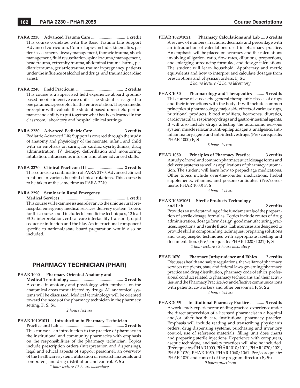- **PARA 2230 Advanced Trauma Care** ................................ **1 credit** This course correlates with the Basic Trauma Life Support Advanced curriculum. Course topics include: kinematics, patient assessment, airway management, thoracic trauma, shock management, fluid resuscitation, spinal trauma/management, head trauma, extremity trauma, abdominal trauma, burns, pediatric trauma, geriatric trauma, trauma in pregnancy, patients under the influence of alcohol and drugs, and traumatic cardiac arrest.
- **PARA 2240 Field Practicum** ............................................ **2 credits** This course is a supervised field experience aboard groundbased mobile intensive care units. The student is assigned to one paramedic preceptor for this entire rotation. The paramedic preceptor will evaluate the student based upon field performance and ability to put together what has been learned in the classroom, laboratory and hospital clinical settings.
- **PARA 2250 Advanced Pediatric Care** ............................ **3 credits** Pediatric Advanced Life Support is covered through the study of anatomy and physiology of the neonate, infant, and child with an emphasis on caring for cardiac dysrhythmias, drug administration, IV therapy, defibrillation and monitoring, intubation, intraosseous infusion and other advanced skills.
- **PARA 2270 Clinical Practicum III** ................................. **2 credits** This course is a continuation of PARA 2170. Advanced clinical rotations in various hospital clinical rotations. This course is to be taken at the same time as PARA 2240.

#### **PARA 2290 Seminar in Rural Emergency**

 **Medical Services** ............................................................ **1 credit** This course will examine issues relevant to the unique rural prehospital emergency medical services delivery system. Topics for this course could include: telemedicine techniques, 12 lead ECG interpretation, critical care interfacility transport, rapid sequence induction and the like. An instructional component specific to national/state board preparation would also be included.

# **PHARMACY TECHNICIAN (PHAR)**

#### **PHAR 1000 Pharmacy Oriented Anatomy and**

 **Medical Terminology** .................................................. **2 credits** A course in anatomy and physiology with emphasis on the anatomical areas most affected by drugs. All anatomical systems will be discussed. Medical terminology will be oriented toward the needs of the pharmacy technician in the pharmacy setting. **F, S, Su**

#### *2 hours lecture*

### **PHAR 1010/1011 Introduction to Pharmacy Technician**

 **Practice and Lab** ............................................................ **2 credits** This course is an introduction to the practice of pharmacy in the institutional and community pharmacies with emphasis on the responsibilities of the pharmacy technician. Topics include prescription orders (interpretation and dispensing), legal and ethical aspects of support personnel, an overview of the healthcare system, utilization of research materials and computers, and drug distribution and control. **F, Su**

*1 hour lecture / 2 hours laboratory*

**PHAR 1020/1021 Pharmacy Calculations and Lab** .... **3 credits** A review of numbers, fractions, decimals and percentage with an introduction of calculations used in pharmacy practice. An emphasis will be placed on accuracy and the calculations involving alligation, ratio, flow rates, dilutions, proportions, and enlarging or reducing formulae, and dosage calculations. The student will learn household, Apothecary and metric equivalents and how to interpret and calculate dosages from prescriptions and physician orders. **F, Su**

*2 hours lecture / 2 hours laboratory*

**PHAR 1030 Pharmacology and Therapeutics** .......... **3 credits** This course discusses the general therapeutic classes of drugs and their interactions with the body. It will include common principles of pharmacology, major side effects of various drugs, nutritional products, blood modifiers, hormones, diuretics, cardiovascular, respiratory drugs and gastro-intestinal agents. It will also include drugs affecting the autonomic nervous system, muscle relaxants, anti-epileptic agents, analgesics, antiinflammatory agents and anti-infective drugs. (Pre/corequisite: PHAR 1000) **F, S**

*3 hours lecture*

**PHAR 1050 Principles of Pharmacy Practice** ........... **3 credits** A study of novel and common pharmaceutical dosage forms and delivery systems as well as applications of pharmacy automation. The student will learn how to prepackage medications. Other topics include over-the-counter medications, herbal supplements, vitamins, and poisons/antidotes. (Pre/corequisite: PHAR 1000) **F, S**

*3 hours lecture*

#### **PHAR 1060/1061 Sterile Products Technology**

 **and Lab** ........................................................................... **2 credits** Provides an understanding of the fundamentals of the preparation of sterile dosage formulas. Topics include routes of drug administration, dosage form design, good manufacturing practices, injections, and sterile fluids. Lab exercises are designed to provide skill in compounding techniques, preparing solutions and using aseptic techniques with appropriate labeling and documentation. (Pre/corequisite: PHAR 1020/1021) **F, S** *1 hour lecture / 2 hours laboratory*

- **PHAR 1070 Pharmacy Jurisprudence and Ethics** ...... **2 credits** Discusses health and safety regulations, the welfare of pharmacy services recipients, state and federal laws governing pharmacy practice and drug distribution, pharmacy code of ethics, professional conduct related to pharmacy technicians and their activities, and the Pharmacy Practice Act and effective communications with patients, co-workers and other personnel. **F, S, Su** *2 hours lecture*
- **PHAR 2055 Institutional Pharmacy Practice** ............. **3 credits** A work-study experience providing practical experience under the direct supervision of a licensed pharmacist in a hospital and/or other health care institutional pharmacy practice. Emphasis will include reading and transcribing physician's orders, drug dispensing systems, purchasing and inventory control, use of reference materials, filling unit dose charts and preparing sterile injections. Experience with computers, aseptic technique, and safety practices will also be included. (Prerequisites: PHAR 1000, PHAR 1010/1011, PHAR 1020/1021, PHAR 1030, PHAR 1050, PHAR 1060/1061. Pre/corequisite: PHAR 1070 and consent of the program director.) **S, Su** *9 hours practicum*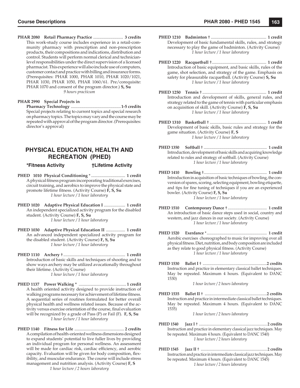**PHAR 2080 Retail Pharmacy Practice** ............................ **3 credits** This work-study course includes experience in a retail-community pharmacy with prescription and non-prescription products, their compositions and indications, distribution and control. Students will perform normal clerical and technicianlevel responsibilities under the direct supervision of a licensed pharmacist. This experience will also include use of computers, customer contact and practice with billing and insurance forms. (Prerequisites: PHAR 1000, PHAR 1010, PHAR 1020/1021, PHAR 1030, PHAR 1050, PHAR 1060/61. Pre/corequisite: PHAR 1070 and consent of the program director.) **S, Su** *9 hours practicum*

#### **PHAR 2990 Special Projects in**

 **Pharmacy Technology** ...............................................**1-5 credits** Special projects relating to current topics and special research on pharmacy topics. The topics may vary and the course may be repeated with approval of the program director. (Prerequisites: director's approval)

# **PHYSICAL EDUCATION, HEALTH AND RECREATION (PHED)**

**\*Fitness Activity †Lifetime Activity**

- **PHED 1010 Physical Conditioning** \* ................................ **1 credit** A physical fitness program incorporating traditional exercises, circuit training, and aerobics to improve the physical state and promote lifetime fitness. (Activity Course)  $\hat{F}$ , S, Su *1 hour lecture / 1 hour laboratory*
- **PHED 1020 Adaptive Physical Education I** .................... **1 credit** An independent specialized activity program for the disabled student. (Activity Course) **F, S, Su** *1 hour lecture / 1 hour laboratory*
- **PHED 1030 Adaptive Physical Education II** .................. **1 credit** An advanced independent specialized activity program for the disabled student. (Activity Course) **F, S, Su** *1 hour lecture / 1 hour laboratory*
- **PHED 1110 Archery** † .......................................................... **1 credit** Introduction of basic skills and techniques of shooting and to show ways archery may be utilized avocationally throughout their lifetime. (Activity Course) *1 hour lecture / 1 hour laboratory*
- **PHED 1137 Power Walking \*** ............................................. **1 credit** A health oriented activity designed to provide instruction of walking programs necessary for achievement of lifetime fitness. A sequential series of routines formulated for better overall physical health and wellness related issues. Because of the activity versus exercise orientation of the course, final evaluation will be recognized by a grade of Pass (P) or Fail (F). **F, S, Su** *1 hour lecture / 1 hour laboratory*
- **PHED 1140 Fitness for Life** ............................................... **2 credits** A compilation of health-oriented wellness dimensions designed to expand students' potential to live fuller lives by providing an individual program for personal wellness. An assessment will be made for cardiac risk, cardiac efficiency, and aerobic capacity. Evaluation will be given for body composition, flexibility, and muscular endurance. The course will include stress management and nutrition analysis. (Activity Course) **F, S** *1 hour lecture / 2 hours laboratory*

```
PHED 1210 Badminton † .................................................... 1 credit
 Development of basic fundamental skills, rules, and strategy 
necessary to play the game of badminton. (Activity Course)
               1 hour lecture / 1 hour laboratory
```
- **PHED 1220 Racquetball** † ................................................... **1 credit** Introduction of basic equipment, and basic skills, rules of the game, shot selection, and strategy of the game. Emphasis on safety for pleasurable racquetball. (Activity Course) **S, Su** *1 hour lecture / 1 hour laboratory*
- **PHED 1250 Tennis** † ............................................................ **1 credit** Introduction and development of skills, general rules, and strategy related to the game of tennis with particular emphasis on acquisition of skill. (Activity Course) **F, S, Su** *1 hour lecture / 1 hour laboratory*
- **PHED 1310 Basketball** † ..................................................... **1 credit** Development of basic skills, basic rules and strategy for the game situation. (Activity Course) **F, S** *1 hour lecture / 1 hour laboratory*
- **PHED 1350 Softball** † ............................................................... **1 credit** Introduction, development of basic skills and acquiring knowledge related to rules and strategy of softball. (Activity Course) *1 hour lecture / 1 hour laboratory*
- **PHED 1410 Bowling** † ............................................................... **1 credit** Introduction in acquisition of basic techniques of bowling, the conversion of spares, scoring, selecting equipment, bowling etiquette, and tips for fine tuning of techniques if you are an experienced bowler. (Activity Course) **F, S, Su** *1 hour lecture / 1 hour laboratory*
- **PHED 1510 Contemporary Dance** † ....................................... **1 credit** An introduction of basic dance steps used in social, country and western, and jazz dances in our society. (Activity Course) *1 hour lecture / 1 hour laboratory*
- **PHED 1520 Exerdance** \* ............................................................ **1 credit** Aerobic exercises choreographed to music for improving over all physical fitness. Diet, nutrition, and body composition are included as they relate to good physical fitness. (Activity Course) *1 hour lecture / 1 hour laboratory*
- **PHED 1530 Ballet I** † ................................................................**2 credits** Instruction and practice in elementary classical ballet techniques. May be repeated. Maximum 4 hours. (Equivalent to DANC 1530)

*1 hour lecture / 2 hours laboratory*

**PHED 1535 Ballet II** † ..............................................................**2 credits** Instruction and practice in intermediate classical ballet techniques. May be repeated. Maximum 4 hours. (Equivalent to DANC 1535)

*1 hour lecture / 2 hours laboratory*

- **PHED 1540 Jazz I** † ....................................................................... **2 credits** Instruction and practice in elementary classical jazz techniques. May be repeated. Maximum 4 hours. (Equivalent to DANC 1540) *1 hour lecture / 2 hours laboratory*
- **PHED 1545 Jazz II** † ..................................................................... **2 credits** Instruction and practice in intermediate classical jazz techniques. May be repeated. Maximum 4 hours. (Equivalent to DANC 1545) *1 hour lecture / 2 hours laboratory*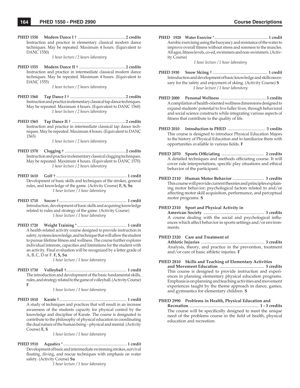**PHED 1550 Modern Dance I** † ................................................**2 credits** Instruction and practice in elementary classical modern dance techniques. May be repeated. Maximum 4 hours. (Equivalent to DANC 1550)

*1 hour lecture / 2 hours laboratory*

**PHED 1555 Modern Dance II** † ...............................................**2 credits** Instruction and practice in intermediate classical modern dance techniques. May be repeated. Maximum 4 hours. (Equivalent to DANC 1555)

*1 hour lecture / 2 hours laboratory*

- **PHED 1560 Tap Dance I** † ........................................................**2 credits** Instruction and practice in elementary classical tap dance techniques. May be repeated. Maximum 4 hours. (Equivalent to DANC 1560) *1 hour lecture / 2 hours laboratory*
- **PHED 1565 Tap Dance II** † ......................................................**2 credits** Instruction and practice in intermediate classical tap dance techniques. May be repeated. Maximum 4 hours. (Equivalent to DANC 1565)

*1 hour lecture / 2 hours laboratory*

- **PHED 1570 Clogging** † .............................................................**2 credits** Instruction and practice in elementary classical clogging techniques. May be repeated. Maximum 4 hours. (Equivalent to DANC 1570) *1 hour lecture / 2 hours laboratory*
- **PHED 1610 Golf** † ....................................................................... **1 credit** Development of basic skills and techniques of the strokes, general rules, and knowledge of the game. (Activity Course) **F, S, Su** *1 hour lecture / 1 hour laboratory*
- **PHED 1710 Soccer** † .................................................................... **1 credit** Introduction, development of basic skills and acquiring knowledge related to rules and strategy of the game. (Activity Course) *1 hour lecture / 1 hour laboratory*
- **PHED 1720 Weight Training** \* .................................................. **1 credit** A health-related activity course designed to provide instruction in safety, systems knowledge, and technique that will allow the student to pursue lifetime fitness and wellness. The course further explores individual interests, capacities and limitations for the student with an activity. Final evaluation will be recognized by a letter grade of A, B, C, D or F. **F, S, Su**

*1 hour lecture / 1 hour laboratory*

**PHED 1730 Volleyball** †............................................................. **1 credit** The introduction and development of the basic fundamental skills, rules, and strategy related to the game of volleyball. (Activity Course) **F**

*1 hour lecture / 1 hour laboratory*

**PHED 1810 Karate** † .................................................................... **1 credit** A study of techniques and practices that will result in an increase awareness of the students capacity for physical control by the knowledge and discipline of Karate. The course is designated to contribute to the philosophy of physical education in coordinating the dual nature of the human being – physical and mental. (Activity Course) **F, S**

*1 hour lecture / 1 hour laboratory*

**PHED 1910 Aquatics** \* ................................................................ **1 credit** Development of basic and intermediate swimming strokes, survival floating, diving, and rescue techniques with emphasis on water safety. (Activity Course) **Su**

*1 hour lecture / 1 hour laboratory*

**PHED 1920 Water Exercise** \*...................................................... **1 credit** Aerobic exercising using the buoyancy and resistance of the water to improve overall fitness without stress and soreness to the muscles. All ages, fitness levels, co-ed, swimmers and non-swimmers. (Activity Course)

*1 hour lecture / 1 hour laboratory*

- **PHED 1930 Snow Skiing** † ...................................................... **1 credit** Introduction and development of basic knowledge and skills necessary for the safety and enjoyment of skiing. (Activity Course) **S** *1 hour lecture / 1 hour laboratory*
- **PHED 2000 Personal Wellness** ............................................. **3 credits** A compilation of health-oriented wellness dimensions designed to expand students' potential to live fuller lives, through behavioral and social science constructs while integrating various aspects of fitness that contribute to the quality of life.
- **PHED 2010 Introduction to PHED** ..................................... **3 credits** This course is designed to introduce Physical Education Majors to the history of Physical Education and to familiarize them with opportunities available in various fields. F
- **PHED 2070 Sports Offi ciating** ........................................ **2 credits** A detailed techniques and methods officiating course. It will cover rule interpretations, specific play situations and ethical behavior of the participant.
- **PHED 2110 Human Motor Behavior** ............................. **3 credits** This course will provide current theories and principles explaining motor behavior; psychological factors related to and/or affecting motor skill acquisition, performance, and perceptual motor programs. **S**

### **PHED 2310 Sport and Physical Activity in**

 **American Society** ......................................................... **3 credits** A course dealing with the social and psychological influences which affect behavior in sports settings and/or environments.

### **PHED 2320 Care and Treatment of**

 **Athletic Injuries** ........................................................... **3 credits** Analysis, theory, and practice in the prevention, treatment and/or care of basic athletic injuries. **F**

#### **PHED 2810 Skills and Teaching of Elementary Activities**

 **and Movement Education** .......................................... **3 credits** This course is designed to provide instruction and experiences in planning elementary physical education programs. Emphasis is on planning and teaching activities and movement experiences taught by the theme approach in dance, games, and gymnastics for elementary children. **S**

### **PHED 2990 Problems in Health, Physical Education and**

 **Recreation** ................................................................. **1 - 3 credits** The course will be specifically designed to meet the unique need of the problems course in the field of health, physical education and recreation.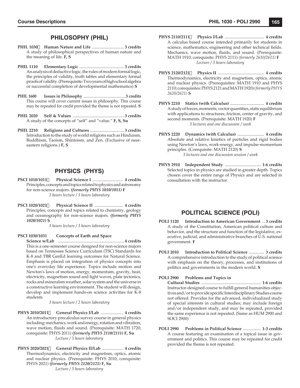# **PHILOSOPHY (PHIL)**

- **PHIL 1030 Human Nature and Life** .............................. **3 credits** A study of philosophical perspectives of human nature and the meaning of life. **F, S**
- **PHIL 1110 Elementary Logic** .......................................... **3 credits** An analysis of deductive logic, the rules of modern formal logic, the principles of validity, truth tables and elementary formal proofs of validity. (Prerequisite: Two years of high school algebra or successful completion of developmental mathematics) **S**
- **PHIL 1600 Issues in Philosophy** ..........................................**3 credits** This course will cover current issues in philosophy. This course may be repeated for credit provided the theme is not repeated. **S**
- **PHIL 2020 Self & Values** ................................................ **3 credits** A study of the concepts of "self" and "value." **F, S, Su**
- **PHIL 2210 Religions and Cultures** ................................ **3 credits** Introduction to the study of world religions such as Hinduism, Buddhism, Taoism, Shintoism, and Zen. (Exclusive of neareastern religions.) **F, S**

# **PHYSICS (PHYS)**

- **PSCI 1010/1011 Physical Science I** ............................. **4 credits** Principles, concepts and topics related to physics and astronomy for non-science majors. *(formerly PHYS 1010/1011)* **F** *3 hours lecture / 3 hours laboratory*
- **PSCI 1020/1021 Physical Science II** ........................... **4 credits** Principles, concepts and topics related to chemistry, geology and oceanography for non-science majors. *(formerly PHYS 1020/1021)* **S**

*3 hours lecture / 3 hours laboratory*

#### **PSCI 1030/1031 Concepts of Earth and Space**

 **Science w/Lab** .............................................................. **4 credits** This is a one-semester course designed for non-science majors based on Tennessee Science Curriculum (TSC) Standards for K-8 and TBR GenEd learning outcomes for Natural Science. Emphasis is placed on integration of physics concepts into one's everyday life experience. Topics include motion and Newton's laws of motion, energy, momentum, gravity, heat, electricity, magnetism sound and light waves, plate tectonics, rocks and mineralsm weather, solar system and the universe in a constructive learning environment. The student will design, develop and implement hands-on science activities for K-8 students.

*3 hours lecture / 2 hours laboratory*

- **PHYS 2010/2011 General Physics I/Lab** ..................... **4 credits** An introductory precalculus survey course in general physics including: mechanics, work and energy, rotation and vibration, wave motion, fluids and sound. (Prerequisite: MATH 1720; corequisite: PHYS 2011) *(formerly PHYS 2110/2111)* **F, Su** *Lecture / 3 hours laboratory*
- **PHYS 2020/2021 General Physics II/Lab** .................... **4 credits** Thermodynamics, electricity and magnetism, optics, atomic and nuclear physics. (Prerequisite: PHYS 2010; corequisite: PHYS 2021) *(formerly PHYS 2120/2121)* **F, Su** *Lecture / 3 hours laboratory*
- **PHYS 2110/2111 Physics I/Lab** ..................................... **4 credits** A calculus based course intended primarily for students in science, mathematics, engineering and other technical fields. Mechanics, wave motion, fluids, and sound. (Prerequisite: MATH 1910; corequisite: PHYS 2111) *(formerly 2610/2611)* **F** *Lecture / 3 hours laboratory*
- **PHYS 2120/2121 Physics II** ........................................... **4 credits** Thermodynamics, electricity and magnetism, optics, atomic and nuclear physics. (Prerequisites: MATH 1910 and PHYS 2110; corequisites: PHYS 2121 and MATH 1920) *(formerly PHYS 2620/2621)* **S**
- **PHYS 2210 Statics (with Calculus)** ................................ **4 credits** A study of forces, moments, vector quantities, static equilibrium with applications to structures, friction, center of gravity, and second moments. (Prerequisite: MATH 1920) **F** *3 lectures and one discussion / week*
- **PHYS 2220 Dynamics (with Calculus)** ......................... **4 credits** Absolute and relative kinetics of particles and rigid bodies using Newton's laws, work-energy, and impulse-momentum principles. (Corequisite: MATH 2120) **S** *3 lectures and one discussion session / week*
- **PHYS 2910 Independent Study** .................................. **1-6 credits** Selected topics in physics are studied in greater depth. Topics chosen cover the entire range of Physics and are selected in consultation with the instructor.

# **POLITICAL SCIENCE (POLI)**

- **POLI 1120 Introduction to American Government** ... **3 credits** A study of the Constitution, American political culture and behavior, and the structure and function of the legislative, executive, judicial, and administrative branches of U.S. national government. **F**
- **POLI 2010 Introduction to Political Science** .............. **3 credits** A comprehensive introduction to the study of political science with emphasis on the theory, processes, and institutions of politics and governments in the modern world. **S**

### **POLI 2900 Problems and Topics in**

 **Cultural Studies** ........................................................ **1-6 credits** Instructor-designed course to fulfill general humanities objectives and / or to provide specific Interdisciplinary Studies course not offered. Provides for the advanced, individualized study of special interests in cultural studies; may include foreign and/or independent study, and may be repeated, provided the same experience is not repeated. (Same as HUM 2900 and SOCI 2900)

**POLI 2990 Problems in Political Science** ................. **1-3 credits** A course featuring an examination of a topical issue in government and politics. This course may be repeated for credit provided the theme is not repeated.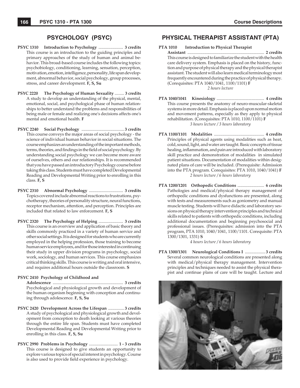# **PSYCHOLOGY (PSYC)**

- **PSYC 1310 Introduction to Psychology** ....................... **3 credits** This course is an introduction to the guiding principles and primary approaches of the study of human and animal behavior. This broad-based course includes the following topics: psychobiology, conditioning, learning, sensation, perception, motivation, emotion, intelligence, personality, life span development, abnormal behavior, social psychology, group processes, stress, and career development. **F, S, Su**
- **PSYC 2220 The Psychology of Human Sexuality** ......... **3 credits** A study to develop an understanding of the physical, mental, emotional, social, and psychological phase of human relationships to better understand the problems and responsibilities of being male or female and realizing one's decisions affects one's mental and emotional health. **F**
- **PSYC 2240 Social Psychology** ........................................ **3 credits** This course conveys the major areas of social psychology - the science of individual human behavior in social situations. The course emphasizes an understanding of the important methods, terms, theories, and findings in the field of social psychology. By understanding social psychology we can become more aware of ourselves, others and our relationships. It is recommended that you have passed an introductory Psychology course before taking this class. Students must have completed Developmental Reading and Developmental Writing prior to enrolling in this class. **F, S**
- **PSYC 2310 Abnormal Psychology** ................................ **3 credits** Topics covered include abnormal reactions to frustrations, psychotherapy, theories of personality structure, neural functions, receptor mechanism, attention, and perception. Principles are included that related to law enforcement. **F, S**
- **PSYC 2320 The Psychology of Helping** ....................... **3 credits** This course is an overview and application of basic theory and skills commonly practiced in a variety of human service and other social settings. It is designed for students who are currently employed in the helping profession, those training to become human service employees, and for those interested in continuing their study in upper division programs in psychology, social work, sociology, and human services. This course emphasizes critical thinking skills. This course is writing and oral intensive, and requires additional hours outside the classroom. **S**

#### **PSYC 2410 Psychology of Childhood and**

 **Adolescence** .................................................................. **3 credits** Psychological and physiological growth and development of the human organism beginning with conception and continuing through adolescence. **F, S, Su**

- **PSYC 2420 Development Across the Lifespan** ............... **3 credits** A study of psychological and physiological growth and development from conception to death looking at various theories through the entire life span. Students must have completed Developmental Reading and Developmental Writing prior to enrolling in this class. **F, S, Su**
- **PSYC 2990 Problems in Psychology** ........................... **1 3 credits** This course is designed to give students an opportunity to explore various topics of special interest in psychology. Course is also used to provide field experience in psychology.

# **PHYSICAL THERAPIST ASSISTANT (PTA)**

- **PTA 1010 Introduction to Physical Therapist Assistant** ........................................................................ **2 credits** This course is designed to familiarize the student with the health care delivery system. Emphasis is placed on the history, function and purpose of physical therapy and the physical therapist assistant. The student will also learn medical terminology most frequently encountered during the practice of physical therapy. (Corequisites: PTA 1040/1041, 1100/1101) **F** *2 hours lecture*
- **PTA 1040/1041 Kinesiology** ............................................. **4 credits** This course presents the anatomy of neuro-muscular-skeletal systems in more detail. Emphasis is placed upon normal motion and movement patterns, especially as they apply to physical rehabilitation. (Corequisites: PTA 1010, 1100/1101) **F** *3 hours lecture / 3 hours laboratory*
- **PTA 1100/1101 Modalities** ............................................... **4 credits** Principles of physical agents using modalities such as heat, cold, sound, light, and water are taught. Basic concepts of tissue healing, inflammation, and pain are introduced with laboratory skill practice and demonstration of modalities in simulated patient situations. Documentation of modalities within designated plans of care will be included. (Prerequisite: Admission into the PTA program. Corequisites: PTA 1010, 1040/1041) **F** *2 hours lecture / 6 hours laboratory*
- **PTA 1200/1201 Orthopedic Conditions** ......................... **6 credits** Pathologies and medical/physical therapy management of orthopedic conditions and dysfunctions are presented, along with tests and measurements such as goniometry and manual muscle testing. Students will have didactic and laboratory sessions on physical therapy intervention principles and technical skills related to patients with orthopedic conditions, including additional documentation and beginning psychosocial and professional issues. (Prerequisites: admission into the PTA program, PTA 1010, 1040/1041, 1100/1101. Corequisite: PTA 1300/1301, 1331) **S**

*4 hours lecture / 6 hours laboratory*

**PTA 1300/1301 Neurological Conditions I** ................... **3 credits** Several common neurological conditions are presented along with medical/physical therapy management. Intervention principles and techniques needed to assist the physical therapist and continue plans of care will be taught. Lecture and

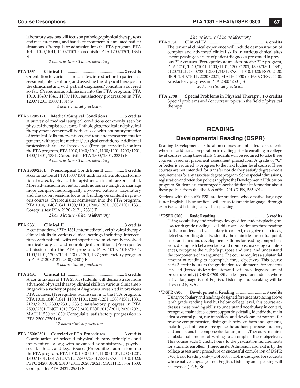laboratory sessions will focus on pathology, physical therapy tests and measurements, and hands-on treatment in simulated patient situations. (Prerequisite: admission into the PTA program, PTA 1010, 1040/1041, 1100/1101. Corequisite: PTA 1200/1201, 1331) **S**

*2 hours lecture / 3 hours laboratory*

**PTA 1331 Clinical I** ......................................................... **2 credits** Orientation to various clinical sites, introduction to patient assessment, interventions, and assisting the physical therapist in the clinical setting with patient diagnoses/conditions covered so far. (Prerequisite: admission into the PTA program, PTA 1010, 1040/1041, 1100/1101, satisfactory progression in PTA 1200/1201, 1300/1301) **S**

*4 hours clinical practicum*

- **PTA 2120/2121 Medical/Surgical Conditions** ............... **5 credits** A survey of medical/surgical conditions commonly seen by physical therapist assistants. Pathologies, medical and physical therapy management will be discussed with laboratory practice of technical skills, interventions, and tests and measurements for patients with specific medical/surgical conditions. Additional professional issues will be covered. (Prerequisite: admission into the PTA program, PTA 1010, 1040/1041, 1100/1101, 1200/1201, 1300/1301, 1331. Corequisite: PTA 2300/2301, 2331) **F** *4 hours lecture / 3 hours laboratory*
- **PTA 2300/2301 Neurological Conditions II** .................. **4 credits** A continuation of PTA 1300/1301, additional neurological conditions treated by physical therapist and assistants are presented. More advanced intervention techniques are taught to manage more complex neurologically involved patients. Laboratory and classroom sessions focus on building on content in previous courses. (Prerequisite: admission into the PTA program, PTA 1010, 1040/1041, 1100/1101, 1200/1201, 1300/1301, 1331. Corequisites: PTA 2120/2121, 2331) **F**

*2 hours lecture / 6 hours laboratory*

**PTA 2331 Clinical II** ....................................................... **3 credits** A continuation of PTA 1331, intermediate level physical therapy clinical skills in various clinical settings including interventions with patients with orthopedic and moderately involved medical/surgical and neurological conditions. (Prerequisite: admission into the PTA program, PTA 1010, 1040/1041, 1100/1101, 1200/1201, 1300/1301, 1331; satisfactory progress in PTA 2120/2121, 2300/2301) **F**

*8 hours clinical practicum*

**PTA 2431 Clinical III** ...................................................... **4 credits** A continuation of PTA 2331, students will demonstrate more advanced physical therapy clinical skills in various clinical settings with a variety of patient diagnoses presented in previous PTA courses. (Prerequities: admission into the PTA program, PTA 1010, 1040/1041, 1100/1101, 1200/1201, 1300/1301, 1331, 2120/2121, 2300/2301, 2331; satisfactory progress in PTA 2500/2501, ENGL 1010, PSYC 2420, BIOL 2010/2011, 2020/2021, MATH 1530 or 1630; Corequisite: satisfactory progression in PTA 2500/2501) **S**

*12 hours clinical practicum*

**PTA 2500/2501 Correlative PTA Procedures** ................ **3 credits** Continuation of selected physical therapy principles and interventions along with advanced administrative, psychosocial, ethical, and legal issues. (Prerequities: admission into the PTA program, PTA 1010, 1040/1041, 1100/1101, 1200/1201, 1300/1301, 1331, 2120/2121, 2300/2301, 2331; ENGL 1010, 1020; PSYC 2420, BIOL 2010/2011, 2020/2021; MATH 1530 or 1630; Corequisite: PTA 2431/2531) **S**

#### *2 hours lecture / 3 hours laboratory*

- **PTA 2531 Clinical IV** ........................................................**6 credits** The terminal clinical experience will include demonstration of complex and advanced clinical skills in various clinical sites encompassing a variety of patient diagnoses presented in previous PTA courses. (Prerequities: admission into the PTA program, PTA 1010, 1040/1041, 1100/1101, 1200/1201, 1300/1301, 1331, 2120/2121, 2300/2301, 2331, 2431; ENGL 1010, 1020; PSYC 2420, BIOL 2010/2011, 2020/2021; MATH 1530 or 1630; CPSC 1100; satisfactory progress in PTA 2500/2501) **S** *20 hours clinical practicum*
- **PTA 2990 Special Problems in Physical Therapy** . **1-3 credits** Special problems and/or current topics in the field of physical therapy.

### **READING**

### **Developmental Reading (DSPR)**

Reading Developmental Education courses are intended for students who need additional preparation in reading prior to enrolling in college level courses using these skills. Students will be required to take these courses based on placement assessment procedures. A grade of "C" or better is required to progress to the next higher level course. These courses are not intended for transfer nor do they satisfy degree-credit requirements for any associate degree program. Some special admissions, registration and retention policies apply to the Developmental Education program. Students are encouraged to seek additional information about these policies from the division office, 201-CCEN, 585-6914.

Sections with the suffix **ESL** are for students whose native language is not English. These sections will stress idiomatic language through exercises and listening as well as speaking.

- **\*\*DSPR 0700 Basic Reading** ................................................. **3 credits** Using vocabulary and readings designed for students placing below tenth grade reading level, this course addresses these reading skills: to understand vocabulary in context, recognize main ideas, detect supporting details, identify the main idea or central point, use transitions and development patterns for reading comprehension, distinguish between facts and opinions, make logical inferences, recognize the author's purpose and tone, and understand the components of an argument. The course requires a substantial amount of reading to accomplish these objectives. This course adds 3 credit hours to the graduation requirements for students enrolled. (Prerequisite: Admission and exit is by college assessment procedure only) (**DSPR 0700 ESL** is designed for students whose native language is not English. Listening and speaking will be stressed.) **F, S, Su**
- **\*\*DSPR 0800 Developmental Reading** .............................. **3 credits** Using vocabulary and readings designed for students placing above tenth grade reading level but below college level, this course addresses these reading skills: to understand vocabulary in context, recognize main ideas, detect supporting details, identify the main idea or central point, use transitions and development patterns for reading comprehension, distinguish between facts and opinions, make logical inferences, recognize the author's purpose and tone, and understand the components of an argument. The course requires a substantial amount of writing to accomplish these objectives. This course adds 3 credit hours to the graduation requirements for students enrolled. (Prerequisite: Admission and exit is by the college assessment procedure or successful completion of **DSPR 0700**, Basic Reading only) (DSPR 0800 ESL is designed for students whose native language is not English. Listening and speaking will be stressed.) **F, S, Su**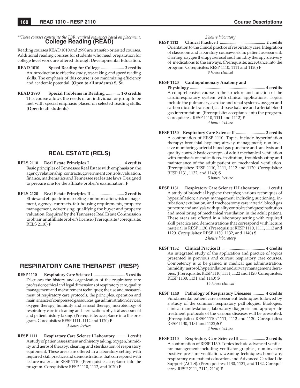*\*\*These courses constitute the TBR required sequences based on placement.* **College Reading (READ)**

Reading courses READ 1010 and 2990 are transfer-oriented courses. Additional reading courses for students who need preparation for college level work are offered through Developmental Education.

- **READ 1010 Speed Reading for College** ...................... **3 credits** An introduction to effective study, test-taking, and speed reading skills. The emphasis of this course is on maximizing efficiency and academic potential. **(Open to all students) S, Su**
- **READ 2990 Special Problems in Reading** ............. **1-3 credits** This course allows the needs of an individual or group to be met with special emphasis placed on selected reading skills. **(Open to all students)**

# **REAL ESTATE (RELS)**

- **RELS 2110 Real Estate Principles I** ............................... **4 credits** Basic principles of Tennessee Real Estate with emphasis on the agency relationship, contracts, government controls, valuation, finance, mathematics and Tennessee real estate laws. Designed to prepare one for the affiliate broker's examination. **F**
- **RELS 2120 Real Estate Principles II** .............................. **2 credits** Ethics and etiquette in marketing communication, risk management, agency, contracts, fair housing requirements, property management, advertising, qualifying the buyer and property valuation. Required by the Tennessee Real Estate Commission to obtain an affi lliate broker's license. (Prerequisite/corequisite: RELS 2110) **F**

# **RESPIRATORY CARE THERAPIST (RESP)**

**RESP 1110 Respiratory Care Science I** ............................... **3 credits** Discusses the history and organization of the respiratory care profession; ethical and legal dimensions of respiratory care, quality management and measurement techniques; the use and measurement of respiratory care protocols; the principles, operation and maintenance of compressed gas sources, gas administration devices, oxygen therapy; humidity and aerosol therapy; microbiology of respiratory care in cleaning and sterilization; physical assessment and patient history taking. (Prerequisite: acceptance into the program. Corequisites: RESP 1111, 1112 and 1120) **F**

*3 hours lecture*

**RESP 1111 Respiratory Care Science I Laboratory** .......... **1 credit** A study of patient assessment and history taking; oxygen, humidity and aerosol therapy; cleaning and sterilization of respiratory equipment. These areas are offered in a laboratory setting with required skill practice and demonstrations that correspond with lecture material in RESP 1110. (Prerequisite: acceptance into the program. Corequisites: RESP 1110, 1112, and 1020) **F**

### *2 hours laboratory*

**RESP 1112 Clinical Practice I** ............................................ **2 credits** Orientation to the clinical practice of respiratory care. Integration of classroom and laboratory coursework in: patient assessment, charting, oxygen therapy; aerosol and humidity therapy; delivery of medications to the airways. (Prerequisite: acceptance into the program. Corequisites: RESP 1110, 1111 and 1120) **F** *8 hours clinical*

### **RESP 1120 Cardiopulmonary Anatomy and**

 **Physiology** ........................................................................ **4 credits** A comprehensive course in the structure and function of the cardiorespiratory system with clinical applications. Topics include the pulmonary, cardiac and renal systems, oxygen and carbon dioxide transport, acid-base balance and arterial blood gas interpretation. (Prerequisite: acceptance into the program. Corequisites: RESP 1110, 1111 and 1112) **F** *4 hours lecture*

**RESP 1130 Respiratory Care Science II** ............................ **3 credits** A continuation of RESP 1110. Topics include hyperinflation therapy; bronchial hygiene; airway management; non-invasive monitoring, arterial blood gas puncture and analysis and quality control; basic concepts of adult mechanical ventilation with emphasis on indications, institution, troubleshooting and maintenance of the adult patient on mechanical ventilation. (Prerequisites: RESP 1110, 1111, 1112 and 1120. Corequisites: RESP 1131, 1132, and 1140) **S**

*3 hours lecture*

- **RESP 1131 Respiratory Care Science II Laboratory** ...... **1 credit** A study of bronchial hygiene therapies; various techniques of hyperinflation; airway management including suctioning, intubation/extubation, and tracheostomy care; arterial blood gas puncture and analysis with quality control techniques; institution and monitoring of mechanical ventilation in the adult patient. These areas are offered in a laboratory setting with required skill practice and demonstrations that correspond with lecture material in RESP 1130. (Prerequisite: RESP 1110, 1111, 1112 and 1120. Corequisites: RESP 1130, 1132, and 1140) **S** *2 hours laboratory*
- **RESP 1132 Clinical Practice II** ......................................... **4 credits** An integrated study of the application and practice of topics presented in previous and current respiratory care courses. Competency is to be gained in medical gas administration, humidity, aerosol, hyperinflation and airway management therapies. (Prerequisite: RESP 1110, 1111, 1122 and 1120. Corequisites: RESP 1130, 1131 and 1140) **S**

*16 hours clinical*

**RESP 1140 Pathology of Respiratory Diseases** ........... **4 credits** Fundamental patient care assessment techniques followed by a study of the common respiratory pathologies. Etiologies, clinical manifestations, laboratory diagnosis and appropriate treatment protocols of the various diseases will be presented. (Prerequisites: RESP 1110/1111, 1112 and 1120. Corequisites: RESP 1130, 1131 and 1132)**SF**

*4 hours lecture*

**RESP 2110 Respiratory Care Science III** ........................ **3 credits** A continuation of RESP 1130. Topics include advanced ventilator management including ventilator graphics, non-invasive positive pressure ventilation, weaning techniques; homecare; respiratory care patient education, and Advanced Cardiac Life Support (ACLS). (Prerequisites: 1130, 1131, and 1132. Corequisites: RESP 2111, 2112, 2116) **F**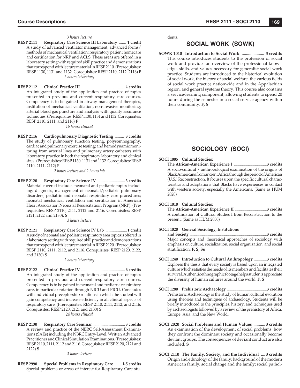#### *3 hours lecture*

- **RESP 2111 Respiratory Care Science III Laboratory** ....... **1 credit** A study of advanced ventilator management; advanced forms/ methods of mechanical ventilation; respiratory patient homecare and certification for NRP and ACLS. These areas are offered in a laboratory setting with required skill practice and demonstrations that correspond with lecture material in RESP 2110. (Prerequisites: RESP 1130, 1131 and 1132. Corequisites: RESP 2110, 2112, 2116) **F** *2 hours laboratory*
- **RESP 2112 Clinical Practice III** .......................................... **4 credits** An integrated study of the application and practice of topics presented in previous and current respiratory care courses. Competency is to be gained in airway management therapies, institution of mechanical ventilation; non-invasive monitoring; arterial blood gas puncture and analysis with quality assurance techniques. (Prerequisites: RESP 1130, 1131 and 1132. Corequisites: RESP 2110, 2111, and 2116) **F**

#### *16 hours clinical*

**RESP 2116 Cardiopulmonary Diagnostic Testing** ......... **3 credits** The study of pulmonary function testing, polysomnography, cardiac and pulmonary exercise testing; and hemodynamic monitoring from arterial lines and pulmonary artery catheters with laboratory practice in both the respiratory laboratory and clinical sites. (Prerequisites: RESP 1130, 1131 and 1132. Corequisites: RESP 2110, 2111, 2112) **F**

*2 hours lecture and 2 hours lab*

**RESP 2120 Respiratory Care Science IV** ........................... **3 credits** Material covered includes neonatal and pediatric topics including: diagnosis, management of neonatal/pediatric pulmonary disorders; pediatric and neonatal respiratory care procedures; neonatal mechanical ventilation and certification in American Heart Association Neonatal Resuscitatioin Program (NRP). (Prerequisites: RESP 2110, 2111, 2112 and 2116. Corequisites: RESP 2121, 2122 and 2130). **S**

*3 hours lecture*

**RESP 2121 Respiratory Care Science IV Lab** ..................... **1 credit** A study of neonatal and pediatric respiratory area topics is offered in a laboratory setting with required skill practice and demonstrations that correspond with lecture material in RESP 2120. (Prerequisites: RESP 2110, 2111, 2112, and 2116. Corequisites: RESP 2120, 2122, and 2130) **S**

*2 hours laboratory*

- **RESP 2122 Clinical Practice IV** ........................................... **6 credits** An integrated study of the application and practice of topics presented in previous and current respiratory care courses. Competency is to be gained in neonatal and pediatric respiratory care, in particular rotation through NICU and PICU. Concludes with individual preceptorship rotations in which the student will gain competency and increase efficiency in all clinical aspects of respiratory care. (Prerequisites: RESP 2110, 2111, 2112, and 2116. Corequisites: RESP 2120, 2121 and 2130) **S** *24 hours clinical*
- **RESP 2130 Respiratory Care Seminar** ............................... **3 credits** A review and practice of the NBRC Self-Assessment Examinations (SAEs) including the NBRC Entry-Level, Written Advanced Practitioner and Clinical Simulation Examinations. (Prerequisites: RESP 2110, 2111, 2112 and 2116. Corequisites: RESP 2120, 2121 and 2122) **S**

*3 hours lecture*

**RESP 2990 Special Problems in Respiratory Care** .......**1-5 credits** Special problems or areas of interest for Respiratory Care students.

# **SOCIAL WORK (SOWK)**

**SOWK 1010 Introduction to Social Work** ..................... **3 credits** This course introduces students to the profession of social work and provides an overview of the professional knowledge, skills, and values necessary for generalist social work practice. Students are introduced to the historical evolution of social work, the history of social welfare, the various fields of social work practice nationwide and in the Appalachian region, and general systems theory. This course also contains a service-learning component, allowing students to spend 20 hours during the semester in a social service agency within their community. **F, S**

# **SOCIOLOGY (SOCI)**

### **SOCI 1005 Cultural Studies:**

 **The African-American Experience I** .................................**3 credits** A socio-cultural / anthropological examination of the origins of Black Americans from ancient Africa through the period of American (U.S.) Reconstruction. It focuses upon the specific cultural characteristics and adaptations that Blacks have experiences in contact with western society, especially the Americans. (Same as HUM 2020)

#### **SOCI 1010 Cultural Studies:**

 **The African-American Experience II** ................................**3 credits** A continuation of Cultural Studies I from Reconstruction to the present. (Same as HUM 2030)

#### **SOCI 1020 General Sociology, Institutions**

 **and Society** .............................................................................**3 credits** Major concepts and theoretical approaches of sociology with emphasis on culture, socialization, social organization, and social stratification. F, S, Su

- **SOCI 1240 Introduction to Cultural Anthropology** .............**3 credits** Explores the thesis that every society is based upon an integrated culture which satisfies the needs of its members and facilitates their survival. Authentic ethnographic footage helps students appreciate the diversity of human cultures around the world. **F, S**
- **SOCI 1280 Prehistoric Archaeology** ........................................**3 credits** Prehistoric Archaeology is the study of human cultural evolution using theories and techniques of archaeology. Students will be briefly introduced to the principles, history, and techniques used by archaeologists followed by a review of the prehistory of Africa, Europe, Asia, and the New World.
- **SOCI 2020 Social Problems and Human Values** ........... **3 credits** An examination of the development of social problems, how they confront the dominant society and occasionally become deviant groups. The consequences of deviant conduct are also included. **S**
- **SOCI 2110 The Family, Society, and the Individual** .... **3 credits** Origin and ethnology of the family; background of the modern American family; social change and the family; social pathol-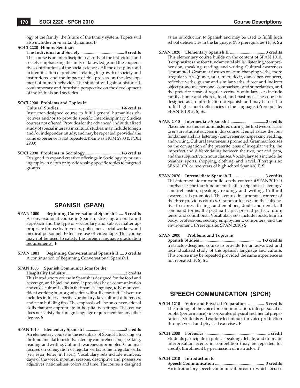ogy of the family; the future of the family system. Topics will also include non-marital dynamics. **F**

### **SOCI 2220 Honors Seminar:**

 **The Individual and Society** ........................................ **3 credits** The course is an interdisciplinary study of the individual and society emphasizing the unity of knowledge and the cooperative contributions of the social sciences. All the disciplines aid in identification of problems relating to growth of society and institutions, and the impact of this process on the development of human behavior. The student will gain a historical, contemporary and futuristic perspective on the development of individuals and societies.

#### **SOCI 2900 Problems and Topics in**

 **Cultural Studies** ........................................................ **1-6 credits** Instructor-designed course to fulfill general humanities objectives and/or to provide specific Interdisciplinary Studies courses not offered. Provides for the advanced, individualized study of special interests in cultural studies; may include foreign and/or independent study, and may be repeated, provided the same experience is not repeated. (Same as HUM 2900 & POLI 2900)

**SOCI 2990 Problems in Sociology** .................................**1-3 credits** Designed to expand creative offerings in Sociology by pursuing topics in depth or by addressing specific topics to targeted groups.

# **SPANISH (SPAN)**

- **SPAN 1000 Beginning Conversational Spanish I** .... **3 credits** A conversational course in Spanish, stressing an oral-aural approach and the type of vocabulary and subject matter appropriate for use by travelers, policemen, social workers, and medical personnel. Extensive use of video tape. This course may not be used to satisfy the foreign language graduation requirements. **F**
- **SPAN 1001 Beginning Conversational Spanish II** .... **3 credits** A continuation of Beginning Conversational Spanish I.

#### **SPAN 1005 Spanish Communications for the**

 **Hospitality Industry** .........................................................**3 credits** This introductory course in Spanish is designed for the food and beverage, and hotel industry. It provides basic communication and cross-cultural skills in the Spanish language, to be more confident working in an organization with a diverse staff. This course includes industry specific vocabulary, key cultural differences, and team building tips. The emphasis will be on conversational skills that are appropriate in hospitality settings. This course does not satisfy the foreign language requirement for any other degree. **S**

**SPAN 1010 Elementary Spanish I** ......................................**3 credits** An elementary course in the essentials of Spanish, focusing on the fundamental four skills: listening comprehension, speaking, reading, and writing. Cultural awareness is promoted. Grammar focuses on conjugation of regular verbs, some irregular verbs (ser, estar, tener, ir, hacer). Vocabulary sets include numbers, days of the week, months, seasons, descriptive and possessive adjectives, nationalities, colors and time. The course is designed as an introduction to Spanish and may be used to fulfill high school deficiencies in the language. (No prerequisites.) **F**, S, Su

- **SPAN 1020 Elementary Spanish II** ................................. **3 credits** This elementary course builds on the content of SPAN 1010. It emphasizes the four fundamental skills: listening/comprehension, speaking, reading, and writing. Cultural awareness is promoted. Grammar focuses on stem-changing verbs, more irregular verbs (poner, salir, traer, decir, dar, saber, conocer), reflexive verbs, gustar and similar verbs, direct and indirect object pronouns, personal, comparisons and superlatives, and the preterite tense of regular verbs. Vocabulary sets include family, home and chores, food, and pastimes. The course is designed as an introduction to Spanish and may be used to fulfill high school deficiencies in the language. (Prerequisite: SPAN 1010) **F, S, Su**
- **SPAN 2010 Intermediate Spanish I** ..................................**3 credits** Placement exams are administered during the first week of class to ensure student success in this course. It emphasizes the four fundamental skills: listening/comprehension, speaking, reading, and writing. Cultural awareness is promoted. Grammar focuses on the conjugation of the preterite tense of irregular verbs, the imperfect and differentiating between the two, por and para, and the subjunctive in noun clauses. Vocabulary sets include the weather, sports, shopping, clothing, and travel. (Prerequisite: SPAN 1020 or two years of high school Spanish) **F, S**
- **SPAN 2020 Intermediate Spanish II** .............................. **3 credits** This intermediate course builds on the content of SPAN 2010. It emphasizes the four fundamental skills of Spanish: listening/ comprehension, speaking, reading, and writing. Cultural awareness is promoted. This course incorporates content of the three previous courses. Grammar focuses on the subjenctive to express feelings and emotions, doubt and denial, all command forms, the past participle, present perfect, future tense, and conditional. Vocabulary sets include foods, human body, professions, seeking employment, computers, and the environment. (Prerequisite: SPAN 2010) **S**
- **SPAN 2900 Problems and Topics in**

 **Spanish Studies** ......................................................... **1-3 credits** Instructor-designed course to provide for an advanced and individualized study of the Spanish language and culture. This course may be repeated provided the same experience is not repeated. **F, S, Su**

# **SPEECH COMMUNICATION (SPCH)**

- **SPCH 1210 Voice and Physical Preparation** ............... **3 credits** The training of the voice for communication, interpersonal or public (performance) - incorporates physical and mental preparations. Students will explore techniques for voice production through vocal and physical exercises. **F**
- **SPCH 2000 Forensics** .......................................................... **1 credit** Students participate in public speaking, debate, and dramatic interpretation events in competition (may be repeated for credit). Enrollment by permission of instructor. **F**

### **SPCH 2010 Introduction to**

| An introductory speech-communication course which focuses |  |
|-----------------------------------------------------------|--|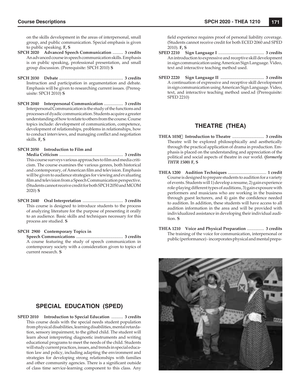on the skills development in the areas of interpersonal, small group, and public communication. Special emphasis is given to public speaking. **F, S**

- **SPCH 2020 Advanced Speech Communication** .......... **3 credits** An advanced course in speech communication skills. Emphasis is on public speaking, professional presentation, and small group discussion. (Prerequisite: SPCH 2010) **S**
- **SPCH 2030 Debate** ............................................................ **3 credits** Instruction and participation in argumentation and debate. Emphasis will be given to researching current issues. (Prerequisite: SPCH 2010) **S**
- **SPCH 2040 Interpersonal Communication** .................. **3 credits** Interpersonal Communication is the study of the functions and processes of dyadic communication. Students acquire a greater understanding of how to relate to others from the course. Course topics include: development of communication, competence, development of relationships, problems in relationships, how to conduct interviews, and managing conflict and negotiation skills. **F, S**

### **SPCH 2050 Introduction to Film and**

 **Media Criticism** ............................................................ **3 credits** This course surveys various approaches to film and media criticism. The course examines the various genres, both historical and contemporary, of American film and television. Emphasis will be given to audience strategies for viewing and evaluating film and television from a Speech Communication perspective. (Students cannot receive credit for both SPCH 2050 and MCOM 2020) **S**

**SPCH 2440 Oral Interpretation** ...................................... **3 credits** This course is designed to introduce students to the process of analyzing literature for the purpose of presenting it orally to an audience. Basic skills and techniques necessary for this process are studied. **S**

### **SPCH 2900 Contemporary Topics in**

 **Speech Communications** ............................................ **3 credits** A course featuring the study of speech communication in contemporary society with a consideration given to topics of current research. **S**

# **SPECIAL EDUCATION (SPED)**

**SPED 2010 Introduction to Special Education** ........... **3 credits** This course deals with the special needs student population from physical disabilities, learning disabilities, mental retardation, sensory impairment, to the gifted child. The student will learn about interpreting diagnostic instruments and writing educational programs to meet the needs of the child. Students will study current practices, issues, and trends in special education law and policy, including adapting the environment and strategies for developing strong relationships with families and other community agencies. There is a significant outside of class time service-learning component to this class. Any

field experience requires proof of personal liability coverage. (Students cannot receive credit for both ECED 2060 and SPED 2010). **F, S**

- **SPED 2210 Sign Language I** ........................................... **3 credits** An introduction to expressive and receptive skill development in sign communication using American Sign Language. Video, text and interactive teaching method used.
- **SPED 2220 Sign Language II** ......................................... **3 credits** A continuation of expressive and receptive skill development in sign communication using American Sign Language. Video, text, and interactive teaching method used.sd (Prerequisite: SPED 2210)

# **THEATRE (THEA)**

- **THEA 1030 Introduction to Theatre** .............................. **3 credits** Theatre will be explored philosophically and aesthetically through the practical application of drama in production. Emphasis is placed on the understanding and appreciation of the political and social aspects of theatre in our world. *(formerly THTR 1500)* **F, S**
- **THEA 1200 Audition Techniques** .................................... **1 credit** Course is designed to prepare students to audition for a variety of events. Students will 1) develop a resume, 2) gain experience role-playing different types of auditions, 3) gain exposure with performers and musicians who are working in the business through guest lecturers, and 4) gain the confidence needed to audition. In addition, these students will have access to all audition information in the area and will be provided with individualized assistance in developing their individual audition. **S**
- **THEA 1210 Voice and Physical Preparation** ................ **3 credits** The training of the voice for communication, interpersonal or public (performance) - incorporates physical and mental prepa-